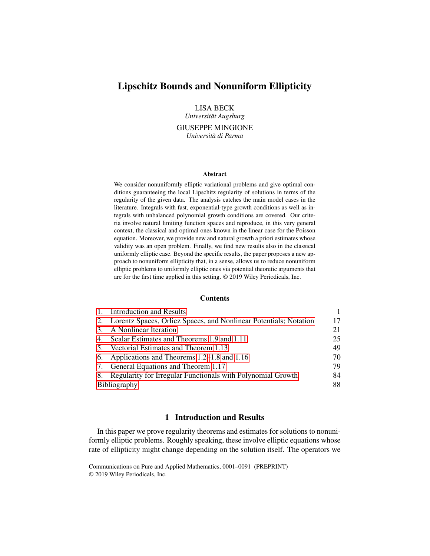# Lipschitz Bounds and Nonuniform Ellipticity

LISA BECK

*Universität Augsburg*

GIUSEPPE MINGIONE *Università di Parma*

### Abstract

We consider nonuniformly elliptic variational problems and give optimal conditions guaranteeing the local Lipschitz regularity of solutions in terms of the regularity of the given data. The analysis catches the main model cases in the literature. Integrals with fast, exponential-type growth conditions as well as integrals with unbalanced polynomial growth conditions are covered. Our criteria involve natural limiting function spaces and reproduce, in this very general context, the classical and optimal ones known in the linear case for the Poisson equation. Moreover, we provide new and natural growth a priori estimates whose validity was an open problem. Finally, we find new results also in the classical uniformly elliptic case. Beyond the specific results, the paper proposes a new approach to nonuniform ellipticity that, in a sense, allows us to reduce nonuniform elliptic problems to uniformly elliptic ones via potential theoretic arguments that are for the first time applied in this setting. © 2019 Wiley Periodicals, Inc.

### **Contents**

| $\mathbf{1}$ .      | <b>Introduction and Results</b>                                      |    |
|---------------------|----------------------------------------------------------------------|----|
|                     | 2. Lorentz Spaces, Orlicz Spaces, and Nonlinear Potentials; Notation | 17 |
| 3.                  | A Nonlinear Iteration                                                | 21 |
| 4.                  | Scalar Estimates and Theorems 1.9 and 1.11                           | 25 |
| 5.                  | Vectorial Estimates and Theorem 1.13                                 | 49 |
| 6.                  | Applications and Theorems 1.2–1.8 and 1.16                           | 70 |
|                     | 7. General Equations and Theorem 1.17                                | 79 |
|                     | 8. Regularity for Irregular Functionals with Polynomial Growth       | 84 |
| <b>Bibliography</b> |                                                                      | 88 |

## 1 Introduction and Results

<span id="page-0-0"></span>In this paper we prove regularity theorems and estimates for solutions to nonuniformly elliptic problems. Roughly speaking, these involve elliptic equations whose rate of ellipticity might change depending on the solution itself. The operators we

Communications on Pure and Applied Mathematics, 0001–0091 (PREPRINT) © 2019 Wiley Periodicals, Inc.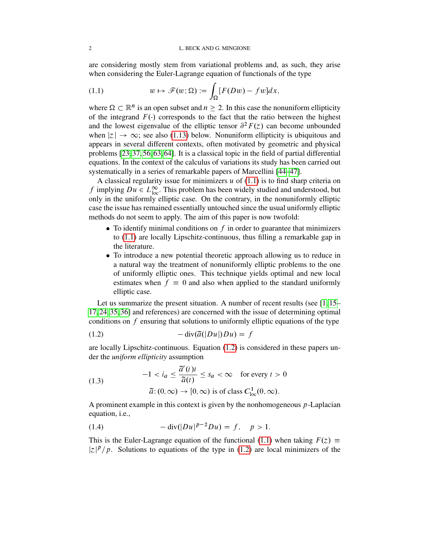are considering mostly stem from variational problems and, as such, they arise when considering the Euler-Lagrange equation of functionals of the type

<span id="page-1-0"></span>(1.1) 
$$
w \mapsto \mathscr{F}(w; \Omega) := \int_{\Omega} [F(Dw) - fw] dx,
$$

where  $\Omega \subset \mathbb{R}^n$  is an open subset and  $n \geq 2$ . In this case the nonuniform ellipticity of the integrand  $F(.)$  corresponds to the fact that the ratio between the highest and the lowest eigenvalue of the elliptic tensor  $\partial^2 F(z)$  can become unbounded when  $|z| \to \infty$ ; see also [\(1.13\)](#page-4-1) below. Nonuniform ellipticity is ubiquitous and appears in several different contexts, often motivated by geometric and physical problems [\[23,](#page-88-0) [37,](#page-89-0) [56,](#page-90-0) [63,](#page-90-1) [64\]](#page-90-2). It is a classical topic in the field of partial differential equations. In the context of the calculus of variations its study has been carried out systematically in a series of remarkable papers of Marcellini [\[44](#page-89-1)[–47\]](#page-90-3).

A classical regularity issue for minimizers  $u$  of  $(1.1)$  is to find sharp criteria on f implying  $Du \in L^{\infty}_{loc}$ . This problem has been widely studied and understood, but only in the uniformly elliptic case. On the contrary, in the nonuniformly elliptic case the issue has remained essentially untouched since the usual uniformly elliptic methods do not seem to apply. The aim of this paper is now twofold:

- $\bullet$  To identify minimal conditions on f in order to guarantee that minimizers to [\(1.1\)](#page-1-0) are locally Lipschitz-continuous, thus filling a remarkable gap in the literature.
- To introduce a new potential theoretic approach allowing us to reduce in a natural way the treatment of nonuniformly elliptic problems to the one of uniformly elliptic ones. This technique yields optimal and new local estimates when  $f \equiv 0$  and also when applied to the standard uniformly elliptic case.

Let us summarize the present situation. A number of recent results (see [\[1,](#page-87-1) [15–](#page-88-1) [17,](#page-88-2) [24,](#page-88-3) [35,](#page-89-2) [36\]](#page-89-3) and references) are concerned with the issue of determining optimal conditions on  $f$  ensuring that solutions to uniformly elliptic equations of the type

<span id="page-1-1"></span>
$$
(1.2) \t\t -div(\tilde{a}(|Du|)Du) = f
$$

are locally Lipschitz-continuous. Equation [\(1.2\)](#page-1-1) is considered in these papers under the *uniform ellipticity* assumption

<span id="page-1-2"></span>(1.3) 
$$
-1 < i_a \leq \frac{\tilde{a}'(t)t}{\tilde{a}(t)} \leq s_a < \infty \quad \text{for every } t > 0
$$

$$
\tilde{a}: (0, \infty) \to [0, \infty) \text{ is of class } C^1_{loc}(0, \infty).
$$

A prominent example in this context is given by the nonhomogeneous  $p$ -Laplacian equation, i.e.,

<span id="page-1-3"></span>(1.4) 
$$
-\operatorname{div}(|Du|^{p-2}Du) = f, \quad p > 1.
$$

This is the Euler-Lagrange equation of the functional [\(1.1\)](#page-1-0) when taking  $F(z) \equiv$  $|z|^p/p$ . Solutions to equations of the type in [\(1.2\)](#page-1-1) are local minimizers of the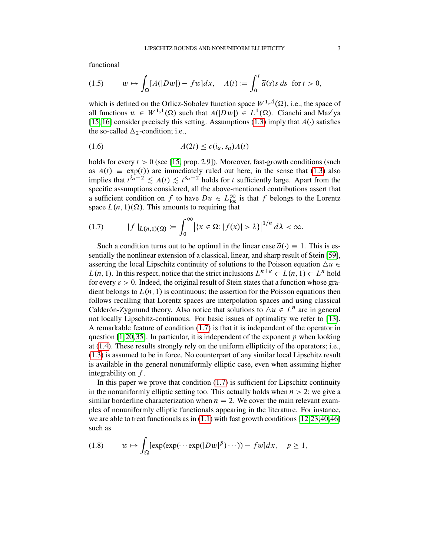functional

<span id="page-2-3"></span>
$$
(1.5) \t w \mapsto \int_{\Omega} [A(|Dw|) - fw] dx, \quad A(t) := \int_0^t \tilde{a}(s)s \, ds \text{ for } t > 0,
$$

which is defined on the Orlicz-Sobolev function space  $W^{1,A}(\Omega)$ , i.e., the space of all functions  $w \in W^{1,1}(\Omega)$  such that  $A(|Dw|) \in L^1(\Omega)$ . Cianchi and Maz'ya [\[15,](#page-88-1) [16\]](#page-88-4) consider precisely this setting. Assumptions [\(1.3\)](#page-1-2) imply that  $A(\cdot)$  satisfies the so-called  $\Delta_2$ -condition; i.e.,

<span id="page-2-1"></span>
$$
(1.6) \t\t A(2t) \le c(i_a, s_a)A(t)
$$

holds for every  $t > 0$  (see [\[15,](#page-88-1) prop. 2.9]). Moreover, fast-growth conditions (such as  $A(t) \equiv \exp(t)$  are immediately ruled out here, in the sense that [\(1.3\)](#page-1-2) also implies that  $t^{i_a+2} \leq A(t) \leq t^{s_a+2}$  holds for t sufficiently large. Apart from the specific assumptions considered, all the above-mentioned contributions assert that a sufficient condition on f to have  $Du \in L^{\infty}_{loc}$  is that f belongs to the Lorentz space  $L(n, 1)(\Omega)$ . This amounts to requiring that

<span id="page-2-0"></span>
$$
(1.7) \t\t\t||f||_{L(n,1)(\Omega)} := \int_0^\infty \left|\{x \in \Omega : |f(x)| > \lambda\}\right|^{1/n} d\lambda < \infty.
$$

Such a condition turns out to be optimal in the linear case  $\tilde{a}(\cdot) \equiv 1$ . This is essentially the nonlinear extension of a classical, linear, and sharp result of Stein [\[59\]](#page-90-4), asserting the local Lipschitz continuity of solutions to the Poisson equation  $\Delta u \in$  $L(n, 1)$ . In this respect, notice that the strict inclusions  $L^{n+\varepsilon} \subset L(n, 1) \subset L^n$  hold for every  $\varepsilon > 0$ . Indeed, the original result of Stein states that a function whose gradient belongs to  $L(n, 1)$  is continuous; the assertion for the Poisson equations then follows recalling that Lorentz spaces are interpolation spaces and using classical Calderón-Zygmund theory. Also notice that solutions to  $\Delta u \in L^n$  are in general not locally Lipschitz-continuous. For basic issues of optimality we refer to [\[13\]](#page-88-5). A remarkable feature of condition [\(1.7\)](#page-2-0) is that it is independent of the operator in question [\[1,](#page-87-1)[20,](#page-88-6)[35\]](#page-89-2). In particular, it is independent of the exponent p when looking at [\(1.4\)](#page-1-3). These results strongly rely on the uniform ellipticity of the operators; i.e., [\(1.3\)](#page-1-2) is assumed to be in force. No counterpart of any similar local Lipschitz result is available in the general nonuniformly elliptic case, even when assuming higher integrability on  $f$ .

In this paper we prove that condition  $(1.7)$  is sufficient for Lipschitz continuity in the nonuniformly elliptic setting too. This actually holds when  $n > 2$ ; we give a similar borderline characterization when  $n = 2$ . We cover the main relevant examples of nonuniformly elliptic functionals appearing in the literature. For instance, we are able to treat functionals as in  $(1.1)$  with fast growth conditions  $[12,23,40,46]$  $[12,23,40,46]$  $[12,23,40,46]$  $[12,23,40,46]$ such as

<span id="page-2-2"></span>
$$
(1.8) \t w \mapsto \int_{\Omega} [\exp(\exp(\cdots \exp(|D w|^p) \cdots)) - f w] dx, \quad p \ge 1,
$$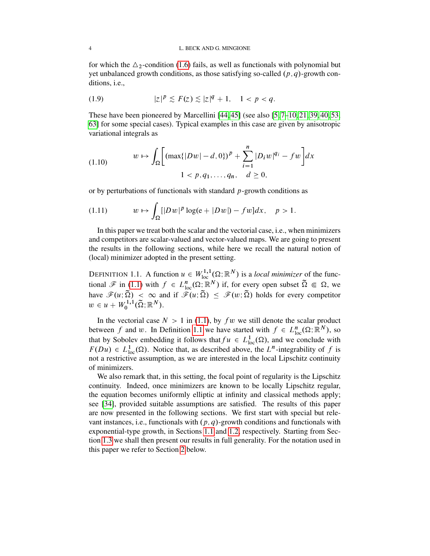for which the  $\Delta_2$ -condition [\(1.6\)](#page-2-1) fails, as well as functionals with polynomial but yet unbalanced growth conditions, as those satisfying so-called  $(p, q)$ -growth conditions, i.e.,

<span id="page-3-1"></span>(1.9) 
$$
|z|^p \lesssim F(z) \lesssim |z|^q + 1, \quad 1 < p < q.
$$

These have been pioneered by Marcellini [\[44,](#page-89-1) [45\]](#page-89-6) (see also [\[5,](#page-88-8) [7–](#page-88-9)[10,](#page-88-10) [21,](#page-88-11) [39,](#page-89-7) [40,](#page-89-4) [53,](#page-90-5) [63\]](#page-90-1) for some special cases). Typical examples in this case are given by anisotropic variational integrals as

<span id="page-3-2"></span>(1.10) 
$$
w \mapsto \int_{\Omega} \left[ (\max\{|Dw| - d, 0\})^{p} + \sum_{i=1}^{n} |D_i w|^{q_i} - f w \right] dx
$$

$$
1 < p, q_1, \dots, q_n, \quad d \ge 0,
$$

or by perturbations of functionals with standard p-growth conditions as

$$
(1.11) \t w \mapsto \int_{\Omega} [|Dw|^p \log(e + |Dw|) - fw] dx, \quad p > 1.
$$

In this paper we treat both the scalar and the vectorial case, i.e., when minimizers and competitors are scalar-valued and vector-valued maps. We are going to present the results in the following sections, while here we recall the natural notion of (local) minimizer adopted in the present setting.

<span id="page-3-0"></span>DEFINITION 1.1. A function  $u \in W^{1,1}_{loc}(\Omega; \mathbb{R}^N)$  is a *local minimizer* of the functional  $\mathscr{F}$  in [\(1.1\)](#page-1-0) with  $f \in L_{loc}^n(\Omega;\mathbb{R}^N)$  if, for every open subset  $\tilde{\Omega} \in \Omega$ , we have  $\mathscr{F}(u;\tilde{\Omega}) < \infty$  and if  $\mathscr{F}(u;\tilde{\Omega}) \leq \mathscr{F}(w;\tilde{\Omega})$  holds for every competitor  $w \in u + W_0^{1,1}$  $\mathcal{L}_0^{1,1}(\widetilde{\Omega};\mathbb{R}^N).$ 

In the vectorial case  $N > 1$  in [\(1.1\)](#page-1-0), by  $fw$  we still denote the scalar product between f and w. In Definition [1.1](#page-3-0) we have started with  $f \in L_{loc}^n(\Omega; \mathbb{R}^N)$ , so that by Sobolev embedding it follows that  $fu \in L^1_{loc}(\Omega)$ , and we conclude with  $F(Du) \in L^1_{loc}(\Omega)$ . Notice that, as described above, the  $L^n$ -integrability of f is not a restrictive assumption, as we are interested in the local Lipschitz continuity of minimizers.

We also remark that, in this setting, the focal point of regularity is the Lipschitz continuity. Indeed, once minimizers are known to be locally Lipschitz regular, the equation becomes uniformly elliptic at infinity and classical methods apply; see [\[34\]](#page-89-8), provided suitable assumptions are satisfied. The results of this paper are now presented in the following sections. We first start with special but relevant instances, i.e., functionals with  $(p, q)$ -growth conditions and functionals with exponential-type growth, in Sections [1.1](#page-4-2) and [1.2,](#page-6-0) respectively. Starting from Section [1.3](#page-8-1) we shall then present our results in full generality. For the notation used in this paper we refer to Section [2](#page-16-0) below.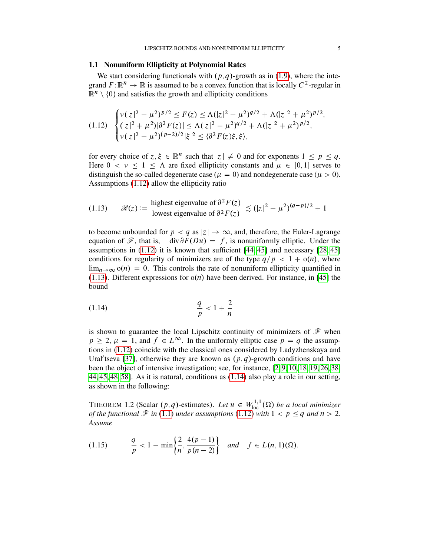### <span id="page-4-2"></span>1.1 Nonuniform Ellipticity at Polynomial Rates

We start considering functionals with  $(p, q)$ -growth as in [\(1.9\)](#page-3-1), where the integrand  $F: \mathbb{R}^n \to \mathbb{R}$  is assumed to be a convex function that is locally  $C^2$ -regular in  $\mathbb{R}^n \setminus \{0\}$  and satisfies the growth and ellipticity conditions

<span id="page-4-3"></span>
$$
(1.12) \quad\n\begin{cases}\n\nu(|z|^2 + \mu^2)^{p/2} \leq F(z) \leq \Lambda(|z|^2 + \mu^2)^{q/2} + \Lambda(|z|^2 + \mu^2)^{p/2}, \\
\n(|z|^2 + \mu^2)|\partial^2 F(z)| \leq \Lambda(|z|^2 + \mu^2)^{q/2} + \Lambda(|z|^2 + \mu^2)^{p/2}, \\
\nu(|z|^2 + \mu^2)^{(p-2)/2}|\xi|^2 \leq \langle \partial^2 F(z)\xi, \xi \rangle,\n\end{cases}
$$

for every choice of  $z, \xi \in \mathbb{R}^n$  such that  $|z| \neq 0$  and for exponents  $1 \leq p \leq q$ . Here  $0 < v \le 1 \le \Lambda$  are fixed ellipticity constants and  $\mu \in [0, 1]$  serves to distinguish the so-called degenerate case ( $\mu = 0$ ) and nondegenerate case ( $\mu > 0$ ). Assumptions [\(1.12\)](#page-4-3) allow the ellipticity ratio

<span id="page-4-1"></span>(1.13) 
$$
\mathcal{R}(z) := \frac{\text{highest eigenvalue of } \partial^2 F(z)}{\text{lowest eigenvalue of } \partial^2 F(z)} \lesssim (|z|^2 + \mu^2)^{(q-p)/2} + 1
$$

to become unbounded for  $p < q$  as  $|z| \to \infty$ , and, therefore, the Euler-Lagrange equation of  $\mathscr{F}$ , that is,  $-\text{div }\partial F(Du) = f$ , is nonuniformly elliptic. Under the assumptions in  $(1.12)$  it is known that sufficient  $[44, 45]$  $[44, 45]$  and necessary  $[28, 45]$  $[28, 45]$ conditions for regularity of minimizers are of the type  $q/p < 1 + o(n)$ , where  $\lim_{n\to\infty} o(n) = 0$ . This controls the rate of nonuniform ellipticity quantified in [\(1.13\)](#page-4-1). Different expressions for  $o(n)$  have been derived. For instance, in [\[45\]](#page-89-6) the bound

<span id="page-4-4"></span>
$$
\frac{q}{p} < 1 + \frac{2}{n}
$$

is shown to guarantee the local Lipschitz continuity of minimizers of  $\mathscr F$  when  $p > 2$ ,  $\mu = 1$ , and  $f \in L^{\infty}$ . In the uniformly elliptic case  $p = q$  the assumptions in [\(1.12\)](#page-4-3) coincide with the classical ones considered by Ladyzhenskaya and Ural'tseva [\[37\]](#page-89-0), otherwise they are known as  $(p, q)$ -growth conditions and have been the object of intensive investigation; see, for instance, [\[2,](#page-87-2) [9,](#page-88-12) [10,](#page-88-10) [18,](#page-88-13) [19,](#page-88-14) [26,](#page-89-10) [38,](#page-89-11) [44,](#page-89-1) [45,](#page-89-6) [48,](#page-90-6) [58\]](#page-90-7). As it is natural, conditions as [\(1.14\)](#page-4-4) also play a role in our setting, as shown in the following:

<span id="page-4-0"></span>THEOREM 1.2 (Scalar  $(p, q)$ -estimates). Let  $u \in W^{1,1}_{loc}(\Omega)$  be a local minimizer *of the functional*  $\mathscr F$  *in* [\(1.1\)](#page-1-0) *under assumptions* [\(1.12\)](#page-4-3) *with*  $1 < p \leq q$  *and*  $n > 2$ . *Assume*

<span id="page-4-5"></span>(1.15) 
$$
\frac{q}{p} < 1 + \min\left\{\frac{2}{n}, \frac{4(p-1)}{p(n-2)}\right\}
$$
 and  $f \in L(n, 1)(\Omega)$ .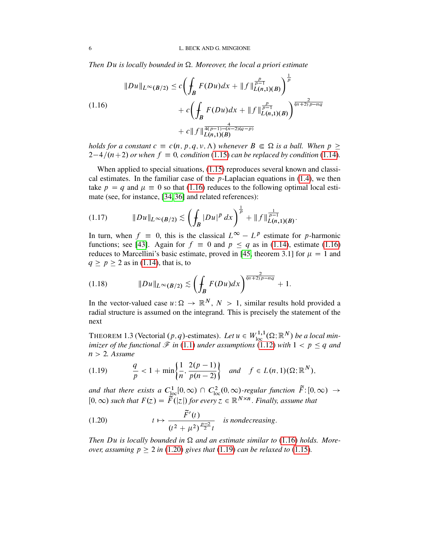*Then Du is locally bounded in* Ω. *Moreover, the local a priori estimate* 

<span id="page-5-0"></span>
$$
||Du||_{L^{\infty}(B/2)} \le c \left( \int_{B} F(Du) dx + ||f||_{L(n,1)(B)}^{\frac{p}{p-1}} \right)^{\frac{1}{p}}
$$
  
(1.16)  

$$
+ c \left( \int_{B} F(Du) dx + ||f||_{L(n,1)(B)}^{\frac{p}{p-1}} \right)^{\frac{2}{(n+2)p-nq}}
$$
  

$$
+ c ||f||_{L(n,1)(B)}^{\frac{4}{4(p-1)-(n-2)(q-p)}}
$$

*holds for a constant*  $c \equiv c(n, p, q, v, \Lambda)$  *whenever*  $B \in \Omega$  *is a ball. When*  $p \ge$  $2-4/(n+2)$  *or when*  $f \equiv 0$ , *condition* [\(1.15\)](#page-4-5) *can be replaced by condition* [\(1.14\)](#page-4-4)*.* 

When applied to special situations,  $(1.15)$  reproduces several known and classical estimates. In the familiar case of the  $p$ -Laplacian equations in [\(1.4\)](#page-1-3), we then take  $p = q$  and  $\mu \equiv 0$  so that [\(1.16\)](#page-5-0) reduces to the following optimal local estimate (see, for instance, [\[34,](#page-89-8) [36\]](#page-89-3) and related references):

<span id="page-5-4"></span>(1.17) kDukL1.B=2/ . « B jDuj <sup>p</sup> dx<sup>1</sup> p C kf k 1 p1 L.n;1/.B/:

In turn, when  $f \equiv 0$ , this is the classical  $L^{\infty} - L^p$  estimate for p-harmonic functions; see [\[43\]](#page-89-12). Again for  $f \equiv 0$  and  $p \le q$  as in [\(1.14\)](#page-4-4), estimate [\(1.16\)](#page-5-0) reduces to Marcellini's basic estimate, proved in [\[45,](#page-89-6) theorem 3.1] for  $\mu = 1$  and  $q \ge p \ge 2$  as in [\(1.14\)](#page-4-4), that is, to

<span id="page-5-5"></span>
$$
(1.18) \t\t\t\t \|Du\|_{L^{\infty}(B/2)} \lesssim \left(\int_{B} F(Du) dx\right)^{\frac{2}{(n+2)p-nq}} + 1.
$$

In the vector-valued case  $u: \Omega \to \mathbb{R}^N$ ,  $N > 1$ , similar results hold provided a radial structure is assumed on the integrand. This is precisely the statement of the next

<span id="page-5-3"></span>THEOREM 1.3 (Vectorial  $(p, q)$ -estimates). Let  $u \in W^{1,1}_{loc}(\Omega; \mathbb{R}^N)$  be a local min*imizer of the functional*  $\mathscr F$  *in* [\(1.1\)](#page-1-0) *under assumptions* [\(1.12\)](#page-4-3) *with*  $1 < p \leq q$  *and* n > 2*. Assume*

<span id="page-5-2"></span>(1.19) 
$$
\frac{q}{p} < 1 + \min\left\{\frac{1}{n}, \frac{2(p-1)}{p(n-2)}\right\}
$$
 and  $f \in L(n, 1)(\Omega; \mathbb{R}^N)$ ,

and that there exists a  $C^1_{\rm loc}[0,\infty) \cap C^2_{\rm loc}(0,\infty)$ -regular function  $\tilde{F}$ :  $[0,\infty)$   $\rightarrow$  $[0, \infty)$  such that  $F(z) = \tilde{F}(|z|)$  for every  $z \in \mathbb{R}^{N \times n}$ . Finally, assume that

<span id="page-5-1"></span>(1.20) 
$$
t \mapsto \frac{\widetilde{F}'(t)}{(t^2 + \mu^2)^{\frac{p-2}{2}}t} \text{ is nondecreasing.}
$$

*Then* Du is locally bounded in  $\Omega$  and an estimate similar to [\(1.16\)](#page-5-0) holds. More*over, assuming*  $p \ge 2$  *in* [\(1.20\)](#page-5-1) *gives that* [\(1.19\)](#page-5-2) *can be relaxed to* [\(1.15\)](#page-4-5)*.*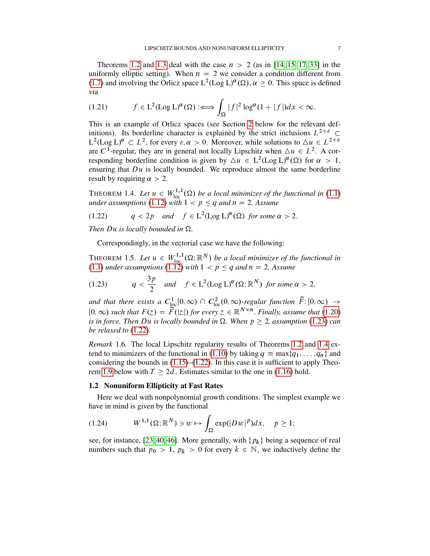Theorems [1.2](#page-4-0) and [1.3](#page-5-3) deal with the case  $n > 2$  (as in [\[14,](#page-88-15) [15,](#page-88-1) [17,](#page-88-2) [33\]](#page-89-13) in the uniformly elliptic setting). When  $n = 2$  we consider a condition different from [\(1.7\)](#page-2-0) and involving the Orlicz space  $L^2(Log L)^\alpha(\Omega)$ ,  $\alpha \ge 0$ . This space is defined via

<span id="page-6-5"></span>
$$
(1.21) \t f \in L^{2}(\text{Log } L)^{\alpha}(\Omega) : \Longleftrightarrow \int_{\Omega} |f|^{2} \log^{\alpha} (1+|f|) dx < \infty.
$$

This is an example of Orlicz spaces (see Section [2](#page-16-0) below for the relevant definitions). Its borderline character is explained by the strict inclusions  $L^{2+\epsilon} \subset$  $L^2$ (Log L)<sup> $\alpha$ </sup>  $\subset L^2$ , for every  $\varepsilon, \alpha > 0$ . Moreover, while solutions to  $\Delta u \in L^{2+\varepsilon}$ are C<sup>1</sup>-regular, they are in general not locally Lipschitz when  $\Delta u \in L^2$ . A corresponding borderline condition is given by  $\Delta u \in L^2(\text{Log } L)^\alpha(\Omega)$  for  $\alpha > 1$ , ensuring that  $Du$  is locally bounded. We reproduce almost the same borderline result by requiring  $\alpha > 2$ .

<span id="page-6-3"></span>THEOREM 1.4. Let  $u \in W^{1,1}_{loc}(\Omega)$  be a local minimizer of the functional in [\(1.1\)](#page-1-0) *under assumptions* [\(1.12\)](#page-4-3) *with*  $1 < p \leq q$  *and*  $n = 2$ *. Assume* 

<span id="page-6-2"></span>(1.22) 
$$
q < 2p
$$
 and  $f \in L^2(\text{Log } L)^\alpha(\Omega)$  for some  $\alpha > 2$ .

*Then*  $Du$  *is locally bounded in*  $\Omega$ *.* 

Correspondingly, in the vectorial case we have the following:

THEOREM 1.5. Let  $u \in W^{1,1}_{loc}(\Omega;\mathbb{R}^N)$  be a local minimizer of the functional in  $(1.1)$  *under assumptions*  $(1.12)$  *with*  $1 < p \le q$  *and*  $n = 2$ *. Assume* 

<span id="page-6-1"></span>(1.23) 
$$
q < \frac{3p}{2} \quad \text{and} \quad f \in L^{2}(\text{Log } L)^{\alpha}(\Omega; \mathbb{R}^{N}) \text{ for some } \alpha > 2,
$$

and that there exists a  $C^1_{\text{loc}}[0,\infty) \cap C^2_{\text{loc}}(0,\infty)$ -regular function  $\widetilde{F}$ :  $[0,\infty) \to$  $[0, \infty)$  such that  $F(z) = \tilde{F}(|z|)$  for every  $z \in \mathbb{R}^{N \times n}$ . Finally, assume that [\(1.20\)](#page-5-1) *is in force. Then Du is locally bounded in*  $\Omega$ *. When*  $p \geq 2$ *, assumption* [\(1.23\)](#page-6-1) *can be relaxed to* [\(1.22\)](#page-6-2)*.*

*Remark* 1.6*.* The local Lipschitz regularity results of Theorems [1.2](#page-4-0) and [1.4](#page-6-3) ex-tend to minimizers of the functional in [\(1.10\)](#page-3-2) by taking  $q \equiv \max\{q_1, \ldots, q_n\}$  and considering the bounds in  $(1.15)$ – $(1.22)$ . In this case it is sufficient to apply Theo-rem [1.9](#page-9-0) below with  $T \geq 2d$ . Estimates similar to the one in [\(1.16\)](#page-5-0) hold.

### <span id="page-6-0"></span>1.2 Nonuniform Ellipticity at Fast Rates

Here we deal with nonpolynomial growth conditions. The simplest example we have in mind is given by the functional

<span id="page-6-4"></span>
$$
(1.24) \t W^{1,1}(\Omega; \mathbb{R}^N) \ni w \mapsto \int_{\Omega} \exp(|Dw|^p) dx, \quad p \ge 1;
$$

see, for instance, [\[23,](#page-88-0) [40,](#page-89-4) [46\]](#page-89-5). More generally, with  $\{p_k\}$  being a sequence of real numbers such that  $p_0 > 1$ ,  $p_k > 0$  for every  $k \in \mathbb{N}$ , we inductively define the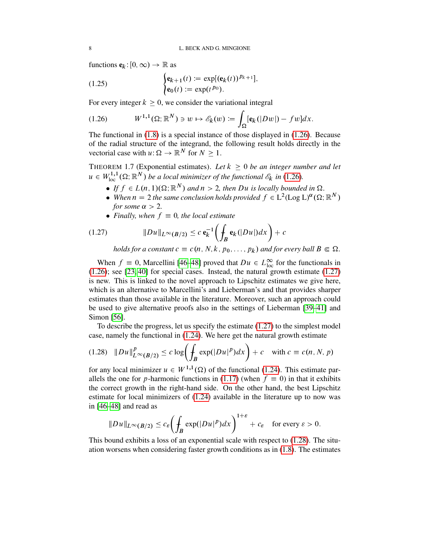functions  ${\bf e}_k: [0, \infty) \to \mathbb{R}$  as

(1.25) 
$$
\begin{cases} \mathbf{e}_{k+1}(t) := \exp[(\mathbf{e}_k(t))^{p_{k+1}}], \\ \mathbf{e}_0(t) := \exp(t^{p_0}). \end{cases}
$$

For every integer  $k \geq 0$ , we consider the variational integral

<span id="page-7-0"></span>(1.26) 
$$
W^{1,1}(\Omega; \mathbb{R}^N) \ni w \mapsto \mathscr{E}_k(w) := \int_{\Omega} [\mathbf{e}_k(|Dw|) - fw] dx.
$$

The functional in [\(1.8\)](#page-2-2) is a special instance of those displayed in [\(1.26\)](#page-7-0). Because of the radial structure of the integrand, the following result holds directly in the vectorial case with  $u: \Omega \to \mathbb{R}^N$  for  $N > 1$ .

THEOREM 1.7 (Exponential estimates). Let  $k \geq 0$  be an integer number and let  $u \in W^{1,1}_{loc}(\Omega;\mathbb{R}^N)$  be a local minimizer of the functional  $\mathscr{E}_k$  in [\(1.26\)](#page-7-0).

- *If*  $f \in L(n, 1)(\Omega; \mathbb{R}^N)$  *and*  $n > 2$ *, then Du is locally bounded in*  $\Omega$ *.*
- When  $n = 2$  the same conclusion holds provided  $f \in L^2(\text{Log } L)^\alpha(\Omega; \mathbb{R}^N)$ *for some*  $\alpha > 2$ *.*
- Finally, when  $f \equiv 0$ , the local estimate

(1.27) kDukL1.B=2/ c e 1 k « B <sup>e</sup>k.jDuj/dx C c

<span id="page-7-1"></span>*holds for a constant*  $c \equiv c(n, N, k, p_0, \ldots, p_k)$  *and for every ball*  $B \in \Omega$ .

When  $f \equiv 0$ , Marcellini [\[46–](#page-89-5)[48\]](#page-90-6) proved that  $Du \in L^{\infty}_{loc}$  for the functionals in [\(1.26\)](#page-7-0); see [\[23,](#page-88-0) [40\]](#page-89-4) for special cases. Instead, the natural growth estimate [\(1.27\)](#page-7-1) is new. This is linked to the novel approach to Lipschitz estimates we give here, which is an alternative to Marcellini's and Lieberman's and that provides sharper estimates than those available in the literature. Moreover, such an approach could be used to give alternative proofs also in the settings of Lieberman [\[39–](#page-89-7)[41\]](#page-89-14) and Simon [\[56\]](#page-90-0).

To describe the progress, let us specify the estimate [\(1.27\)](#page-7-1) to the simplest model case, namely the functional in [\(1.24\)](#page-6-4). We here get the natural growth estimate

<span id="page-7-2"></span>
$$
(1.28) \quad \|Du\|_{L^{\infty}(B/2)}^p \le c \log \left( \int_B \exp(|Du|^p) dx \right) + c \quad \text{with } c \equiv c(n, N, p)
$$

for any local minimizer  $u \in W^{1,1}(\Omega)$  of the functional [\(1.24\)](#page-6-4). This estimate par-allels the one for p-harmonic functions in [\(1.17\)](#page-5-4) (when  $f \equiv 0$ ) in that it exhibits the correct growth in the right-hand side. On the other hand, the best Lipschitz estimate for local minimizers of [\(1.24\)](#page-6-4) available in the literature up to now was in [\[46](#page-89-5)[–48\]](#page-90-6) and read as

$$
||Du||_{L^{\infty}(B/2)} \leq c_{\varepsilon} \bigg(\int_{B} \exp(|Du|^{p})dx\bigg)^{1+\varepsilon} + c_{\varepsilon} \quad \text{for every } \varepsilon > 0.
$$

This bound exhibits a loss of an exponential scale with respect to [\(1.28\)](#page-7-2). The situation worsens when considering faster growth conditions as in [\(1.8\)](#page-2-2). The estimates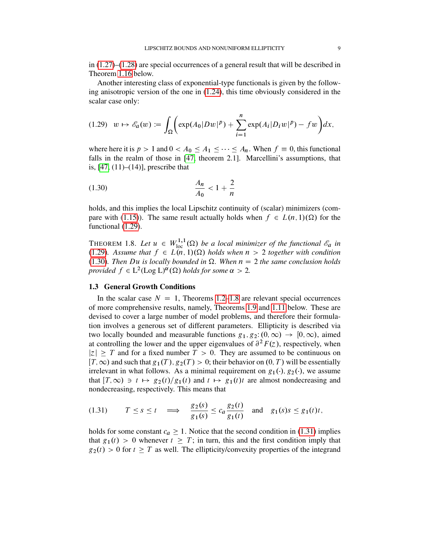in [\(1.27\)](#page-7-1)–[\(1.28\)](#page-7-2) are special occurrences of a general result that will be described in Theorem [1.16](#page-14-0) below.

Another interesting class of exponential-type functionals is given by the following anisotropic version of the one in [\(1.24\)](#page-6-4), this time obviously considered in the scalar case only:

<span id="page-8-2"></span>
$$
(1.29) \quad w \mapsto \mathscr{E}_a(w) := \int_{\Omega} \left( \exp(A_0|Dw|^p) + \sum_{i=1}^n \exp(A_i|D_iw|^p) - fw \right) dx,
$$

where here it is  $p > 1$  and  $0 < A_0 \leq A_1 \leq \cdots \leq A_n$ . When  $f \equiv 0$ , this functional falls in the realm of those in [\[47,](#page-90-3) theorem 2.1]. Marcellini's assumptions, that is,  $[47, (11)–(14)]$  $[47, (11)–(14)]$ , prescribe that

<span id="page-8-3"></span>
$$
\frac{A_n}{A_0} < 1 + \frac{2}{n}
$$

holds, and this implies the local Lipschitz continuity of (scalar) minimizers (com-pare with [\(1.15\)](#page-4-5)). The same result actually holds when  $f \in L(n, 1)(\Omega)$  for the functional [\(1.29\)](#page-8-2).

<span id="page-8-0"></span>THEOREM 1.8. Let  $u \in W^{1,1}_{loc}(\Omega)$  be a local minimizer of the functional  $\mathscr{E}_a$  in [\(1.29\)](#page-8-2)*.* Assume that  $f \in L(n, 1)(\Omega)$  holds when  $n > 2$  together with condition [\(1.30\)](#page-8-3)*. Then Du is locally bounded in*  $\Omega$ *. When*  $n = 2$  *the same conclusion holds* provided  $f \in L^2(\text{Log } L)^\alpha(\Omega)$  holds for some  $\alpha > 2$ .

### <span id="page-8-1"></span>1.3 General Growth Conditions

In the scalar case  $N = 1$ , Theorems [1.2–](#page-4-0)[1.8](#page-8-0) are relevant special occurrences of more comprehensive results, namely, Theorems [1.9](#page-9-0) and [1.11](#page-10-0) below. These are devised to cover a large number of model problems, and therefore their formulation involves a generous set of different parameters. Ellipticity is described via two locally bounded and measurable functions  $g_1, g_2: (0, \infty) \rightarrow [0, \infty)$ , aimed at controlling the lower and the upper eigenvalues of  $\partial^2 F(z)$ , respectively, when  $|z| \geq T$  and for a fixed number  $T > 0$ . They are assumed to be continuous on  $[T,\infty)$  and such that  $g_1(T), g_2(T) > 0$ ; their behavior on  $(0,T)$  will be essentially irrelevant in what follows. As a minimal requirement on  $g_1(\cdot), g_2(\cdot)$ , we assume that  $[T,\infty) \ni t \mapsto g_2(t)/g_1(t)$  and  $t \mapsto g_1(t)t$  are almost nondecreasing and nondecreasing, respectively. This means that

<span id="page-8-4"></span>
$$
(1.31) \t\t T \leq s \leq t \implies \frac{g_2(s)}{g_1(s)} \leq c_a \frac{g_2(t)}{g_1(t)} \quad \text{and} \quad g_1(s)s \leq g_1(t)t,
$$

holds for some constant  $c_a \geq 1$ . Notice that the second condition in [\(1.31\)](#page-8-4) implies that  $g_1(t) > 0$  whenever  $t \geq T$ ; in turn, this and the first condition imply that  $g_2(t) > 0$  for  $t \geq T$  as well. The ellipticity/convexity properties of the integrand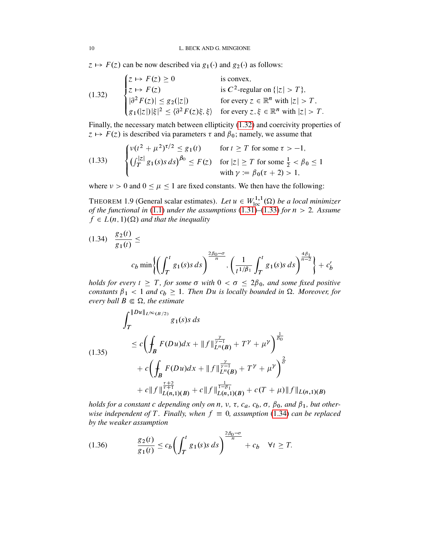$z \mapsto F(z)$  can be now described via  $g_1(\cdot)$  and  $g_2(\cdot)$  as follows:

<span id="page-9-1"></span>(1.32) 
$$
\begin{cases} z \mapsto F(z) \ge 0 & \text{is convex,} \\ z \mapsto F(z) & \text{is } C^2\text{-regular on } \{|z| > T\}, \\ |\partial^2 F(z)| \le g_2(|z|) & \text{for every } z \in \mathbb{R}^n \text{ with } |z| > T, \\ g_1(|z|) |\xi|^2 \le \langle \partial^2 F(z) \xi, \xi \rangle & \text{for every } z, \xi \in \mathbb{R}^n \text{ with } |z| > T. \end{cases}
$$

Finally, the necessary match between ellipticity [\(1.32\)](#page-9-1) and coercivity properties of  $z \mapsto F(z)$  is described via parameters  $\tau$  and  $\beta_0$ ; namely, we assume that

<span id="page-9-2"></span>(1.33) 
$$
\begin{cases} v(t^2 + \mu^2)^{\tau/2} \le g_1(t) & \text{for } t \ge T \text{ for some } \tau > -1, \\ \left( \int_T^{|z|} g_1(s) s \, ds \right)^{\beta_0} \le F(z) & \text{for } |z| \ge T \text{ for some } \frac{1}{2} < \beta_0 \le 1 \\ \text{with } \gamma := \beta_0(\tau + 2) > 1, \end{cases}
$$

where  $v > 0$  and  $0 \le \mu \le 1$  are fixed constants. We then have the following:

<span id="page-9-0"></span>THEOREM 1.9 (General scalar estimates). Let  $u \in W^{1,1}_{loc}(\Omega)$  be a local minimizer *of the functional in* [\(1.1\)](#page-1-0) *under the assumptions* [\(1.31\)](#page-8-4)*–*[\(1.33\)](#page-9-2) *for* n > 2*. Assume*  $f \in L(n, 1)(\Omega)$  and that the inequality

<span id="page-9-3"></span>
$$
(1.34) \quad \frac{g_2(t)}{g_1(t)} \le c_b \min\left\{ \left( \int_T^t g_1(s)s \, ds \right)^{\frac{2\beta_0 - \sigma}{n}}, \left( \frac{1}{t^{1/\beta_1}} \int_T^t g_1(s)s \, ds \right)^{\frac{4\beta_1}{n-2}} \right\} + c'_b
$$

*holds for every*  $t \geq T$ *, for some*  $\sigma$  with  $0 < \sigma \leq 2\beta_0$ *, and some fixed positive constants*  $\beta_1$  < 1 *and*  $c_b \geq 1$ *. Then Du is locally bounded in*  $\Omega$ *. Moreover, for every ball*  $B \n\subseteq \Omega$ *, the estimate* 

<span id="page-9-4"></span>
$$
\int_{T}^{\|Du\|_{L^{\infty}(B/2)}} g_1(s)s ds
$$
\n
$$
\leq c \left( \int_{B} F(Du) dx + \|f\|_{L^{n}(B)}^{\frac{\gamma}{\gamma-1}} + T^{\gamma} + \mu^{\gamma} \right)^{\frac{1}{\beta_0}}
$$
\n
$$
+ c \left( \int_{B} F(Du) dx + \|f\|_{L^{n}(B)}^{\frac{\gamma}{\gamma-1}} + T^{\gamma} + \mu^{\gamma} \right)^{\frac{2}{\sigma}}
$$
\n
$$
+ c \|f\|_{L(n,1)(B)}^{\frac{\tau+2}{\tau+1}} + c \|f\|_{L(n,1)(B)}^{\frac{1}{1-\beta_1}} + c (T + \mu) \|f\|_{L(n,1)(B)}
$$

*holds for a constant c depending only on n, v,*  $\tau$ *,*  $c_a$ *,*  $c_b$ *,*  $\sigma$ *,*  $\beta_0$ *<i>, and*  $\beta_1$ *, but otherwise independent of* T. Finally, when  $f \equiv 0$ , assumption [\(1.34\)](#page-9-3) *can be replaced by the weaker assumption*

<span id="page-9-5"></span>(1.36) 
$$
\frac{g_2(t)}{g_1(t)} \le c_b \bigg( \int_T^t g_1(s) s \, ds \bigg)^{\frac{2\beta_0 - \sigma}{n}} + c_b \quad \forall t \ge T.
$$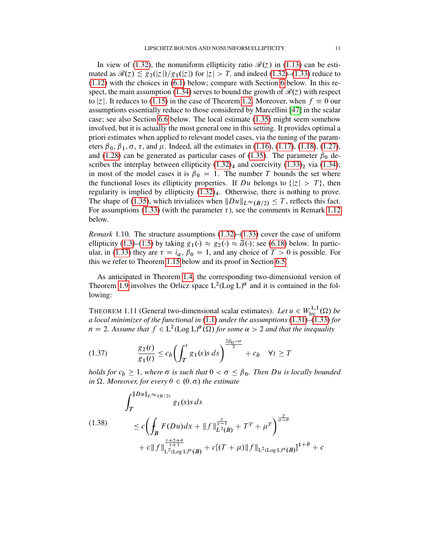In view of [\(1.32\)](#page-9-1), the nonuniform ellipticity ratio  $\mathcal{R}(z)$  in [\(1.13\)](#page-4-1) can be estimated as  $\mathcal{R}(z) \lesssim g_2(|z|)/g_1(|z|)$  for  $|z| > T$ , and indeed [\(1.32\)](#page-9-1)–[\(1.33\)](#page-9-2) reduce to [\(1.12\)](#page-4-3) with the choices in [\(6.1\)](#page-69-1) below; compare with Section [6](#page-69-0) below. In this re-spect, the main assumption [\(1.34\)](#page-9-3) serves to bound the growth of  $\mathcal{R}(z)$  with respect to |z|. It reduces to [\(1.15\)](#page-4-5) in the case of Theorem [1.2.](#page-4-0) Moreover, when  $f \equiv 0$  our assumptions essentially reduce to those considered by Marcellini [\[47\]](#page-90-3) in the scalar case; see also Section [6.6](#page-77-0) below. The local estimate [\(1.35\)](#page-9-4) might seem somehow involved, but it is actually the most general one in this setting. It provides optimal a priori estimates when applied to relevant model cases, via the tuning of the parameters  $\beta_0$ ,  $\beta_1$ ,  $\sigma$ ,  $\tau$ , and  $\mu$ . Indeed, all the estimates in [\(1.16\)](#page-5-0), [\(1.17\)](#page-5-4), [\(1.18\)](#page-5-5), [\(1.27\)](#page-7-1), and [\(1.28\)](#page-7-2) can be generated as particular cases of [\(1.35\)](#page-9-4). The parameter  $\beta_0$  describes the interplay between ellipticity  $(1.32)<sub>4</sub>$  $(1.32)<sub>4</sub>$  and coercivity  $(1.33)<sub>2</sub>$  $(1.33)<sub>2</sub>$  via  $(1.34)$ ; in most of the model cases it is  $\beta_0 = 1$ . The number T bounds the set where the functional loses its ellipticity properties. If  $Du$  belongs to  $\{|z| > T\}$ , then regularity is implied by ellipticity [\(1.32\)](#page-9-1)4. Otherwise, there is nothing to prove. The shape of [\(1.35\)](#page-9-4), which trivializes when  $||Du||_{L^{\infty}(B/2)} \leq T$ , reflects this fact. For assumptions [\(1.33\)](#page-9-2) (with the parameter  $\tau$ ), see the comments in Remark [1.12](#page-11-0) below.

*Remark* 1.10*.* The structure assumptions [\(1.32\)](#page-9-1)–[\(1.33\)](#page-9-2) cover the case of uniform ellipticity [\(1.3\)](#page-1-2)–[\(1.5\)](#page-2-3) by taking  $g_1(\cdot) \approx g_2(\cdot) \approx \tilde{a}(\cdot)$ ; see [\(6.18\)](#page-76-0) below. In partic-ular, in [\(1.33\)](#page-9-2) they are  $\tau = i_a$ ,  $\beta_0 = 1$ , and any choice of  $T > 0$  is possible. For this we refer to Theorem [1.15](#page-13-0) below and its proof in Section [6.5.](#page-76-1)

As anticipated in Theorem [1.4,](#page-6-3) the corresponding two-dimensional version of Theorem [1.9](#page-9-0) involves the Orlicz space  $L^2(Log L)^\alpha$  and it is contained in the following:

<span id="page-10-0"></span>THEOREM 1.11 (General two-dimensional scalar estimates). Let  $u \in W^{1,1}_{loc}(\Omega)$  be *a local minimizer of the functional in* [\(1.1\)](#page-1-0) *under the assumptions* [\(1.31\)](#page-8-4)*–*[\(1.33\)](#page-9-2) *for*  $n = 2$ . Assume that  $f \in L^2(\text{Log } L)^\alpha(\Omega)$  for some  $\alpha > 2$  and that the inequality

(1.37) 
$$
\frac{g_2(t)}{g_1(t)} \le c_b \left( \int_T^t g_1(s) s \, ds \right)^{\frac{2\beta_0 - \sigma}{2}} + c_b \quad \forall t \ge T
$$

*holds for*  $c_b \geq 1$ *, where*  $\sigma$  *is such that*  $0 < \sigma \leq \beta_0$ *. Then Du is locally bounded in*  $\Omega$ *. Moreover, for every*  $\theta \in (0, \sigma)$  *the estimate* 

<span id="page-10-1"></span>
$$
\int_{T}^{\|Du\|_{L^{\infty}(B/2)}} g_1(s)s ds
$$
\n(1.38)\n
$$
\leq c \left( \int_{B} F(Du) dx + \|f\|_{L^2(B)}^{\frac{\nu}{\nu-1}} + T^{\nu} + \mu^{\nu} \right)^{\frac{2}{\sigma-\theta}}
$$
\n
$$
+ c \|f\|_{L^2(\log L)^{\alpha}(B)}^{\frac{\tau+2+\theta}{\tau+1}} + c [(T+\mu) \|f\|_{L^2(\log L)^{\alpha}(B)}]^{1+\theta} + c
$$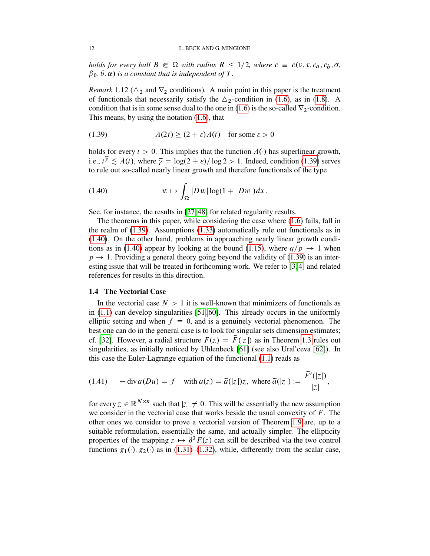*holds for every ball*  $B \subseteq \Omega$  *with radius*  $R \leq 1/2$ *, where*  $c \equiv c(v, \tau, c_a, c_b, \sigma, \tau)$  $\beta_0$ ,  $\theta$ ,  $\alpha$ ) is a constant that is independent of T.

<span id="page-11-0"></span>*Remark* 1.12 ( $\Delta_2$  and  $\nabla_2$  conditions). A main point in this paper is the treatment of functionals that necessarily satisfy the  $\triangle_2$ -condition in [\(1.6\)](#page-2-1), as in [\(1.8\)](#page-2-2). A condition that is in some sense dual to the one in [\(1.6\)](#page-2-1) is the so-called  $\nabla_2$ -condition. This means, by using the notation [\(1.6\)](#page-2-1), that

<span id="page-11-1"></span>(1.39) 
$$
A(2t) \ge (2 + \varepsilon)A(t) \text{ for some } \varepsilon > 0
$$

holds for every  $t > 0$ . This implies that the function  $A(\cdot)$  has superlinear growth, i.e.,  $t^{\tilde{\gamma}} \lesssim A(t)$ , where  $\tilde{\gamma} = \log(2 + \varepsilon) / \log 2 > 1$ . Indeed, condition [\(1.39\)](#page-11-1) serves to rule out so-called nearly linear growth and therefore functionals of the type

<span id="page-11-2"></span>(1.40) 
$$
w \mapsto \int_{\Omega} |Dw| \log(1 + |Dw|) dx.
$$

See, for instance, the results in [\[27,](#page-89-15) [48\]](#page-90-6) for related regularity results.

The theorems in this paper, while considering the case where [\(1.6\)](#page-2-1) fails, fall in the realm of [\(1.39\)](#page-11-1). Assumptions [\(1.33\)](#page-9-2) automatically rule out functionals as in [\(1.40\)](#page-11-2). On the other hand, problems in approaching nearly linear growth condi-tions as in [\(1.40\)](#page-11-2) appear by looking at the bound [\(1.15\)](#page-4-5), where  $q/p \rightarrow 1$  when  $p \rightarrow 1$ . Providing a general theory going beyond the validity of [\(1.39\)](#page-11-1) is an interesting issue that will be treated in forthcoming work. We refer to [\[3,](#page-87-3) [4\]](#page-88-16) and related references for results in this direction.

### 1.4 The Vectorial Case

In the vectorial case  $N > 1$  it is well-known that minimizers of functionals as in [\(1.1\)](#page-1-0) can develop singularities [\[51,](#page-90-8) [60\]](#page-90-9). This already occurs in the uniformly elliptic setting and when  $f \equiv 0$ , and is a genuinely vectorial phenomenon. The best one can do in the general case is to look for singular sets dimension estimates; cf. [\[32\]](#page-89-16). However, a radial structure  $F(z) = \tilde{F}(|z|)$  as in Theorem [1.3](#page-5-3) rules out singularities, as initially noticed by Uhlenbeck [\[61\]](#page-90-10) (see also Ural'ceva [\[62\]](#page-90-11)). In this case the Euler-Lagrange equation of the functional [\(1.1\)](#page-1-0) reads as

(1.41) 
$$
-\operatorname{div} a(Du) = f \quad \text{with } a(z) = \tilde{a}(|z|)z, \text{ where } \tilde{a}(|z|) := \frac{\tilde{F}'(|z|)}{|z|},
$$

for every  $z \in \mathbb{R}^{N \times n}$  such that  $|z| \neq 0$ . This will be essentially the new assumption we consider in the vectorial case that works beside the usual convexity of  $F$ . The other ones we consider to prove a vectorial version of Theorem [1.9](#page-9-0) are, up to a suitable reformulation, essentially the same, and actually simpler. The ellipticity properties of the mapping  $z \mapsto \partial^2 F(z)$  can still be described via the two control functions  $g_1(.)$ ,  $g_2(.)$  as in [\(1.31\)](#page-8-4)–[\(1.32\)](#page-9-1), while, differently from the scalar case,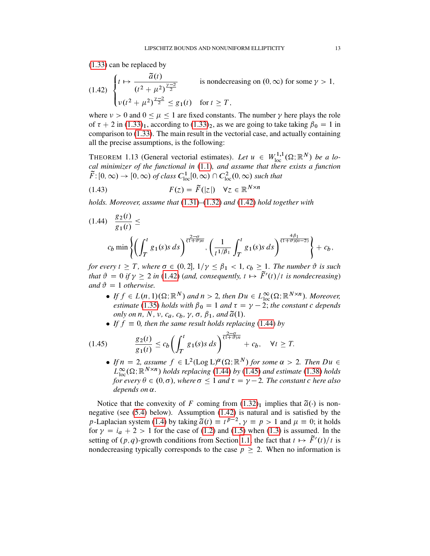[\(1.33\)](#page-9-2) can be replaced by

<span id="page-12-1"></span>
$$
(1.42) \begin{cases} t \mapsto \frac{\tilde{a}(t)}{(t^2 + \mu^2)^{\frac{\gamma - 2}{2}}} & \text{is nondecreasing on } (0, \infty) \text{ for some } \gamma > 1, \\ v(t^2 + \mu^2)^{\frac{\gamma - 2}{2}} \le g_1(t) & \text{for } t \ge T, \end{cases}
$$

where  $\nu > 0$  and  $0 \le \mu \le 1$  are fixed constants. The number  $\gamma$  here plays the role of  $\tau$  + 2 in [\(1.33\)](#page-9-2)<sub>1</sub>, according to (1.33)<sub>2</sub>, as we are going to take taking  $\beta_0 = 1$  in comparison to [\(1.33\)](#page-9-2). The main result in the vectorial case, and actually containing all the precise assumptions, is the following:

<span id="page-12-0"></span>THEOREM 1.13 (General vectorial estimates). Let  $u \in W^{1,1}_{loc}(\Omega;\mathbb{R}^N)$  be a lo*cal minimizer of the functional in* [\(1.1\)](#page-1-0)*, and assume that there exists a function*  $\tilde{F}$ :  $[0, \infty) \to [0, \infty)$  of class  $C_{\text{loc}}^1[0, \infty) \cap C_{\text{loc}}^2(0, \infty)$  such that

(1.43) 
$$
F(z) = \tilde{F}(|z|) \quad \forall z \in \mathbb{R}^{N \times n}
$$

*holds. Moreover, assume that* [\(1.31\)](#page-8-4)*–*[\(1.32\)](#page-9-1) *and* [\(1.42\)](#page-12-1) *hold together with*

<span id="page-12-2"></span>
$$
(1.44) \frac{g_2(t)}{g_1(t)} \le c_b \min \left\{ \left( \int_T^t g_1(s) s \, ds \right)^{\frac{2-\sigma}{(1+\vartheta)n}}, \left( \frac{1}{t^{1/\beta_1}} \int_T^t g_1(s) s \, ds \right)^{\frac{4\beta_1}{(1+\vartheta)(n-2)}} \right\} + c_b,
$$

*for every*  $t \geq T$ *, where*  $\sigma \in (0, 2]$ ,  $1/\gamma \leq \beta_1 < 1$ ,  $c_b \geq 1$ *. The number*  $\vartheta$  *is such that*  $\vartheta = 0$  *if*  $\gamma \ge 2$  *in* [\(1.42\)](#page-12-1) (*and, consequently, t*  $\mapsto \tilde{F}'(t)/t$  *is nondecreasing*) *and*  $\vartheta = 1$  *otherwise.* 

- If  $f \in L(n, 1)(\Omega; \mathbb{R}^N)$  and  $n > 2$ , then  $Du \in L^{\infty}_{loc}(\Omega; \mathbb{R}^{N \times n})$ . Moreover, *estimate* [\(1.35\)](#page-9-4) *holds with*  $\beta_0 = 1$  *and*  $\tau = \gamma - 2$ ; *the constant c depends only on n, N, v, c<sub>a</sub>, c<sub>b</sub>,*  $\gamma$ *,*  $\sigma$ *,*  $\beta_1$ *, and*  $\tilde{a}(1)$ *.*
- <span id="page-12-3"></span>• If  $f \equiv 0$ , then the same result holds replacing [\(1.44\)](#page-12-2) by

(1.45) g2.t / <sup>g</sup>1.t / <sup>c</sup><sup>b</sup> Z <sup>t</sup> T <sup>g</sup>1.s/s ds 2 .1C#/n C cb; 8t T:

• If  $n = 2$ , assume  $f \in L^2(\text{Log } L)^\alpha(\Omega; \mathbb{R}^N)$  for some  $\alpha > 2$ . Then  $Du \in$  $L^{\infty}_{loc}(\Omega;\mathbb{R}^{N \times n})$  *holds replacing* [\(1.44\)](#page-12-2) *by* [\(1.45\)](#page-12-3) *and estimate* [\(1.38\)](#page-10-1) *holds for every*  $\theta \in (0, \sigma)$ *, where*  $\sigma \le 1$  *and*  $\tau = \gamma - 2$ *. The constant c here also*  $de^{j}$ *depends on*  $\alpha$ .

Notice that the convexity of F coming from  $(1.32)_1$  $(1.32)_1$  implies that  $\tilde{a}(\cdot)$  is nonnegative (see [\(5.4\)](#page-49-0) below). Assumption [\(1.42\)](#page-12-1) is natural and is satisfied by the p-Laplacian system [\(1.4\)](#page-1-3) by taking  $\tilde{a}(t) \equiv t^{p-2}$ ,  $\gamma \equiv p > 1$  and  $\mu \equiv 0$ ; it holds for  $\gamma = i_a + 2 > 1$  for the case of [\(1.2\)](#page-1-1) and [\(1.5\)](#page-2-3) when [\(1.3\)](#page-1-2) is assumed. In the setting of  $(p, q)$ -growth conditions from Section [1.1,](#page-4-2) the fact that  $t \mapsto \tilde{F}'(t)/t$  is nondecreasing typically corresponds to the case  $p \geq 2$ . When no information is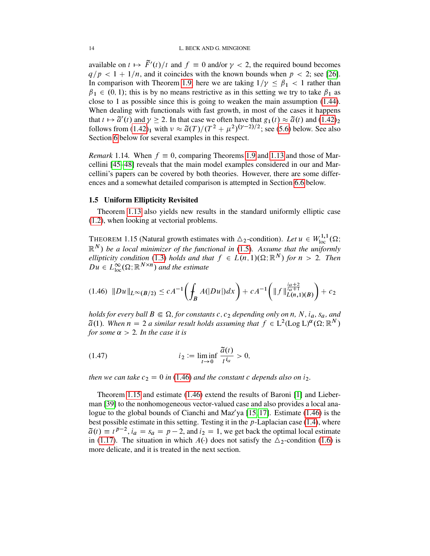available on  $t \mapsto \tilde{F}'(t)/t$  and  $f \equiv 0$  and/or  $\gamma < 2$ , the required bound becomes  $q/p < 1 + 1/n$ , and it coincides with the known bounds when  $p < 2$ ; see [\[26\]](#page-89-10). In comparison with Theorem [1.9,](#page-9-0) here we are taking  $1/\gamma \leq \beta_1 < 1$  rather than  $\beta_1 \in (0, 1)$ ; this is by no means restrictive as in this setting we try to take  $\beta_1$  as close to 1 as possible since this is going to weaken the main assumption  $(1.44)$ . When dealing with functionals with fast growth, in most of the cases it happens that  $t \mapsto \tilde{a}'(t)$  and  $\gamma \ge 2$ . In that case we often have that  $g_1(t) \approx \tilde{a}(t)$  and  $(1.42)_2$  $(1.42)_2$ follows from  $(1.42)_1$  $(1.42)_1$  with  $\nu \approx \tilde{a}(T)/(T^2 + \mu^2)^{(\gamma - 2)/2}$ ; see [\(5.6\)](#page-49-1) below. See also Section [6](#page-69-0) below for several examples in this respect.

*Remark* 1.14. When  $f \equiv 0$ , comparing Theorems [1.9](#page-9-0) and [1.13](#page-12-0) and those of Marcellini [\[45–](#page-89-6)[48\]](#page-90-6) reveals that the main model examples considered in our and Marcellini's papers can be covered by both theories. However, there are some differences and a somewhat detailed comparison is attempted in Section [6.6](#page-77-0) below.

### 1.5 Uniform Ellipticity Revisited

Theorem [1.13](#page-12-0) also yields new results in the standard uniformly elliptic case [\(1.2\)](#page-1-1), when looking at vectorial problems.

<span id="page-13-0"></span>THEOREM 1.15 (Natural growth estimates with  $\Delta_2$ -condition). Let  $u \in W^{1,1}_{loc}(\Omega)$ ;  $\mathbb{R}^{N}$ ) be a local minimizer of the functional in [\(1.5\)](#page-2-3). Assume that the uniformly *ellipticity condition* [\(1.3\)](#page-1-2) *holds and that*  $f \in L(n, 1)(\Omega; \mathbb{R}^N)$  *for*  $n > 2$ . *Then*  $Du \in L^{\infty}_{loc}(\Omega; \mathbb{R}^{N \times n})$  and the estimate

<span id="page-13-1"></span>
$$
(1.46)\ \ \|Du\|_{L^{\infty}(B/2)} \le cA^{-1}\left(\int_B A(|Du|)dx\right) + cA^{-1}\left(\|f\|_{L(n,1)(B)}^{\frac{ia+2}{ia+1}}\right) + c_2
$$

*holds for every ball*  $B \in \Omega$ *, for constants* c, c<sub>2</sub> *depending only on* n, N, i<sub>a</sub>, s<sub>a</sub>, and  $\tilde{a}(1)$ . When  $n = 2$  a similar result holds assuming that  $f \in L^2(\text{Log } L)^\alpha(\Omega; \mathbb{R}^N)$ *for some*  $\alpha > 2$ *. In the case it is* 

$$
(1.47) \t\t i2 := \liminf_{t \to 0} \frac{\tilde{a}(t)}{t^{i_a}} > 0,
$$

*then we can take*  $c_2 = 0$  *in* [\(1.46\)](#page-13-1) *and the constant c depends also on*  $i_2$ *.* 

Theorem [1.15](#page-13-0) and estimate [\(1.46\)](#page-13-1) extend the results of Baroni [\[1\]](#page-87-1) and Lieberman [\[39\]](#page-89-7) to the nonhomogeneous vector-valued case and also provides a local analogue to the global bounds of Cianchi and Maz'ya  $[15, 17]$  $[15, 17]$ . Estimate  $(1.46)$  is the best possible estimate in this setting. Testing it in the  $p$ -Laplacian case [\(1.4\)](#page-1-3), where  $\tilde{a}(t) \equiv t^{p-2}$ ,  $i_a = s_a = p-2$ , and  $i_2 = 1$ , we get back the optimal local estimate in [\(1.17\)](#page-5-4). The situation in which  $A(\cdot)$  does not satisfy the  $\Delta_2$ -condition [\(1.6\)](#page-2-1) is more delicate, and it is treated in the next section.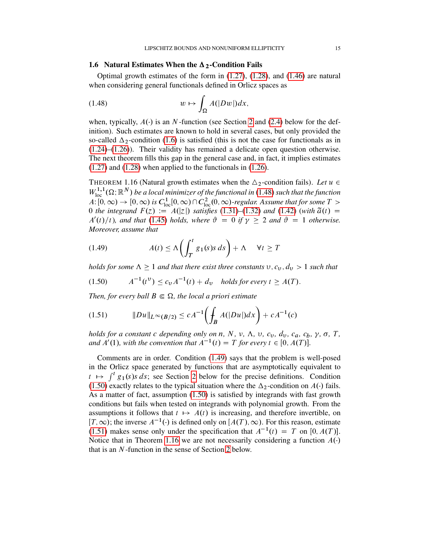# 1.6 Natural Estimates When the  $\Delta_2$ -Condition Fails

Optimal growth estimates of the form in [\(1.27\)](#page-7-1), [\(1.28\)](#page-7-2), and [\(1.46\)](#page-13-1) are natural when considering general functionals defined in Orlicz spaces as

<span id="page-14-1"></span>
$$
(1.48) \t\t\t w \mapsto \int_{\Omega} A(|Dw|)dx,
$$

when, typically,  $A(\cdot)$  is an N-function (see Section [2](#page-16-0) and [\(2.4\)](#page-18-0) below for the definition). Such estimates are known to hold in several cases, but only provided the so-called  $\Delta_2$ -condition [\(1.6\)](#page-2-1) is satisfied (this is not the case for functionals as in [\(1.24\)](#page-6-4)–[\(1.26\)](#page-7-0)). Their validity has remained a delicate open question otherwise. The next theorem fills this gap in the general case and, in fact, it implies estimates [\(1.27\)](#page-7-1) and [\(1.28\)](#page-7-2) when applied to the functionals in [\(1.26\)](#page-7-0).

<span id="page-14-0"></span>THEOREM 1.16 (Natural growth estimates when the  $\Delta_2$ -condition fails). Let  $u \in$  $W^{1,1}_{\text{loc}}(\Omega;\mathbb{R}^N)$  be a local minimizer of the functional in [\(1.48\)](#page-14-1) such that the function  $A: [0, \infty) \to [0, \infty)$  is  $C^1_{loc}[0, \infty) \cap C^2_{loc}(0, \infty)$ -regular. Assume that for some  $T > 0$ 0 *the integrand*  $F(z) := A(|z|)$  *satisfies* [\(1.31\)](#page-8-4)–[\(1.32\)](#page-9-1) *and* [\(1.42\)](#page-12-1) (*with*  $\tilde{a}(t) =$  $A'(t)/t$ , and that [\(1.45\)](#page-12-3) *holds, where*  $\vartheta = 0$  *if*  $\gamma \geq 2$  *and*  $\vartheta = 1$  *otherwise. Moreover, assume that*

<span id="page-14-2"></span>(1.49) 
$$
A(t) \leq \Lambda \left( \int_{T}^{t} g_1(s) s \, ds \right) + \Lambda \quad \forall t \geq T
$$

*holds for some*  $\Lambda \geq 1$  *and that there exist three constants*  $v, c_v, d_v > 1$  *such that* 

<span id="page-14-3"></span>
$$
(1.50) \tA-1(tv) \le cvA-1(t) + dv holds for every t \ge A(T).
$$

*Then, for every ball*  $B \in \Omega$ *, the local a priori estimate* 

<span id="page-14-4"></span>(1.51) kDukL1.B=2/ cA1 « B A.jDuj/dx C cA1 .c/

*holds for a constant c depending only on n, N, v,*  $\Lambda$ *, v,*  $c_v$ *,*  $d_v$ *,*  $c_a$ *,*  $c_b$ *,*  $\gamma$ *,*  $\sigma$ *,*  $T$ *,* and  $A'(1)$ , with the convention that  $A^{-1}(t) = T$  *for every*  $t \in [0, A(T)]$ .

Comments are in order. Condition [\(1.49\)](#page-14-2) says that the problem is well-posed in the Orlicz space generated by functions that are asymptotically equivalent to  $t \mapsto \int_0^t g_1(s) s ds$ ; see Section [2](#page-16-0) below for the precise definitions. Condition [\(1.50\)](#page-14-3) exactly relates to the typical situation where the  $\Delta_2$ -condition on  $A(\cdot)$  fails. As a matter of fact, assumption [\(1.50\)](#page-14-3) is satisfied by integrands with fast growth conditions but fails when tested on integrands with polynomial growth. From the assumptions it follows that  $t \mapsto A(t)$  is increasing, and therefore invertible, on  $[T, \infty)$ ; the inverse  $A^{-1}(\cdot)$  is defined only on  $[A(T), \infty)$ . For this reason, estimate [\(1.51\)](#page-14-4) makes sense only under the specification that  $A^{-1}(t) = T$  on [0,  $A(T)$ ]. Notice that in Theorem [1.16](#page-14-0) we are not necessarily considering a function  $A(\cdot)$ that is an N-function in the sense of Section [2](#page-16-0) below.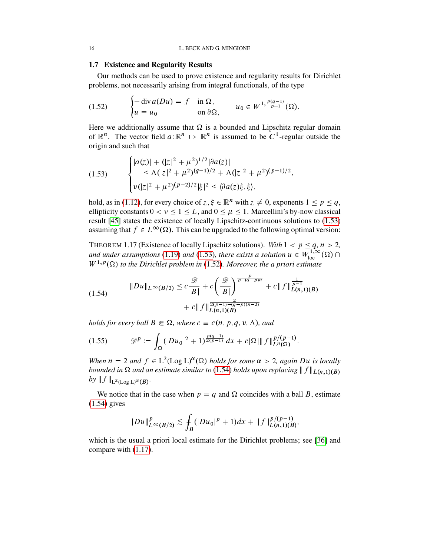### 1.7 Existence and Regularity Results

Our methods can be used to prove existence and regularity results for Dirichlet problems, not necessarily arising from integral functionals, of the type

<span id="page-15-2"></span>(1.52) 
$$
\begin{cases}\n-\operatorname{div} a(Du) = f & \text{in } \Omega, \\
u \equiv u_0 & \text{on } \partial \Omega,\n\end{cases} \quad u_0 \in W^{1, \frac{p(q-1)}{p-1}}(\Omega).
$$

Here we additionally assume that  $\Omega$  is a bounded and Lipschitz regular domain of  $\mathbb{R}^n$ . The vector field  $a: \mathbb{R}^n \mapsto \mathbb{R}^n$  is assumed to be C<sup>1</sup>-regular outside the origin and such that

<span id="page-15-1"></span>(1.53) 
$$
\begin{cases} |a(z)| + (|z|^2 + \mu^2)^{1/2} |\partial a(z)| \\ \leq \Lambda (|z|^2 + \mu^2)^{(q-1)/2} + \Lambda (|z|^2 + \mu^2)^{(p-1)/2}, \\ \nu (|z|^2 + \mu^2)^{(p-2)/2} |\xi|^2 \leq \langle \partial a(z) \xi, \xi \rangle, \end{cases}
$$

hold, as in [\(1.12\)](#page-4-3), for every choice of  $z, \xi \in \mathbb{R}^n$  with  $z \neq 0$ , exponents  $1 \leq p \leq q$ , ellipticity constants  $0 < v \le 1 \le L$ , and  $0 \le \mu \le 1$ . Marcellini's by-now classical result [\[45\]](#page-89-6) states the existence of locally Lipschitz-continuous solutions to [\(1.53\)](#page-15-1) assuming that  $f \in L^{\infty}(\Omega)$ . This can be upgraded to the following optimal version:

<span id="page-15-0"></span>THEOREM 1.17 (Existence of locally Lipschitz solutions). *With*  $1 < p \le q$ ,  $n > 2$ , and under assumptions [\(1.19\)](#page-5-2) and [\(1.53\)](#page-15-1), there exists a solution  $u \in W^{1,\infty}_{loc}(\Omega)$   $\cap$  $W^{1,p}(\Omega)$  to the Dirichlet problem in [\(1.52\)](#page-15-2). Moreover, the a priori estimate

<span id="page-15-3"></span>kDukL1.B=2/ c D jBj C c D jBj <sup>p</sup> p.qp/n C ckf k 1 p1 L.n;1/.B/ C ckf k 2 2.p1/.qp/.n2/ L.n;1/.B/ (1.54)

*holds for every ball*  $B \subseteq \Omega$ *, where*  $c \equiv c(n, p, q, v, \Lambda)$ *, and* 

$$
(1.55) \t\mathscr{D}^p := \int_{\Omega} (|Du_0|^2 + 1)^{\frac{p(q-1)}{2(p-1)}} dx + c |\Omega| \|f\|_{L^n(\Omega)}^{p/(p-1)}.
$$

When  $n = 2$  and  $f \in L^2(\text{Log } L)^\alpha(\Omega)$  holds for some  $\alpha > 2$ , again Du is locally *bounded in*  $\Omega$  *and an estimate similar to* [\(1.54\)](#page-15-3) *holds upon replacing*  $|| f ||_{L(n,1)(B)}$ by  $|| f ||_{L^2(Log L)^{\alpha}(B)}$ .

We notice that in the case when  $p = q$  and  $\Omega$  coincides with a ball B, estimate [\(1.54\)](#page-15-3) gives

$$
||Du||_{L^{\infty}(B/2)}^{p} \lesssim \int_{B} (|Du_{0}|^{p} + 1) dx + ||f||_{L(n,1)(B)}^{p/(p-1)},
$$

which is the usual a priori local estimate for the Dirichlet problems; see [\[36\]](#page-89-3) and compare with [\(1.17\)](#page-5-4).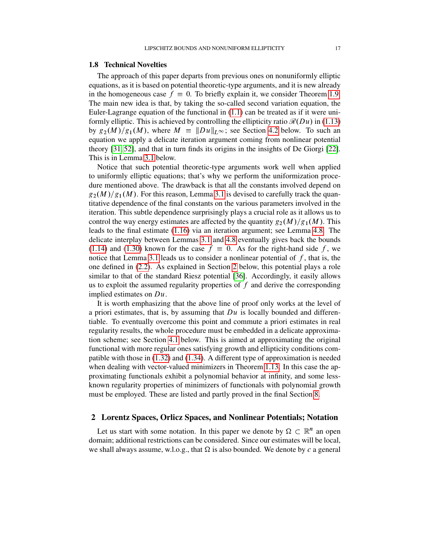### 1.8 Technical Novelties

The approach of this paper departs from previous ones on nonuniformly elliptic equations, as it is based on potential theoretic-type arguments, and it is new already in the homogeneous case  $f \equiv 0$ . To briefly explain it, we consider Theorem [1.9.](#page-9-0) The main new idea is that, by taking the so-called second variation equation, the Euler-Lagrange equation of the functional in [\(1.1\)](#page-1-0) can be treated as if it were uniformly elliptic. This is achieved by controlling the ellipticity ratio  $\mathcal{R}(Du)$  in [\(1.13\)](#page-4-1) by  $g_2(M)/g_1(M)$ , where  $M \equiv ||Du||_{L^{\infty}}$ ; see Section [4.2](#page-30-0) below. To such an equation we apply a delicate iteration argument coming from nonlinear potential theory [\[31,](#page-89-17) [52\]](#page-90-12), and that in turn finds its origins in the insights of De Giorgi [\[22\]](#page-88-17). This is in Lemma [3.1](#page-20-1) below.

Notice that such potential theoretic-type arguments work well when applied to uniformly elliptic equations; that's why we perform the uniformization procedure mentioned above. The drawback is that all the constants involved depend on  $g_2(M)/g_1(M)$ . For this reason, Lemma [3.1](#page-20-1) is devised to carefully track the quantitative dependence of the final constants on the various parameters involved in the iteration. This subtle dependence surprisingly plays a crucial role as it allows us to control the way energy estimates are affected by the quantity  $g_2(M)/g_1(M)$ . This leads to the final estimate [\(1.16\)](#page-5-0) via an iteration argument; see Lemma [4.8.](#page-36-0) The delicate interplay between Lemmas [3.1](#page-20-1) and [4.8](#page-36-0) eventually gives back the bounds [\(1.14\)](#page-4-4) and [\(1.30\)](#page-8-3) known for the case  $f \equiv 0$ . As for the right-hand side f, we notice that Lemma [3.1](#page-20-1) leads us to consider a nonlinear potential of  $f$ , that is, the one defined in [\(2.2\)](#page-18-1). As explained in Section [2](#page-16-0) below, this potential plays a role similar to that of the standard Riesz potential [\[36\]](#page-89-3). Accordingly, it easily allows us to exploit the assumed regularity properties of  $f$  and derive the corresponding implied estimates on  $Du$ .

It is worth emphasizing that the above line of proof only works at the level of a priori estimates, that is, by assuming that  $Du$  is locally bounded and differentiable. To eventually overcome this point and commute a priori estimates in real regularity results, the whole procedure must be embedded in a delicate approximation scheme; see Section [4.1](#page-24-1) below. This is aimed at approximating the original functional with more regular ones satisfying growth and ellipticity conditions compatible with those in [\(1.32\)](#page-9-1) and [\(1.34\)](#page-9-3). A different type of approximation is needed when dealing with vector-valued minimizers in Theorem [1.13.](#page-12-0) In this case the approximating functionals exhibit a polynomial behavior at infinity, and some lessknown regularity properties of minimizers of functionals with polynomial growth must be employed. These are listed and partly proved in the final Section [8.](#page-83-0)

### <span id="page-16-0"></span>2 Lorentz Spaces, Orlicz Spaces, and Nonlinear Potentials; Notation

Let us start with some notation. In this paper we denote by  $\Omega \subset \mathbb{R}^n$  an open domain; additional restrictions can be considered. Since our estimates will be local, we shall always assume, w.l.o.g., that  $\Omega$  is also bounded. We denote by c a general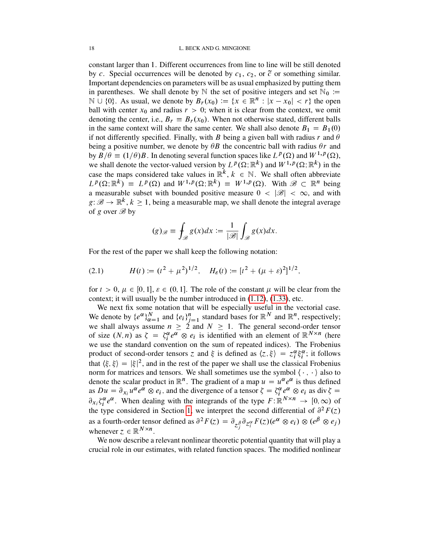constant larger than 1. Different occurrences from line to line will be still denoted by c. Special occurrences will be denoted by  $c_1$ ,  $c_2$ , or  $\tilde{c}$  or something similar. Important dependencies on parameters will be as usual emphasized by putting them in parentheses. We shall denote by  $\mathbb N$  the set of positive integers and set  $\mathbb N_0 :=$  $\mathbb{N} \cup \{0\}$ . As usual, we denote by  $B_r(x_0) := \{x \in \mathbb{R}^n : |x - x_0| < r\}$  the open ball with center  $x_0$  and radius  $r > 0$ ; when it is clear from the context, we omit denoting the center, i.e.,  $B_r \equiv B_r(x_0)$ . When not otherwise stated, different balls in the same context will share the same center. We shall also denote  $B_1 = B_1(0)$ if not differently specified. Finally, with B being a given ball with radius r and  $\theta$ being a positive number, we denote by  $\theta B$  the concentric ball with radius  $\theta r$  and by  $B/\theta \equiv (1/\theta)B$ . In denoting several function spaces like  $L^p(\Omega)$  and  $W^{1,p}(\Omega)$ , we shall denote the vector-valued version by  $L^p(\Omega; \mathbb{R}^k)$  and  $W^{1,p}(\Omega; \mathbb{R}^k)$  in the case the maps considered take values in  $\mathbb{R}^k$ ,  $k \in \mathbb{N}$ . We shall often abbreviate  $L^p(\Omega;\mathbb{R}^k) \equiv L^p(\Omega)$  and  $W^{1,p}(\Omega;\mathbb{R}^k) \equiv W^{1,p}(\Omega)$ . With  $\mathscr{B} \subset \mathbb{R}^n$  being a measurable subset with bounded positive measure  $0 < |\mathscr{B}| < \infty$ , and with  $g: \mathscr{B} \to \mathbb{R}^k$ ,  $k \geq 1$ , being a measurable map, we shall denote the integral average of g over  $\mathscr{B}$  by

$$
(g)_{\mathscr{B}} \equiv \int_{\mathscr{B}} g(x) dx := \frac{1}{|\mathscr{B}|} \int_{\mathscr{B}} g(x) dx.
$$

For the rest of the paper we shall keep the following notation:

<span id="page-17-0"></span>
$$
(2.1) \tH(t) := (t^2 + \mu^2)^{1/2}, \tH_{\varepsilon}(t) := [t^2 + (\mu + \varepsilon)^2]^{1/2},
$$

for  $t > 0$ ,  $\mu \in [0, 1]$ ,  $\varepsilon \in (0, 1]$ . The role of the constant  $\mu$  will be clear from the context; it will usually be the number introduced in [\(1.12\)](#page-4-3), [\(1.33\)](#page-9-2), etc.

We next fix some notation that will be especially useful in the vectorial case. We denote by  $\{e^{\alpha}\}_{\alpha=1}^{N}$  and  $\{e_i\}_{i=1}^{n}$  standard bases for  $\mathbb{R}^N$  and  $\mathbb{R}^n$ , respectively; we shall always assume  $n \geq 2$  and  $N \geq 1$ . The general second-order tensor of size  $(N, n)$  as  $\zeta = \zeta_i^{\alpha} e^{\alpha} \otimes e_i$  is identified with an element of  $\mathbb{R}^{N \times n}$  (here we use the standard convention on the sum of repeated indices). The Frobenius product of second-order tensors z and  $\xi$  is defined as  $\langle z, \xi \rangle = z_i^{\alpha} \xi_i^{\alpha}$ ; it follows that  $\langle \xi, \xi \rangle = |\xi|^2$ , and in the rest of the paper we shall use the classical Frobenius norm for matrices and tensors. We shall sometimes use the symbol  $\langle \cdot, \cdot \rangle$  also to denote the scalar product in  $\mathbb{R}^n$ . The gradient of a map  $u = u^{\alpha} e^{\alpha}$  is thus defined as  $Du = \partial_{x_i} u^\alpha e^\alpha \otimes e_i$ , and the divergence of a tensor  $\zeta = \zeta_i^\alpha e^\alpha \otimes e_i$  as div  $\zeta =$  $\partial_{x_i} \zeta_i^{\alpha} e^{\alpha}$ . When dealing with the integrands of the type  $F: \mathbb{R}^{N \times n} \to [0, \infty)$  of the type considered in Section [1,](#page-0-0) we interpret the second differential of  $\partial^2 F(z)$ as a fourth-order tensor defined as  $\partial^2 F(z) = \partial_{z_j^{\beta}} \partial_{z_i^{\alpha}} F(z) (e^{\alpha} \otimes e_i) \otimes (e^{\beta} \otimes e_j)$ whenever  $z \in \mathbb{R}^{N \times n}$ .

We now describe a relevant nonlinear theoretic potential quantity that will play a crucial role in our estimates, with related function spaces. The modified nonlinear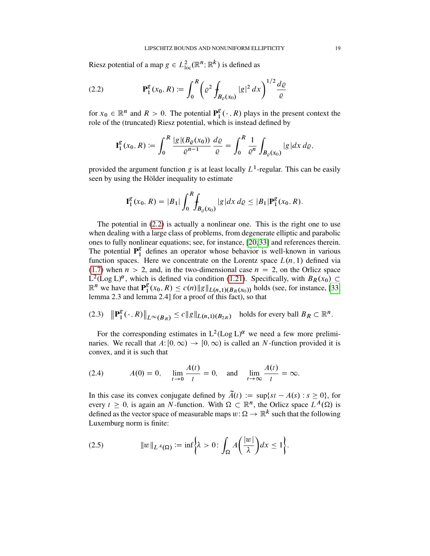Riesz potential of a map  $g \in L^2_{loc}(\mathbb{R}^n; \mathbb{R}^k)$  is defined as

<span id="page-18-1"></span>(2.2) 
$$
\mathbf{P}_1^g(x_0, R) := \int_0^R \left( \varrho^2 \int_{B_{\varrho}(x_0)} |g|^2 dx \right)^{1/2} \frac{d\varrho}{\varrho}
$$

for  $x_0 \in \mathbb{R}^n$  and  $R > 0$ . The potential  $\mathbf{P}_1^g$  $\frac{g}{1}(\cdot, R)$  plays in the present context the role of the (truncated) Riesz potential, which is instead defined by

$$
\mathbf{I}_1^g(x_0, R) := \int_0^R \frac{|g|(B_\varrho(x_0))}{\varrho^{n-1}} \, \frac{d\varrho}{\varrho} = \int_0^R \frac{1}{\varrho^n} \int_{B_\varrho(x_0)} |g| dx \, d\varrho,
$$

provided the argument function g is at least locally  $L^1$ -regular. This can be easily seen by using the Hölder inequality to estimate

$$
\mathbf{I}_1^g(x_0, R) = |B_1| \int_0^R \!\!\int_{B_{\varrho}(x_0)} |g| dx \, d\varrho \le |B_1| \mathbf{P}_1^g(x_0, R).
$$

The potential in [\(2.2\)](#page-18-1) is actually a nonlinear one. This is the right one to use when dealing with a large class of problems, from degenerate elliptic and parabolic ones to fully nonlinear equations; see, for instance, [\[20,](#page-88-6) [33\]](#page-89-13) and references therein. The potential  $\mathbf{P}_1^g$  $\frac{8}{1}$  defines an operator whose behavior is well-known in various function spaces. Here we concentrate on the Lorentz space  $L(n, 1)$  defined via [\(1.7\)](#page-2-0) when  $n > 2$ , and, in the two-dimensional case  $n = 2$ , on the Orlicz space L<sup>2</sup>(Log L)<sup> $\alpha$ </sup>, which is defined via condition [\(1.21\)](#page-6-5). Specifically, with  $B_R(x_0) \subset$  $\mathbb{R}^n$  we have that  $\mathbf{P}_1^g$  $\binom{g}{1}(x_0, R) \le c(n) \|g\|_{L(n, 1)(B_R(x_0))}$  holds (see, for instance, [\[33,](#page-89-13) lemma 2.3 and lemma 2.4] for a proof of this fact), so that

$$
(2.3) \quad \|\mathbf{P}_1^g(\cdot, R)\|_{L^{\infty}(B_R)} \leq c \|g\|_{L(n,1)(B_{2R})} \quad \text{holds for every ball } B_R \subset \mathbb{R}^n.
$$

For the corresponding estimates in  $L^2$ (Log L)<sup> $\alpha$ </sup> we need a few more preliminaries. We recall that  $A: [0,\infty) \to [0,\infty)$  is called an N-function provided it is convex, and it is such that

<span id="page-18-0"></span>(2.4) 
$$
A(0) = 0
$$
,  $\lim_{t \to 0} \frac{A(t)}{t} = 0$ , and  $\lim_{t \to \infty} \frac{A(t)}{t} = \infty$ .

In this case its convex conjugate defined by  $\tilde{A}(t) := \sup\{st - A(s) : s \ge 0\}$ , for every  $t \geq 0$ , is again an N-function. With  $\Omega \subset \mathbb{R}^n$ , the Orlicz space  $L^A(\Omega)$  is defined as the vector space of measurable maps  $w : \Omega \to \mathbb{R}^k$  such that the following Luxemburg norm is finite:

<span id="page-18-2"></span>(2.5) kwkLA./ WD inf > 0 W Z A jwj dx 1 :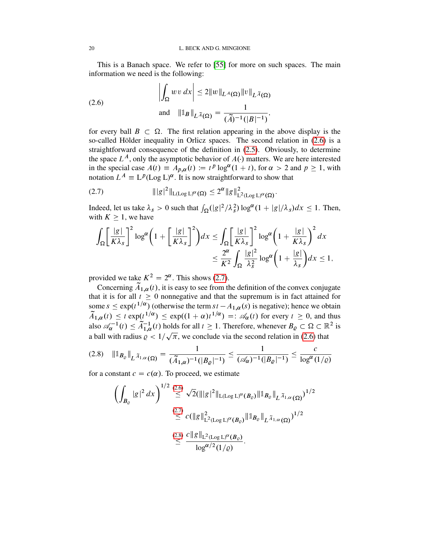This is a Banach space. We refer to [\[55\]](#page-90-13) for more on such spaces. The main information we need is the following:

<span id="page-19-0"></span>(2.6) 
$$
\left| \int_{\Omega} w v \, dx \right| \leq 2 \|w\|_{L^{A}(\Omega)} \|v\|_{L^{\tilde{A}}(\Omega)}
$$
  
and 
$$
\|{\mathbb{1}}_{B}\|_{L^{\tilde{A}}(\Omega)} = \frac{1}{(\tilde{A})^{-1}(|B|^{-1})},
$$

for every ball  $B \subset \Omega$ . The first relation appearing in the above display is the so-called Hölder inequality in Orlicz spaces. The second relation in [\(2.6\)](#page-19-0) is a straightforward consequence of the definition in [\(2.5\)](#page-18-2). Obviously, to determine the space  $L^A$ , only the asymptotic behavior of  $A(\cdot)$  matters. We are here interested in the special case  $A(t) \equiv A_{p,\alpha}(t) := t^p \log^{\alpha}(1+t)$ , for  $\alpha > 2$  and  $p \ge 1$ , with notation  $L^A \equiv L^p(\text{Log } L)^\alpha$ . It is now straightforward to show that

<span id="page-19-1"></span>(2.7) kjgj 2 kL(Log L)./ 2 kgk 2 L <sup>2</sup>(Log L)./:

Indeed, let us take  $\lambda_s > 0$  such that  $\int_{\Omega} (|g|^2/\lambda_s^2) \log^{\alpha} (1 + |g|/\lambda_s) dx \le 1$ . Then, with  $K > 1$ , we have

$$
\int_{\Omega} \left[ \frac{|g|}{K \lambda_s} \right]^2 \log^{\alpha} \left( 1 + \left[ \frac{|g|}{K \lambda_s} \right]^2 \right) dx \le \int_{\Omega} \left[ \frac{|g|}{K \lambda_s} \right]^2 \log^{\alpha} \left( 1 + \frac{|g|}{K \lambda_s} \right)^2 dx
$$
  

$$
\le \frac{2^{\alpha}}{K^2} \int_{\Omega} \frac{|g|^2}{\lambda_s^2} \log^{\alpha} \left( 1 + \frac{|g|}{\lambda_s} \right) dx \le 1,
$$

provided we take  $K^2 = 2^{\alpha}$ . This shows [\(2.7\)](#page-19-1).

Concerning  $\widetilde{A}_{1,\alpha}(t)$ , it is easy to see from the definition of the convex conjugate that it is for all  $t \geq 0$  nonnegative and that the supremum is in fact attained for some  $s \leq \exp(t^{1/\alpha})$  (otherwise the term  $st - A_{1,\alpha}(s)$  is negative); hence we obtain  $\widetilde{A}_{1,\alpha}(t) \le t \exp(t^{1/\alpha}) \le \exp((1+\alpha)t^{1/\alpha}) =: \mathscr{A}_{\alpha}(t)$  for every  $t \ge 0$ , and thus also  $\mathscr{A}_{\alpha}^{-1}(t) \leq \tilde{A}_{1,\alpha}^{-1}(t)$  holds for all  $t \geq 1$ . Therefore, whenever  $B_{\varrho} \subset \Omega \subset \mathbb{R}^2$  is a ball with radius  $\rho < 1/\sqrt{\pi}$ , we conclude via the second relation in [\(2.6\)](#page-19-0) that

<span id="page-19-2"></span>
$$
(2.8) \quad \|\mathbb{1}_{B_{\varrho}}\|_{L^{\widetilde{A}_{1,\alpha}}(\Omega)} = \frac{1}{(\widetilde{A}_{1,\alpha})^{-1}(|B_{\varrho}|^{-1})} \le \frac{1}{(\mathscr{A}_{\alpha})^{-1}(|B_{\varrho}|^{-1})} \le \frac{c}{\log^{\alpha}(1/\varrho)}
$$

for a constant  $c = c(\alpha)$ . To proceed, we estimate

$$
\left(\int_{B_{\varrho}}|g|^{2} dx\right)^{1/2} \stackrel{(2.6)}{\leq} \sqrt{2}(\| |g|^{2} \|_{\mathsf{L}(Log\,L)^{\alpha}(B_{\varrho})} \| 1_{B_{\varrho}} \|_{L^{\tilde{A}_{1,\alpha}}(\Omega)})^{1/2}
$$
\n
$$
\stackrel{(2.7)}{\leq} c \left( \|g\|_{\mathsf{L}^{2}(Log\,L)^{\alpha}(B_{\varrho})}^{2} \| 1_{B_{\varrho}} \|_{L^{\tilde{A}_{1,\alpha}}(\Omega)} \right)^{1/2}
$$
\n
$$
\stackrel{(2.8)}{\leq} \frac{c \|g\|_{\mathsf{L}^{2}(Log\,L)^{\alpha}(B_{\varrho})}}{\log^{\alpha/2}(1/\varrho)}.
$$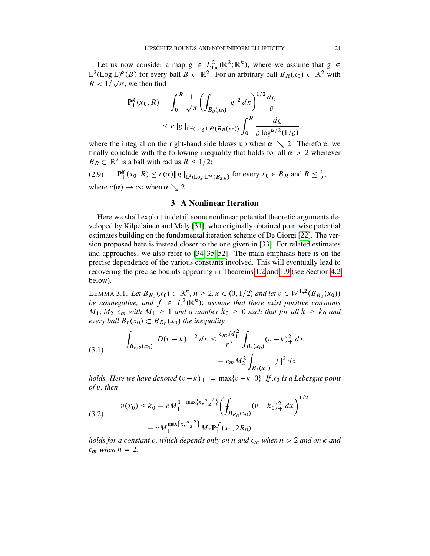Let us now consider a map  $g \in L^2_{loc}(\mathbb{R}^2; \mathbb{R}^k)$ , where we assume that  $g \in$  $L^2(\text{Log } L)^\alpha(B)$  for every ball  $B \subset \mathbb{R}^2$ . For an arbitrary ball  $B_R(x_0) \subset \mathbb{R}^2$  with  $R < 1/\sqrt{\pi}$ , we then find

$$
\mathbf{P}_1^g(x_0, R) = \int_0^R \frac{1}{\sqrt{\pi}} \Biggl( \int_{B_{\rho}(x_0)} |g|^2 \, dx \Biggr)^{1/2} \frac{d\varrho}{\varrho}
$$
  
 
$$
\leq c \, ||g||_{\mathcal{L}^2(\log \mathcal{L})^{\alpha}(B_R(x_0))} \int_0^R \frac{d\varrho}{\varrho \log^{\alpha/2}(1/\varrho)},
$$

where the integral on the right-hand side blows up when  $\alpha \searrow 2$ . Therefore, we finally conclude with the following inequality that holds for all  $\alpha > 2$  whenever  $B_R \subset \mathbb{R}^2$  is a ball with radius  $R \leq 1/2$ :

 $(2.9)$ g  $\frac{g}{1}(x_0, R) \le c(\alpha) \|g\|_{L^2(Log L)^{\alpha}(B_{2R})}$  for every  $x_0 \in B_R$  and  $R \le \frac{1}{2}$  $\frac{1}{2}$ , where  $c(\alpha) \rightarrow \infty$  when  $\alpha \searrow 2$ .

### 3 A Nonlinear Iteration

<span id="page-20-0"></span>Here we shall exploit in detail some nonlinear potential theoretic arguments developed by Kilpeläinen and Malý [\[31\]](#page-89-17), who originally obtained pointwise potential estimates building on the fundamental iteration scheme of De Giorgi [\[22\]](#page-88-17). The version proposed here is instead closer to the one given in [\[33\]](#page-89-13). For related estimates and approaches, we also refer to [\[34,](#page-89-8) [35,](#page-89-2) [52\]](#page-90-12). The main emphasis here is on the precise dependence of the various constants involved. This will eventually lead to recovering the precise bounds appearing in Theorems [1.2](#page-4-0) and [1.9](#page-9-0) (see Section [4.2](#page-30-0) below).

<span id="page-20-1"></span>LEMMA 3.1. Let  $B_{R_0}(x_0) \subset \mathbb{R}^n$ ,  $n \ge 2$ ,  $\kappa \in (0, 1/2)$  and let  $v \in W^{1,2}(B_{R_0}(x_0))$ be nonnegative, and  $f \in L^2(\mathbb{R}^n)$ ; assume that there exist positive constants  $M_1, M_2, c_m$  with  $M_1 \geq 1$  and a number  $k_0 \geq 0$  such that for all  $k \geq k_0$  and *every ball*  $B_r(x_0) \subset B_{R_0}(x_0)$  the inequality

<span id="page-20-2"></span>(3.1) 
$$
\int_{B_{r/2}(x_0)} |D(v-k)_+|^2 dx \leq \frac{c_m M_1^2}{r^2} \int_{B_r(x_0)} (v-k)_+^2 dx + c_m M_2^2 \int_{B_r(x_0)} |f|^2 dx
$$

*holds. Here we have denoted*  $(v - k)_+ := \max\{v - k, 0\}$ . If  $x_0$  *is a Lebesgue point of* v*, then*

<span id="page-20-3"></span>
$$
(3.2) \t v(x_0) \le k_0 + c M_1^{1 + \max\{k, \frac{n-2}{2}\}} \left( \int_{B_{R_0}(x_0)} (v - k_0)_+^2 dx \right)^{1/2} + c M_1^{\max\{k, \frac{n-2}{2}\}} M_2 \mathbf{P}_1^f(x_0, 2R_0)
$$

*holds for a constant c, which depends only on n and*  $c_m$  *when*  $n > 2$  *and on*  $\kappa$  *and*  $c_m$  when  $n = 2$ .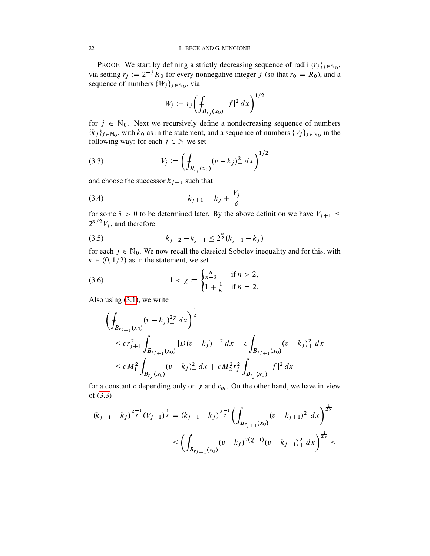PROOF. We start by defining a strictly decreasing sequence of radii  $\{r_j\}_{j\in\mathbb{N}_0}$ , via setting  $r_j := 2^{-j} R_0$  for every nonnegative integer j (so that  $r_0 = R_0$ ), and a sequence of numbers  $\{W_j\}_{j\in\mathbb{N}_0}$ , via

<span id="page-21-0"></span>
$$
W_j := r_j \left( \int_{B_{r_j}(x_0)} |f|^2 \, dx \right)^{1/2}
$$

for  $j \in \mathbb{N}_0$ . Next we recursively define a nondecreasing sequence of numbers  $\{k_j\}_{j\in\mathbb{N}_0}$ , with  $k_0$  as in the statement, and a sequence of numbers  $\{V_j\}_{j\in\mathbb{N}_0}$  in the following way: for each  $j \in \mathbb{N}$  we set

(3.3) 
$$
V_j := \left( \int_{B_{r_j}(x_0)} (v - k_j)_+^2 dx \right)^{1/2}
$$

and choose the successor  $k_{j+1}$  such that

<span id="page-21-1"></span>(3.4) 
$$
k_{j+1} = k_j + \frac{V_j}{\delta}
$$

for some  $\delta > 0$  to be determined later. By the above definition we have  $V_{j+1} \leq$  $2^{n/2}V_j$ , and therefore

<span id="page-21-2"></span>
$$
(3.5) \t\t k_{j+2} - k_{j+1} \le 2^{\frac{n}{2}}(k_{j+1} - k_j)
$$

for each  $j \in \mathbb{N}_0$ . We now recall the classical Sobolev inequality and for this, with  $\kappa \in (0, 1/2)$  as in the statement, we set

(3.6) 
$$
1 < \chi := \begin{cases} \frac{n}{n-2} & \text{if } n > 2, \\ 1 + \frac{1}{\kappa} & \text{if } n = 2. \end{cases}
$$

Also using [\(3.1\)](#page-20-2), we write

<span id="page-21-3"></span>
$$
\left(\int_{B_{r_{j+1}}(x_0)} (v-k_j)_+^{2\chi} dx\right)^{\frac{1}{\chi}}
$$
\n
$$
\leq c r_{j+1}^2 \int_{B_{r_{j+1}}(x_0)} |D(v-k_j)_+|^2 dx + c \int_{B_{r_{j+1}}(x_0)} (v-k_j)_+^2 dx
$$
\n
$$
\leq c M_1^2 \int_{B_{r_j}(x_0)} (v-k_j)_+^2 dx + c M_2^2 r_j^2 \int_{B_{r_j}(x_0)} |f|^2 dx
$$

for a constant c depending only on  $\chi$  and  $c_m$ . On the other hand, we have in view of [\(3.3\)](#page-21-0)

$$
(k_{j+1} - k_j)^{\frac{\chi-1}{\chi}} (V_{j+1})^{\frac{1}{\chi}} = (k_{j+1} - k_j)^{\frac{\chi-1}{\chi}} \left( \int_{B_{r_{j+1}}(x_0)} (v - k_{j+1})^2_+ dx \right)^{\frac{1}{2\chi}}
$$
  
 
$$
\leq \left( \int_{B_{r_{j+1}}(x_0)} (v - k_j)^{2(\chi-1)} (v - k_{j+1})^2_+ dx \right)^{\frac{1}{2\chi}} \leq
$$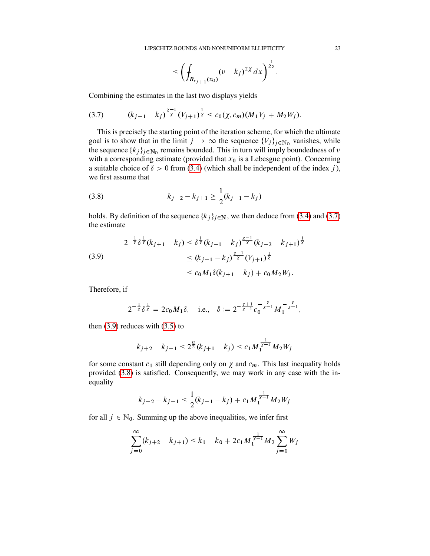$$
\leq \left(\int_{B_{r_{j+1}}(x_0)} (v-k_j)_+^{2\chi} dx\right)^{\frac{1}{2\chi}}.
$$

Combining the estimates in the last two displays yields

<span id="page-22-0"></span>(3.7) 
$$
(k_{j+1}-k_j)^{\frac{\chi-1}{\chi}}(V_{j+1})^{\frac{1}{\chi}} \leq c_0(\chi,c_m)(M_1V_j+M_2W_j).
$$

This is precisely the starting point of the iteration scheme, for which the ultimate goal is to show that in the limit  $j \to \infty$  the sequence  $\{V_j\}_{j \in \mathbb{N}_0}$  vanishes, while the sequence  $\{k_j\}_{j \in \mathbb{N}_0}$  remains bounded. This in turn will imply boundedness of v with a corresponding estimate (provided that  $x_0$  is a Lebesgue point). Concerning a suitable choice of  $\delta > 0$  from [\(3.4\)](#page-21-1) (which shall be independent of the index j), we first assume that

<span id="page-22-2"></span>(3.8) 
$$
k_{j+2} - k_{j+1} \geq \frac{1}{2}(k_{j+1} - k_j)
$$

holds. By definition of the sequence  $\{k_j\}_{j \in \mathbb{N}}$ , we then deduce from [\(3.4\)](#page-21-1) and [\(3.7\)](#page-22-0) the estimate

<span id="page-22-1"></span>
$$
2^{-\frac{1}{\chi}} \delta^{\frac{1}{\chi}}(k_{j+1} - k_j) \leq \delta^{\frac{1}{\chi}}(k_{j+1} - k_j)^{\frac{\chi-1}{\chi}}(k_{j+2} - k_{j+1})^{\frac{1}{\chi}}
$$
  
\n
$$
\leq (k_{j+1} - k_j)^{\frac{\chi-1}{\chi}}(V_{j+1})^{\frac{1}{\chi}}
$$
  
\n
$$
\leq c_0 M_1 \delta(k_{j+1} - k_j) + c_0 M_2 W_j.
$$

Therefore, if

$$
2^{-\frac{1}{\chi}}\delta^{\frac{1}{\chi}} = 2c_0 M_1 \delta
$$
, i.e.,  $\delta := 2^{-\frac{\chi+1}{\chi-1}} c_0^{-\frac{\chi}{\chi-1}} M_1^{-\frac{\chi}{\chi-1}}$ ,

then  $(3.9)$  reduces with  $(3.5)$  to

$$
k_{j+2} - k_{j+1} \leq 2^{\frac{n}{2}}(k_{j+1} - k_j) \leq c_1 M_1^{\frac{1}{\chi-1}} M_2 W_j
$$

for some constant  $c_1$  still depending only on  $\chi$  and  $c_m$ . This last inequality holds provided [\(3.8\)](#page-22-2) is satisfied. Consequently, we may work in any case with the inequality

$$
k_{j+2} - k_{j+1} \leq \frac{1}{2}(k_{j+1} - k_j) + c_1 M_1^{\frac{1}{\chi - 1}} M_2 W_j
$$

for all  $j \in \mathbb{N}_0$ . Summing up the above inequalities, we infer first

$$
\sum_{j=0}^{\infty} (k_{j+2} - k_{j+1}) \le k_1 - k_0 + 2c_1 M_1^{\frac{1}{\chi-1}} M_2 \sum_{j=0}^{\infty} W_j
$$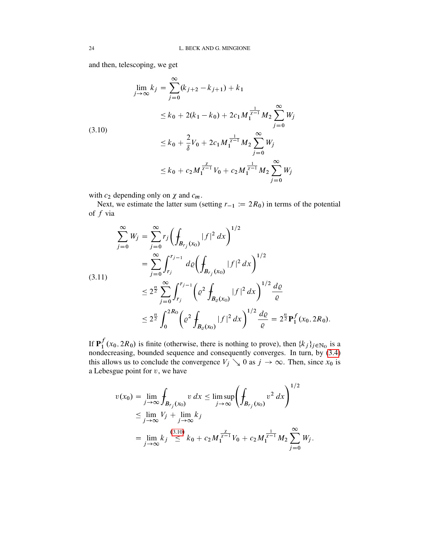and then, telescoping, we get

$$
\lim_{j \to \infty} k_j = \sum_{j=0}^{\infty} (k_{j+2} - k_{j+1}) + k_1
$$
\n
$$
\leq k_0 + 2(k_1 - k_0) + 2c_1 M_1^{\frac{1}{\chi - 1}} M_2 \sum_{j=0}^{\infty} W_j
$$
\n
$$
\leq k_0 + \frac{2}{\delta} V_0 + 2c_1 M_1^{\frac{1}{\chi - 1}} M_2 \sum_{j=0}^{\infty} W_j
$$
\n
$$
\leq k_0 + c_2 M_1^{\frac{\chi}{\chi - 1}} V_0 + c_2 M_1^{\frac{1}{\chi - 1}} M_2 \sum_{j=0}^{\infty} W_j
$$

with  $c_2$  depending only on  $\chi$  and  $c_m$ .

Next, we estimate the latter sum (setting  $r_{-1} := 2R_0$ ) in terms of the potential of  $f$  via

<span id="page-23-1"></span>
$$
\sum_{j=0}^{\infty} W_j = \sum_{j=0}^{\infty} r_j \left( \int_{B_{r_j}(x_0)} |f|^2 dx \right)^{1/2}
$$
  
\n
$$
= \sum_{j=0}^{\infty} \int_{r_j}^{r_{j-1}} d\varrho \left( \int_{B_{r_j}(x_0)} |f|^2 dx \right)^{1/2}
$$
  
\n
$$
\leq 2^{\frac{n}{2}} \sum_{j=0}^{\infty} \int_{r_j}^{r_{j-1}} \left( \varrho^2 \int_{B_{\varrho}(x_0)} |f|^2 dx \right)^{1/2} \frac{d\varrho}{\varrho}
$$
  
\n
$$
\leq 2^{\frac{n}{2}} \int_0^{2R_0} \left( \varrho^2 \int_{B_{\varrho}(x_0)} |f|^2 dx \right)^{1/2} \frac{d\varrho}{\varrho} = 2^{\frac{n}{2}} \mathbf{P}_1^f(x_0, 2R_0).
$$

If  ${\bf P}^f_1$  $\int_{1}^{1} (x_0, 2R_0)$  is finite (otherwise, there is nothing to prove), then  $\{k_j\}_{j \in \mathbb{N}_0}$  is a nondecreasing, bounded sequence and consequently converges. In turn, by [\(3.4\)](#page-21-1) this allows us to conclude the convergence  $V_j \searrow 0$  as  $j \to \infty$ . Then, since  $x_0$  is a Lebesgue point for  $v$ , we have

$$
v(x_0) = \lim_{j \to \infty} \oint_{B_{r_j}(x_0)} v \, dx \le \limsup_{j \to \infty} \left( \oint_{B_{r_j}(x_0)} v^2 \, dx \right)^{1/2}
$$
  

$$
\le \lim_{j \to \infty} V_j + \lim_{j \to \infty} k_j
$$
  

$$
= \lim_{j \to \infty} k_j \stackrel{(3.10)}{\le} k_0 + c_2 M_1^{\frac{\gamma}{\gamma - 1}} V_0 + c_2 M_1^{\frac{1}{\gamma - 1}} M_2 \sum_{j=0}^{\infty} W_j.
$$

<span id="page-23-0"></span>(3.10)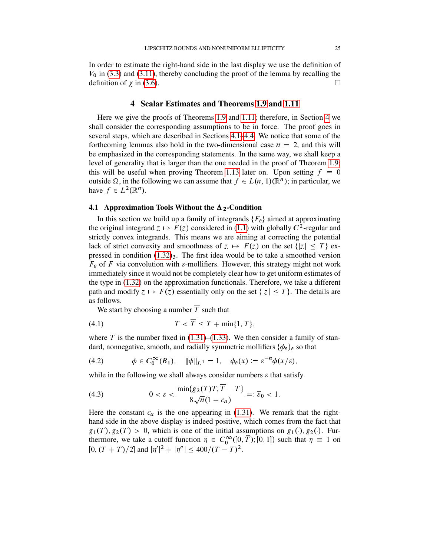In order to estimate the right-hand side in the last display we use the definition of  $V_0$  in [\(3.3\)](#page-21-0) and [\(3.11\)](#page-23-1), thereby concluding the proof of the lemma by recalling the definition of  $\chi$  in [\(3.6\)](#page-21-3).

### 4 Scalar Estimates and Theorems [1.9](#page-9-0) and [1.11](#page-10-0)

<span id="page-24-0"></span>Here we give the proofs of Theorems [1.9](#page-9-0) and [1.11;](#page-10-0) therefore, in Section [4](#page-24-0) we shall consider the corresponding assumptions to be in force. The proof goes in several steps, which are described in Sections [4.1](#page-24-1)[–4.4.](#page-41-0) We notice that some of the forthcoming lemmas also hold in the two-dimensional case  $n = 2$ , and this will be emphasized in the corresponding statements. In the same way, we shall keep a level of generality that is larger than the one needed in the proof of Theorem [1.9;](#page-9-0) this will be useful when proving Theorem [1.13](#page-12-0) later on. Upon setting  $f \equiv 0$ outside  $\Omega$ , in the following we can assume that  $f \in L(n, 1)(\mathbb{R}^n)$ ; in particular, we have  $f \in L^2(\mathbb{R}^n)$ .

### <span id="page-24-1"></span>4.1 Approximation Tools Without the  $\Delta_2$ -Condition

In this section we build up a family of integrands  $\{F_{\varepsilon}\}\$  aimed at approximating the original integrand  $z \mapsto F(z)$  considered in [\(1.1\)](#page-1-0) with globally  $C^2$ -regular and strictly convex integrands. This means we are aiming at correcting the potential lack of strict convexity and smoothness of  $z \mapsto F(z)$  on the set  $\{|z| \leq T\}$  expressed in condition  $(1.32)_{3}$  $(1.32)_{3}$ . The first idea would be to take a smoothed version  $F_{\varepsilon}$  of F via convolution with  $\varepsilon$ -mollifiers. However, this strategy might not work immediately since it would not be completely clear how to get uniform estimates of the type in [\(1.32\)](#page-9-1) on the approximation functionals. Therefore, we take a different path and modify  $z \mapsto F(z)$  essentially only on the set  $\{|z| \leq T\}$ . The details are as follows.

<span id="page-24-3"></span>We start by choosing a number  $\overline{T}$  such that

$$
(4.1) \t\t T < \overline{T} \le T + \min\{1, T\},\
$$

where T is the number fixed in  $(1.31)$ – $(1.33)$ . We then consider a family of standard, nonnegative, smooth, and radially symmetric mollifiers  $\{\phi_{\varepsilon}\}_{\varepsilon}$  so that

$$
(4.2) \t\t \phi \in C_0^{\infty}(B_1), \t ||\phi||_{L^1} = 1, \t \phi_{\varepsilon}(x) := \varepsilon^{-n} \phi(x/\varepsilon),
$$

while in the following we shall always consider numbers  $\varepsilon$  that satisfy

<span id="page-24-2"></span>(4.3) 
$$
0 < \varepsilon < \frac{\min\{g_2(T)T, \overline{T} - T\}}{8\sqrt{n}(1 + c_a)} =: \overline{\varepsilon}_0 < 1.
$$

Here the constant  $c_a$  is the one appearing in [\(1.31\)](#page-8-4). We remark that the righthand side in the above display is indeed positive, which comes from the fact that  $g_1(T), g_2(T) > 0$ , which is one of the initial assumptions on  $g_1(\cdot), g_2(\cdot)$ . Furthermore, we take a cutoff function  $\eta \in C_0^{\infty}([0, \overline{T}); [0, 1])$  such that  $\eta \equiv 1$  on  $[0, (T + \overline{T})/2]$  and  $|\eta'|^2 + |\eta''| \leq 400/(\overline{T} - T)^2$ .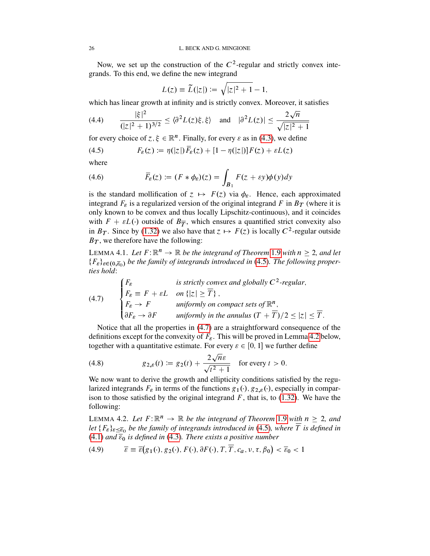Now, we set up the construction of the  $C^2$ -regular and strictly convex integrands. To this end, we define the new integrand

$$
L(z) \equiv \widetilde{L}(|z|) := \sqrt{|z|^2 + 1} - 1,
$$

which has linear growth at infinity and is strictly convex. Moreover, it satisfies

<span id="page-25-3"></span>(4.4) 
$$
\frac{|\xi|^2}{(|z|^2 + 1)^{3/2}} \le \langle \partial^2 L(z) \xi, \xi \rangle \text{ and } |\partial^2 L(z)| \le \frac{2\sqrt{n}}{\sqrt{|z|^2 + 1}}
$$

<span id="page-25-0"></span>for every choice of  $z, \xi \in \mathbb{R}^n$ . Finally, for every  $\varepsilon$  as in [\(4.3\)](#page-24-2), we define

(4.5) 
$$
F_{\varepsilon}(z) := \eta(|z|)\bar{F}_{\varepsilon}(z) + [1 - \eta(|z|)]F(z) + \varepsilon L(z)
$$

where

<span id="page-25-4"></span>(4.6) 
$$
\overline{F}_{\varepsilon}(z) := (F * \phi_{\varepsilon})(z) = \int_{B_1} F(z + \varepsilon y) \phi(y) dy
$$

is the standard mollification of  $z \mapsto F(z)$  via  $\phi_{\varepsilon}$ . Hence, each approximated integrand  $F_{\varepsilon}$  is a regularized version of the original integrand F in  $B_T$  (where it is only known to be convex and thus locally Lipschitz-continuous), and it coincides with  $F + \varepsilon L$ .) outside of  $B_{\overline{T}}$ , which ensures a quantified strict convexity also in  $B_T$ . Since by [\(1.32\)](#page-9-1) we also have that  $z \mapsto F(z)$  is locally  $C^2$ -regular outside  $B_T$ , we therefore have the following:

<span id="page-25-6"></span>LEMMA 4.1. Let  $F: \mathbb{R}^n \to \mathbb{R}$  be the integrand of Theorem [1.9](#page-9-0) with  $n \geq 2$ , and let  ${F<sub>\varepsilon</sub>}_{\varepsilon \in (0,\overline{\varepsilon}_0)}$  be the family of integrands introduced in [\(4.5\)](#page-25-0). The following proper*ties hold*:

<span id="page-25-1"></span>(4.7) 
$$
\begin{cases} F_{\varepsilon} & \text{is strictly convex and globally } C^2\text{-}regular, \\ F_{\varepsilon} \equiv F + \varepsilon L & \text{on } \{|z| \geq \overline{T}\}, \\ F_{\varepsilon} \to F & \text{uniformly on compact sets of } \mathbb{R}^n, \\ \partial F_{\varepsilon} \to \partial F & \text{uniformly in the annulus } (T + \overline{T})/2 \leq |z| \leq \overline{T}. \end{cases}
$$

Notice that all the properties in [\(4.7\)](#page-25-1) are a straightforward consequence of the definitions except for the convexity of  $F_s$ . This will be proved in Lemma [4.2](#page-25-2) below, together with a quantitative estimate. For every  $\varepsilon \in [0, 1]$  we further define

<span id="page-25-7"></span>(4.8) 
$$
g_{2,\varepsilon}(t) := g_2(t) + \frac{2\sqrt{n}\varepsilon}{\sqrt{t^2 + 1}} \quad \text{for every } t > 0.
$$

We now want to derive the growth and ellipticity conditions satisfied by the regularized integrands  $F_{\varepsilon}$  in terms of the functions  $g_1(\cdot), g_{2,\varepsilon}(\cdot)$ , especially in comparison to those satisfied by the original integrand  $F$ , that is, to [\(1.32\)](#page-9-1). We have the following:

<span id="page-25-2"></span>LEMMA 4.2. Let  $F: \mathbb{R}^n \to \mathbb{R}$  be the integrand of Theorem [1.9](#page-9-0) with  $n \geq 2$ , and *let*  $\{F_s\}_{s\leq \overline{s}_0}$  *be the family of integrands introduced in* [\(4.5\)](#page-25-0)*, where*  $\overline{T}$  *is defined in*  $(4.1)$  *and*  $\overline{\epsilon}_0$  *is defined in* [\(4.3\)](#page-24-2). There exists a positive number

<span id="page-25-5"></span>(4.9) 
$$
\overline{\varepsilon} \equiv \overline{\varepsilon}(g_1(\cdot), g_2(\cdot), F(\cdot), \partial F(\cdot), T, \overline{T}, c_a, \nu, \tau, \beta_0) < \overline{\varepsilon}_0 < 1
$$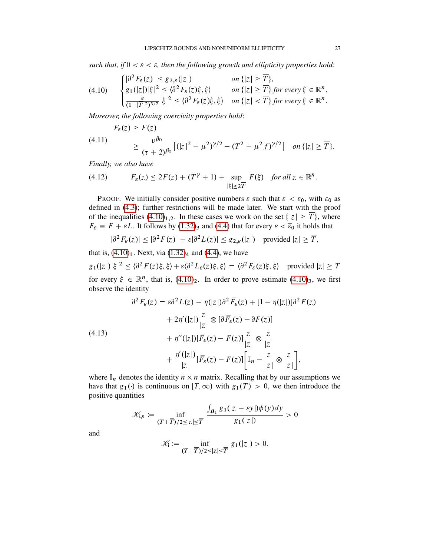*such that, if*  $0 < \varepsilon < \overline{\varepsilon}$ *, then the following growth and ellipticity properties hold:* 

<span id="page-26-0"></span>
$$
(4.10) \qquad \begin{cases} |\partial^2 F_{\varepsilon}(z)| \leq g_{2,\varepsilon}(|z|) & \text{on } \{|z| \geq \overline{T}\}, \\ g_1(|z|) |\xi|^2 \leq \langle \partial^2 F_{\varepsilon}(z) \xi, \xi \rangle & \text{on } \{|z| \geq \overline{T}\} \text{ for every } \xi \in \mathbb{R}^n, \\ \frac{\varepsilon}{(1+|\overline{T}|^2)^{3/2}} |\xi|^2 \leq \langle \partial^2 F_{\varepsilon}(z) \xi, \xi \rangle & \text{on } \{|z| < \overline{T}\} \text{ for every } \xi \in \mathbb{R}^n. \end{cases}
$$

*Moreover, the following coercivity properties hold*:

<span id="page-26-2"></span>(4.11) 
$$
F_{\varepsilon}(z) \ge F(z)
$$
  

$$
\ge \frac{\nu^{\beta_0}}{(\tau+2)^{\beta_0}} \Big[ (|z|^2 + \mu^2)^{\gamma/2} - (T^2 + \mu^2 f)^{\gamma/2} \Big] \quad on \{ |z| \ge \overline{T} \}.
$$

*Finally, we also have*

<span id="page-26-3"></span>(4.12) 
$$
F_{\varepsilon}(z) \leq 2F(z) + (\overline{T}^{\gamma} + 1) + \sup_{|\xi| \leq 2\overline{T}} F(\xi) \text{ for all } z \in \mathbb{R}^n.
$$

PROOF. We initially consider positive numbers  $\varepsilon$  such that  $\varepsilon < \overline{\varepsilon}_0$ , with  $\overline{\varepsilon}_0$  as defined in [\(4.3\)](#page-24-2); further restrictions will be made later. We start with the proof of the inequalities  $(4.10)_{1,2}$  $(4.10)_{1,2}$ . In these cases we work on the set  $\{z \mid \geq \overline{T}\}$ , where  $F_{\varepsilon} \equiv F + \varepsilon L$ . It follows by [\(1.32\)](#page-9-1)<sub>3</sub> and [\(4.4\)](#page-25-3) that for every  $\varepsilon < \overline{\varepsilon}_0$  it holds that

$$
|\partial^2 F_{\varepsilon}(z)| \leq |\partial^2 F(z)| + \varepsilon |\partial^2 L(z)| \leq g_{2,\varepsilon}(|z|) \quad \text{provided } |z| \geq \overline{T},
$$

that is,  $(4.10)<sub>1</sub>$  $(4.10)<sub>1</sub>$ . Next, via  $(1.32)<sub>4</sub>$  $(1.32)<sub>4</sub>$  and  $(4.4)$ , we have  $g_1(|z|)|\xi|^2 \le \langle \partial^2 F(z)\xi, \xi \rangle + \varepsilon \langle \partial^2 L_{\varepsilon}(z)\xi, \xi \rangle = \langle \partial^2 F_{\varepsilon}(z)\xi, \xi \rangle$  provided  $|z| \ge \overline{T}$ for every  $\xi \in \mathbb{R}^n$ , that is,  $(4.10)_2$  $(4.10)_2$ . In order to prove estimate  $(4.10)_3$ , we first observe the identity

<span id="page-26-1"></span>
$$
\partial^2 F_{\varepsilon}(z) = \varepsilon \partial^2 L(z) + \eta(|z|) \partial^2 \overline{F}_{\varepsilon}(z) + [1 - \eta(|z|)] \partial^2 F(z)
$$

$$
+ 2\eta'(|z|) \frac{z}{|z|} \otimes [\partial \overline{F}_{\varepsilon}(z) - \partial F(z)]
$$

$$
+ \eta''(|z|) [\overline{F}_{\varepsilon}(z) - F(z)] \frac{z}{|z|} \otimes \frac{z}{|z|}
$$

$$
+ \frac{\eta'(|z|)}{|z|} [\overline{F}_{\varepsilon}(z) - F(z)] \Big[ \mathbb{I}_n - \frac{z}{|z|} \otimes \frac{z}{|z|} \Big],
$$

where  $\mathbb{I}_n$  denotes the identity  $n \times n$  matrix. Recalling that by our assumptions we have that  $g_1(\cdot)$  is continuous on  $[T,\infty)$  with  $g_1(T) > 0$ , we then introduce the positive quantities

$$
\mathscr{K}_{i,\varepsilon} := \inf_{(T+\overline{T})/2 \leq |z| \leq \overline{T}} \frac{\int_{B_1} g_1(|z+\varepsilon y|) \phi(y) dy}{g_1(|z|)} > 0
$$

and

$$
\mathscr{K}_i := \inf_{(T+\overline{T})/2 \leq |z| \leq \overline{T}} g_1(|z|) > 0.
$$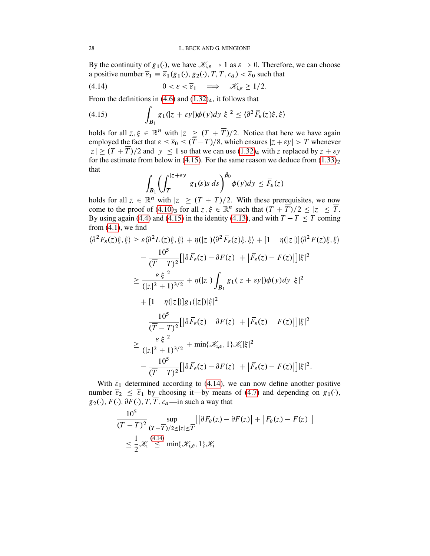By the continuity of  $g_1(\cdot)$ , we have  $\mathcal{K}_{i,\varepsilon} \to 1$  as  $\varepsilon \to 0$ . Therefore, we can choose a positive number  $\overline{\epsilon}_1 \equiv \overline{\epsilon}_1(g_1(.), g_2(.), T, \overline{T}, c_a) < \overline{\epsilon}_0$  such that

<span id="page-27-1"></span>
$$
(4.14) \t\t 0 < \varepsilon < \overline{\varepsilon}_1 \implies \mathscr{K}_{i,\varepsilon} \ge 1/2.
$$

From the definitions in  $(4.6)$  and  $(1.32)_4$  $(1.32)_4$ , it follows that

<span id="page-27-0"></span>(4.15) 
$$
\int_{B_1} g_1(|z + \varepsilon y|) \phi(y) dy |\xi|^2 \leq \langle \partial^2 \overline{F}_{\varepsilon}(z) \xi, \xi \rangle
$$

holds for all  $z, \xi \in \mathbb{R}^n$  with  $|z| \ge (T + \overline{T})/2$ . Notice that here we have again employed the fact that  $\varepsilon \le \bar{\varepsilon}_0 \le (\bar{T}-T)/8$ , which ensures  $|z+\varepsilon y| > T$  whenever  $|z| \ge (T + \overline{T})/2$  and  $|y| \le 1$  so that we can use  $(1.32)_4$  $(1.32)_4$  with z replaced by  $z + \varepsilon y$ for the estimate from below in [\(4.15\)](#page-27-0). For the same reason we deduce from  $(1.33)<sub>2</sub>$  $(1.33)<sub>2</sub>$ that

$$
\int_{B_1} \left( \int_T^{|z+\varepsilon y|} g_1(s) s \, ds \right)^{\beta_0} \phi(y) dy \leq \overline{F}_{\varepsilon}(z)
$$

holds for all  $z \in \mathbb{R}^n$  with  $|z| \ge (T + T)/2$ . With these prerequisites, we now come to the proof of [\(4.10\)](#page-26-0)<sub>3</sub> for all  $z, \xi \in \mathbb{R}^n$  such that  $(\overline{T} + \overline{T})/2 \le |z| \le \overline{T}$ . By using again [\(4.4\)](#page-25-3) and [\(4.15\)](#page-27-0) in the identity [\(4.13\)](#page-26-1), and with  $\overline{T} - T \leq T$  coming from  $(4.1)$ , we find

$$
\langle \partial^2 F_{\varepsilon}(z)\xi, \xi \rangle \geq \varepsilon \langle \partial^2 L(z)\xi, \xi \rangle + \eta(|z|) \langle \partial^2 \overline{F}_{\varepsilon}(z)\xi, \xi \rangle + [1 - \eta(|z|)] \langle \partial^2 F(z)\xi, \xi \rangle
$$
  

$$
- \frac{10^5}{(\overline{T} - T)^2} \Big[ |\partial \overline{F}_{\varepsilon}(z) - \partial F(z)| + |\overline{F}_{\varepsilon}(z) - F(z)| \Big] |\xi|^2
$$
  

$$
\geq \frac{\varepsilon |\xi|^2}{(|z|^2 + 1)^{3/2}} + \eta(|z|) \int_{B_1} g_1(|z + \varepsilon y|) \phi(y) dy |\xi|^2
$$
  

$$
+ [1 - \eta(|z|)] g_1(|z|) |\xi|^2
$$
  

$$
- \frac{10^5}{(\overline{T} - T)^2} \Big[ |\partial \overline{F}_{\varepsilon}(z) - \partial F(z)| + |\overline{F}_{\varepsilon}(z) - F(z)| \Big] |\xi|^2
$$
  

$$
\geq \frac{\varepsilon |\xi|^2}{(|z|^2 + 1)^{3/2}} + \min{\{\mathcal{K}_{i,\varepsilon}, 1\} \mathcal{K}_{i} |\xi|^2}
$$
  

$$
- \frac{10^5}{(\overline{T} - T)^2} \Big[ |\partial \overline{F}_{\varepsilon}(z) - \partial F(z)| + |\overline{F}_{\varepsilon}(z) - F(z)| \Big] |\xi|^2.
$$

With  $\overline{\varepsilon}_1$  determined according to [\(4.14\)](#page-27-1), we can now define another positive number  $\overline{\epsilon}_2 \leq \overline{\epsilon}_1$  by choosing it—by means of [\(4.7\)](#page-25-1) and depending on  $g_1(\cdot)$ ,  $g_2(.), F(), \partial F(), T, T, c_a$ —in such a way that

$$
\frac{10^5}{(\overline{T} - T)^2} \sup_{(T + \overline{T})/2 \le |z| \le \overline{T}} \left[ \left| \partial \overline{F}_{\varepsilon}(z) - \partial F(z) \right| + \left| \overline{F}_{\varepsilon}(z) - F(z) \right| \right]
$$
  

$$
\le \frac{1}{2} \mathcal{K}_i \stackrel{(4.14)}{\le} \min\{\mathcal{K}_{i,\varepsilon}, 1\} \mathcal{K}_i
$$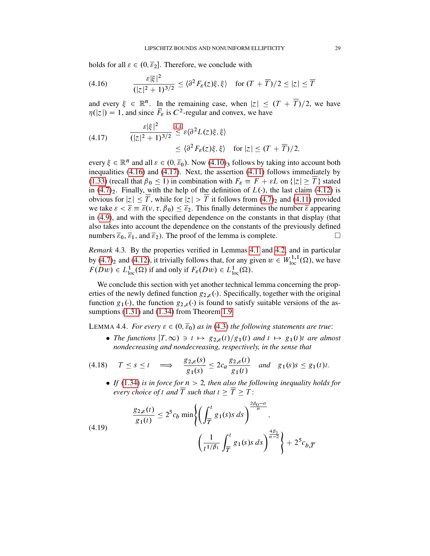holds for all  $\varepsilon \in (0, \overline{\varepsilon}_2]$ . Therefore, we conclude with

<span id="page-28-0"></span>
$$
(4.16) \qquad \frac{\varepsilon |\xi|^2}{(|z|^2 + 1)^{3/2}} \le \langle \partial^2 F_{\varepsilon}(z)\xi, \xi \rangle \quad \text{for } (T + \overline{T})/2 \le |z| \le \overline{T}
$$

and every  $\xi \in \mathbb{R}^n$ . In the remaining case, when  $|z| \leq (T + \overline{T})/2$ , we have  $\eta(|z|) = 1$ , and since  $\overline{F}_\varepsilon$  is  $C^2$ -regular and convex, we have

<span id="page-28-1"></span>(4.17) 
$$
\frac{\varepsilon |\xi|^2}{(|z|^2 + 1)^{3/2}} \leq \varepsilon \langle \partial^2 L(z) \xi, \xi \rangle
$$

$$
\leq \langle \partial^2 F_{\varepsilon}(z) \xi, \xi \rangle \quad \text{for } |z| \leq (T + \overline{T})/2,
$$

every  $\xi \in \mathbb{R}^n$  and all  $\varepsilon \in (0, \overline{\varepsilon}_0)$ . Now  $(4.10)_3$  $(4.10)_3$  follows by taking into account both inequalities [\(4.16\)](#page-28-0) and [\(4.17\)](#page-28-1). Next, the assertion [\(4.11\)](#page-26-2) follows immediately by [\(1.33\)](#page-9-2) (recall that  $\beta_0 \le 1$ ) in combination with  $F_{\varepsilon} \equiv F + \varepsilon L$  on  $\{|z| \ge \overline{T}\}$  stated in  $(4.7)_2$  $(4.7)_2$ . Finally, with the help of the definition of  $L(.)$ , the last claim [\(4.12\)](#page-26-3) is obvious for  $|z| \leq \overline{T}$ , while for  $|z| > \overline{T}$  it follows from [\(4.7\)](#page-25-1)<sub>2</sub> and [\(4.11\)](#page-26-2) provided we take  $\epsilon < \bar{\epsilon} \equiv \bar{\epsilon}(v, \tau, \beta_0) \leq \bar{\epsilon}_2$ . This finally determines the number  $\bar{\epsilon}$  appearing in [\(4.9\)](#page-25-5), and with the specified dependence on the constants in that display (that also takes into account the dependence on the constants of the previously defined numbers  $\overline{\varepsilon}_0$ ,  $\overline{\varepsilon}_1$ , and  $\overline{\varepsilon}_2$ ). The proof of the lemma is complete.

*Remark* 4.3*.* By the properties verified in Lemmas [4.1](#page-25-6) and [4.2,](#page-25-2) and in particular by [\(4.7\)](#page-25-1)<sub>2</sub> and [\(4.12\)](#page-26-3), it trivially follows that, for any given  $w \in W^{1,1}_{loc}(\Omega)$ , we have  $F(Dw) \in L^1_{loc}(\Omega)$  if and only if  $F_{\varepsilon}(Dw) \in L^1_{loc}(\Omega)$ .

We conclude this section with yet another technical lemma concerning the properties of the newly defined function  $g_{2,\varepsilon}(\cdot)$ . Specifically, together with the original function  $g_1(\cdot)$ , the function  $g_{2,\varepsilon}(\cdot)$  is found to satisfy suitable versions of the as-sumptions [\(1.31\)](#page-8-4) and [\(1.34\)](#page-9-3) from Theorem [1.9.](#page-9-0)

<span id="page-28-4"></span>LEMMA 4.4. *For every*  $\varepsilon \in (0, \overline{\varepsilon}_0)$  as in [\(4.3\)](#page-24-2) the following statements are true:

• The functions  $[T,\infty) \ni t \mapsto g_{2,\varepsilon}(t)/g_1(t)$  and  $t \mapsto g_1(t)t$  are almost *nondecreasing and nondecreasing, respectively, in the sense that*

$$
(4.18) \quad T \leq s \leq t \quad \Longrightarrow \quad \frac{g_{2,\varepsilon}(s)}{g_1(s)} \leq 2c_a \frac{g_{2,\varepsilon}(t)}{g_1(t)} \quad \text{and} \quad g_1(s)s \leq g_1(t)t.
$$

<span id="page-28-2"></span> *If* [\(1.34\)](#page-9-3) *is in force for* n > 2*, then also the following inequality holds for every choice of t and*  $\overline{T}$  *such that*  $t \geq \overline{T} \geq T$ :

$$
\frac{g_{2,\varepsilon}(t)}{g_1(t)} \le 2^5 c_b \min\left\{ \left( \int_{\overline{T}}^t g_1(s)s \, ds \right)^{\frac{2\beta_0 - \sigma}{n}}, \left( \frac{1}{t^{1/\beta_1}} \int_{\overline{T}}^t g_1(s)s \, ds \right)^{\frac{4\beta_1}{n-2}} \right\} + 2^5 c_{b,\overline{T}}
$$

<span id="page-28-3"></span> $(4)$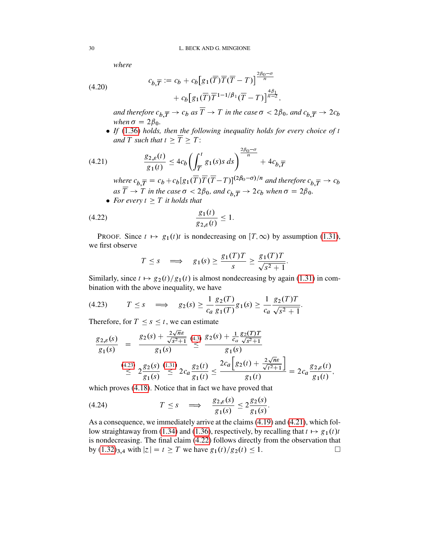*where*

(4.20) 
$$
c_{b,\overline{T}} := c_b + c_b \left[ g_1(\overline{T}) \overline{T} (\overline{T} - T) \right]^{2\beta_0 - \sigma} + c_b \left[ g_1(\overline{T}) \overline{T}^{1 - 1/\beta_1} (\overline{T} - T) \right]^{4\beta_1 - \sigma} = 0
$$

*and therefore*  $c_{b\bar{T}} \rightarrow c_{b}$  *as*  $\overline{T} \rightarrow T$  *in the case*  $\sigma < 2\beta_0$ *, and*  $c_{b\bar{T}} \rightarrow 2c_{b}$ *when*  $\sigma = 2\beta_0$ *.* 

;

:

 *If* [\(1.36\)](#page-9-5) *holds, then the following inequality holds for every choice of* t *and*  $\overline{T}$  *such that*  $t \geq \overline{T} \geq T$ :

(4.21) 
$$
\frac{g_{2,\varepsilon}(t)}{g_1(t)} \le 4c_b \left( \int_{\overline{T}}^t g_1(s)s \, ds \right)^{\frac{2\beta_0 - \sigma}{n}} + 4c_{b,\overline{T}}
$$

<span id="page-29-1"></span>*where*  $c_{b,\overline{T}} = c_b + c_b[g_1(\overline{T})\overline{T}(\overline{T} - T)]^{(2\beta_0 - \sigma)/n}$  *and therefore*  $c_{b,\overline{T}} \to c_b$  $as\ \overline{T} \rightarrow \overline{T}$  *in the case*  $\sigma < 2\beta_0$ *, and*  $c_{b,\overline{T}} \rightarrow 2c_b$  *when*  $\sigma = 2\beta_0$ *.* 

• For every  $t \geq T$  *it holds that* 

$$
(4.22) \t\t \t\t \frac{g_1(t)}{g_{2,\varepsilon}(t)} \le 1.
$$

PROOF. Since  $t \mapsto g_1(t)t$  is nondecreasing on  $[T,\infty)$  by assumption [\(1.31\)](#page-8-4), we first observe

<span id="page-29-2"></span>
$$
T \leq s \quad \Longrightarrow \quad g_1(s) \geq \frac{g_1(T)T}{s} \geq \frac{g_1(T)T}{\sqrt{s^2 + 1}}.
$$

Similarly, since  $t \mapsto g_2(t)/g_1(t)$  is almost nondecreasing by again [\(1.31\)](#page-8-4) in combination with the above inequality, we have

<span id="page-29-0"></span>
$$
(4.23) \tT \le s \implies g_2(s) \ge \frac{1}{c_a} \frac{g_2(T)}{g_1(T)} g_1(s) \ge \frac{1}{c_a} \frac{g_2(T)T}{\sqrt{s^2 + 1}}
$$

Therefore, for  $T \leq s \leq t$ , we can estimate

$$
\frac{g_{2,\varepsilon}(s)}{g_1(s)} = \frac{g_2(s) + \frac{2\sqrt{n}\varepsilon}{\sqrt{s^2+1}}}{g_1(s)} \stackrel{(4.3)}{\leq} \frac{g_2(s) + \frac{1}{c_a} \frac{g_2(T)T}{\sqrt{s^2+1}}}{g_1(s)} \n\stackrel{(4.23)}{\leq} 2 \frac{g_2(s)}{g_1(s)} \stackrel{(1.31)}{\leq} 2c_a \frac{g_2(t)}{g_1(t)} \leq \frac{2c_a \left[g_2(t) + \frac{2\sqrt{n}\varepsilon}{\sqrt{t^2+1}}\right]}{g_1(t)} = 2c_a \frac{g_{2,\varepsilon}(t)}{g_1(t)},
$$

which proves [\(4.18\)](#page-28-2). Notice that in fact we have proved that

$$
(4.24) \t\t T \leq s \quad \Longrightarrow \quad \frac{g_{2,\varepsilon}(s)}{g_1(s)} \leq 2 \frac{g_2(s)}{g_1(s)}.
$$

As a consequence, we immediately arrive at the claims [\(4.19\)](#page-28-3) and [\(4.21\)](#page-29-1), which fol-low straightaway from [\(1.34\)](#page-9-3) and [\(1.36\)](#page-9-5), respectively, by recalling that  $t \mapsto g_1(t)t$ is nondecreasing. The final claim [\(4.22\)](#page-29-2) follows directly from the observation that by  $(1.32)_{3,4}$  $(1.32)_{3,4}$  with  $|z| = t \geq T$  we have  $g_1(t) / g_2(t) \leq 1$ .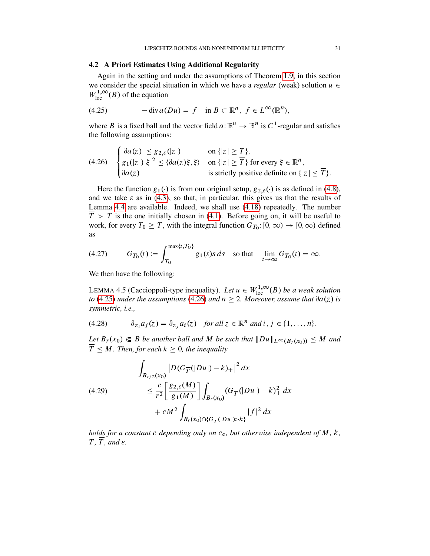### <span id="page-30-0"></span>4.2 A Priori Estimates Using Additional Regularity

Again in the setting and under the assumptions of Theorem [1.9,](#page-9-0) in this section we consider the special situation in which we have a *regular* (weak) solution  $u \in$  $W^{1,\infty}_{\text{loc}}(B)$  of the equation

<span id="page-30-1"></span>
$$
(4.25) \qquad \qquad -\operatorname{div} a(Du) = f \quad \text{in } B \subset \mathbb{R}^n, \ f \in L^{\infty}(\mathbb{R}^n),
$$

where B is a fixed ball and the vector field  $a: \mathbb{R}^n \to \mathbb{R}^n$  is  $C^1$ -regular and satisfies the following assumptions:

<span id="page-30-2"></span>(4.26) 
$$
\begin{cases} |\partial a(z)| \leq g_{2,\varepsilon}(|z|) & \text{on } \{|z| \geq \overline{T}\}, \\ g_1(|z|) |\xi|^2 \leq \langle \partial a(z) \xi, \xi \rangle & \text{on } \{|z| \geq \overline{T}\} \text{ for every } \xi \in \mathbb{R}^n, \\ \partial a(z) & \text{is strictly positive definite on } \{|z| \leq \overline{T}\}. \end{cases}
$$

Here the function  $g_1(\cdot)$  is from our original setup,  $g_{2,\varepsilon}(\cdot)$  is as defined in [\(4.8\)](#page-25-7), and we take  $\varepsilon$  as in [\(4.3\)](#page-24-2), so that, in particular, this gives us that the results of Lemma [4.4](#page-28-4) are available. Indeed, we shall use [\(4.18\)](#page-28-2) repeatedly. The number  $\overline{T}$  > T is the one initially chosen in [\(4.1\)](#page-24-3). Before going on, it will be useful to work, for every  $T_0 \geq T$ , with the integral function  $G_{T_0}: [0, \infty) \to [0, \infty)$  defined as

<span id="page-30-3"></span>
$$
(4.27) \tG_{T_0}(t) := \int_{T_0}^{\max\{t, T_0\}} g_1(s) s \, ds \quad \text{so that} \quad \lim_{t \to \infty} G_{T_0}(t) = \infty.
$$

We then have the following:

<span id="page-30-6"></span>LEMMA 4.5 (Caccioppoli-type inequality). Let  $u \in W^{1,\infty}_{loc}(B)$  be a weak solution *to* [\(4.25\)](#page-30-1) *under the assumptions* [\(4.26\)](#page-30-2) *and*  $n \ge 2$ *. Moreover, assume that*  $\partial a(z)$  *is symmetric, i.e.,*

<span id="page-30-4"></span>(4.28) 
$$
\partial_{z_i} a_j(z) = \partial_{z_j} a_i(z) \text{ for all } z \in \mathbb{R}^n \text{ and } i, j \in \{1, \ldots, n\}.
$$

*Let*  $B_r(x_0) \in B$  *be another ball and* M *be such that*  $||Du||_{L^{\infty}(B_r(x_0))} \leq M$  *and*  $\overline{T} \leq M$ *. Then, for each*  $k \geq 0$ *, the inequality* 

<span id="page-30-5"></span>
$$
(4.29) \qquad \int_{B_{r/2}(x_0)} \left| D(G_{\overline{T}}(|Du|) - k)_{+} \right|^{2} dx
$$
\n
$$
\leq \frac{c}{r^{2}} \left[ \frac{g_{2,\varepsilon}(M)}{g_{1}(M)} \right] \int_{B_{r}(x_0)} (G_{\overline{T}}(|Du|) - k)_{+}^{2} dx
$$
\n
$$
+ c M^{2} \int_{B_{r}(x_0) \cap \{G_{\overline{T}}(|Du|) > k\}} |f|^{2} dx
$$

*holds for a constant* c *depending only on* ca*, but otherwise independent of* M*,* k*,*  $T, \overline{T}$ *, and*  $\varepsilon$ *.*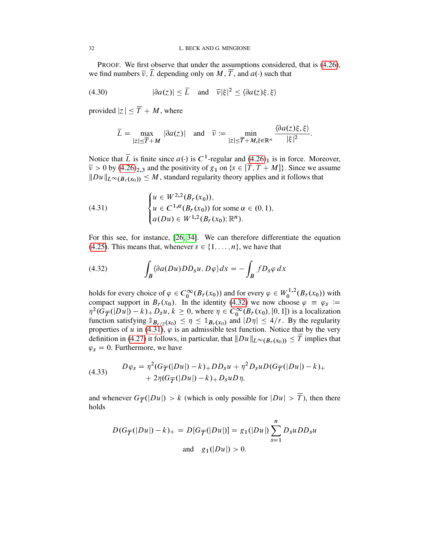PROOF. We first observe that under the assumptions considered, that is [\(4.26\)](#page-30-2), we find numbers  $\overline{v}$ ,  $\overline{L}$  depending only on M,  $\overline{T}$ , and  $a(\cdot)$  such that

$$
(4.30) \t\t |\partial a(z)| \le \overline{L} \t \text{ and } \t \overline{\nu} |\xi|^2 \le \langle \partial a(z)\xi, \xi \rangle
$$

provided  $|z| \leq \overline{T} + M$ , where

$$
\overline{L} = \max_{|z| \leq \overline{T} + M} |\partial a(z)| \quad \text{and} \quad \overline{\nu} := \min_{|z| \leq \overline{T} + M, \xi \in \mathbb{R}^n} \frac{\langle \partial a(z) \xi, \xi \rangle}{|\xi|^2}.
$$

Notice that  $\overline{L}$  is finite since  $a(\cdot)$  is  $C^1$ -regular and  $(4.26)_1$  $(4.26)_1$  is in force. Moreover,  $\overline{v} > 0$  by [\(4.26\)](#page-30-2)<sub>2,3</sub> and the positivity of  $g_1$  on  $\{s \in [\overline{T}, \overline{T} + M]\}$ . Since we assume  $\|Du\|_{L^{\infty}(B_r(x_0))} \leq M$ , standard regularity theory applies and it follows that

<span id="page-31-1"></span>(4.31) 
$$
\begin{cases} u \in W^{2,2}(B_r(x_0)), \\ u \in C^{1,\alpha}(B_r(x_0)) \text{ for some } \alpha \in (0,1), \\ a(Du) \in W^{1,2}(B_r(x_0); \mathbb{R}^n). \end{cases}
$$

For this see, for instance, [\[26,](#page-89-10) [34\]](#page-89-8). We can therefore differentiate the equation [\(4.25\)](#page-30-1). This means that, whenever  $s \in \{1, \ldots, n\}$ , we have that

<span id="page-31-0"></span>(4.32) 
$$
\int_{B} \langle \partial a(Du) DD_{s}u, D\varphi \rangle dx = - \int_{B} f D_{s} \varphi dx
$$

holds for every choice of  $\varphi \in C_0^{\infty}(B_r(x_0))$  and for every  $\varphi \in W_0^{1,2}$  $\int_0^{1,2} (B_r(x_0))$  with compact support in  $B_r(x_0)$ . In the identity [\(4.32\)](#page-31-0) we now choose  $\varphi = \varphi_s :=$  $\eta^2(\overline{G}_{\overline{T}}(|Du|) - k) + D_s u, k \ge 0$ , where  $\eta \in C_0^{\infty}(B_r(x_0), [0, 1])$  is a localization function satisfying  $1_{B_r/2}(x_0) \leq \eta \leq 1_{B_r}(x_0)$  and  $|D\eta| \leq 4/r$ . By the regularity properties of u in [\(4.31\)](#page-31-1),  $\varphi$  is an admissible test function. Notice that by the very definition in [\(4.27\)](#page-30-3) it follows, in particular, that  $||Du||_{L^{\infty}(B_r(x_0))} \leq \overline{T}$  implies that  $\varphi_s = 0$ . Furthermore, we have

<span id="page-31-2"></span>(4.33) 
$$
D\varphi_s = \eta^2 (G_{\overline{T}}(|Du|) - k)_{+} DD_s u + \eta^2 D_s u D (G_{\overline{T}}(|Du|) - k)_{+} + 2\eta (G_{\overline{T}}(|Du|) - k)_{+} D_s u D \eta,
$$

and whenever  $G_{\overline{T}}(|Du|) > k$  (which is only possible for  $|Du| > \overline{T}$ ), then there holds

$$
D(G_{\overline{T}}(|Du|) - k)_{+} = D[G_{\overline{T}}(|Du|)] = g_1(|Du|) \sum_{s=1}^{n} D_s u D_s u
$$
  
and  $g_1(|Du|) > 0$ .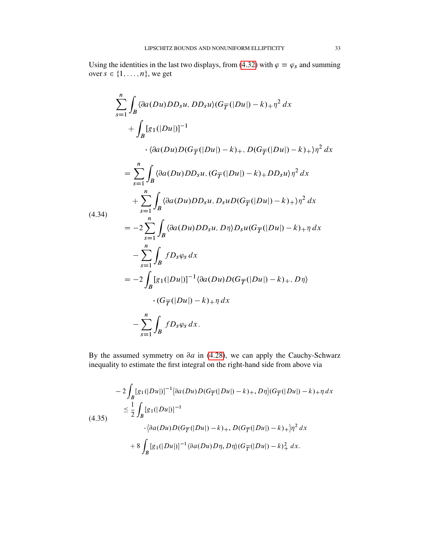Using the identities in the last two displays, from [\(4.32\)](#page-31-0) with  $\varphi = \varphi_s$  and summing over  $s \in \{1, \ldots, n\}$ , we get

<span id="page-32-0"></span>
$$
\sum_{s=1}^{n} \int_{B} \langle \partial a(Du)DD_{s}u, DD_{s}u \rangle (G_{\overline{T}}(|Du|) - k) + \eta^{2} dx
$$
  
+ 
$$
\int_{B} [g_{1}(|Du|)]^{-1}
$$
  
 
$$
\cdot \langle \partial a(Du)D(G_{\overline{T}}(|Du|) - k) + D(G_{\overline{T}}(|Du|) - k) + \eta^{2} dx
$$
  
= 
$$
\sum_{s=1}^{n} \int_{B} \langle \partial a(Du)DD_{s}u, (G_{\overline{T}}(|Du|) - k) + DD_{s}u \rangle \eta^{2} dx
$$
  
+ 
$$
\sum_{s=1}^{n} \int_{B} \langle \partial a(Du)DD_{s}u, D_{s}uD(G_{\overline{T}}(|Du|) - k) + \eta^{2} dx
$$
  
= 
$$
-2 \sum_{s=1}^{n} \int_{B} \langle \partial a(Du)DD_{s}u, D\eta \rangle D_{s}u(G_{\overline{T}}(|Du|) - k) + \eta dx
$$
  
- 
$$
\sum_{s=1}^{n} \int_{B} fD_{s} \varphi_{s} dx
$$
  
= 
$$
-2 \int_{B} [g_{1}(|Du|)]^{-1} \langle \partial a(Du)D(G_{\overline{T}}(|Du|) - k) + D\eta \rangle
$$
  
 
$$
\cdot (G_{\overline{T}}(|Du|) - k) + \eta dx
$$
  
= 
$$
\sum_{s=1}^{n} \int_{B} fD_{s} \varphi_{s} dx.
$$

By the assumed symmetry on  $\partial a$  in [\(4.28\)](#page-30-4), we can apply the Cauchy-Schwarz inequality to estimate the first integral on the right-hand side from above via

<span id="page-32-1"></span>
$$
-2\int_{B} [g_1(|Du|)]^{-1} \langle \partial a(Du)D(G_{\overline{T}}(|Du|) - k)_{+}, D\eta \rangle (G_{\overline{T}}(|Du|) - k)_{+} \eta \, dx
$$
  
\n
$$
\leq \frac{1}{2} \int_{B} [g_1(|Du|)]^{-1}
$$
  
\n
$$
\cdot \langle \partial a(Du)D(G_{\overline{T}}(|Du|) - k)_{+}, D(G_{\overline{T}}(|Du|) - k)_{+})\eta^2 \, dx
$$
  
\n
$$
+ 8 \int_{B} [g_1(|Du|)]^{-1} \langle \partial a(Du)D\eta, D\eta \rangle (G_{\overline{T}}(|Du|) - k)_{+}^2 \, dx.
$$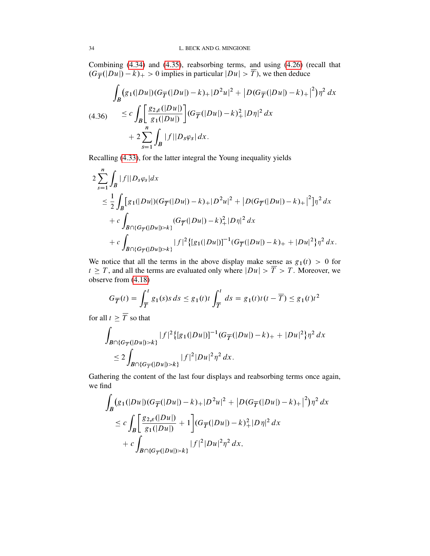Combining [\(4.34\)](#page-32-0) and [\(4.35\)](#page-32-1), reabsorbing terms, and using [\(4.26\)](#page-30-2) (recall that  $(G_{\overline{T}}(|Du|) - k)_{+} > 0$  implies in particular  $|Du| > \overline{T}$ ), we then deduce

<span id="page-33-0"></span>
$$
\int_{B} (g_{1}(|Du|)(G_{\overline{T}}(|Du|) - k) + |D^{2}u|^{2} + |D(G_{\overline{T}}(|Du|) - k) + |^{2})\eta^{2} dx
$$
\n
$$
(4.36) \leq c \int_{B} \left[ \frac{g_{2,\varepsilon}(|Du|)}{g_{1}(|Du|)} \right] (G_{\overline{T}}(|Du|) - k)_{+}^{2} |D\eta|^{2} dx
$$
\n
$$
+ 2 \sum_{s=1}^{n} \int_{B} |f||D_{s}\varphi_{s}| dx.
$$

Recalling [\(4.33\)](#page-31-2), for the latter integral the Young inequality yields

$$
2\sum_{s=1}^{n} \int_{B} |f||D_{s}\varphi_{s}| dx
$$
  
\n
$$
\leq \frac{1}{2} \int_{B} [g_{1}(|Du|)(G_{\overline{T}}(|Du|) - k) + |D^{2}u|^{2} + |D(G_{\overline{T}}(|Du|) - k) + |^{2}] \eta^{2} dx
$$
  
\n
$$
+ c \int_{B \cap \{G_{\overline{T}}(|Du|) > k\}} (G_{\overline{T}}(|Du|) - k)^{2} + |D\eta|^{2} dx
$$
  
\n
$$
+ c \int_{B \cap \{G_{\overline{T}}(|Du|) > k\}} |f|^{2} \{[g_{1}(|Du|)]^{-1}(G_{\overline{T}}(|Du|) - k) + |Du|^{2}\} \eta^{2} dx.
$$

We notice that all the terms in the above display make sense as  $g_1(t) > 0$  for  $t \geq T$ , and all the terms are evaluated only where  $|Du| > \overline{T} > T$ . Moreover, we observe from [\(4.18\)](#page-28-2)

$$
G_{\overline{T}}(t) = \int_{\overline{T}}^{t} g_1(s)s \, ds \le g_1(t)t \int_{\overline{T}}^{t} ds = g_1(t)t(t - \overline{T}) \le g_1(t)t^2
$$

for all  $t \geq \overline{T}$  so that

$$
\int_{B \cap \{G_{\overline{T}}(|Du|) > k\}} |f|^2 \{ [g_1(|Du|)]^{-1} (G_{\overline{T}}(|Du|) - k)_+ + |Du|^2 \} \eta^2 dx
$$
  
\n
$$
\leq 2 \int_{B \cap \{G_{\overline{T}}(|Du|) > k\}} |f|^2 |Du|^2 \eta^2 dx.
$$

Gathering the content of the last four displays and reabsorbing terms once again, we find

$$
\int_{B} (g_1(|Du|)(G_{\overline{T}}(|Du|) - k) + |D^2u|^2 + |D(G_{\overline{T}}(|Du|) - k) + |^2)\eta^2 dx
$$
\n
$$
\leq c \int_{B} \left[ \frac{g_{2,\varepsilon}(|Du|)}{g_1(|Du|)} + 1 \right] (G_{\overline{T}}(|Du|) - k)^2 + |D\eta|^2 dx
$$
\n
$$
+ c \int_{B \cap \{G_{\overline{T}}(|Du|) > k\}} |f|^2 |Du|^2 \eta^2 dx,
$$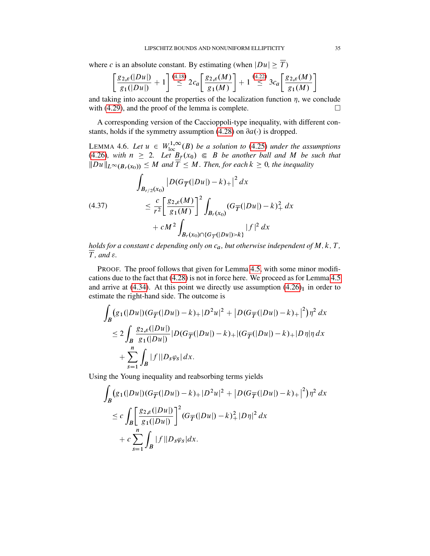where c is an absolute constant. By estimating (when  $|Du| \geq \overline{T}$ )

$$
\left[\frac{g_{2,\varepsilon}(|Du|)}{g_1(|Du|)}+1\right] \stackrel{(4.18)}{\leq} 2c_a \left[\frac{g_{2,\varepsilon}(M)}{g_1(M)}\right]+1 \stackrel{(4.22)}{\leq} 3c_a \left[\frac{g_{2,\varepsilon}(M)}{g_1(M)}\right]
$$

and taking into account the properties of the localization function  $\eta$ , we conclude with [\(4.29\)](#page-30-5), and the proof of the lemma is complete.  $\Box$ 

A corresponding version of the Caccioppoli-type inequality, with different con-stants, holds if the symmetry assumption [\(4.28\)](#page-30-4) on  $\partial a(.)$  is dropped.

LEMMA 4.6. Let  $u \in W^{1,\infty}_{loc}(B)$  be a solution to [\(4.25\)](#page-30-1) under the assumptions [\(4.26\)](#page-30-2)*, with*  $n \geq 2$ *. Let*  $B_r(x_0) \in B$  *be another ball and* M *be such that*  $\|Du\|_{L^{\infty}(B_r(x_0))} \leq M$  and  $\overline{T} \leq M$ . Then, for each  $k \geq 0$ , the inequality

<span id="page-34-0"></span>
$$
\int_{B_{r/2}(x_0)} |D(G_{\overline{T}}(|Du|) - k)_{+}|^2 dx
$$
\n
$$
\leq \frac{c}{r^2} \bigg[ \frac{g_{2,\varepsilon}(M)}{g_1(M)} \bigg]^2 \int_{B_r(x_0)} (G_{\overline{T}}(|Du|) - k)_{+}^2 dx
$$
\n
$$
+ cM^2 \int_{B_r(x_0) \cap \{G_{\overline{T}}(|Du|) > k\}} |f|^2 dx
$$

*holds for a constant c depending only on*  $c_a$ *, but otherwise independent of*  $M, k, T$ *,*  $\overline{T}$ *, and*  $\varepsilon$ *.* 

PROOF. The proof follows that given for Lemma [4.5,](#page-30-6) with some minor modifications due to the fact that [\(4.28\)](#page-30-4) is not in force here. We proceed as for Lemma [4.5](#page-30-6) and arrive at  $(4.34)$ . At this point we directly use assumption  $(4.26)<sub>1</sub>$  $(4.26)<sub>1</sub>$  in order to estimate the right-hand side. The outcome is

$$
\int_{B} (g_1(|Du|)(G_{\overline{T}}(|Du|)-k)_+|D^2u|^2+|D(G_{\overline{T}}(|Du|)-k)_+|^2)\eta^2 dx
$$
\n
$$
\leq 2\int_{B} \frac{g_{2,\varepsilon}(|Du|)}{g_1(|Du|)}|D(G_{\overline{T}}(|Du|)-k)_+|(G_{\overline{T}}(|Du|)-k)_+|D\eta|\eta dx
$$
\n
$$
+\sum_{s=1}^n \int_{B} |f||D_s\varphi_s| dx.
$$

Using the Young inequality and reabsorbing terms yields

$$
\int_{B} (g_1(|Du|)(G_{\overline{T}}(|Du|) - k)_+|D^2u|^2 + |D(G_{\overline{T}}(|Du|) - k)_+|^2)\eta^2 dx
$$
\n
$$
\leq c \int_{B} \left[ \frac{g_{2,s}(|Du|)}{g_1(|Du|)} \right]^2 (G_{\overline{T}}(|Du|) - k)_+^2|D\eta|^2 dx
$$
\n
$$
+ c \sum_{s=1}^n \int_{B} |f||D_s\varphi_s| dx.
$$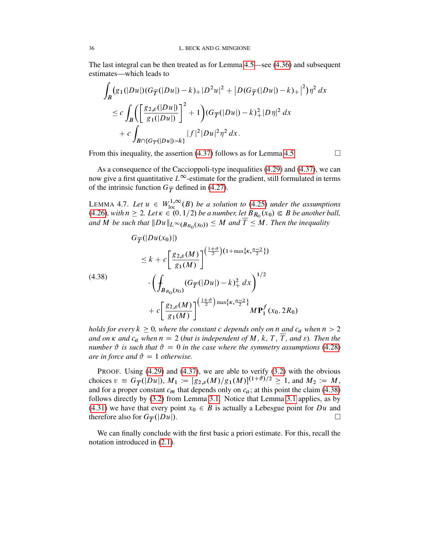The last integral can be then treated as for Lemma [4.5—](#page-30-6)see [\(4.36\)](#page-33-0) and subsequent estimates—which leads to

$$
\int_{B} (g_1(|Du|)(G_{\overline{T}}(|Du|)-k)_+|D^2u|^2+|D(G_{\overline{T}}(|Du|)-k)_+|^2)\eta^2 dx
$$
\n
$$
\leq c \int_{B} \left( \left[ \frac{g_{2,\varepsilon}(|Du|)}{g_1(|Du|)} \right]^2 + 1 \right) (G_{\overline{T}}(|Du|)-k)_+^2|D\eta|^2 dx
$$
\n
$$
+ c \int_{B \cap \{G_{\overline{T}}(|Du|)>k\}} |f|^2|Du|^2\eta^2 dx.
$$

From this inequality, the assertion  $(4.37)$  follows as for Lemma [4.5.](#page-30-6)

As a consequence of the Caccioppoli-type inequalities [\(4.29\)](#page-30-5) and [\(4.37\)](#page-34-0), we can now give a first quantitative  $L^{\infty}$ -estimate for the gradient, still formulated in terms of the intrinsic function  $G_{\overline{T}}$  defined in [\(4.27\)](#page-30-3).

LEMMA 4.7. Let  $u \in W^{1,\infty}_{loc}(B)$  be a solution to [\(4.25\)](#page-30-1) under the assumptions  $(4.26)$ *, with*  $n \geq 2$ *. Let*  $\kappa \in (0, 1/2)$  *be a number, let*  $B_{R_0}(x_0) \subseteq B$  *be another ball,* and M *be such that*  $||Du||_{L^{\infty}(B_{R_0}(x_0))} \leq M$  and  $\overline{T} \leq M$ . Then the inequality

<span id="page-35-0"></span>
$$
G_{\overline{T}}(|Du(x_0)|)
$$
\n
$$
\leq k + c \left[ \frac{g_{2,\varepsilon}(M)}{g_1(M)} \right]^{(\frac{1+\vartheta}{2})(1+\max\{\kappa, \frac{n-2}{2}\})}
$$
\n
$$
\cdot \left( \int_{B_{R_0}(x_0)} (G_{\overline{T}}(|Du|) - k)_{+}^2 dx \right)^{1/2}
$$
\n
$$
+ c \left[ \frac{g_{2,\varepsilon}(M)}{g_1(M)} \right]^{(\frac{1+\vartheta}{2}) \max\{\kappa, \frac{n-2}{2}\}} M P_1^f(x_0, 2R_0)
$$

*holds for every*  $k \geq 0$ *, where the constant c depends only on n and c<sub>a</sub> when*  $n > 2$ *and on*  $\kappa$  *and*  $c_a$  *when*  $n = 2$  (*but is independent of* M, k, T, T, *and*  $\epsilon$ )*. Then the number*  $\vartheta$  *is such that*  $\vartheta = 0$  *in the case where the symmetry assumptions* [\(4.28\)](#page-30-4) *are in force and*  $\vartheta = 1$  *otherwise.* 

PROOF. Using [\(4.29\)](#page-30-5) and [\(4.37\)](#page-34-0), we are able to verify [\(3.2\)](#page-20-3) with the obvious choices  $v = G_T^{-}(|Du|), M_1 := [g_{2,\varepsilon}(M)/g_1(M)]^{(1+\vartheta)/2} \geq 1$ , and  $M_2 := M$ , and for a proper constant  $c_m$  that depends only on  $c_a$ ; at this point the claim [\(4.38\)](#page-35-0) follows directly by [\(3.2\)](#page-20-3) from Lemma [3.1.](#page-20-1) Notice that Lemma [3.1](#page-20-1) applies, as by [\(4.31\)](#page-31-1) we have that every point  $x_0 \in B$  is actually a Lebesgue point for Du and therefore also for  $G_{\overline{T}}(|Du|)$ .

We can finally conclude with the first basic a priori estimate. For this, recall the notation introduced in [\(2.1\)](#page-17-0).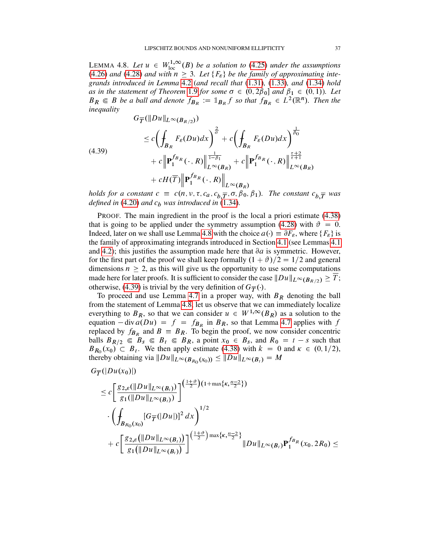<span id="page-36-0"></span>LEMMA 4.8. Let  $u \in W^{1,\infty}_{loc}(B)$  be a solution to [\(4.25\)](#page-30-0) under the assumptions [\(4.26\)](#page-30-1) and [\(4.28\)](#page-30-2) and with  $n \geq 3$ . Let  $\{F_{\varepsilon}\}\$  be the family of approximating inte*grands introduced in Lemma* [4.2](#page-25-0) (*and recall that* [\(1.31\)](#page-8-0)*,* [\(1.33\)](#page-9-0)*, and* [\(1.34\)](#page-9-1) *hold* as in the statement of Theorem [1.9](#page-9-2) for some  $\sigma \in (0, 2\beta_0]$  and  $\beta_1 \in (0, 1)$ *). Let*  $B_R \in B$  be a ball and denote  $f_{B_R} := \mathbb{1}_{B_R} f$  so that  $f_{B_R} \in L^2(\mathbb{R}^n)$ . Then the *inequality*

<span id="page-36-1"></span>
$$
G_{\overline{T}}(\|Du\|_{L^{\infty}(B_{R/2})})
$$
\n
$$
\leq c \left(\int_{B_R} F_{\varepsilon}(Du)dx\right)^{\frac{2}{\sigma}} + c \left(\int_{B_R} F_{\varepsilon}(Du)dx\right)^{\frac{1}{\beta_0}}
$$
\n
$$
+ c \left\| \mathbf{P}_1^{f_{B_R}}(\cdot, R) \right\|_{L^{\infty}(B_R)}^{\frac{1}{1-\beta_1}} + c \left\| \mathbf{P}_1^{f_{B_R}}(\cdot, R) \right\|_{L^{\infty}(B_R)}^{\frac{\tau+2}{\tau+1}}
$$
\n
$$
+ cH(\overline{T}) \left\| \mathbf{P}_1^{f_{B_R}}(\cdot, R) \right\|_{L^{\infty}(B_R)}
$$

*holds for a constant*  $c \equiv c(n, \nu, \tau, c_a, c_{b,\overline{T}}, \sigma, \beta_0, \beta_1)$ *. The constant*  $c_{b,\overline{T}}$  *was defined in* [\(4.20\)](#page-29-0) *and*  $c_b$  *was introduced in* [\(1.34\)](#page-9-1).

PROOF. The main ingredient in the proof is the local a priori estimate [\(4.38\)](#page-35-0) that is going to be applied under the symmetry assumption [\(4.28\)](#page-30-2) with  $\vartheta = 0$ . Indeed, later on we shall use Lemma [4.8](#page-36-0) with the choice  $a(\cdot) \equiv \partial F_{\varepsilon}$ , where  $\{F_{\varepsilon}\}\$  is the family of approximating integrands introduced in Section [4.1](#page-24-0) (see Lemmas [4.1](#page-25-1) and [4.2\)](#page-25-0); this justifies the assumption made here that  $\partial a$  is symmetric. However, for the first part of the proof we shall keep formally  $(1 + \vartheta)/2 = 1/2$  and general dimensions  $n \geq 2$ , as this will give us the opportunity to use some computations made here for later proofs. It is sufficient to consider the case  $||Du||_{L^{\infty}(B_{R/2})} \geq T$ ; otherwise, [\(4.39\)](#page-36-1) is trivial by the very definition of  $G_{\overline{T}}(\cdot)$ .

To proceed and use Lemma [4.7](#page-35-1) in a proper way, with  $B_R$  denoting the ball from the statement of Lemma [4.8,](#page-36-0) let us observe that we can immediately localize everything to  $B_R$ , so that we can consider  $u \in W^{1,\infty}(B_R)$  as a solution to the equation  $-\text{div}\,a(Du) = f = f_{B_R}$  in  $B_R$ , so that Lemma [4.7](#page-35-1) applies with f replaced by  $f_{B_R}$  and  $B = B_R$ . To begin the proof, we now consider concentric balls  $B_{R/2} \in B_s \in B_t \in B_R$ , a point  $x_0 \in B_s$ , and  $R_0 = t - s$  such that  $B_{R_0}(x_0) \subset B_t$ . We then apply estimate [\(4.38\)](#page-35-0) with  $k = 0$  and  $\kappa \in (0, 1/2)$ , thereby obtaining via  $||Du||_{L^{\infty}(B_{R_0}(x_0))} \leq ||Du||_{L^{\infty}(B_t)} = M$ 

$$
G_{\overline{T}}(|Du(x_0)|)
$$

$$
\leq c \left[ \frac{g_{2,\varepsilon}(\|Du\|_{L^{\infty}(B_{t})})}{g_{1}(\|Du\|_{L^{\infty}(B_{t})})} \right]^{(\frac{1+\vartheta}{2})(1+\max\{\kappa,\frac{n-2}{2}\})}
$$
  

$$
\cdot \left( \int_{B_{R_{0}}(x_{0})} [G_{\overline{T}}(|Du|)]^{2} dx \right)^{1/2}
$$
  

$$
+ c \left[ \frac{g_{2,\varepsilon}(\|Du\|_{L^{\infty}(B_{t})})}{g_{1}(\|Du\|_{L^{\infty}(B_{t})})} \right]^{(\frac{1+\vartheta}{2}) \max\{\kappa,\frac{n-2}{2}\}} \|Du\|_{L^{\infty}(B_{t})} \mathbf{P}_{1}^{f_{B_{R}}}(x_{0}, 2R_{0}) \leq
$$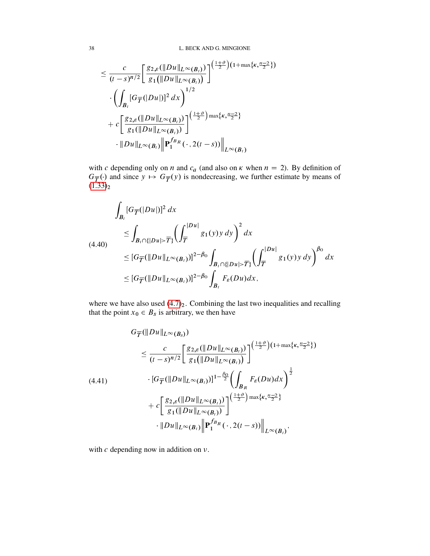$$
\leq \frac{c}{(t-s)^{n/2}} \Bigg[ \frac{g_{2,\varepsilon}(\|Du\|_{L^{\infty}(B_t)})}{g_1(\|Du\|_{L^{\infty}(B_t)})} \Bigg]^{(\frac{1+\vartheta}{2})(1+\max\{\kappa,\frac{n-2}{2}\})} \cdot \Biggl( \int_{B_t} [G_{\overline{T}}(|Du|)]^2 dx \Biggr)^{1/2} \n+ c \Biggl[ \frac{g_{2,\varepsilon}(\|Du\|_{L^{\infty}(B_t)})}{g_1(\|Du\|_{L^{\infty}(B_t)})} \Biggr]^{(\frac{1+\vartheta}{2}) \max\{\kappa,\frac{n-2}{2}\}} \cdot \|Du\|_{L^{\infty}(B_t)} \Biggl\| \mathbf{P}_1^{f_{B_R}}(\cdot, 2(t-s)) \Biggr\|_{L^{\infty}(B_t)}
$$

with c depending only on n and  $c_a$  (and also on  $\kappa$  when  $n = 2$ ). By definition of  $G_{\overline{T}}(\cdot)$  and since  $y \mapsto G_{\overline{T}}(y)$  is nondecreasing, we further estimate by means of  $(1.33)_2$  $(1.33)_2$ 

<span id="page-37-1"></span>
$$
\int_{B_t} [G_{\overline{T}}(|Du|)]^2 dx
$$
\n
$$
\leq \int_{B_t \cap \{|Du| > \overline{T}\}} \left( \int_{\overline{T}}^{|Du|} g_1(y) y \, dy \right)^2 dx
$$
\n
$$
\leq [G_{\overline{T}}(\|Du\|_{L^{\infty}(B_t)})]^{2-\beta_0} \int_{B_t \cap \{|Du| > \overline{T}\}} \left( \int_{\overline{T}}^{|Du|} g_1(y) y \, dy \right)^{\beta_0} dx
$$
\n
$$
\leq [G_{\overline{T}}(\|Du\|_{L^{\infty}(B_t)})]^{2-\beta_0} \int_{B_t} F_{\varepsilon}(Du) dx,
$$

where we have also used  $(4.7)_2$  $(4.7)_2$ . Combining the last two inequalities and recalling that the point  $x_0 \in B_s$  is arbitrary, we then have

<span id="page-37-0"></span>
$$
G_{\overline{T}}(\|Du\|_{L^{\infty}(B_{s})})
$$
\n
$$
\leq \frac{c}{(t-s)^{n/2}} \left[ \frac{g_{2,\varepsilon}(\|Du\|_{L^{\infty}(B_{t})})}{g_{1}(\|Du\|_{L^{\infty}(B_{t})})} \right]^{(\frac{1+\vartheta}{2})(1+\max\{k,\frac{n-2}{2}\})}
$$
\n
$$
\cdot [G_{\overline{T}}(\|Du\|_{L^{\infty}(B_{t})})]^{1-\frac{\beta_{0}}{2}} \left( \int_{B_{R}} F_{\varepsilon}(Du)dx \right)^{\frac{1}{2}}
$$
\n
$$
+ c \left[ \frac{g_{2,\varepsilon}(\|Du\|_{L^{\infty}(B_{t})})}{g_{1}(\|Du\|_{L^{\infty}(B_{t})})} \right]^{(\frac{1+\vartheta}{2}) \max\{k,\frac{n-2}{2}\}} \cdot \|Du\|_{L^{\infty}(B_{t})} \left\| P_{1}^{f_{B_{R}}}(\cdot,2(t-s)) \right\|_{L^{\infty}(B_{t})},
$$

with  $c$  depending now in addition on  $\nu$ .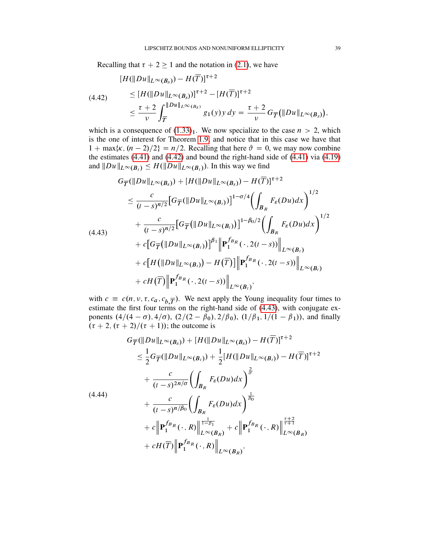Recalling that  $\tau + 2 \ge 1$  and the notation in [\(2.1\)](#page-17-0), we have

<span id="page-38-0"></span>
$$
[H(||Du||_{L^{\infty}(B_s)}) - H(\overline{T})]^{t+2}
$$
  
(4.42) 
$$
\leq [H(||Du||_{L^{\infty}(B_s)})]^{t+2} - [H(\overline{T})]^{t+2}
$$

$$
\leq \frac{\tau+2}{\nu} \int_{\overline{T}}^{||Du||_{L^{\infty}(B_s)}} g_1(y) y \, dy = \frac{\tau+2}{\nu} G_{\overline{T}}(||Du||_{L^{\infty}(B_s))},
$$

which is a consequence of  $(1.33)_1$  $(1.33)_1$ . We now specialize to the case  $n > 2$ , which is the one of interest for Theorem [1.9,](#page-9-2) and notice that in this case we have that  $1 + \max{\kappa}$ ,  $(n-2)/2$  =  $n/2$ . Recalling that here  $\vartheta = 0$ , we may now combine the estimates [\(4.41\)](#page-37-0) and [\(4.42\)](#page-38-0) and bound the right-hand side of [\(4.41\)](#page-37-0) via [\(4.19\)](#page-28-0) and  $||Du||_{L^{\infty}(B_t)} \leq H(||Du||_{L^{\infty}(B_t)})$ . In this way we find

<span id="page-38-1"></span>
$$
G_{\overline{T}}(\|Du\|_{L^{\infty}(B_{s})}) + [H(\|Du\|_{L^{\infty}(B_{s})}) - H(\overline{T})]^{t+2}
$$
\n
$$
\leq \frac{c}{(t-s)^{n/2}} [G_{\overline{T}}(\|Du\|_{L^{\infty}(B_{t})})]^{1-\sigma/4} \Biggl(\int_{B_{R}} F_{\varepsilon}(Du)dx\Biggr)^{1/2} + \frac{c}{(t-s)^{n/2}} [G_{\overline{T}}(\|Du\|_{L^{\infty}(B_{t})})]^{1-\beta_{0}/2} \Biggl(\int_{B_{R}} F_{\varepsilon}(Du)dx\Biggr)^{1/2} + c [G_{\overline{T}}(\|Du\|_{L^{\infty}(B_{t})})]^{\beta_{1}} \Biggl\| \mathbf{P}_{1}^{f_{B_{R}}}(\cdot, 2(t-s)) \Biggr\|_{L^{\infty}(B_{t})} + c [H(\|Du\|_{L^{\infty}(B_{t})}) - H(\overline{T})] \Biggl\| \mathbf{P}_{1}^{f_{B_{R}}}(\cdot, 2(t-s)) \Biggr\|_{L^{\infty}(B_{t})} + c H(\overline{T}) \Biggl\| \mathbf{P}_{1}^{f_{B_{R}}}(\cdot, 2(t-s)) \Biggr\|_{L^{\infty}(B_{t})},
$$

with  $c \equiv c(n, \nu, \tau, c_a, c_b, \overline{T})$ . We next apply the Young inequality four times to estimate the first four terms on the right-hand side of [\(4.43\)](#page-38-1), with conjugate exponents  $(4/(4 - \sigma), 4/\sigma), (2/(2 - \beta_0), 2/\beta_0), (1/\beta_1, 1/(1 - \beta_1)),$  and finally  $(\tau + 2, (\tau + 2)/(\tau + 1))$ ; the outcome is

<span id="page-38-2"></span>
$$
G_{\overline{T}}(\|Du\|_{L^{\infty}(B_{s})}) + [H(\|Du\|_{L^{\infty}(B_{s})}) - H(\overline{T})]^{\tau+2}
$$
  
\n
$$
\leq \frac{1}{2}G_{\overline{T}}(\|Du\|_{L^{\infty}(B_{t})}) + \frac{1}{2}[H(\|Du\|_{L^{\infty}(B_{t})}) - H(\overline{T})]^{\tau+2}
$$
  
\n
$$
+ \frac{c}{(t-s)^{2n/\sigma}} \left(\int_{B_{R}} F_{\varepsilon}(Du)dx\right)^{\frac{2}{\sigma}}
$$
  
\n
$$
+ \frac{c}{(t-s)^{n/\beta_{0}}} \left(\int_{B_{R}} F_{\varepsilon}(Du)dx\right)^{\frac{1}{\beta_{0}}
$$
  
\n
$$
+ c \left\| \mathbf{P}_{1}^{f_{B_{R}}}(\cdot, R) \right\|_{L^{\infty}(B_{R})}^{\frac{1}{1-\beta_{1}}} + c \left\| \mathbf{P}_{1}^{f_{B_{R}}}(\cdot, R) \right\|_{L^{\infty}(B_{R})}^{\frac{\tau+2}{\tau+1}}
$$
  
\n
$$
+ c H(\overline{T}) \left\| \mathbf{P}_{1}^{f_{B_{R}}}(\cdot, R) \right\|_{L^{\infty}(B_{R})}^{\tau}
$$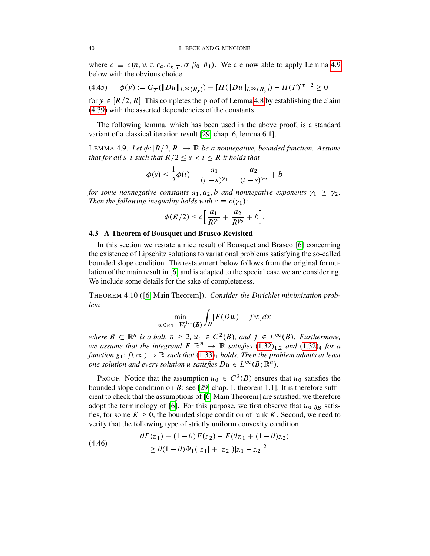where  $c \equiv c(n, \nu, \tau, c_a, c_b, \overline{T}, \sigma, \beta_0, \beta_1)$ . We are now able to apply Lemma [4.9](#page-39-0) below with the obvious choice

<span id="page-39-3"></span>
$$
(4.45) \qquad \phi(y) := G_{\overline{T}}(\|Du\|_{L^{\infty}(B_y)}) + [H(\|Du\|_{L^{\infty}(B_y)}) - H(\overline{T})]^{\tau+2} \ge 0
$$

for  $y \in [R/2, R]$ . This completes the proof of Lemma [4.8](#page-36-0) by establishing the claim  $(4.39)$  with the asserted dependencies of the constants.

The following lemma, which has been used in the above proof, is a standard variant of a classical iteration result [\[29,](#page-89-0) chap. 6, lemma 6.1].

<span id="page-39-0"></span>LEMMA 4.9. Let  $\phi$ :  $[R/2, R] \rightarrow \mathbb{R}$  be a nonnegative, bounded function. Assume *that for all s, t such that*  $R/2 \leq s < t \leq R$  *it holds that* 

$$
\phi(s) \le \frac{1}{2}\phi(t) + \frac{a_1}{(t-s)^{\gamma_1}} + \frac{a_2}{(t-s)^{\gamma_2}} + b
$$

*for some nonnegative constants*  $a_1, a_2, b$  *and nonnegative exponents*  $\gamma_1 \geq \gamma_2$ *.* Then the following inequality holds with  $c \equiv c(\gamma_1)$ :

$$
\phi(R/2) \le c \left[ \frac{a_1}{R^{\gamma_1}} + \frac{a_2}{R^{\gamma_2}} + b \right].
$$

#### <span id="page-39-4"></span>4.3 A Theorem of Bousquet and Brasco Revisited

In this section we restate a nice result of Bousquet and Brasco [\[6\]](#page-88-0) concerning the existence of Lipschitz solutions to variational problems satisfying the so-called bounded slope condition. The restatement below follows from the original formulation of the main result in [\[6\]](#page-88-0) and is adapted to the special case we are considering. We include some details for the sake of completeness.

<span id="page-39-2"></span>THEOREM 4.10 ([\[6,](#page-88-0) Main Theorem]). *Consider the Dirichlet minimization problem*

$$
\min_{w \in u_0 + W_0^{1,1}(B)} \int_B [F(Dw) - fw] dx
$$

where  $B \subset \mathbb{R}^n$  is a ball,  $n \geq 2$ ,  $u_0 \in C^2(B)$ , and  $f \in L^\infty(B)$ . Furthermore, *we assume that the integrand*  $F: \mathbb{R}^n \to \mathbb{R}$  *satisfies*  $(1.32)_{1,2}$  $(1.32)_{1,2}$  *and*  $(1.32)_4$  *for a function*  $g_1$ :  $[0, \infty) \to \mathbb{R}$  *such that*  $(1.33)$ <sub>1</sub> *holds. Then the problem admits at least one solution and every solution* u *satisfies*  $Du \in L^{\infty}(B; \mathbb{R}^n)$ .

PROOF. Notice that the assumption  $u_0 \in C^2(B)$  ensures that  $u_0$  satisfies the bounded slope condition on  $B$ ; see [\[29,](#page-89-0) chap. 1, theorem 1.1]. It is therefore sufficient to check that the assumptions of [\[6,](#page-88-0) Main Theorem] are satisfied; we therefore adopt the terminology of [\[6\]](#page-88-0). For this purpose, we first observe that  $u_0|_{\partial B}$  satisfies, for some  $K \geq 0$ , the bounded slope condition of rank K. Second, we need to verify that the following type of strictly uniform convexity condition

<span id="page-39-1"></span>(4.46) 
$$
\theta F(z_1) + (1 - \theta)F(z_2) - F(\theta z_1 + (1 - \theta)z_2)
$$

$$
\geq \theta (1 - \theta) \Psi_1(|z_1| + |z_2|)|z_1 - z_2|^2
$$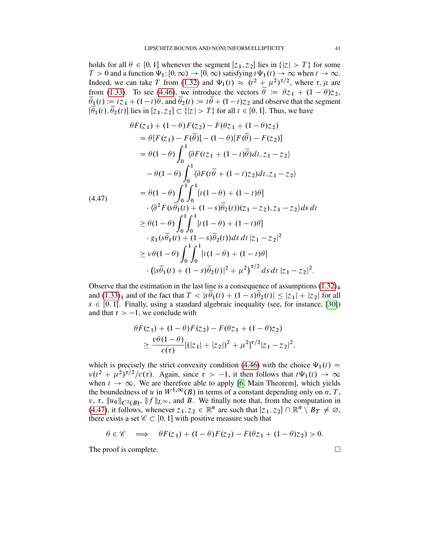holds for all  $\theta \in [0, 1]$  whenever the segment  $[z_1, z_2]$  lies in  $\{|z| > T\}$  for some  $T > 0$  and a function  $\Psi_1: [0, \infty) \to [0, \infty)$  satisfying  $t \Psi_1(t) \to \infty$  when  $t \to \infty$ . Indeed, we can take T from [\(1.32\)](#page-9-3) and  $\Psi_1(t) \approx (t^2 + \mu^2)^{\tau/2}$ , where  $\tau$ ,  $\mu$  are from [\(1.33\)](#page-9-0). To see [\(4.46\)](#page-39-1), we introduce the vectors  $\overline{\theta} := \theta z_1 + (1 - \theta)z_2$ ,  $\overline{\theta}_1(t) := tz_1 + (1-t)\overline{\theta}$ , and  $\overline{\theta}_2(t) := t\overline{\theta} + (1-t)z_2$  and observe that the segment  $[\overline{\theta}_1(t), \overline{\theta}_2(t)]$  lies in  $[z_1, z_2] \subset \{|z| > T\}$  for all  $t \in [0, 1]$ . Thus, we have

<span id="page-40-0"></span>
$$
\theta F(z_1) + (1 - \theta) F(z_2) - F(\theta z_1 + (1 - \theta) z_2)
$$
  
=  $\theta [F(z_1) - F(\bar{\theta})] - (1 - \theta) [F(\bar{\theta}) - F(z_2)]$   
=  $\theta (1 - \theta) \int_0^1 \langle \partial F(t z_1 + (1 - t) \bar{\theta}) dt, z_1 - z_2 \rangle$   
 $-\theta (1 - \theta) \int_0^1 \langle \partial F(t \bar{\theta} + (1 - t) z_2) dt, z_1 - z_2 \rangle$   
=  $\theta (1 - \theta) \int_0^1 \int_0^1 [t (1 - \theta) + (1 - t) \theta]$   
 $\cdot \langle \partial^2 F(s \bar{\theta}_1(t) + (1 - s) \bar{\theta}_2(t)) (z_1 - z_2), z_1 - z_2 \rangle ds dt$   
 $\ge \theta (1 - \theta) \int_0^1 \int_0^1 [t (1 - \theta) + (1 - t) \theta]$   
 $\cdot g_1 (s \bar{\theta}_1(t) + (1 - s) \bar{\theta}_2(t)) ds dt |z_1 - z_2|^2$   
 $\ge v \theta (1 - \theta) \int_0^1 \int_0^1 [t (1 - \theta) + (1 - t) \theta]$   
 $\cdot (|s \bar{\theta}_1(t) + (1 - s) \bar{\theta}_2(t)|^2 + \mu^2)^{\tau/2} ds dt |z_1 - z_2|^2$ .

Observe that the estimation in the last line is a consequence of assumptions  $(1.32)<sub>4</sub>$  $(1.32)<sub>4</sub>$ and  $(1.33)_1$  $(1.33)_1$  and of the fact that  $T < |\overline{s\theta_1}(t) + (1 - s)\overline{\theta_2}(t)| \leq |z_1| + |z_2|$  for all  $s \in [0, 1]$ . Finally, using a standard algebraic inequality (see, for instance, [\[30\]](#page-89-1)) and that  $\tau > -1$ , we conclude with

$$
\theta F(z_1) + (1 - \theta) F(z_2) - F(\theta z_1 + (1 - \theta) z_2)
$$
  
\n
$$
\geq \frac{\nu \theta (1 - \theta)}{c(\tau)} [(|z_1| + |z_2|)^2 + \mu^2]^{t/2} |z_1 - z_2|^2,
$$

which is precisely the strict convexity condition [\(4.46\)](#page-39-1) with the choice  $\Psi_1(t)$  =  $\nu(t^2 + \mu^2)^{\tau/2}/c(\tau)$ . Again, since  $\tau > -1$ , it then follows that  $t\Psi_1(t) \to \infty$ when  $t \to \infty$ . We are therefore able to apply [\[6,](#page-88-0) Main Theorem], which yields the boundedness of u in  $W^{1,\infty}(B)$  in terms of a constant depending only on n, T,  $\nu$ ,  $\tau$ ,  $\|u_0\|_{C^2(B)}$ ,  $\|f\|_{L^{\infty}}$ , and B. We finally note that, from the computation in [\(4.47\)](#page-40-0), it follows, whenever  $z_1, z_2 \in \mathbb{R}^n$  are such that  $[z_1, z_2] \cap \mathbb{R}^n \setminus B_T \neq \emptyset$ , there exists a set  $\mathscr{C} \subset [0, 1]$  with positive measure such that

$$
\theta \in \mathscr{C} \quad \Longrightarrow \quad \theta F(z_1) + (1 - \theta) F(z_2) - F(\theta z_1 + (1 - \theta) z_2) > 0.
$$

The proof is complete.  $\Box$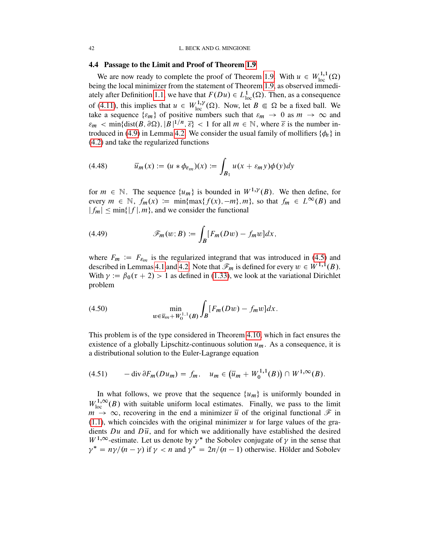## <span id="page-41-1"></span>4.4 Passage to the Limit and Proof of Theorem [1.9](#page-9-2)

We are now ready to complete the proof of Theorem [1.9.](#page-9-2) With  $u \in W^{1,1}_{loc}(\Omega)$ being the local minimizer from the statement of Theorem [1.9,](#page-9-2) as observed immedi-ately after Definition [1.1,](#page-3-0) we have that  $F(Du) \in L^1_{loc}(\Omega)$ . Then, as a consequence of [\(4.11\)](#page-26-0), this implies that  $u \in W^{1, \gamma}_{loc}(\Omega)$ . Now, let  $B \in \Omega$  be a fixed ball. We take a sequence  $\{\varepsilon_m\}$  of positive numbers such that  $\varepsilon_m \to 0$  as  $m \to \infty$  and  $\varepsilon_m < \min\{\text{dist}(B, \partial \Omega), |B|^{1/n}, \overline{\varepsilon}\} < 1$  for all  $m \in \mathbb{N}$ , where  $\overline{\varepsilon}$  is the number in-troduced in [\(4.9\)](#page-25-3) in Lemma [4.2.](#page-25-0) We consider the usual family of mollifiers  $\{\phi_{\varepsilon}\}\$ in [\(4.2\)](#page-24-1) and take the regularized functions

<span id="page-41-2"></span>(4.48) 
$$
\overline{u}_m(x) := (u * \phi_{\varepsilon_m})(x) := \int_{B_1} u(x + \varepsilon_m y) \phi(y) dy
$$

for  $m \in \mathbb{N}$ . The sequence  $\{u_m\}$  is bounded in  $W^{1,\gamma}(B)$ . We then define, for every  $m \in \mathbb{N}$ ,  $f_m(x) := \min\{\max\{f(x), -m\}, m\}$ , so that  $f_m \in L^{\infty}(B)$  and  $|f_m| \le \min\{|f|, m\}$ , and we consider the functional

<span id="page-41-3"></span>(4.49) 
$$
\mathscr{F}_m(w; B) := \int_B [F_m(Dw) - f_m w] dx,
$$

where  $F_m := F_{\varepsilon_m}$  is the regularized integrand that was introduced in [\(4.5\)](#page-25-4) and described in Lemmas [4.1](#page-25-1) and [4.2.](#page-25-0) Note that  $\mathcal{F}_m$  is defined for every  $w \in W^{1,1}(B)$ . With  $\gamma := \beta_0(\tau + 2) > 1$  as defined in [\(1.33\)](#page-9-0), we look at the variational Dirichlet problem

<span id="page-41-4"></span>(4.50) 
$$
\min_{w \in \overline{u}_m + W_0^{1,1}(B)} \int_B [F_m(Dw) - f_m w] dx.
$$

This problem is of the type considered in Theorem [4.10,](#page-39-2) which in fact ensures the existence of a globally Lipschitz-continuous solution  $u_m$ . As a consequence, it is a distributional solution to the Euler-Lagrange equation

<span id="page-41-0"></span>
$$
(4.51) \t -\text{div}\,\partial F_m(Du_m) = f_m, \quad u_m \in \left(\overline{u}_m + W_0^{1,1}(B)\right) \cap W^{1,\infty}(B).
$$

In what follows, we prove that the sequence  $\{u_m\}$  is uniformly bounded in  $W_{\text{loc}}^{1,\infty}(B)$  with suitable uniform local estimates. Finally, we pass to the limit  $m \to \infty$ , recovering in the end a minimizer  $\bar{u}$  of the original functional  $\mathscr{F}$  in  $(1.1)$ , which coincides with the original minimizer u for large values of the gradients  $Du$  and  $D\overline{u}$ , and for which we additionally have established the desired  $W^{1,\infty}$ -estimate. Let us denote by  $\gamma^*$  the Sobolev conjugate of  $\gamma$  in the sense that  $\gamma^* = n\gamma/(n - \gamma)$  if  $\gamma < n$  and  $\gamma^* = 2n/(n - 1)$  otherwise. Hölder and Sobolev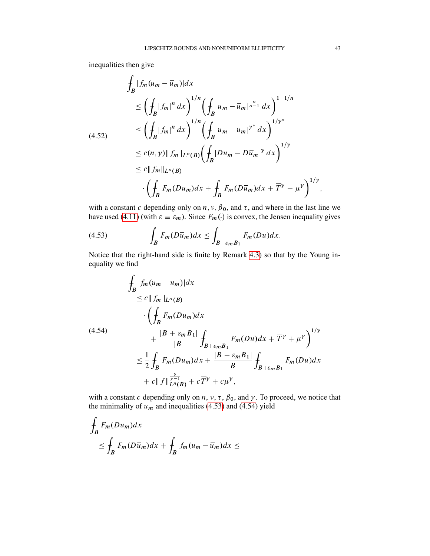inequalities then give

<span id="page-42-2"></span>
$$
\int_{B} |f_{m}(u_{m} - \bar{u}_{m})| dx
$$
\n
$$
\leq \left( \int_{B} |f_{m}|^{n} dx \right)^{1/n} \left( \int_{B} |u_{m} - \bar{u}_{m}|^{\frac{n}{n-1}} dx \right)^{1-1/n}
$$
\n
$$
\leq \left( \int_{B} |f_{m}|^{n} dx \right)^{1/n} \left( \int_{B} |u_{m} - \bar{u}_{m}|^{\gamma^{*}} dx \right)^{1/\gamma^{*}}
$$
\n
$$
\leq c(n, \gamma) \|f_{m}\|_{L^{n}(B)} \left( \int_{B} |Du_{m} - D\bar{u}_{m}|^{\gamma} dx \right)^{1/\gamma}
$$
\n
$$
\leq c \|f_{m}\|_{L^{n}(B)}
$$
\n
$$
\cdot \left( \int_{B} F_{m}(Du_{m}) dx + \int_{B} F_{m}(D\bar{u}_{m}) dx + \overline{T}^{\gamma} + \mu^{\gamma} \right)^{1/\gamma},
$$

with a constant c depending only on  $n, v, \beta_0$ , and  $\tau$ , and where in the last line we have used [\(4.11\)](#page-26-0) (with  $\varepsilon \equiv \varepsilon_m$ ). Since  $F_m(\cdot)$  is convex, the Jensen inequality gives

<span id="page-42-0"></span>(4.53) 
$$
\int_{B} F_m(D\overline{u}_m)dx \leq \int_{B+\varepsilon_m B_1} F_m(Du)dx.
$$

Notice that the right-hand side is finite by Remark [4.3\)](#page-28-1) so that by the Young inequality we find

<span id="page-42-1"></span>
$$
\int_{B} |f_{m}(u_{m} - \overline{u}_{m})| dx
$$
\n
$$
\leq c \|f_{m}\|_{L^{n}(B)}
$$
\n
$$
\cdot \left(\int_{B} F_{m}(Du_{m}) dx + \frac{|B + \varepsilon_{m}B_{1}|}{|B|} \int_{B + \varepsilon_{m}B_{1}} F_{m}(Du) dx + \overline{T}^{\gamma} + \mu^{\gamma}\right)^{1/\gamma}
$$
\n
$$
\leq \frac{1}{2} \int_{B} F_{m}(Du_{m}) dx + \frac{|B + \varepsilon_{m}B_{1}|}{|B|} \int_{B + \varepsilon_{m}B_{1}} F_{m}(Du) dx + c \|f\|_{L^{n}(B)}^{\frac{\gamma}{\gamma - 1}} + c \overline{T}^{\gamma} + c\mu^{\gamma},
$$

with a constant c depending only on n, v,  $\tau$ ,  $\beta_0$ , and  $\gamma$ . To proceed, we notice that the minimality of  $u_m$  and inequalities [\(4.53\)](#page-42-0) and [\(4.54\)](#page-42-1) yield

$$
\int_{B} F_m(Du_m)dx
$$
\n
$$
\leq \int_{B} F_m(D\overline{u}_m)dx + \int_{B} f_m(u_m - \overline{u}_m)dx \leq
$$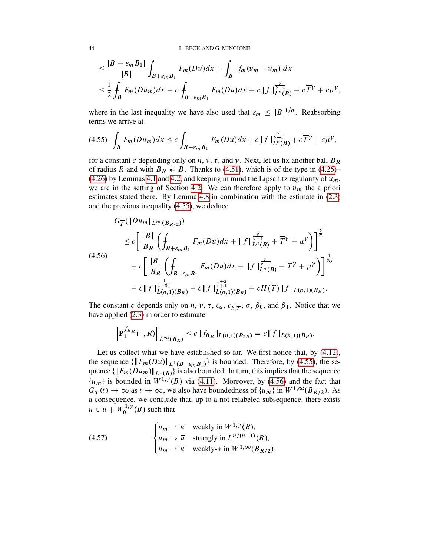44 L. BECK AND G. MINGIONE

$$
\leq \frac{|B+\varepsilon_m B_1|}{|B|} \int_{B+\varepsilon_m B_1} F_m(Du) dx + \int_B |f_m(u_m - \overline{u}_m)| dx
$$
  

$$
\leq \frac{1}{2} \int_B F_m(Du_m) dx + c \int_{B+\varepsilon_m B_1} F_m(Du) dx + c ||f||_{L^n(B)}^{\frac{\nu}{\nu-1}} + c \overline{T}^{\nu} + c \mu^{\nu},
$$

where in the last inequality we have also used that  $\varepsilon_m \leq |B|^{1/n}$ . Reabsorbing terms we arrive at

<span id="page-43-0"></span>
$$
(4.55)\quad \int_{B} F_m(Du_m)dx \leq c\int_{B+\varepsilon_m B_1} F_m(Du)dx + c\|f\|_{L^n(B)}^{\frac{\gamma}{\gamma-1}} + c\overline{T}^{\gamma} + c\mu^{\gamma},
$$

for a constant c depending only on n, v,  $\tau$ , and  $\gamma$ . Next, let us fix another ball  $B_R$ of radius R and with  $B_R \in B$ . Thanks to [\(4.51\)](#page-41-0), which is of the type in [\(4.25\)](#page-30-0)– [\(4.26\)](#page-30-1) by Lemmas [4.1](#page-25-1) and [4.2,](#page-25-0) and keeping in mind the Lipschitz regularity of  $u_m$ , we are in the setting of Section [4.2.](#page-30-3) We can therefore apply to  $u_m$  the a priori estimates stated there. By Lemma [4.8](#page-36-0) in combination with the estimate in [\(2.3\)](#page-18-0) and the previous inequality [\(4.55\)](#page-43-0), we deduce

<span id="page-43-1"></span>
$$
G_{\overline{T}}(\|Du_m\|_{L^{\infty}(B_{R/2}))}
$$
\n
$$
\leq c \left[ \frac{|B|}{|B_R|} \left( \int_{B+\varepsilon_m B_1} F_m(Du) dx + \|f\|_{L^{\pi}(B)}^{\frac{\gamma}{\gamma-1}} + \overline{T}^{\gamma} + \mu^{\gamma} \right) \right]^{\frac{2}{\sigma}}
$$
\n
$$
+ c \left[ \frac{|B|}{|B_R|} \left( \int_{B+\varepsilon_m B_1} F_m(Du) dx + \|f\|_{L^{\pi}(B)}^{\frac{\gamma}{\gamma-1}} + \overline{T}^{\gamma} + \mu^{\gamma} \right) \right]^{\frac{1}{\beta_0}}
$$
\n
$$
+ c \|f\|_{L(n,1)(B_R)}^{\frac{1}{1-\beta_1}} + c \|f\|_{L(n,1)(B_R)}^{\frac{\tau+2}{\tau+1}} + c \|f\|_{L(n,1)(B_R)}^{\frac{\tau+2}{\tau+1}}.
$$

The constant c depends only on n, v,  $\tau$ ,  $c_a$ ,  $c_{b,\overline{T}}$ ,  $\sigma$ ,  $\beta_0$ , and  $\beta_1$ . Notice that we have applied [\(2.3\)](#page-18-0) in order to estimate

$$
\left\| \mathbf{P}_{1}^{f_{B_R}}(\,\cdot\,,R) \right\|_{L^{\infty}(B_R)} \leq c \, \|f_{B_R}\|_{L(n,1)(B_{2R})} = c \, \|f\|_{L(n,1)(B_R)}.
$$

Let us collect what we have established so far. We first notice that, by [\(4.12\)](#page-26-1), the sequence  $\{\Vert F_m(Du)\Vert_{L^1(B+\varepsilon_m B_1)}\}$  is bounded. Therefore, by [\(4.55\)](#page-43-0), the sequence  $\{\Vert F_m(Du_m)\Vert_{L^1(B)}\}$  is also bounded. In turn, this implies that the sequence  $\{u_m\}$  is bounded in  $W^{1,\gamma}(B)$  via [\(4.11\)](#page-26-0). Moreover, by [\(4.56\)](#page-43-1) and the fact that  $G_{\overline{T}}(t) \to \infty$  as  $t \to \infty$ , we also have boundedness of  $\{u_m\}$  in  $W^{1,\infty}(B_{R/2})$ . As a consequence, we conclude that, up to a not-relabeled subsequence, there exists  $\overline{u} \in u + W_0^{1,\gamma}$  $\binom{1, \gamma}{0}$  such that

<span id="page-43-2"></span>(4.57) 
$$
\begin{cases} u_m \rightharpoonup \overline{u} & \text{weakly in } W^{1,\gamma}(B), \\ u_m \rightarrow \overline{u} & \text{strongly in } L^{n/(n-1)}(B), \\ u_m \rightharpoonup \overline{u} & \text{weakly-* in } W^{1,\infty}(B_{R/2}). \end{cases}
$$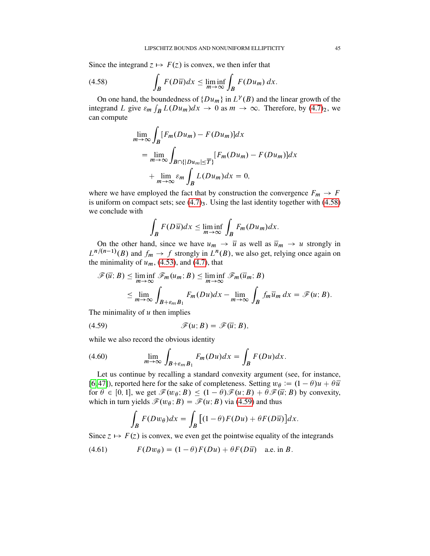Since the integrand  $z \mapsto F(z)$  is convex, we then infer that

(4.58) 
$$
\int_{B} F(D\overline{u})dx \leq \liminf_{m\to\infty} \int_{B} F(Du_m) dx.
$$

On one hand, the boundedness of  $\{Du_m\}$  in  $L^{\gamma}(B)$  and the linear growth of the integrand L give  $\varepsilon_m \int_B L(Du_m)dx \to 0$  as  $m \to \infty$ . Therefore, by  $(4.7)_2$  $(4.7)_2$ , we can compute

<span id="page-44-0"></span>
$$
\lim_{m \to \infty} \int_{B} [F_m(Du_m) - F(Du_m)]dx
$$
  
= 
$$
\lim_{m \to \infty} \int_{B \cap \{|Du_m| \le T\}} [F_m(Du_m) - F(Du_m)]dx
$$
  
+ 
$$
\lim_{m \to \infty} \varepsilon_m \int_{B} L(Du_m)dx = 0,
$$

where we have employed the fact that by construction the convergence  $F_m \to F$ is uniform on compact sets; see  $(4.7)_3$  $(4.7)_3$ . Using the last identity together with  $(4.58)$ we conclude with

$$
\int_{B} F(D\overline{u})dx \leq \liminf_{m \to \infty} \int_{B} F_m(Du_m)dx.
$$

On the other hand, since we have  $u_m \to \bar{u}$  as well as  $\bar{u}_m \to u$  strongly in  $L^{n/(n-1)}(B)$  and  $f_m \to f$  strongly in  $L^n(B)$ , we also get, relying once again on the minimality of  $u_m$ , [\(4.53\)](#page-42-0), and [\(4.7\)](#page-25-2), that

$$
\mathscr{F}(\overline{u};B) \le \liminf_{m \to \infty} \mathscr{F}_m(u_m;B) \le \liminf_{m \to \infty} \mathscr{F}_m(\overline{u}_m;B)
$$
  

$$
\le \lim_{m \to \infty} \int_{B+\varepsilon_m B_1} F_m(Du)dx - \lim_{m \to \infty} \int_B f_m \overline{u}_m dx = \mathscr{F}(u;B).
$$

The minimality of  $u$  then implies

<span id="page-44-1"></span>
$$
\mathscr{F}(u;B)=\mathscr{F}(\overline{u};B),
$$

while we also record the obvious identity

<span id="page-44-3"></span>(4.60) 
$$
\lim_{m \to \infty} \int_{B+\varepsilon_m B_1} F_m(Du) dx = \int_B F(Du) dx.
$$

Let us continue by recalling a standard convexity argument (see, for instance, [\[6,](#page-88-0)47]), reported here for the sake of completeness. Setting  $w_{\theta} := (1 - \theta)u + \theta\overline{u}$ for  $\theta \in [0, 1]$ , we get  $\mathscr{F}(w_{\theta}; B) \leq (1 - \theta)\mathscr{F}(u; B) + \theta \mathscr{F}(\overline{u}; B)$  by convexity, which in turn yields  $\mathscr{F}(w_{\theta}; B) = \mathscr{F}(u; B)$  via [\(4.59\)](#page-44-1) and thus

<span id="page-44-2"></span>
$$
\int_{B} F(Dw_{\theta}) dx = \int_{B} \left[ (1 - \theta) F(Du) + \theta F(D\overline{u}) \right] dx.
$$

Since  $z \mapsto F(z)$  is convex, we even get the pointwise equality of the integrands

(4.61) 
$$
F(Dw_{\theta}) = (1 - \theta)F(Du) + \theta F(D\overline{u}) \text{ a.e. in } B.
$$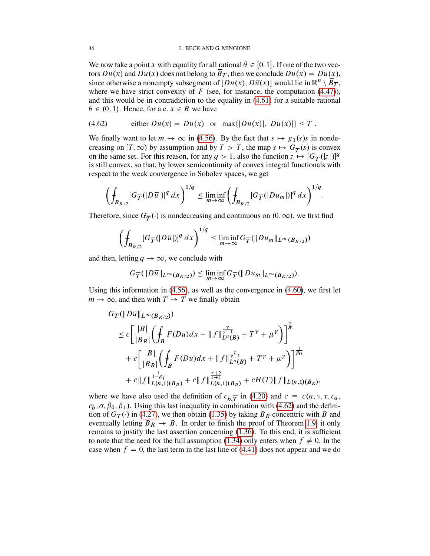We now take a point x with equality for all rational  $\theta \in [0, 1]$ . If one of the two vectors  $Du(x)$  and  $D\overline{u}(x)$  does not belong to  $\overline{B}_T$ , then we conclude  $Du(x) = D\overline{u}(x)$ , since otherwise a nonempty subsegment of  $[Du(x), D\overline{u}(x)]$  would lie in  $\mathbb{R}^n \setminus \overline{B}_T$ , where we have strict convexity of  $F$  (see, for instance, the computation [\(4.47\)](#page-40-0)), and this would be in contradiction to the equality in [\(4.61\)](#page-44-2) for a suitable rational  $\theta \in (0, 1)$ . Hence, for a.e.  $x \in B$  we have

<span id="page-45-0"></span>
$$
(4.62) \qquad \text{either } Du(x) = D\overline{u}(x) \quad \text{or } \max\{|Du(x)|, |D\overline{u}(x)|\} \leq T \, .
$$

We finally want to let  $m \to \infty$  in [\(4.56\)](#page-43-1). By the fact that  $s \mapsto g_1(s)s$  in nondecreasing on  $[T,\infty)$  by assumption and by  $\overline{T} > T$ , the map  $s \mapsto G_{\overline{T}}(s)$  is convex on the same set. For this reason, for any  $q > 1$ , also the function  $z \mapsto [G_{\overline{T}}(|z|)]^q$ is still convex, so that, by lower semicontinuity of convex integral functionals with respect to the weak convergence in Sobolev spaces, we get

$$
\left(\int_{B_{R/2}} [G_{\overline{T}}(|D\overline{u}|)]^q dx\right)^{1/q} \leq \liminf_{m\to\infty} \left(\int_{B_{R/2}} [G_{\overline{T}}(|D u_m|)]^q dx\right)^{1/q}.
$$

Therefore, since  $G_{\overline{T}}(\cdot)$  is nondecreasing and continuous on  $(0,\infty)$ , we first find

$$
\left(\int_{B_{R/2}} [G_{\overline{T}}(|D\overline{u}|)]^q dx\right)^{1/q} \leq \liminf_{m\to\infty} G_{\overline{T}}(\Vert Du_m \Vert_{L^{\infty}(B_{R/2}))})
$$

and then, letting  $q \rightarrow \infty$ , we conclude with

$$
G_{\overline{T}}(\Vert D\overline{u}\Vert_{L^{\infty}(B_{R/2})})\leq \liminf_{m\to\infty}G_{\overline{T}}(\Vert Du_m\Vert_{L^{\infty}(B_{R/2})}).
$$

Using this information in  $(4.56)$ , as well as the convergence in  $(4.60)$ , we first let  $m \to \infty$ , and then with  $\overline{T} \to T$  we finally obtain

$$
G_T(\|D\overline{u}\|_{L^{\infty}(B_{R/2})})
$$
  
\n
$$
\leq c \left[ \frac{|B|}{|B_R|} \left( \int_B F(Du) dx + \|f\|_{L^n(B)}^{\frac{\gamma}{\gamma-1}} + T^{\gamma} + \mu^{\gamma} \right) \right]^{\frac{2}{\sigma}}
$$
  
\n
$$
+ c \left[ \frac{|B|}{|B_R|} \left( \int_B F(Du) dx + \|f\|_{L^n(B)}^{\frac{\gamma}{\gamma-1}} + T^{\gamma} + \mu^{\gamma} \right) \right]^{\frac{1}{\beta_0}}
$$
  
\n
$$
+ c \|f\|_{L(n,1)(B_R)}^{\frac{1}{1-\beta_1}} + c \|f\|_{L(n,1)(B_R)}^{\frac{\tau+2}{\tau+1}} + c H(T) \|f\|_{L(n,1)(B_R)},
$$

where we have also used the definition of  $c_{b,\overline{T}}$  in [\(4.20\)](#page-29-0) and  $c \equiv c(n, \nu, \tau, c_a)$ ,  $c_b$ ,  $\sigma$ ,  $\beta_0$ ,  $\beta_1$ ). Using this last inequality in combination with [\(4.62\)](#page-45-0) and the definition of  $G_T(\cdot)$  in [\(4.27\)](#page-30-4), we then obtain [\(1.35\)](#page-9-4) by taking  $B_R$  concentric with B and eventually letting  $B_R \rightarrow B$ . In order to finish the proof of Theorem [1.9,](#page-9-2) it only remains to justify the last assertion concerning [\(1.36\)](#page-9-5). To this end, it is sufficient to note that the need for the full assumption [\(1.34\)](#page-9-1) only enters when  $f \neq 0$ . In the case when  $f = 0$ , the last term in the last line of [\(4.41\)](#page-37-0) does not appear and we do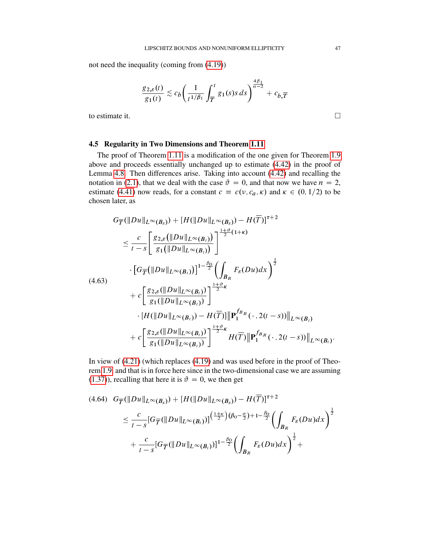not need the inequality (coming from [\(4.19\)](#page-28-0))

$$
\frac{g_{2,\varepsilon}(t)}{g_1(t)} \lesssim c_b \left( \frac{1}{t^{1/\beta_1}} \int_{\overline{T}}^t g_1(s) s \, ds \right)^{\frac{4\beta_1}{n-2}} + c_{b,\overline{T}}
$$

to estimate it.

## <span id="page-46-2"></span>4.5 Regularity in Two Dimensions and Theorem [1.11](#page-10-0)

The proof of Theorem [1.11](#page-10-0) is a modification of the one given for Theorem [1.9](#page-9-2) above and proceeds essentially unchanged up to estimate [\(4.42\)](#page-38-0) in the proof of Lemma [4.8.](#page-36-0) Then differences arise. Taking into account [\(4.42\)](#page-38-0) and recalling the notation in [\(2.1\)](#page-17-0), that we deal with the case  $\vartheta = 0$ , and that now we have  $n = 2$ , estimate [\(4.41\)](#page-37-0) now reads, for a constant  $c \equiv c(\nu, c_a, \kappa)$  and  $\kappa \in (0, 1/2)$  to be chosen later, as

<span id="page-46-1"></span>
$$
G_{\overline{T}}(\|Du\|_{L^{\infty}(B_{s})}) + [H(\|Du\|_{L^{\infty}(B_{s})}) - H(\overline{T})]^{\tau+2}
$$
\n
$$
\leq \frac{c}{t-s} \left[ \frac{g_{2,\varepsilon}(\|Du\|_{L^{\infty}(B_{t})})}{g_{1}(\|Du\|_{L^{\infty}(B_{t})})} \right]^{\frac{1+\vartheta}{2}(1+\kappa)}
$$
\n
$$
\cdot \left[ G_{\overline{T}}(\|Du\|_{L^{\infty}(B_{t})}) \right]^{1-\frac{\beta_{0}}{2}} \left( \int_{B_{R}} F_{\varepsilon}(Du)dx \right)^{\frac{1}{2}}
$$
\n
$$
+ c \left[ \frac{g_{2,\varepsilon}(\|Du\|_{L^{\infty}(B_{t})})}{g_{1}(\|Du\|_{L^{\infty}(B_{t})})} \right]^{\frac{1+\vartheta}{2}\kappa}
$$
\n
$$
\cdot [H(\|Du\|_{L^{\infty}(B_{t})}) - H(\overline{T})] \|\mathbf{P}_{1}^{f_{B_{R}}}(\cdot, 2(t-s))\|_{L^{\infty}(B_{t})}
$$
\n
$$
+ c \left[ \frac{g_{2,\varepsilon}(\|Du\|_{L^{\infty}(B_{t})})}{g_{1}(\|Du\|_{L^{\infty}(B_{t})})} \right]^{\frac{1+\vartheta}{2}\kappa} H(\overline{T}) \|\mathbf{P}_{1}^{f_{B_{R}}}(\cdot, 2(t-s))\|_{L^{\infty}(B_{t})}.
$$

In view of [\(4.21\)](#page-29-1) (which replaces [\(4.19\)](#page-28-0) and was used before in the proof of Theorem [1.9,](#page-9-2) and that is in force here since in the two-dimensional case we are assuming [\(1.37\)](#page-10-1)), recalling that here it is  $\vartheta = 0$ , we then get

<span id="page-46-0"></span>
$$
(4.64) \quad G_{\overline{T}}(\|Du\|_{L^{\infty}(B_s)}) + [H(\|Du\|_{L^{\infty}(B_s)}) - H(\overline{T})]^{t+2}
$$
\n
$$
\leq \frac{c}{t-s} [G_{\overline{T}}(\|Du\|_{L^{\infty}(B_t)})]^{(\frac{1+\kappa}{2})(\beta_0-\frac{\sigma}{2})+1-\frac{\beta_0}{2}} \left(\int_{B_R} F_{\varepsilon}(Du)dx\right)^{\frac{1}{2}}
$$
\n
$$
+ \frac{c}{t-s} [G_{\overline{T}}(\|Du\|_{L^{\infty}(B_t)})]^{1-\frac{\beta_0}{2}} \left(\int_{B_R} F_{\varepsilon}(Du)dx\right)^{\frac{1}{2}} +
$$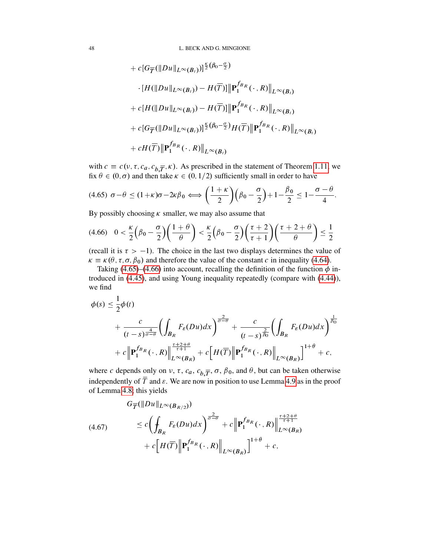+ 
$$
c[G_{\overline{T}}(\|Du\|_{L^{\infty}(B_t)})]^{\frac{\kappa}{2}(\beta_0 - \frac{\sigma}{2})}
$$
  
\n+  $[H(\|Du\|_{L^{\infty}(B_t)}) - H(\overline{T})] \|\mathbf{P}_1^{f_{B_R}}(\cdot, R)\|_{L^{\infty}(B_t)}$   
\n+  $c[H(\|Du\|_{L^{\infty}(B_t)}) - H(\overline{T})] \|\mathbf{P}_1^{f_{B_R}}(\cdot, R)\|_{L^{\infty}(B_t)}$   
\n+  $c[G_{\overline{T}}(\|Du\|_{L^{\infty}(B_t)})]^{\frac{\kappa}{2}(\beta_0 - \frac{\sigma}{2})} H(\overline{T}) \|\mathbf{P}_1^{f_{B_R}}(\cdot, R)\|_{L^{\infty}(B_t)}$   
\n+  $cH(\overline{T}) \|\mathbf{P}_1^{f_{B_R}}(\cdot, R)\|_{L^{\infty}(B_t)}$ 

with  $c \equiv c(\nu, \tau, c_a, c_b, \overline{\tau}, \kappa)$ . As prescribed in the statement of Theorem [1.11,](#page-10-0) we fix  $\theta \in (0, \sigma)$  and then take  $\kappa \in (0, 1/2)$  sufficiently small in order to have

<span id="page-47-0"></span>
$$
(4.65) \ \sigma - \theta \leq (1 + \kappa)\sigma - 2\kappa\beta_0 \Longleftrightarrow \left(\frac{1 + \kappa}{2}\right)\left(\beta_0 - \frac{\sigma}{2}\right) + 1 - \frac{\beta_0}{2} \leq 1 - \frac{\sigma - \theta}{4}.
$$

By possibly choosing  $\kappa$  smaller, we may also assume that

<span id="page-47-1"></span>
$$
(4.66)\quad 0<\frac{\kappa}{2}\left(\beta_0-\frac{\sigma}{2}\right)\left(\frac{1+\theta}{\theta}\right)<\frac{\kappa}{2}\left(\beta_0-\frac{\sigma}{2}\right)\left(\frac{\tau+2}{\tau+1}\right)\left(\frac{\tau+2+\theta}{\theta}\right)<\frac{1}{2}
$$

(recall it is  $\tau > -1$ ). The choice in the last two displays determines the value of  $\kappa \equiv \kappa(\theta, \tau, \sigma, \beta_0)$  and therefore the value of the constant c in inequality [\(4.64\)](#page-46-0).

Taking [\(4.65\)](#page-47-0)–[\(4.66\)](#page-47-1) into account, recalling the definition of the function  $\phi$  introduced in [\(4.45\)](#page-39-3), and using Young inequality repeatedly (compare with [\(4.44\)](#page-38-2)), we find

$$
\phi(s) \leq \frac{1}{2}\phi(t)
$$
  
+ 
$$
\frac{c}{(t-s)^{\frac{4}{\sigma-\theta}}} \left( \int_{B_R} F_{\varepsilon}(Du) dx \right)^{\frac{2}{\sigma-\theta}} + \frac{c}{(t-s)^{\frac{2}{\beta_0}}} \left( \int_{B_R} F_{\varepsilon}(Du) dx \right)^{\frac{1}{\beta_0}}
$$
  
+ 
$$
c \left\| \mathbf{P}_1^{f_{B_R}}(\cdot, R) \right\|_{L^{\infty}(B_R)}^{\frac{\tau+2+\theta}{\tau+1}} + c \left[ H(\overline{T}) \left\| \mathbf{P}_1^{f_{B_R}}(\cdot, R) \right\|_{L^{\infty}(B_R)} \right]^{1+\theta} + c,
$$

where c depends only on v,  $\tau$ ,  $c_a$ ,  $c_b$   $\overline{\tau}$ ,  $\sigma$ ,  $\beta_0$ , and  $\theta$ , but can be taken otherwise independently of  $\overline{T}$  and  $\varepsilon$ . We are now in position to use Lemma [4.9](#page-39-0) as in the proof of Lemma [4.8;](#page-36-0) this yields

<span id="page-47-2"></span>
$$
(4.67) \qquad G_{\overline{T}}(\|Du\|_{L^{\infty}(B_{R/2}))}
$$
\n
$$
\leq c \left(\int_{B_R} F_{\varepsilon}(Du)dx\right)^{\frac{2}{\sigma-\theta}} + c \left\| \mathbf{P}_1^{f_{B_R}}(\cdot, R) \right\|_{L^{\infty}(B_R)}^{\frac{\tau+2+\theta}{\tau+1}} + c \left[H(\overline{T}) \left\| \mathbf{P}_1^{f_{B_R}}(\cdot, R) \right\|_{L^{\infty}(B_R)}\right]^{1+\theta} + c,
$$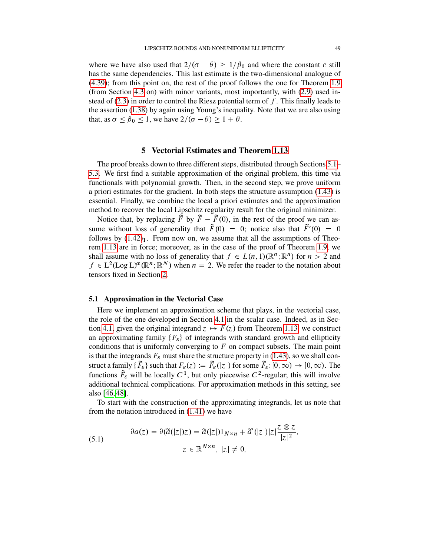where we have also used that  $2/(\sigma - \theta) \geq 1/\beta_0$  and where the constant c still has the same dependencies. This last estimate is the two-dimensional analogue of [\(4.39\)](#page-36-1); from this point on, the rest of the proof follows the one for Theorem [1.9](#page-9-2) (from Section [4.3](#page-39-4) on) with minor variants, most importantly, with [\(2.9\)](#page-20-0) used instead of  $(2.3)$  in order to control the Riesz potential term of f. This finally leads to the assertion [\(1.38\)](#page-10-2) by again using Young's inequality. Note that we are also using that, as  $\sigma \leq \beta_0 \leq 1$ , we have  $2/(\sigma - \theta) \geq 1 + \theta$ .

# 5 Vectorial Estimates and Theorem [1.13](#page-12-0)

The proof breaks down to three different steps, distributed through Sections [5.1–](#page-48-0) [5.3.](#page-66-0) We first find a suitable approximation of the original problem, this time via functionals with polynomial growth. Then, in the second step, we prove uniform a priori estimates for the gradient. In both steps the structure assumption [\(1.43\)](#page-12-1) is essential. Finally, we combine the local a priori estimates and the approximation method to recover the local Lipschitz regularity result for the original minimizer.

Notice that, by replacing  $\tilde{F}$  by  $\tilde{F} - \tilde{F}$  (0), in the rest of the proof we can assume without loss of generality that  $\tilde{F}(0) = 0$ ; notice also that  $\tilde{F}'(0) = 0$ follows by  $(1.42)<sub>1</sub>$  $(1.42)<sub>1</sub>$ . From now on, we assume that all the assumptions of Theorem [1.13](#page-12-0) are in force; moreover, as in the case of the proof of Theorem [1.9,](#page-9-2) we shall assume with no loss of generality that  $f \in L(n, 1)(\mathbb{R}^n; \mathbb{R}^n)$  for  $n > 2$  and  $f \in L^2(\text{Log } L)^\alpha(\mathbb{R}^n; \mathbb{R}^N)$  when  $n = 2$ . We refer the reader to the notation about tensors fixed in Section [2.](#page-16-0)

## <span id="page-48-0"></span>5.1 Approximation in the Vectorial Case

Here we implement an approximation scheme that plays, in the vectorial case, the role of the one developed in Section [4.1](#page-24-0) in the scalar case. Indeed, as in Sec-tion [4.1,](#page-24-0) given the original integrand  $z \mapsto F(z)$  from Theorem [1.13,](#page-12-0) we construct an approximating family  $\{F_{\varepsilon}\}\$  of integrands with standard growth and ellipticity conditions that is uniformly converging to  $F$  on compact subsets. The main point is that the integrands  $F_{\varepsilon}$  must share the structure property in [\(1.43\)](#page-12-1), so we shall construct a family  $\{\widetilde{F}_{\varepsilon}\}$  such that  $F_{\varepsilon}(z) := \widetilde{F}_{\varepsilon}(|z|)$  for some  $\widetilde{F}_{\varepsilon}: [0, \infty) \to [0, \infty)$ . The functions  $\tilde{F}_\varepsilon$  will be locally  $C^1$ , but only piecewise  $C^2$ -regular; this will involve additional technical complications. For approximation methods in this setting, see also [\[46,](#page-89-2) [48\]](#page-90-1).

To start with the construction of the approximating integrands, let us note that from the notation introduced in [\(1.41\)](#page-11-0) we have

<span id="page-48-1"></span>(5.1) 
$$
\partial a(z) = \partial (\tilde{a}(|z|)z) = \tilde{a}(|z|) \mathbb{I}_{N \times n} + \tilde{a}'(|z|) |z| \frac{z \otimes z}{|z|^2},
$$

$$
z \in \mathbb{R}^{N \times n}, \ |z| \neq 0,
$$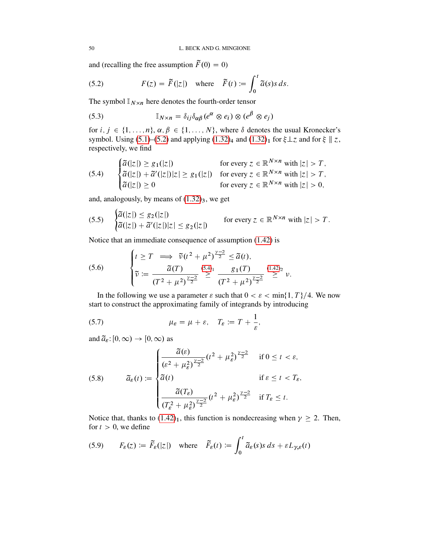and (recalling the free assumption  $\tilde{F}(0) = 0$ )

<span id="page-49-0"></span>(5.2) 
$$
F(z) = \tilde{F}(|z|) \text{ where } \tilde{F}(t) := \int_0^t \tilde{a}(s)s ds.
$$

The symbol  $\mathbb{I}_{N \times n}$  here denotes the fourth-order tensor

<span id="page-49-4"></span>(5.3) 
$$
\mathbb{I}_{N \times n} = \delta_{ij} \delta_{\alpha\beta} (e^{\alpha} \otimes e_i) \otimes (e^{\beta} \otimes e_j)
$$

for  $i, j \in \{1, ..., n\}, \alpha, \beta \in \{1, ..., N\}$ , where  $\delta$  denotes the usual Kronecker's symbol. Using [\(5.1\)](#page-48-1)–[\(5.2\)](#page-49-0) and applying [\(1.32\)](#page-9-3)<sub>4</sub> and (1.32)<sub>1</sub> for  $\xi$   $\perp$  z and for  $\xi$  || z, respectively, we find

<span id="page-49-1"></span>(5.4) 
$$
\begin{cases} \tilde{a}(|z|) \ge g_1(|z|) & \text{for every } z \in \mathbb{R}^{N \times n} \text{ with } |z| > T, \\ \tilde{a}(|z|) + \tilde{a}'(|z|)|z| \ge g_1(|z|) & \text{for every } z \in \mathbb{R}^{N \times n} \text{ with } |z| > T, \\ \tilde{a}(|z|) \ge 0 & \text{for every } z \in \mathbb{R}^{N \times n} \text{ with } |z| > 0, \end{cases}
$$

and, analogously, by means of  $(1.32)_3$  $(1.32)_3$ , we get

<span id="page-49-2"></span>
$$
(5.5) \quad \begin{cases} \widetilde{a}(|z|) \leq g_2(|z|) \\ \widetilde{a}(|z|) + \widetilde{a}'(|z|)|z| \leq g_2(|z|) \end{cases} \quad \text{for every } z \in \mathbb{R}^{N \times n} \text{ with } |z| > T.
$$

Notice that an immediate consequence of assumption [\(1.42\)](#page-12-2) is

<span id="page-49-7"></span>(5.6) 
$$
\begin{cases} t \geq T \implies \tilde{\nu}(t^2 + \mu^2)^{\frac{\nu - 2}{2}} \leq \tilde{a}(t), \\ \tilde{\nu} := \frac{\tilde{a}(T)}{(T^2 + \mu^2)^{\frac{\nu - 2}{2}}} \geq \frac{g_1(T)}{(T^2 + \mu^2)^{\frac{\nu - 2}{2}}} \geq \nu. \end{cases}
$$

In the following we use a parameter  $\varepsilon$  such that  $0 < \varepsilon < \min\{1, T\}/4$ . We now start to construct the approximating family of integrands by introducing

<span id="page-49-5"></span>(5.7) 
$$
\mu_{\varepsilon} = \mu + \varepsilon, \quad T_{\varepsilon} := T + \frac{1}{\varepsilon},
$$

and  $\tilde{a}_{\varepsilon}$ :  $[0,\infty) \rightarrow [0,\infty)$  as

<span id="page-49-6"></span>(5.8) 
$$
\tilde{a}_{\varepsilon}(t) := \begin{cases} \frac{\tilde{a}(\varepsilon)}{(\varepsilon^2 + \mu_{\varepsilon}^2)^{\frac{\gamma - 2}{2}}} (t^2 + \mu_{\varepsilon}^2)^{\frac{\gamma - 2}{2}} & \text{if } 0 \le t < \varepsilon, \\ \tilde{a}(t) & \text{if } \varepsilon \le t < T_{\varepsilon}, \\ \frac{\tilde{a}(T_{\varepsilon})}{(T_{\varepsilon}^2 + \mu_{\varepsilon}^2)^{\frac{\gamma - 2}{2}}} (t^2 + \mu_{\varepsilon}^2)^{\frac{\gamma - 2}{2}} & \text{if } T_{\varepsilon} \le t. \end{cases}
$$

Notice that, thanks to  $(1.42)_1$  $(1.42)_1$ , this function is nondecreasing when  $\gamma \geq 2$ . Then, for  $t > 0$ , we define

<span id="page-49-3"></span>(5.9) 
$$
F_{\varepsilon}(z) := \widetilde{F}_{\varepsilon}(|z|)
$$
 where  $\widetilde{F}_{\varepsilon}(t) := \int_0^t \widetilde{a}_{\varepsilon}(s)s \, ds + \varepsilon L_{\gamma,\varepsilon}(t)$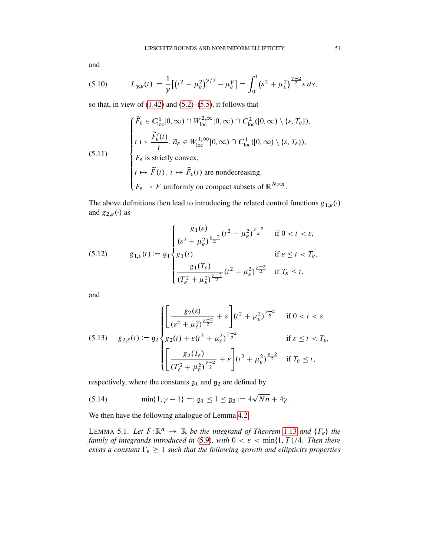and

<span id="page-50-3"></span>(5.10) 
$$
L_{\gamma,\varepsilon}(t) := \frac{1}{\gamma} \big[ \big( t^2 + \mu_{\varepsilon}^2 \big)^{\gamma/2} - \mu_{\varepsilon}^{\gamma} \big] = \int_0^t \big( s^2 + \mu_{\varepsilon}^2 \big)^{\frac{\gamma-2}{2}} s \, ds,
$$

so that, in view of  $(1.42)$  and  $(5.2)$ – $(5.5)$ , it follows that

<span id="page-50-5"></span>(5.11)  
\n
$$
\begin{cases}\n\widetilde{F}_{\varepsilon} \in C_{\text{loc}}^1[0, \infty) \cap W_{\text{loc}}^{2,\infty}[0, \infty) \cap C_{\text{loc}}^2([0, \infty) \setminus \{\varepsilon, T_{\varepsilon}\}, \\
t \mapsto \frac{\widetilde{F}_{\varepsilon}'(t)}{t}, \ \widetilde{a}_{\varepsilon} \in W_{\text{loc}}^{1,\infty}[0, \infty) \cap C_{\text{loc}}^1([0, \infty) \setminus \{\varepsilon, T_{\varepsilon}\}, \\
F_{\varepsilon} \text{ is strictly convex}, \\
t \mapsto \widetilde{F}(t), \ t \mapsto \widetilde{F}_{\varepsilon}(t) \text{ are nondecreasing}, \\
F_{\varepsilon} \to F \text{ uniformly on compact subsets of } \mathbb{R}^{N \times n}.\n\end{cases}
$$

The above definitions then lead to introducing the related control functions  $g_{1,\varepsilon}(\cdot)$ . and  $g_{2,\varepsilon}(\cdot)$  as

<span id="page-50-1"></span>(5.12) 
$$
g_{1,\varepsilon}(t) := \mathfrak{g}_1 \begin{cases} \frac{g_1(\varepsilon)}{(\varepsilon^2 + \mu_{\varepsilon}^2)^{\frac{\gamma - 2}{2}}} (t^2 + \mu_{\varepsilon}^2)^{\frac{\gamma - 2}{2}} & \text{if } 0 < t < \varepsilon, \\ g_1(t) & \text{if } \varepsilon \le t < T_{\varepsilon}, \\ \frac{g_1(T_{\varepsilon})}{(T_{\varepsilon}^2 + \mu_{\varepsilon}^2)^{\frac{\gamma - 2}{2}}} (t^2 + \mu_{\varepsilon}^2)^{\frac{\gamma - 2}{2}} & \text{if } T_{\varepsilon} \le t, \end{cases}
$$

and

<span id="page-50-2"></span>
$$
(5.13) \quad g_{2,\varepsilon}(t) := \mathfrak{g}_2 \begin{cases} \left[ \frac{g_2(\varepsilon)}{(\varepsilon^2 + \mu_\varepsilon^2)^{\frac{\nu - 2}{2}}} + \varepsilon \right] (t^2 + \mu_\varepsilon^2)^{\frac{\nu - 2}{2}} & \text{if } 0 < t < \varepsilon, \\ g_2(t) + \varepsilon (t^2 + \mu_\varepsilon^2)^{\frac{\nu - 2}{2}} & \text{if } \varepsilon \le t < T_\varepsilon, \\ \left[ \frac{g_2(T_\varepsilon)}{(T_\varepsilon^2 + \mu_\varepsilon^2)^{\frac{\nu - 2}{2}}} + \varepsilon \right] (t^2 + \mu_\varepsilon^2)^{\frac{\nu - 2}{2}} & \text{if } T_\varepsilon \le t, \end{cases}
$$

respectively, where the constants  $\mathfrak{g}_1$  and  $\mathfrak{g}_2$  are defined by

<span id="page-50-0"></span>(5.14) 
$$
\min\{1, \gamma - 1\} =: \mathfrak{g}_1 \le 1 \le \mathfrak{g}_2 := 4\sqrt{Nn} + 4\gamma.
$$

We then have the following analogue of Lemma [4.2:](#page-25-0)

<span id="page-50-4"></span>LEMMA 5.1. Let  $F: \mathbb{R}^n \to \mathbb{R}$  be the integrand of Theorem [1.13](#page-12-0) and  $\{F_{\varepsilon}\}\)$  the *family of integrands introduced in* [\(5.9\)](#page-49-3)*, with*  $0 < \varepsilon < \min\{1, T\}/4$ *. Then there exists a constant*  $\Gamma_{\varepsilon} \geq 1$  *such that the following growth and ellipticity properties*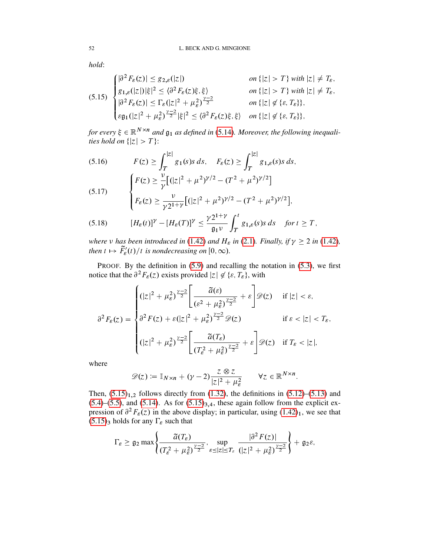*hold*:

<span id="page-51-0"></span>
$$
(5.15) \begin{cases} |\partial^2 F_{\varepsilon}(z)| \le g_{2,\varepsilon}(|z|) & \text{on } \{|z| > T\} \text{ with } |z| \ne T_{\varepsilon}, \\ g_{1,\varepsilon}(|z|) |\xi|^2 \le \langle \partial^2 F_{\varepsilon}(z) \xi, \xi \rangle & \text{on } \{|z| > T\} \text{ with } |z| \ne T_{\varepsilon}, \\ |\partial^2 F_{\varepsilon}(z)| \le \Gamma_{\varepsilon}(|z|^2 + \mu_{\varepsilon}^2)^{\frac{\nu-2}{2}} & \text{on } \{|z| \notin \{\varepsilon, T_{\varepsilon}\}\}, \\ \varepsilon \mathfrak{g}_1(|z|^2 + \mu_{\varepsilon}^2)^{\frac{\nu-2}{2}} |\xi|^2 \le \langle \partial^2 F_{\varepsilon}(z) \xi, \xi \rangle & \text{on } \{|z| \notin \{\varepsilon, T_{\varepsilon}\}\}, \end{cases}
$$

for every  $\xi \in \mathbb{R}^{N \times n}$  and  $\mathfrak{g}_1$  as defined in [\(5.14\)](#page-50-0). Moreover, the following inequali*ties hold on*  $\{|z| > T\}$ :

<span id="page-51-1"></span>(5.16) 
$$
F(z) \ge \int_T^{|z|} g_1(s)s \, ds, \quad F_{\varepsilon}(z) \ge \int_T^{|z|} g_{1,\varepsilon}(s)s \, ds,
$$

$$
F(z) \ge \frac{\nu}{\gamma} \Big[ (|z|^2 + \mu^2)^{\gamma/2} - (T^2 + \mu^2)^{\gamma/2} \Big]
$$

$$
F_{\varepsilon}(z) \ge \frac{\nu}{\gamma 2^{1+\gamma}} \Big[ (|z|^2 + \mu^2)^{\gamma/2} - (T^2 + \mu^2)^{\gamma/2} \Big],
$$

<span id="page-51-3"></span><span id="page-51-2"></span>
$$
(5.18) \qquad [H_{\varepsilon}(t)]^{\gamma}-[H_{\varepsilon}(T)]^{\gamma}\leq \frac{\gamma 2^{1+\gamma}}{\mathfrak{g}_{1}v}\int_{T}^{t}g_{1,\varepsilon}(s)s\,ds \quad \text{for }t\geq T,
$$

*where v* has been introduced in [\(1.42\)](#page-12-2) and  $H_{\varepsilon}$  in [\(2.1\)](#page-17-0)*. Finally, if*  $\gamma \geq 2$  in (1.42)*,* then  $t \mapsto \widetilde{F}'_s(t)/t$  is nondecreasing on  $[0, \infty)$ .

PROOF. By the definition in [\(5.9\)](#page-49-3) and recalling the notation in [\(5.3\)](#page-49-4), we first notice that the  $\partial^2 F_{\varepsilon}(z)$  exists provided  $|z| \notin {\varepsilon}, T_{\varepsilon}$ , with

$$
\partial^2 F_{\varepsilon}(z) = \begin{cases} (|z|^2 + \mu_{\varepsilon}^2)^{\frac{\gamma - 2}{2}} \Bigg[ \frac{\tilde{a}(\varepsilon)}{(\varepsilon^2 + \mu_{\varepsilon}^2)^{\frac{\gamma - 2}{2}}} + \varepsilon \Bigg] \mathcal{D}(z) & \text{if } |z| < \varepsilon, \\ \partial^2 F(\varepsilon) + \varepsilon (|z|^2 + \mu_{\varepsilon}^2)^{\frac{\gamma - 2}{2}} \mathcal{D}(z) & \text{if } \varepsilon < |z| < T_{\varepsilon}, \\ (|z|^2 + \mu_{\varepsilon}^2)^{\frac{\gamma - 2}{2}} \Bigg[ \frac{\tilde{a}(T_{\varepsilon})}{(T_{\varepsilon}^2 + \mu_{\varepsilon}^2)^{\frac{\gamma - 2}{2}}} + \varepsilon \Bigg] \mathcal{D}(z) & \text{if } T_{\varepsilon} < |z|, \end{cases}
$$

where

$$
\mathscr{D}(z) := \mathbb{I}_{N \times n} + (\gamma - 2) \frac{z \otimes z}{|z|^2 + \mu_{\varepsilon}^2} \qquad \forall z \in \mathbb{R}^{N \times n}.
$$

Then,  $(5.15)<sub>1,2</sub>$  $(5.15)<sub>1,2</sub>$  follows directly from [\(1.32\)](#page-9-3), the definitions in  $(5.12)$ – $(5.13)$  and  $(5.4)$ – $(5.5)$ , and  $(5.14)$ . As for  $(5.15)_{3,4}$  $(5.15)_{3,4}$ , these again follow from the explicit expression of  $\partial^2 F_{\varepsilon}(z)$  in the above display; in particular, using  $(1.42)_1$  $(1.42)_1$ , we see that  $(5.15)_3$  $(5.15)_3$  holds for any  $\Gamma_{\varepsilon}$  such that

$$
\Gamma_{\varepsilon} \geq \mathfrak{g}_2 \max \left\{ \frac{\widetilde{a}(T_{\varepsilon})}{(T_{\varepsilon}^2 + \mu_{\varepsilon}^2)^{\frac{\gamma-2}{2}}}, \sup_{\varepsilon \leq |z| \leq T_{\varepsilon}} \frac{|\partial^2 F(z)|}{(|z|^2 + \mu_{\varepsilon}^2)^{\frac{\gamma-2}{2}}} \right\} + \mathfrak{g}_2 \varepsilon,
$$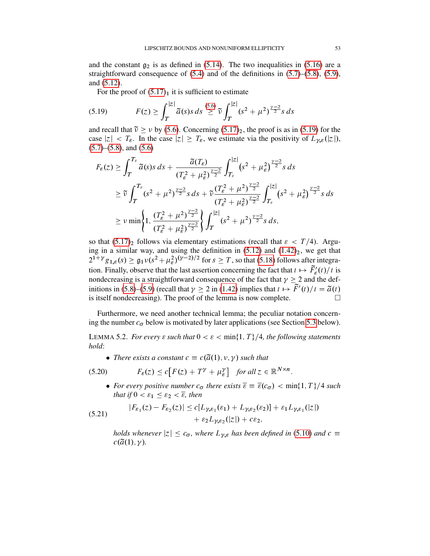and the constant  $g_2$  is as defined in [\(5.14\)](#page-50-0). The two inequalities in [\(5.16\)](#page-51-1) are a straightforward consequence of  $(5.4)$  and of the definitions in  $(5.7)$ – $(5.8)$ ,  $(5.9)$ , and [\(5.12\)](#page-50-1).

<span id="page-52-0"></span>For the proof of  $(5.17)<sub>1</sub>$  $(5.17)<sub>1</sub>$  it is sufficient to estimate

$$
(5.19) \tF(z) \ge \int_T^{|z|} \tilde{a}(s)s \, ds \stackrel{(5.6)}{\ge} \tilde{\nu} \int_T^{|z|} (s^2 + \mu^2)^{\frac{\gamma - 2}{2}} s \, ds
$$

and recall that  $\tilde{v} \ge v$  by [\(5.6\)](#page-49-7). Concerning [\(5.17\)](#page-51-2)<sub>2</sub>, the proof is as in [\(5.19\)](#page-52-0) for the case  $|z| < T_{\varepsilon}$ . In the case  $|z| \geq T_{\varepsilon}$ , we estimate via the positivity of  $L_{\gamma,\varepsilon}(|z|)$ ,  $(5.7)$ – $(5.8)$ , and  $(5.6)$ 

$$
F_{\varepsilon}(z) \geq \int_{T}^{T_{\varepsilon}} \tilde{a}(s)s \, ds + \frac{\tilde{a}(T_{\varepsilon})}{(T_{\varepsilon}^{2} + \mu_{\varepsilon}^{2})^{\frac{\gamma-2}{2}}} \int_{T_{\varepsilon}}^{|z|} (s^{2} + \mu_{\varepsilon}^{2})^{\frac{\gamma-2}{2}} s \, ds
$$
  
\n
$$
\geq \tilde{\nu} \int_{T}^{T_{\varepsilon}} (s^{2} + \mu^{2})^{\frac{\gamma-2}{2}} s \, ds + \tilde{\nu} \frac{(T_{\varepsilon}^{2} + \mu^{2})^{\frac{\gamma-2}{2}}}{(T_{\varepsilon}^{2} + \mu_{\varepsilon}^{2})^{\frac{\gamma-2}{2}}} \int_{T_{\varepsilon}}^{|z|} (s^{2} + \mu_{\varepsilon}^{2})^{\frac{\gamma-2}{2}} s \, ds
$$
  
\n
$$
\geq \nu \min \left\{ 1, \frac{(T_{\varepsilon}^{2} + \mu^{2})^{\frac{\gamma-2}{2}}}{(T_{\varepsilon}^{2} + \mu_{\varepsilon}^{2})^{\frac{\gamma-2}{2}}} \right\} \int_{T}^{|z|} (s^{2} + \mu^{2})^{\frac{\gamma-2}{2}} s \, ds,
$$

so that  $(5.17)_2$  $(5.17)_2$  follows via elementary estimations (recall that  $\varepsilon < T/4$ ). Arguing in a similar way, and using the definition in  $(5.12)$  and  $(1.42)_2$  $(1.42)_2$ , we get that  $2^{1+\gamma}g_{1,\varepsilon}(s) \geq \mathfrak{g}_1 v(s^2+\mu_\varepsilon^2)^{(\gamma-2)/2}$  for  $s \geq T$ , so that [\(5.18\)](#page-51-3) follows after integration. Finally, observe that the last assertion concerning the fact that  $t \mapsto \tilde{F}'_s(t)/t$  is nondecreasing is a straightforward consequence of the fact that  $\gamma \geq 2$  and the def-initions in [\(5.8\)](#page-49-6)–[\(5.9\)](#page-49-3) (recall that  $\gamma \ge 2$  in [\(1.42\)](#page-12-2) implies that  $t \mapsto \tilde{F}'(t)/t = \tilde{a}(t)$ is itself nondecreasing). The proof of the lemma is now complete.  $\Box$ 

Furthermore, we need another technical lemma; the peculiar notation concerning the number  $c_{\sigma}$  below is motivated by later applications (see Section [5.3](#page-66-0) below).

<span id="page-52-3"></span>LEMMA 5.2. *For every*  $\varepsilon$  *such that*  $0 < \varepsilon < \min\{1, T\}/4$ *, the following statements hold*:

<span id="page-52-1"></span>• There exists a constant  $c \equiv c(\tilde{a}(1), v, \gamma)$  such that

(5.20)  $F_{\varepsilon}(z) \le c \big[ F(z) + T^{\gamma} + \mu_{\varepsilon}^{\gamma} \big]$  *for all*  $z \in \mathbb{R}^{N \times n}$ .

• *For every positive number*  $c_{\sigma}$  *there exists*  $\overline{\varepsilon} \equiv \overline{\varepsilon}(c_{\sigma}) < \min\{1, T\}/4$  *such that if*  $0 < \varepsilon_1 \leq \varepsilon_2 < \overline{\varepsilon}$ *, then* 

(5.21) 
$$
|F_{\varepsilon_1}(z) - F_{\varepsilon_2}(z)| \leq c[L_{\gamma, \varepsilon_1}(\varepsilon_1) + L_{\gamma, \varepsilon_2}(\varepsilon_2)] + \varepsilon_1 L_{\gamma, \varepsilon_1}(|z|) + \varepsilon_2 L_{\gamma, \varepsilon_2}(|z|) + c \varepsilon_2,
$$

<span id="page-52-2"></span>*holds whenever*  $|z| \leq c_{\sigma}$ , where  $L_{\gamma, \varepsilon}$  has been defined in [\(5.10\)](#page-50-3) and  $c \equiv$  $c(\tilde{a}(1), \gamma)$ .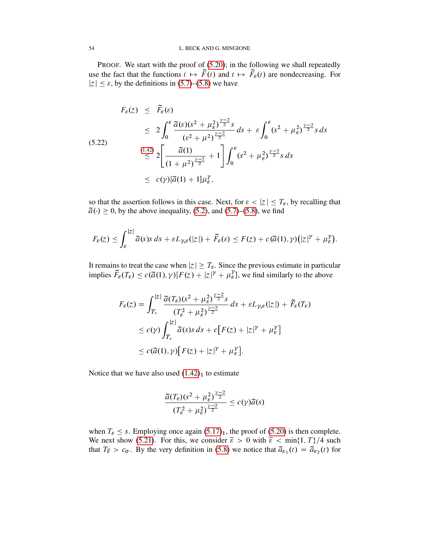#### 54 L. BECK AND G. MINGIONE

PROOF. We start with the proof of [\(5.20\)](#page-52-1); in the following we shall repeatedly use the fact that the functions  $t \mapsto \tilde{F}(t)$  and  $t \mapsto \tilde{F}_\varepsilon(t)$  are nondecreasing. For  $|z| \leq \varepsilon$ , by the definitions in [\(5.7\)](#page-49-5)–[\(5.8\)](#page-49-6) we have

<span id="page-53-0"></span>
$$
F_{\varepsilon}(z) \leq \tilde{F}_{\varepsilon}(\varepsilon)
$$
  
\n
$$
\leq 2 \int_{0}^{\varepsilon} \frac{\tilde{a}(\varepsilon)(s^{2} + \mu_{\varepsilon}^{2})^{\frac{\nu-2}{2}}s}{(\varepsilon^{2} + \mu^{2})^{\frac{\nu-2}{2}}} ds + \varepsilon \int_{0}^{\varepsilon} (s^{2} + \mu_{\varepsilon}^{2})^{\frac{\nu-2}{2}}s ds
$$
  
\n
$$
\leq \frac{(1.42)}{\varepsilon^{2}} 2 \left[ \frac{\tilde{a}(1)}{(1 + \mu^{2})^{\frac{\nu-2}{2}}} + 1 \right] \int_{0}^{\varepsilon} (s^{2} + \mu_{\varepsilon}^{2})^{\frac{\nu-2}{2}}s ds
$$
  
\n
$$
\leq c(\gamma)[\tilde{a}(1) + 1]\mu_{\varepsilon}^{\gamma},
$$

so that the assertion follows in this case. Next, for  $\varepsilon < |z| \leq T_{\varepsilon}$ , by recalling that  $\tilde{a}(\cdot) \ge 0$ , by the above inequality, [\(5.2\)](#page-49-0), and [\(5.7\)](#page-49-5)–[\(5.8\)](#page-49-6), we find

$$
F_{\varepsilon}(z) \leq \int_{\varepsilon}^{|z|} \widetilde{a}(s) s \, ds + \varepsilon L_{\gamma, \varepsilon}(|z|) + \widetilde{F}_{\varepsilon}(\varepsilon) \leq F(z) + c(\widetilde{a}(1), \gamma) \big( |z|^{\gamma} + \mu_{\varepsilon}^{\gamma} \big).
$$

It remains to treat the case when  $|z| \geq T_{\varepsilon}$ . Since the previous estimate in particular implies  $\widetilde{F}_\varepsilon(T_\varepsilon) \leq c(\widetilde{a}(1), \gamma) [F(z) + |z|^\gamma + \mu_\varepsilon^\gamma]$ , we find similarly to the above

$$
F_{\varepsilon}(z) = \int_{T_{\varepsilon}}^{|z|} \frac{\tilde{a}(T_{\varepsilon})(s^2 + \mu_{\varepsilon}^2)^{\frac{\gamma - 2}{2}}s}{(T_{\varepsilon}^2 + \mu_{\varepsilon}^2)^{\frac{\gamma - 2}{2}}} ds + \varepsilon L_{\gamma, \varepsilon}(|z|) + \tilde{F}_{\varepsilon}(T_{\varepsilon})
$$
  

$$
\leq c(\gamma) \int_{T_{\varepsilon}}^{|z|} \tilde{a}(s)s \, ds + c[F(z) + |z|^{\gamma} + \mu_{\varepsilon}^{\gamma}]
$$
  

$$
\leq c(\tilde{a}(1), \gamma) [F(z) + |z|^{\gamma} + \mu_{\varepsilon}^{\gamma}].
$$

Notice that we have also used  $(1.42)_1$  $(1.42)_1$  to estimate

$$
\frac{\widetilde{a}(T_{\varepsilon})(s^2 + \mu_{\varepsilon}^2)^{\frac{\gamma - 2}{2}}}{(T_{\varepsilon}^2 + \mu_{\varepsilon}^2)^{\frac{\gamma - 2}{2}}} \le c(\gamma)\widetilde{a}(s)
$$

when  $T_{\varepsilon} \leq s$ . Employing once again  $(5.17)<sub>1</sub>$  $(5.17)<sub>1</sub>$ , the proof of  $(5.20)$  is then complete. We next show [\(5.21\)](#page-52-2). For this, we consider  $\overline{\varepsilon} > 0$  with  $\overline{\varepsilon} < \min\{1, T\}/4$  such that  $T_{\overline{\epsilon}} > c_{\sigma}$ . By the very definition in [\(5.8\)](#page-49-6) we notice that  $\tilde{a}_{\epsilon_1}(t) = \tilde{a}_{\epsilon_2}(t)$  for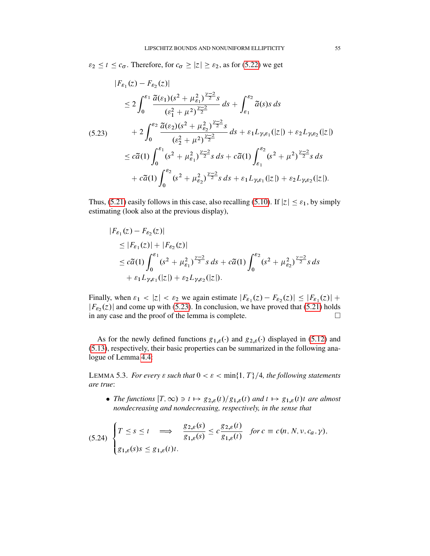$\varepsilon_2 \le t \le c_{\sigma}$ . Therefore, for  $c_{\sigma} \ge |z| \ge \varepsilon_2$ , as for [\(5.22\)](#page-53-0) we get

<span id="page-54-0"></span>
$$
|F_{\varepsilon_{1}}(z) - F_{\varepsilon_{2}}(z)|
$$
  
\n
$$
\leq 2 \int_{0}^{\varepsilon_{1}} \frac{\tilde{a}(\varepsilon_{1})(s^{2} + \mu_{\varepsilon_{1}}^{2})^{\frac{\gamma-2}{2}}s}{(\varepsilon_{1}^{2} + \mu^{2})^{\frac{\gamma-2}{2}}} ds + \int_{\varepsilon_{1}}^{\varepsilon_{2}} \tilde{a}(s) s ds
$$
  
\n(5.23) 
$$
+ 2 \int_{0}^{\varepsilon_{2}} \frac{\tilde{a}(\varepsilon_{2})(s^{2} + \mu_{\varepsilon_{2}}^{2})^{\frac{\gamma-2}{2}}s}{(\varepsilon_{2}^{2} + \mu^{2})^{\frac{\gamma-2}{2}}} ds + \varepsilon_{1} L_{\gamma, \varepsilon_{1}}(|z|) + \varepsilon_{2} L_{\gamma, \varepsilon_{2}}(|z|)
$$
  
\n
$$
\leq c \tilde{a}(1) \int_{0}^{\varepsilon_{1}} (s^{2} + \mu_{\varepsilon_{1}}^{2})^{\frac{\gamma-2}{2}}s ds + c \tilde{a}(1) \int_{\varepsilon_{1}}^{\varepsilon_{2}} (s^{2} + \mu^{2})^{\frac{\gamma-2}{2}}s ds
$$
  
\n
$$
+ c \tilde{a}(1) \int_{0}^{\varepsilon_{2}} (s^{2} + \mu_{\varepsilon_{2}}^{2})^{\frac{\gamma-2}{2}}s ds + \varepsilon_{1} L_{\gamma, \varepsilon_{1}}(|z|) + \varepsilon_{2} L_{\gamma, \varepsilon_{2}}(|z|).
$$

Thus, [\(5.21\)](#page-52-2) easily follows in this case, also recalling [\(5.10\)](#page-50-3). If  $|z| \leq \varepsilon_1$ , by simply estimating (look also at the previous display),

$$
|F_{\varepsilon_1}(z) - F_{\varepsilon_2}(z)|
$$
  
\n
$$
\leq |F_{\varepsilon_1}(z)| + |F_{\varepsilon_2}(z)|
$$
  
\n
$$
\leq c\tilde{a}(1) \int_0^{\varepsilon_1} (s^2 + \mu_{\varepsilon_1}^2)^{\frac{\nu-2}{2}} s \, ds + c\tilde{a}(1) \int_0^{\varepsilon_2} (s^2 + \mu_{\varepsilon_2}^2)^{\frac{\nu-2}{2}} s \, ds
$$
  
\n
$$
+ \varepsilon_1 L_{\gamma, \varepsilon_1}(|z|) + \varepsilon_2 L_{\gamma, \varepsilon_2}(|z|).
$$

Finally, when  $\varepsilon_1 < |z| < \varepsilon_2$  we again estimate  $|F_{\varepsilon_1}(z) - F_{\varepsilon_2}(z)| \leq |F_{\varepsilon_1}(z)| +$  $|F_{\epsilon_2}(z)|$  and come up with [\(5.23\)](#page-54-0). In conclusion, we have proved that [\(5.21\)](#page-52-2) holds in any case and the proof of the lemma is complete.

As for the newly defined functions  $g_{1,\varepsilon}(\cdot)$  and  $g_{2,\varepsilon}(\cdot)$  displayed in [\(5.12\)](#page-50-1) and [\(5.13\)](#page-50-2), respectively, their basic properties can be summarized in the following analogue of Lemma [4.4:](#page-28-2)

<span id="page-54-2"></span>LEMMA 5.3. For every  $\varepsilon$  such that  $0 < \varepsilon < \min\{1, T\}/4$ , the following statements *are true*:

• The functions  $[T,\infty) \ni t \mapsto g_{2,\varepsilon}(t)/g_{1,\varepsilon}(t)$  and  $t \mapsto g_{1,\varepsilon}(t)t$  are almost *nondecreasing and nondecreasing, respectively, in the sense that*

<span id="page-54-1"></span>
$$
(5.24) \begin{cases} T \leq s \leq t \implies \frac{g_{2,\varepsilon}(s)}{g_{1,\varepsilon}(s)} \leq c \frac{g_{2,\varepsilon}(t)}{g_{1,\varepsilon}(t)} \quad \text{for } c \equiv c(n, N, \nu, c_a, \gamma), \\ g_{1,\varepsilon}(s)s \leq g_{1,\varepsilon}(t)t. \end{cases}
$$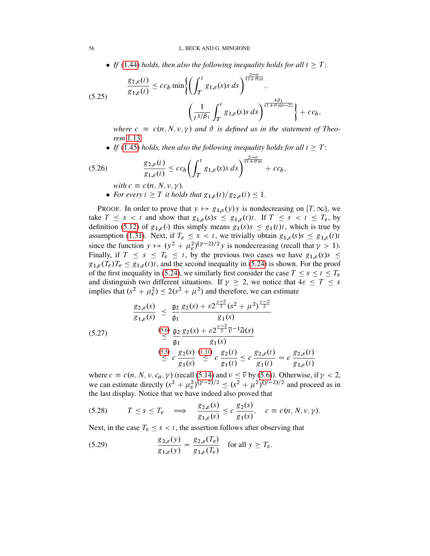<span id="page-55-1"></span>• *If* [\(1.44\)](#page-12-3) *holds, then also the following inequality holds for all*  $t \geq T$ :

(5.25) 
$$
\frac{g_{2,\varepsilon}(t)}{g_{1,\varepsilon}(t)} \leq c c_b \min \left\{ \left( \int_T^t g_{1,\varepsilon}(s) s \, ds \right)^{\frac{2-\sigma}{(1+\vartheta)n}}, \left( \frac{1}{t^{1/\beta_1}} \int_T^t g_{1,\varepsilon}(s) s \, ds \right)^{\frac{4\beta_1}{(1+\vartheta)(n-2)}} \right\} + c c_b,
$$

where  $c \equiv c(n, N, \nu, \gamma)$  and  $\vartheta$  is defined as in the statement of Theo*rem* [1.13](#page-12-0)*.*

<span id="page-55-3"></span>• If [\(1.45\)](#page-12-4) *holds, then also the following inequality holds for all*  $t \geq T$ :

$$
(5.26) \qquad \qquad \frac{g_{2,\varepsilon}(t)}{g_{1,\varepsilon}(t)} \leq c c_b \bigg(\int_T^t g_{1,\varepsilon}(s) s \, ds\bigg)^{\frac{2-\sigma}{(1+\vartheta)n}} + c c_b,
$$

*with*  $c \equiv c(n, N, \nu, \gamma)$ . • For every  $t \geq T$  *it holds that*  $g_{1,\varepsilon}(t)/g_{2,\varepsilon}(t) \leq 1$ .

PROOF. In order to prove that  $y \mapsto g_{1,\varepsilon}(y)y$  is nondecreasing on  $[T,\infty)$ , we take  $T \leq s < t$  and show that  $g_{1,\varepsilon}(s) s \leq g_{1,\varepsilon}(t) t$ . If  $T \leq s < t \leq T_{\varepsilon}$ , by definition [\(5.12\)](#page-50-1) of  $g_{1,\varepsilon}(\cdot)$  this simply means  $g_1(s)s \leq g_1(t)t$ , which is true by assumption [\(1.31\)](#page-8-0). Next, if  $T_{\varepsilon} \leq s < t$ , we trivially obtain  $g_{1,\varepsilon}(s) s \leq g_{1,\varepsilon}(t)t$ since the function  $y \mapsto (y^2 + \mu_\varepsilon^2)^{(\gamma - 2)/2} y$  is nondecreasing (recall that  $\gamma > 1$ ). Finally, if  $T \le s \le T_{\varepsilon} \le t$ , by the previous two cases we have  $g_{1,\varepsilon}(s)s \le$  $g_{1,\varepsilon}(T_{\varepsilon})T_{\varepsilon} \leq g_{1,\varepsilon}(t)t$ , and the second inequality in [\(5.24\)](#page-54-1) is shown. For the proof of the first inequality in [\(5.24\)](#page-54-1), we similarly first consider the case  $T \leq s \leq t \leq T_{\epsilon}$ and distinguish two different situations. If  $\gamma \geq 2$ , we notice that  $4\varepsilon \leq T \leq s$ implies that  $(s^2 + \mu_\varepsilon^2) \le 2(s^2 + \mu^2)$  and therefore, we can estimate

$$
\frac{g_{2,\varepsilon}(s)}{g_{1,\varepsilon}(s)} \le \frac{\mathfrak{g}_2}{\mathfrak{g}_1} \frac{g_2(s) + \varepsilon 2^{\frac{\gamma-2}{2}} (s^2 + \mu^2)^{\frac{\gamma-2}{2}}}{g_1(s)}
$$
\n
$$
(5.27)
$$
\n
$$
\le \frac{(5.6)}{\mathfrak{g}_1} \frac{\mathfrak{g}_2(g_2) + \varepsilon 2^{\frac{\gamma-2}{2}} \widetilde{\nu}^{-1} \widetilde{a}(s)}{g_1(s)}
$$
\n
$$
\le c \frac{g_2(s)}{g_1(s)} \frac{(1.31)}{\le c} \frac{g_2(t)}{g_1(t)} \le c \frac{g_{2,\varepsilon}(t)}{g_1(t)} = c \frac{g_{2,\varepsilon}(t)}{g_{1,\varepsilon}(t)}
$$

where  $c \equiv c(n, N, \nu, c_a, \gamma)$  (recall [\(5.14\)](#page-50-0) and  $\nu \leq \tilde{\nu}$  by [\(5.6\)](#page-49-7)). Otherwise, if  $\gamma < 2$ , we can estimate directly  $(s^2 + \mu_\varepsilon^2)^{(\gamma - 2)/2} \le (s^2 + \mu^2)^{(\gamma - 2)/2}$  and proceed as in the last display. Notice that we have indeed also proved that

<span id="page-55-2"></span>
$$
(5.28) \t\t T \leq s \leq T_{\varepsilon} \implies \frac{g_{2,\varepsilon}(s)}{g_{1,\varepsilon}(s)} \leq c \, \frac{g_2(s)}{g_1(s)}, \quad c \equiv c(n, N, \nu, \gamma).
$$

Next, in the case  $T_{\varepsilon} \leq s < t$ , the assertion follows after observing that

<span id="page-55-0"></span>(5.29) 
$$
\frac{g_{2,\varepsilon}(y)}{g_{1,\varepsilon}(y)} = \frac{g_{2,\varepsilon}(T_{\varepsilon})}{g_{1,\varepsilon}(T_{\varepsilon})} \text{ for all } y \geq T_{\varepsilon}.
$$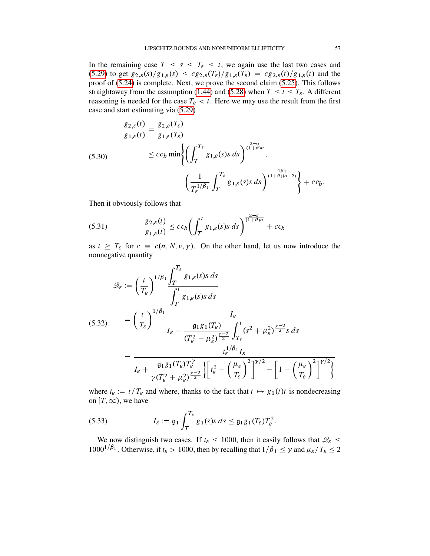In the remaining case  $T \leq s \leq T_{\epsilon} \leq t$ , we again use the last two cases and [\(5.29\)](#page-55-0) to get  $g_{2,\varepsilon}(s)/g_{1,\varepsilon}(s) \leq c g_{2,\varepsilon}(T_{\varepsilon})/g_{1,\varepsilon}(T_{\varepsilon}) = c g_{2,\varepsilon}(t)/g_{1,\varepsilon}(t)$  and the proof of  $(5.24)$  is complete. Next, we prove the second claim  $(5.25)$ . This follows straightaway from the assumption [\(1.44\)](#page-12-3) and [\(5.28\)](#page-55-2) when  $T \le t \le T_{\varepsilon}$ . A different reasoning is needed for the case  $T_{\varepsilon} < t$ . Here we may use the result from the first case and start estimating via [\(5.29\)](#page-55-0)

$$
\frac{g_{2,\varepsilon}(t)}{g_{1,\varepsilon}(t)} = \frac{g_{2,\varepsilon}(T_{\varepsilon})}{g_{1,\varepsilon}(T_{\varepsilon})}
$$
\n
$$
\leq c c_b \min \left\{ \left( \int_T^{T_{\varepsilon}} g_{1,\varepsilon}(s) s \, ds \right)^{\frac{2-\sigma}{(1+\vartheta)n}}, \right\}
$$
\n
$$
\left( \frac{1}{T_{\varepsilon}^{1/\beta_1}} \int_T^{T_{\varepsilon}} g_{1,\varepsilon}(s) s \, ds \right)^{\frac{4\beta_1}{(1+\vartheta)(n-2)}} \right\} + c c_b.
$$

Then it obviously follows that

<span id="page-56-1"></span>(5.31) 
$$
\frac{g_{2,\varepsilon}(t)}{g_{1,\varepsilon}(t)} \leq c c_b \bigg( \int_T^t g_{1,\varepsilon}(s) s \, ds \bigg)^{\frac{2-\sigma}{(1+\vartheta)n}} + c c_b
$$

as  $t \geq T_{\varepsilon}$  for  $c \equiv c(n, N, \nu, \gamma)$ . On the other hand, let us now introduce the nonnegative quantity

$$
\mathcal{Q}_{\varepsilon} := \left(\frac{t}{T_{\varepsilon}}\right)^{1/\beta_1} \frac{\int_{T}^{T_{\varepsilon}} g_{1,\varepsilon}(s)s \, ds}{\int_{T}^{t} g_{1,\varepsilon}(s)s \, ds}
$$
\n
$$
(5.32) = \left(\frac{t}{T_{\varepsilon}}\right)^{1/\beta_1} \frac{I_{\varepsilon}}{I_{\varepsilon} + \frac{\mathfrak{g}_1 g_1(T_{\varepsilon})}{(T_{\varepsilon}^2 + \mu_{\varepsilon}^2)^{\frac{\gamma-2}{2}}} \int_{T_{\varepsilon}}^{t} (s^2 + \mu_{\varepsilon}^2)^{\frac{\gamma-2}{2}} s \, ds
$$
\n
$$
= \frac{t_{\varepsilon}^{1/\beta_1} I_{\varepsilon}}{I_{\varepsilon} + \frac{\mathfrak{g}_1 g_1(T_{\varepsilon}) T_{\varepsilon}^{\gamma}}{\gamma (T_{\varepsilon}^2 + \mu_{\varepsilon}^2)^{\frac{\gamma-2}{2}}} \left\{ \left[ t_{\varepsilon}^2 + \left(\frac{\mu_{\varepsilon}}{T_{\varepsilon}}\right)^2 \right]^{\gamma/2} - \left[ 1 + \left(\frac{\mu_{\varepsilon}}{T_{\varepsilon}}\right)^2 \right]^{\gamma/2} \right\}
$$

where  $t_{\varepsilon} := t/T_{\varepsilon}$  and where, thanks to the fact that  $t \mapsto g_1(t)t$  is nondecreasing on  $[T,\infty)$ , we have

<span id="page-56-0"></span>(5.33) 
$$
I_{\varepsilon} := \mathfrak{g}_1 \int_T^{T_{\varepsilon}} g_1(s) s \, ds \leq \mathfrak{g}_1 g_1(T_{\varepsilon}) T_{\varepsilon}^2.
$$

We now distinguish two cases. If  $t_{\varepsilon} \le 1000$ , then it easily follows that  $\mathcal{Q}_{\varepsilon} \le$  $1000^{1/\beta_1}$ . Otherwise, if  $t_\varepsilon > 1000$ , then by recalling that  $1/\beta_1 \le \gamma$  and  $\mu_\varepsilon/T_\varepsilon \le 2$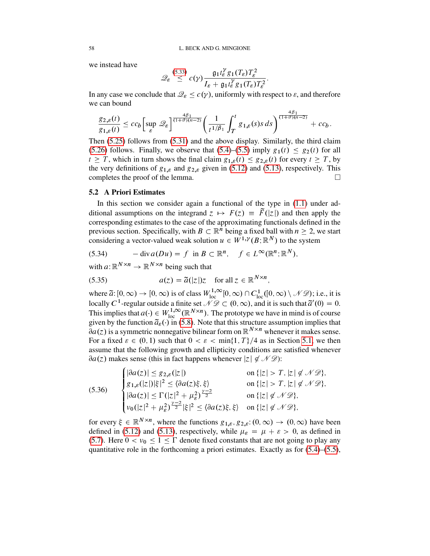we instead have

$$
\mathscr{Q}_{\varepsilon} \stackrel{(5.33)}{\leq} c(\gamma) \frac{\mathfrak{g}_1 t_{\varepsilon}^{\gamma} g_1(T_{\varepsilon}) T_{\varepsilon}^2}{I_{\varepsilon} + \mathfrak{g}_1 t_{\varepsilon}^{\gamma} g_1(T_{\varepsilon}) T_{\varepsilon}^2}.
$$

In any case we conclude that  $\mathcal{Q}_{\varepsilon} \leq c(\gamma)$ , uniformly with respect to  $\varepsilon$ , and therefore we can bound

$$
\frac{g_{2,\varepsilon}(t)}{g_{1,\varepsilon}(t)} \leq c c_b \Big[ \sup_{\varepsilon} \mathcal{Q}_{\varepsilon} \Big]^\frac{4\beta_1}{(1+\vartheta)(n-2)} \Big( \frac{1}{t^{1/\beta_1}} \int_T^t g_{1,\varepsilon}(s) s \, ds \Big)^\frac{4\beta_1}{(1+\vartheta)(n-2)} + c c_b.
$$

Then [\(5.25\)](#page-55-1) follows from [\(5.31\)](#page-56-1) and the above display. Similarly, the third claim [\(5.26\)](#page-55-3) follows. Finally, we observe that [\(5.4\)](#page-49-1)–[\(5.5\)](#page-49-2) imply  $g_1(t) \le g_2(t)$  for all  $t \geq T$ , which in turn shows the final claim  $g_{1,\varepsilon}(t) \leq g_{2,\varepsilon}(t)$  for every  $t \geq T$ , by the very definitions of  $g_{1,\varepsilon}$  and  $g_{2,\varepsilon}$  given in [\(5.12\)](#page-50-1) and [\(5.13\)](#page-50-2), respectively. This completes the proof of the lemma.

# <span id="page-57-3"></span>5.2 A Priori Estimates

In this section we consider again a functional of the type in [\(1.1\)](#page-1-0) under additional assumptions on the integrand  $z \mapsto F(z) \equiv \tilde{F}(|z|)$  and then apply the corresponding estimates to the case of the approximating functionals defined in the previous section. Specifically, with  $B \subset \mathbb{R}^n$  being a fixed ball with  $n \geq 2$ , we start considering a vector-valued weak solution  $u \in W^{1,\gamma}(B; \mathbb{R}^N)$  to the system

<span id="page-57-2"></span>(5.34) 
$$
-\operatorname{div} a(Du) = f \text{ in } B \subset \mathbb{R}^n, \quad f \in L^{\infty}(\mathbb{R}^n; \mathbb{R}^N),
$$

with  $a: \mathbb{R}^{N \times n} \to \mathbb{R}^{N \times n}$  being such that

<span id="page-57-0"></span>(5.35) 
$$
a(z) = \tilde{a}(|z|)z \text{ for all } z \in \mathbb{R}^{N \times n}
$$

where  $\tilde{a}$ :  $[0, \infty) \to [0, \infty)$  is of class  $W^{1,\infty}_{loc}[0, \infty) \cap C^1_{loc}([0, \infty) \setminus \mathcal{N} \mathcal{D})$ ; i.e., it is locally C<sup>1</sup>-regular outside a finite set  $\mathscr{N} \mathscr{D} \subset (0,\infty)$ , and it is such that  $\tilde{a}'(0) = 0$ . This implies that  $a(\cdot) \in W^{1,\infty}_{loc}(\mathbb{R}^{N \times n})$ . The prototype we have in mind is of course given by the function  $\tilde{a}_{\varepsilon}(\cdot)$  in [\(5.8\)](#page-49-6). Note that this structure assumption implies that  $\partial a(z)$  is a symmetric nonnegative bilinear form on  $\mathbb{R}^{N \times n}$  whenever it makes sense. For a fixed  $\varepsilon \in (0, 1)$  such that  $0 < \varepsilon < \min\{1, T\}/4$  as in Section [5.1,](#page-48-0) we then assume that the following growth and ellipticity conditions are satisfied whenever  $\partial a(z)$  makes sense (this in fact happens whenever  $|z| \notin \mathcal{N} \mathcal{D}$ ):

;

<span id="page-57-1"></span>(5.36) 
$$
\begin{cases}\n|\partial a(z)| \leq g_{2,\varepsilon}(|z|) & \text{on } \{|z| > T, |z| \notin \mathcal{ND}\}, \\
g_{1,\varepsilon}(|z|)|\xi|^2 \leq \langle \partial a(z)\xi, \xi \rangle & \text{on } \{|z| > T, |z| \notin \mathcal{ND}\}, \\
|\partial a(z)| \leq \Gamma(|z|^2 + \mu_{\varepsilon}^2)^{\frac{\nu-2}{2}} & \text{on } \{|z| \notin \mathcal{ND}\}, \\
\nu_0(|z|^2 + \mu_{\varepsilon}^2)^{\frac{\nu-2}{2}}|\xi|^2 \leq \langle \partial a(z)\xi, \xi \rangle & \text{on } \{|z| \notin \mathcal{ND}\},\n\end{cases}
$$

for every  $\xi \in \mathbb{R}^{N \times n}$ , where the functions  $g_{1,\varepsilon}, g_{2,\varepsilon} : (0, \infty) \to (0, \infty)$  have been defined in [\(5.12\)](#page-50-1) and [\(5.13\)](#page-50-2), respectively, while  $\mu_{\varepsilon} = \mu + \varepsilon > 0$ , as defined in [\(5.7\)](#page-49-5). Here  $0 < v_0 \le 1 \le \Gamma$  denote fixed constants that are not going to play any quantitative role in the forthcoming a priori estimates. Exactly as for [\(5.4\)](#page-49-1)–[\(5.5\)](#page-49-2),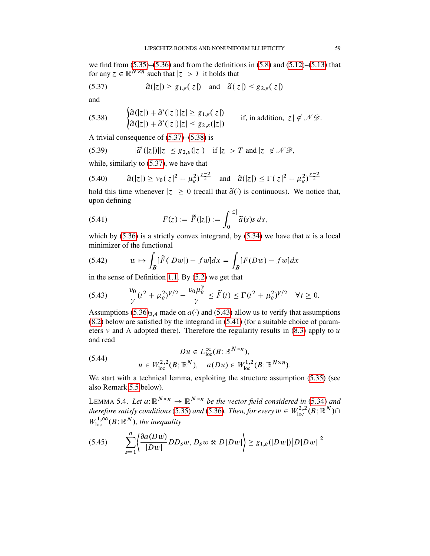we find from  $(5.35)$ – $(5.36)$  and from the definitions in  $(5.8)$  and  $(5.12)$ – $(5.13)$  that for any  $z \in \mathbb{R}^{N \times n}$  such that  $|z| > T$  it holds that

<span id="page-58-0"></span>(5.37) 
$$
\widetilde{a}(|z|) \geq g_{1,\varepsilon}(|z|) \quad \text{and} \quad \widetilde{a}(|z|) \leq g_{2,\varepsilon}(|z|)
$$

and

<span id="page-58-1"></span>(5.38) 
$$
\begin{cases} \tilde{a}(|z|) + \tilde{a}'(|z|)|z| \geq g_{1,\varepsilon}(|z|) \\ \tilde{a}(|z|) + \tilde{a}'(|z|)|z| \leq g_{2,\varepsilon}(|z|) \end{cases}
$$
 if, in addition,  $|z| \notin \mathcal{ND}$ .

A trivial consequence of [\(5.37\)](#page-58-0)–[\(5.38\)](#page-58-1) is

<span id="page-58-2"></span>(5.39) 
$$
|\tilde{a}'(|z|)||z| \le g_{2,\varepsilon}(|z|) \quad \text{if } |z| > T \text{ and } |z| \notin \mathcal{ND},
$$

while, similarly to [\(5.37\)](#page-58-0), we have that

$$
(5.40) \qquad \tilde{a}(|z|) \ge v_0(|z|^2 + \mu_\varepsilon^2)^{\frac{\nu - 2}{2}} \quad \text{and} \quad \tilde{a}(|z|) \le \Gamma(|z|^2 + \mu_\varepsilon^2)^{\frac{\nu - 2}{2}}
$$

hold this time whenever  $|z| \ge 0$  (recall that  $\tilde{a}(\cdot)$  is continuous). We notice that, upon defining

<span id="page-58-4"></span>(5.41) 
$$
F(z) := \widetilde{F}(|z|) := \int_0^{|z|} \widetilde{a}(s)s \, ds,
$$

which by  $(5.36)$  is a strictly convex integrand, by  $(5.34)$  we have that u is a local minimizer of the functional

<span id="page-58-8"></span>(5.42) 
$$
w \mapsto \int_B [\widetilde{F}(|Dw|) - fw] dx = \int_B [F(Dw) - fw] dx
$$

in the sense of Definition [1.1.](#page-3-0) By [\(5.2\)](#page-58-2) we get that

<span id="page-58-3"></span>
$$
(5.43) \qquad \frac{\nu_0}{\gamma}(t^2 + \mu_{\varepsilon}^2)^{\gamma/2} - \frac{\nu_0 \mu_{\varepsilon}^{\gamma}}{\gamma} \leq \widetilde{F}(t) \leq \Gamma(t^2 + \mu_{\varepsilon}^2)^{\gamma/2} \quad \forall t \geq 0.
$$

Assumptions  $(5.36)_{3,4}$  $(5.36)_{3,4}$  made on  $a(·)$  and  $(5.43)$  allow us to verify that assumptions [\(8.2\)](#page-84-0) below are satisfied by the integrand in [\(5.41\)](#page-58-4) (for a suitable choice of parameters  $\nu$  and  $\Lambda$  adopted there). Therefore the regularity results in [\(8.3\)](#page-84-1) apply to  $u$ and read

<span id="page-58-7"></span>(5.44) 
$$
Du \in L_{loc}^{\infty}(B; \mathbb{R}^{N \times n}),
$$

$$
u \in W_{loc}^{2,2}(B; \mathbb{R}^{N}), \quad a(Du) \in W_{loc}^{1,2}(B; \mathbb{R}^{N \times n}).
$$

We start with a technical lemma, exploiting the structure assumption  $(5.35)$  (see also Remark [5.5](#page-61-0) below).

<span id="page-58-6"></span>LEMMA 5.4. Let  $a: \mathbb{R}^{N \times n} \to \mathbb{R}^{N \times n}$  be the vector field considered in [\(5.34\)](#page-57-2) and therefore satisfy conditions [\(5.35\)](#page-57-0) and [\(5.36\)](#page-57-1). Then, for every  $w \in W^{2,2}_{\rm loc}(B;\mathbb R^N)\cap$  $W^{1,\infty}_{\text{loc}}(B;\mathbb{R}^N)$ , the inequality

<span id="page-58-5"></span>
$$
(5.45) \qquad \sum_{s=1}^{n} \left\langle \frac{\partial a(Dw)}{|Dw|} DD_s w, D_s w \otimes D|Dw| \right\rangle \ge g_{1,\varepsilon}(|Dw|) |D|Dw| |^2
$$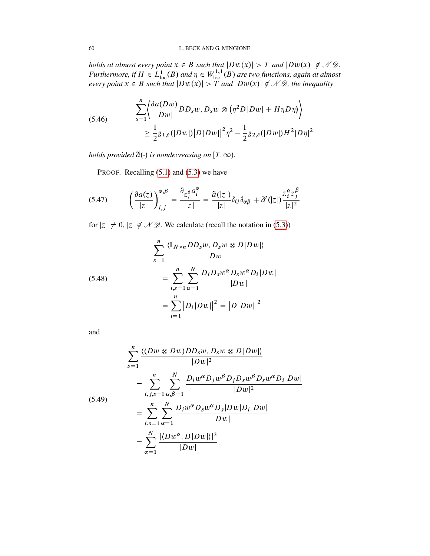*holds at almost every point*  $x \in B$  *such that*  $|Dw(x)| > T$  *and*  $|Dw(x)| \notin \mathcal{ND}$ *.* Furthermore, if  $H \in L^1_{loc}(B)$  and  $\eta \in W^{1,1}_{loc}(B)$  are two functions, again at almost *every point*  $x \in B$  *such that*  $|Dw(x)| > T$  *and*  $|Dw(x)| \notin \mathcal{ND}$ *, the inequality* 

<span id="page-59-2"></span>(5.46) 
$$
\sum_{s=1}^{n} \left\{ \frac{\partial a(Dw)}{|Dw|} DD_s w, D_s w \otimes (\eta^2 D |Dw| + H \eta D \eta) \right\}
$$

$$
\geq \frac{1}{2} g_{1,\varepsilon} (|Dw|) |D| Dw| |^2 \eta^2 - \frac{1}{2} g_{2,\varepsilon} (|Dw|) H^2 |D\eta|^2
$$

*holds provided*  $\tilde{a}(\cdot)$  *is nondecreasing on*  $[T,\infty)$ *.* 

<span id="page-59-0"></span>PROOF. Recalling  $(5.1)$  and  $(5.3)$  we have

$$
(5.47) \qquad \left(\frac{\partial a(z)}{|z|}\right)^{\alpha,\beta}_{i,j} = \frac{\partial_{z_j^{\beta}} a_i^{\alpha}}{|z|} = \frac{\tilde{a}(|z|)}{|z|} \delta_{ij} \delta_{\alpha\beta} + \tilde{a}'(|z|) \frac{z_i^{\alpha} z_j^{\beta}}{|z|^2}
$$

for  $|z| \neq 0$ ,  $|z| \notin \mathcal{N} \mathcal{D}$ . We calculate (recall the notation in [\(5.3\)](#page-49-4))

<span id="page-59-3"></span>(5.48) 
$$
\sum_{s=1}^{n} \frac{\langle \mathbb{I}_{N \times n} DD_{s} w, D_{s} w \otimes D | Dw | \rangle}{|D w|}
$$

$$
= \sum_{i,s=1}^{n} \sum_{\alpha=1}^{N} \frac{D_{i} D_{s} w^{\alpha} D_{s} w^{\alpha} D_{i} |D w |}{|D w|}
$$

$$
= \sum_{i=1}^{n} |D_{i} |D w| |^{2} = |D |D w| |^{2}
$$

and

<span id="page-59-1"></span>
$$
\sum_{s=1}^{n} \frac{\langle (Dw \otimes Dw)DD_sw, D_sw \otimes D|Dw| \rangle}{|Dw|^2}
$$
  
= 
$$
\sum_{i,j,s=1}^{n} \sum_{\alpha,\beta=1}^{N} \frac{D_i w^{\alpha} D_j w^{\beta} D_j D_s w^{\beta} D_s w^{\alpha} D_i|Dw|}{|Dw|^2}
$$
  
= 
$$
\sum_{i,s=1}^{n} \sum_{\alpha=1}^{N} \frac{D_i w^{\alpha} D_s w^{\alpha} D_s|Dw|D_i|Dw|}{|Dw|}
$$
  
= 
$$
\sum_{\alpha=1}^{N} \frac{|\langle Dw^{\alpha}, D|Dw| \rangle|^2}{|Dw|}.
$$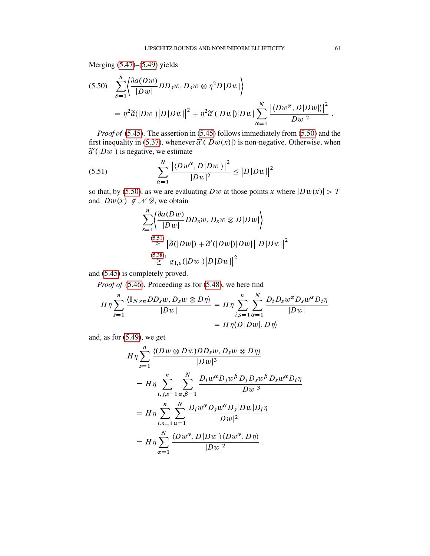Merging [\(5.47\)](#page-59-0)–[\(5.49\)](#page-59-1) yields

<span id="page-60-0"></span>
$$
(5.50) \quad \sum_{s=1}^{n} \left\langle \frac{\partial a(Dw)}{\partial w} DD_s w, D_s w \otimes \eta^2 D|Dw| \right\rangle
$$
  
=  $\eta^2 \tilde{a} (|Dw|) |D|Dw| |^2 + \eta^2 \tilde{a}' (|Dw|) |Dw| \sum_{\alpha=1}^{N} \frac{| \langle Dw^{\alpha}, D|Dw| \rangle |^2}{|Dw|^2}.$ 

*Proof of* [\(5.45\)](#page-58-5). The assertion in [\(5.45\)](#page-58-5) follows immediately from [\(5.50\)](#page-60-0) and the first inequality in [\(5.37\)](#page-58-0), whenever  $\tilde{a}'(|Dw(x)|)$  is non-negative. Otherwise, when  $\tilde{a}'(|Dw|)$  is negative, we estimate

(5.51) 
$$
\sum_{\alpha=1}^{N} \frac{|\langle Dw^{\alpha}, D|Dw|\rangle|^2}{|Dw|^2} \leq |D|Dw||^2
$$

so that, by [\(5.50\)](#page-60-0), as we are evaluating Dw at those points x where  $|Dw(x)| > T$ and  $|Dw(x)| \notin \mathcal{N} \mathcal{D}$ , we obtain

<span id="page-60-1"></span>
$$
\sum_{s=1}^{n} \left\langle \frac{\partial a(Dw)}{|Dw|} DD_s w, D_s w \otimes D|Dw| \right\rangle
$$
  
\n
$$
\geq \left[ \widetilde{a}(|Dw|) + \widetilde{a}'(|Dw|)|Dw| \right] |D|Dw| \right]^2
$$
  
\n(5.38)<sub>1</sub>  
\n
$$
\geq g_{1,\varepsilon}(|Dw|) |D|Dw| |^2
$$

and [\(5.45\)](#page-58-5) is completely proved.

*Proof of* [\(5.46\)](#page-59-2). Proceeding as for [\(5.48\)](#page-59-3), we here find

$$
H\eta \sum_{s=1}^{n} \frac{\langle \mathbb{I}_{N\times n} DD_s w, D_s w \otimes D\eta \rangle}{|Dw|} = H\eta \sum_{i,s=1}^{n} \sum_{\alpha=1}^{N} \frac{D_i D_s w^{\alpha} D_s w^{\alpha} D_i \eta}{|Dw|}
$$
  
=  $H\eta \langle D|Dw|, D\eta \rangle$ 

and, as for [\(5.49\)](#page-59-1), we get

$$
H\eta \sum_{s=1}^{n} \frac{\langle (Dw \otimes Dw)DD_s w, D_s w \otimes D\eta \rangle}{|Dw|^3}
$$
  
=  $H\eta \sum_{i,j,s=1}^{n} \sum_{\alpha,\beta=1}^{N} \frac{D_i w^{\alpha} D_j w^{\beta} D_j D_s w^{\beta} D_s w^{\alpha} D_i \eta}{|Dw|^3}$   
=  $H\eta \sum_{i,s=1}^{n} \sum_{\alpha=1}^{N} \frac{D_i w^{\alpha} D_s w^{\alpha} D_s |Dw| D_i \eta}{|Dw|^2}$   
=  $H\eta \sum_{\alpha=1}^{N} \frac{\langle Dw^{\alpha}, D|Dw| \rangle \langle Dw^{\alpha}, D\eta \rangle}{|Dw|^2}.$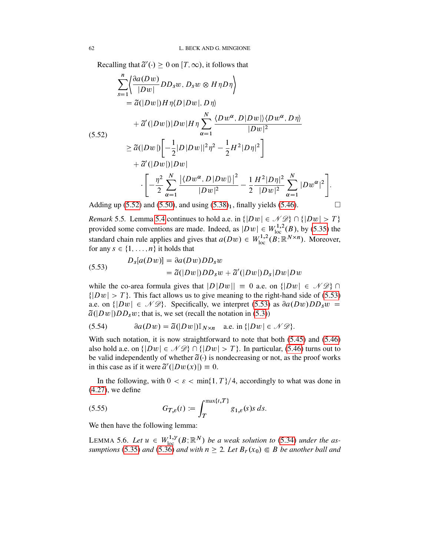Recalling that  $\tilde{a}'(\cdot) \ge 0$  on  $[T, \infty)$ , it follows that

<span id="page-61-1"></span>
$$
\sum_{s=1}^{n} \left\{ \frac{\partial a(Dw)}{\partial w} DD_s w, D_s w \otimes H \eta D \eta \right\}
$$
  
=  $\tilde{a}(|Dw|) H \eta \langle D|Dw|, D \eta \rangle$   
+  $\tilde{a}'(|Dw|) |Dw| H \eta \sum_{\alpha=1}^{N} \frac{\langle Dw^{\alpha}, D|Dw| \rangle \langle Dw^{\alpha}, D \eta \rangle}{|Dw|^2}$   
(5.52)  

$$
\geq \tilde{a}(|Dw|) \left[ -\frac{1}{2} |D|Dw||^2 \eta^2 - \frac{1}{2} H^2 |D \eta|^2 \right]
$$

$$
+ \tilde{a}'(|Dw|) |Dw|
$$

$$
\cdot \left[ -\frac{\eta^2}{2} \sum_{\alpha=1}^{N} \frac{|\langle Dw^{\alpha}, D|Dw| \rangle|^2}{|Dw|^2} - \frac{1}{2} \frac{H^2 |D \eta|^2}{|Dw|^2} \sum_{\alpha=1}^{N} |Dw^{\alpha}|^2 \right].
$$

Adding up [\(5.52\)](#page-61-1) and [\(5.50\)](#page-60-0), and using  $(5.38)<sub>1</sub>$  $(5.38)<sub>1</sub>$ , finally yields [\(5.46\)](#page-59-2).

<span id="page-61-0"></span>*Remark* 5.5. Lemma [5.4](#page-58-6) continues to hold a.e. in  $\{ |Dw| \in \mathcal{N} \mathcal{D} \} \cap \{ |Dw| > T \}$ provided some conventions are made. Indeed, as  $|Dw| \in W^{1,2}_{loc}(B)$ , by [\(5.35\)](#page-57-0) the standard chain rule applies and gives that  $a(Dw) \in W^{1,2}_{loc}(B; \mathbb{R}^{N \times n})$ . Moreover, for any  $s \in \{1, \ldots, n\}$  it holds that

<span id="page-61-2"></span>(5.53) 
$$
D_s[a(Dw)] = \partial a(Dw)DD_s w
$$

$$
= \tilde{a}(|Dw|)DD_s w + \tilde{a}'(|Dw|)D_s|Dw|Dw
$$

while the co-area formula gives that  $|D|Dw|| \equiv 0$  a.e. on  $\{|Dw| \in \mathcal{N}\mathcal{D}\}\cap$  $\{|Dw| > T\}$ . This fact allows us to give meaning to the right-hand side of [\(5.53\)](#page-61-2) a.e. on  $\{ |Dw| \in \mathcal{N}\mathcal{D} \}$ . Specifically, we interpret [\(5.53\)](#page-61-2) as  $\partial a(Dw)DD_s w =$  $\tilde{a}$ (|Dw|)DD<sub>s</sub>w; that is, we set (recall the notation in [\(5.3\)](#page-49-4))

<span id="page-61-3"></span>(5.54) 
$$
\partial a(Dw) = \tilde{a}(|Dw|) \mathbb{I}_{N \times n} \quad \text{a.e. in } \{|Dw| \in \mathcal{ND}\}.
$$

With such notation, it is now straightforward to note that both  $(5.45)$  and  $(5.46)$ also hold a.e. on  $\{ |Dw| \in \mathcal{NB} \} \cap \{ |Dw| > T \}.$  In particular, [\(5.46\)](#page-59-2) turns out to be valid independently of whether  $\tilde{a}(\cdot)$  is nondecreasing or not, as the proof works in this case as if it were  $\tilde{a}'(|Dw(x)|) \equiv 0$ .

In the following, with  $0 < \varepsilon < \min\{1, T\}/4$ , accordingly to what was done in [\(4.27\)](#page-30-4), we define

<span id="page-61-4"></span>(5.55) 
$$
G_{T,\varepsilon}(t) := \int_T^{\max\{t,T\}} g_{1,\varepsilon}(s) s \, ds.
$$

We then have the following lemma:

LEMMA 5.6. Let  $u \in W^{1,\gamma}_{loc}(B;\mathbb{R}^N)$  be a weak solution to [\(5.34\)](#page-57-2) under the as*sumptions* [\(5.35\)](#page-57-0) *and* [\(5.36\)](#page-57-1) *and with*  $n \geq 2$ . Let  $B_r(x_0) \in B$  *be another ball and*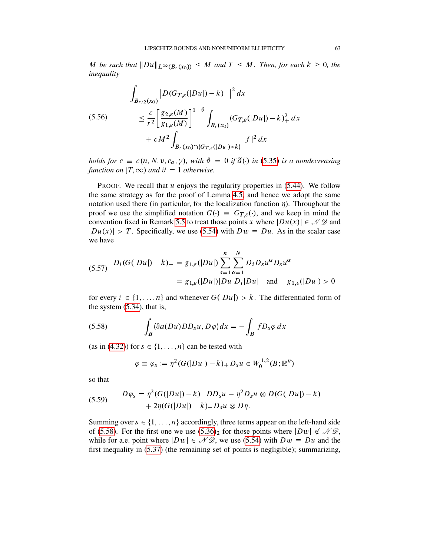M be such that  $||Du||_{L^{\infty}(B_r(x_0))} \leq M$  and  $T \leq M$ . Then, for each  $k \geq 0$ , the *inequality*

<span id="page-62-3"></span>
$$
\int_{B_{r/2}(x_0)} |D(G_{T,\varepsilon}(|Du|) - k)_{+}|^2 dx
$$
\n(5.56)\n
$$
\leq \frac{c}{r^2} \bigg[ \frac{g_{2,\varepsilon}(M)}{g_{1,\varepsilon}(M)} \bigg]^{1+\vartheta} \int_{B_r(x_0)} (G_{T,\varepsilon}(|Du|) - k)_{+}^2 dx
$$
\n
$$
+ c M^2 \int_{B_r(x_0) \cap \{G_{T,\varepsilon}(|Du|) > k\}} |f|^2 dx
$$

*holds for*  $c \equiv c(n, N, \nu, c_a, \gamma)$ , with  $\vartheta = 0$  if  $\tilde{a}(\cdot)$  in [\(5.35\)](#page-57-0) is a nondecreasing *function on*  $[T, \infty)$  *and*  $\vartheta = 1$  *otherwise.* 

PROOF. We recall that  $u$  enjoys the regularity properties in  $(5.44)$ . We follow the same strategy as for the proof of Lemma [4.5,](#page-30-5) and hence we adopt the same notation used there (in particular, for the localization function  $\eta$ ). Throughout the proof we use the simplified notation  $G() \equiv G_{T,\varepsilon}(.)$ , and we keep in mind the convention fixed in Remark [5.5](#page-61-0) to treat those points x where  $|Du(x)| \in \mathcal{N} \mathcal{D}$  and  $|Du(x)| > T$ . Specifically, we use [\(5.54\)](#page-61-3) with  $Dw \equiv Du$ . As in the scalar case we have

<span id="page-62-1"></span>
$$
(5.57) \quad D_i(G(|Du|) - k)_+ = g_{1,\varepsilon}(|Du|) \sum_{s=1}^n \sum_{\alpha=1}^N D_i D_s u^{\alpha} D_s u^{\alpha}
$$

$$
= g_{1,\varepsilon}(|Du|) |Du| D_i |Du| \quad \text{and} \quad g_{1,\varepsilon}(|Du|) > 0
$$

for every  $i \in \{1, ..., n\}$  and whenever  $G(|Du|) > k$ . The differentiated form of the system [\(5.34\)](#page-57-2), that is,

(5.58) 
$$
\int_{B} \langle \partial a(Du) DD_{s} u, D\varphi \rangle dx = - \int_{B} f D_{s} \varphi dx
$$

(as in [\(4.32\)](#page-31-0)) for  $s \in \{1, \ldots, n\}$  can be tested with

<span id="page-62-0"></span>
$$
\varphi \equiv \varphi_s := \eta^2 (G(|Du|) - k)_+ D_s u \in W_0^{1,2}(B; \mathbb{R}^n)
$$

so that

<span id="page-62-2"></span>(5.59) 
$$
D\varphi_s = \eta^2 (G(|Du|) - k)_+ DD_s u + \eta^2 D_s u \otimes D(G(|Du|) - k)_+ + 2\eta (G(|Du|) - k)_+ D_s u \otimes D\eta.
$$

Summing over  $s \in \{1, \ldots, n\}$  accordingly, three terms appear on the left-hand side of [\(5.58\)](#page-62-0). For the first one we use [\(5.36\)](#page-57-1)<sub>2</sub> for those points where  $|Dw| \notin \mathcal{ND}$ , while for a.e. point where  $|Dw| \in \mathcal{N} \mathcal{D}$ , we use [\(5.54\)](#page-61-3) with  $Dw \equiv Du$  and the first inequality in [\(5.37\)](#page-58-0) (the remaining set of points is negligible); summarizing,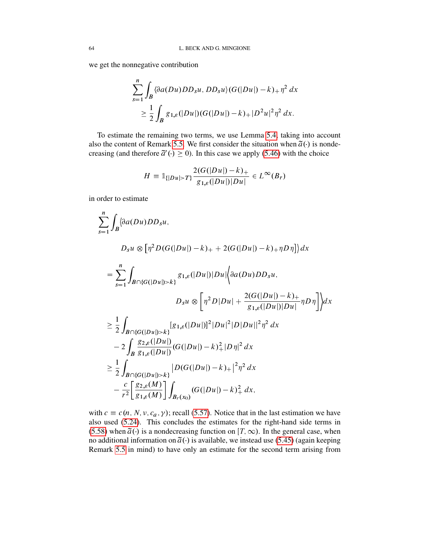we get the nonnegative contribution

$$
\sum_{s=1}^n \int_B \langle \partial a(Du)DD_s u, DD_s u \rangle (G(|Du|) - k)_+ \eta^2 dx
$$
  
\n
$$
\geq \frac{1}{2} \int_B g_{1,\varepsilon}(|Du|) (G(|Du|) - k)_+ |D^2 u|^2 \eta^2 dx.
$$

To estimate the remaining two terms, we use Lemma [5.4,](#page-58-6) taking into account also the content of Remark [5.5.](#page-61-0) We first consider the situation when  $\tilde{a}(\cdot)$  is nondecreasing (and therefore  $\tilde{a}'(\cdot) \ge 0$ ). In this case we apply [\(5.46\)](#page-59-2) with the choice

$$
H = \mathbb{1}_{\{|Du| > T\}} \frac{2(G(|Du|) - k)_+}{g_{1,\varepsilon}(|Du|) |Du|} \in L^{\infty}(B_r)
$$

in order to estimate

$$
\sum_{s=1}^{n} \int_{B} \left\{ \frac{\partial a(Du)DD_{s}u}{\partial P_{s}U \otimes \left[ \eta^{2}D(G(|Du|)-k)_{+} + 2(G(|Du|)-k)_{+} \eta D \eta \right] \right\} dx
$$
\n
$$
= \sum_{s=1}^{n} \int_{B \cap \{G(|Du|)>k\}} g_{1,s}(|Du|)|Du| \left\{ \frac{\partial a(Du)DD_{s}u}{\partial P_{s}U \otimes \left[ \eta^{2}D|Du| + \frac{2(G(|Du|)-k)_{+}}{g_{1,s}(|Du|)|Du|} \eta D \eta \right] \right\} dx
$$
\n
$$
\geq \frac{1}{2} \int_{B \cap \{G(|Du|)>k\}} [g_{1,s}(|Du|)]^{2}|Du|^{2}|D|Du|^{2}|\eta^{2}dx
$$
\n
$$
-2 \int_{B} \frac{g_{2,s}(|Du|)}{g_{1,s}(|Du|)} (G(|Du|)-k)_{+}^{2}|D\eta|^{2}dx
$$
\n
$$
\geq \frac{1}{2} \int_{B \cap \{G(|Du|)>k\}} |D(G(|Du|)-k)_{+}|^{2} \eta^{2}dx
$$
\n
$$
- \frac{c}{r^{2}} \left[ \frac{g_{2,s}(M)}{g_{1,s}(M)} \right] \int_{B_{r}(x_{0})} (G(|Du|)-k)_{+}^{2}dx.
$$

with  $c \equiv c(n, N, \nu, c_a, \gamma)$ ; recall [\(5.57\)](#page-62-1). Notice that in the last estimation we have also used [\(5.24\)](#page-54-1). This concludes the estimates for the right-hand side terms in [\(5.58\)](#page-62-0) when  $\tilde{a}(\cdot)$  is a nondecreasing function on  $[T,\infty)$ . In the general case, when no additional information on  $\tilde{a}(\cdot)$  is available, we instead use [\(5.45\)](#page-58-5) (again keeping Remark [5.5](#page-61-0) in mind) to have only an estimate for the second term arising from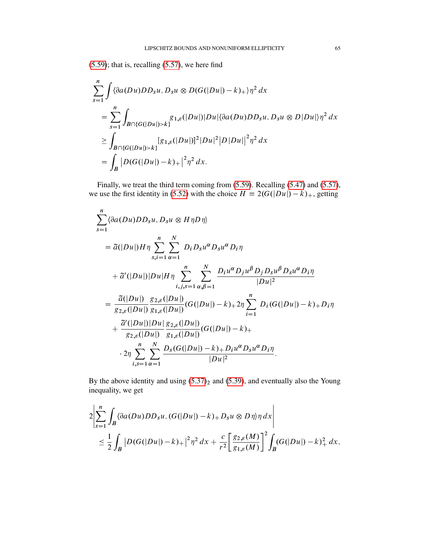[\(5.59\)](#page-62-2); that is, recalling [\(5.57\)](#page-62-1), we here find

$$
\sum_{s=1}^{n} \int \langle \partial a(Du)DD_s u, D_s u \otimes D(G(|Du|) - k) + \rangle \eta^2 dx
$$
  
= 
$$
\sum_{s=1}^{n} \int_{B \cap \{G(|Du|) > k\}} g_{1,\varepsilon}(|Du|) |Du| \langle \partial a(Du)DD_s u, D_s u \otimes D|Du| \rangle \eta^2 dx
$$
  

$$
\geq \int_{B \cap \{G(|Du|) > k\}} [g_{1,\varepsilon}(|Du|)]^2 |Du|^2 |D|Du||^2 \eta^2 dx
$$
  
= 
$$
\int_{B} |D(G(|Du|) - k) + |^2 \eta^2 dx.
$$

Finally, we treat the third term coming from [\(5.59\)](#page-62-2). Recalling [\(5.47\)](#page-59-0) and [\(5.57\)](#page-62-1), we use the first identity in [\(5.52\)](#page-61-1) with the choice  $H \equiv 2(G(|Du|) - k)_{+}$ , getting

$$
\sum_{s=1}^{n} \langle \partial a(Du)DD_{s}u, D_{s}u \otimes H\eta D\eta \rangle
$$
\n
$$
= \tilde{a}(|Du|)H\eta \sum_{s,i=1}^{n} \sum_{\alpha=1}^{N} D_{i}D_{s}u^{\alpha}D_{s}u^{\alpha}D_{i}\eta
$$
\n
$$
+ \tilde{a}'(|Du|)|Du|H\eta \sum_{i,j,s=1}^{n} \sum_{\alpha,\beta=1}^{N} \frac{D_{i}u^{\alpha}D_{j}u^{\beta}D_{j}D_{s}u^{\beta}D_{s}u^{\alpha}D_{i}\eta}{|Du|^{2}}
$$
\n
$$
= \frac{\tilde{a}(|Du|)}{g_{2,\varepsilon}(|Du|)} \frac{g_{2,\varepsilon}(|Du|)}{g_{1,\varepsilon}(|Du|)} (G(|Du|) - k) + 2\eta \sum_{i=1}^{n} D_{i}(G(|Du|) - k) + D_{i}\eta
$$
\n
$$
+ \frac{\tilde{a}'(|Du|)|Du|}{g_{2,\varepsilon}(|Du|)} \frac{g_{2,\varepsilon}(|Du|)}{g_{1,\varepsilon}(|Du|)} (G(|Du|) - k) +
$$
\n
$$
\cdot 2\eta \sum_{i,s=1}^{n} \sum_{\alpha=1}^{N} \frac{D_{s}(G(|Du|) - k) + D_{i}u^{\alpha}D_{s}u^{\alpha}D_{i}\eta}{|Du|^{2}}.
$$

By the above identity and using  $(5.37)_2$  $(5.37)_2$  and  $(5.39)$ , and eventually also the Young inequality, we get

$$
2\left|\sum_{s=1}^{n}\int_{B}\left\langle \partial a(Du)DD_{s}u,(G(|Du|)-k)_{+}D_{s}u\otimes D\eta\right\rangle \eta\,dx\right|
$$
  

$$
\leq \frac{1}{2}\int_{B}\left|D(G(|Du|)-k)_{+}\right|^{2}\eta^{2}\,dx + \frac{c}{r^{2}}\left[\frac{g_{2,\varepsilon}(M)}{g_{1,\varepsilon}(M)}\right]^{2}\int_{B}(G(|Du|)-k)_{+}^{2}\,dx,
$$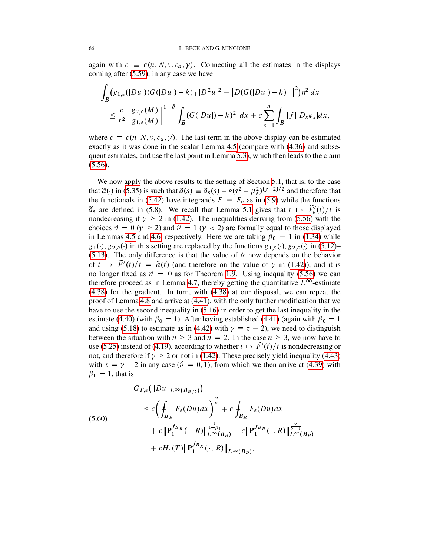again with  $c \equiv c(n, N, \nu, c_a, \gamma)$ . Connecting all the estimates in the displays coming after [\(5.59\)](#page-62-2), in any case we have

$$
\int_{B} (g_{1,\varepsilon}(|Du|)(G(|Du|)-k) + |D^2u|^2 + |D(G(|Du|)-k) + |^2)\eta^2 dx
$$
\n
$$
\leq \frac{c}{r^2} \bigg[ \frac{g_{2,\varepsilon}(M)}{g_{1,\varepsilon}(M)} \bigg]^{1+\vartheta} \int_{B} (G(|Du|)-k)_{+}^2 dx + c \sum_{s=1}^n \int_{B} |f||D_s\varphi_s| dx,
$$

where  $c \equiv c(n, N, \nu, c_a, \gamma)$ . The last term in the above display can be estimated exactly as it was done in the scalar Lemma [4.5](#page-30-5) (compare with [\(4.36\)](#page-33-0) and subsequent estimates, and use the last point in Lemma [5.3\)](#page-54-2), which then leads to the claim  $(5.56)$ .

We now apply the above results to the setting of Section [5.1,](#page-48-0) that is, to the case that  $\tilde{a}(\cdot)$  in [\(5.35\)](#page-57-0) is such that  $\tilde{a}(s) \equiv \tilde{a}_{\varepsilon}(s) + \varepsilon (s^2 + \mu_{\varepsilon}^2)^{(\gamma - 2)/2}$  and therefore that the functionals in [\(5.42\)](#page-58-8) have integrands  $F \equiv F_{\varepsilon}$  as in [\(5.9\)](#page-49-3) while the functions  $\tilde{a}_{\varepsilon}$  are defined in [\(5.8\)](#page-49-6). We recall that Lemma [5.1](#page-50-4) gives that  $t \mapsto \tilde{F}_{\varepsilon}'(t)/t$  is nondecreasing if  $\gamma \ge 2$  in [\(1.42\)](#page-12-2). The inequalities deriving from [\(5.56\)](#page-62-3) with the choices  $\vartheta = 0$  ( $\gamma \ge 2$ ) and  $\vartheta = 1$  ( $\gamma < 2$ ) are formally equal to those displayed in Lemmas [4.5](#page-30-5) and [4.6,](#page-34-0) respectively. Here we are taking  $\beta_0 = 1$  in [\(1.34\)](#page-9-1) while  $g_1(·), g_2(·)$  in this setting are replaced by the functions  $g_{1,\varepsilon}(·), g_{2,\varepsilon}(·)$  in [\(5.12\)](#page-50-1)– [\(5.13\)](#page-50-2). The only difference is that the value of  $\vartheta$  now depends on the behavior of  $t \mapsto \tilde{F}'(t)/t = \tilde{a}(t)$  (and therefore on the value of  $\gamma$  in [\(1.42\)](#page-12-2)), and it is no longer fixed as  $\vartheta = 0$  as for Theorem [1.9.](#page-9-2) Using inequality [\(5.56\)](#page-62-3) we can therefore proceed as in Lemma [4.7,](#page-35-1) thereby getting the quantitative  $L^{\infty}$ -estimate [\(4.38\)](#page-35-0) for the gradient. In turn, with [\(4.38\)](#page-35-0) at our disposal, we can repeat the proof of Lemma [4.8](#page-36-0) and arrive at [\(4.41\)](#page-37-0), with the only further modification that we have to use the second inequality in [\(5.16\)](#page-51-1) in order to get the last inequality in the estimate [\(4.40\)](#page-37-1) (with  $\beta_0 = 1$ ). After having established [\(4.41\)](#page-37-0) (again with  $\beta_0 = 1$ and using [\(5.18\)](#page-51-3) to estimate as in [\(4.42\)](#page-38-0) with  $\gamma = \tau + 2$ ), we need to distinguish between the situation with  $n \geq 3$  and  $n = 2$ . In the case  $n \geq 3$ , we now have to use [\(5.25\)](#page-55-1) instead of [\(4.19\)](#page-28-0), according to whether  $t \mapsto \tilde{F}'(t)/t$  is nondecreasing or not, and therefore if  $\gamma \ge 2$  or not in [\(1.42\)](#page-12-2). These precisely yield inequality [\(4.43\)](#page-38-1) with  $\tau = \gamma - 2$  in any case ( $\vartheta = 0, 1$ ), from which we then arrive at [\(4.39\)](#page-36-1) with  $\beta_0 = 1$ , that is

<span id="page-65-0"></span>
$$
G_{T,\varepsilon}(\|Du\|_{L^{\infty}(B_{R/2}))})
$$
  
\n
$$
\leq c \left( \int_{B_R} F_{\varepsilon}(Du) dx \right)^{\frac{2}{\sigma}} + c \int_{B_R} F_{\varepsilon}(Du) dx
$$
  
\n
$$
+ c \left\| \mathbf{P}_1^{f_{B_R}}(\cdot, R) \right\|_{L^{\infty}(B_R)}^{\frac{1}{1-\beta_1}} + c \left\| \mathbf{P}_1^{f_{B_R}}(\cdot, R) \right\|_{L^{\infty}(B_R)}^{\frac{\gamma}{\gamma-1}}
$$
  
\n
$$
+ c H_{\varepsilon}(T) \left\| \mathbf{P}_1^{f_{B_R}}(\cdot, R) \right\|_{L^{\infty}(B_R)},
$$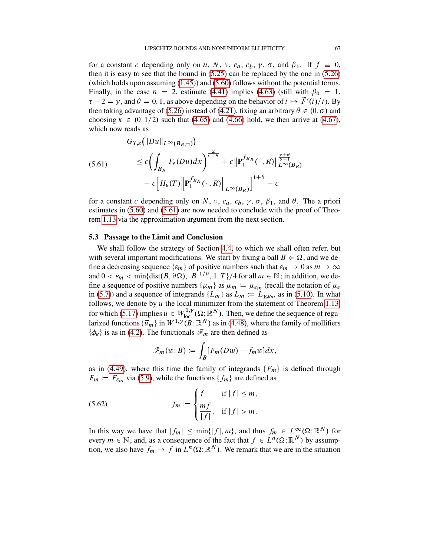for a constant c depending only on n, N, v,  $c_a$ ,  $c_b$ ,  $\gamma$ ,  $\sigma$ , and  $\beta_1$ . If  $f \equiv 0$ , then it is easy to see that the bound in [\(5.25\)](#page-55-1) can be replaced by the one in [\(5.26\)](#page-55-3) (which holds upon assuming [\(1.45\)](#page-12-4)) and [\(5.60\)](#page-65-0) follows without the potential terms. Finally, in the case  $n = 2$ , estimate [\(4.41\)](#page-37-0) implies [\(4.63\)](#page-46-1) (still with  $\beta_0 = 1$ ,  $\tau + 2 = \gamma$ , and  $\theta = 0, 1$ , as above depending on the behavior of  $t \mapsto \tilde{F}'(t)/t$ ). By then taking advantage of [\(5.26\)](#page-55-3) instead of [\(4.21\)](#page-29-1), fixing an arbitrary  $\theta \in (0, \sigma)$  and choosing  $\kappa \in (0, 1/2)$  such that [\(4.65\)](#page-47-0) and [\(4.66\)](#page-47-1) hold, we then arrive at [\(4.67\)](#page-47-2), which now reads as

<span id="page-66-1"></span>(5.61) 
$$
G_{T,\varepsilon}(\|Du\|_{L^{\infty}(B_{R/2}))}
$$
  
\n
$$
\leq c \left( \int_{B_R} F_{\varepsilon}(Du) dx \right)^{\frac{2}{\sigma-\theta}} + c \left\| \mathbf{P}_1^{f_{B_R}}(\cdot, R) \right\|_{L^{\infty}(B_R)}^{\frac{\gamma+\theta}{\gamma-1}} + c \left\| H_{\varepsilon}(T) \left\| \mathbf{P}_1^{f_{B_R}}(\cdot, R) \right\|_{L^{\infty}(B_R)} \right\|^{1+\theta} + c
$$

for a constant c depending only on N, v,  $c_a$ ,  $c_b$ ,  $\gamma$ ,  $\sigma$ ,  $\beta_1$ , and  $\theta$ . The a priori estimates in [\(5.60\)](#page-65-0) and [\(5.61\)](#page-66-1) are now needed to conclude with the proof of Theorem [1.13](#page-12-0) via the approximation argument from the next section.

#### <span id="page-66-0"></span>5.3 Passage to the Limit and Conclusion

We shall follow the strategy of Section [4.4,](#page-41-1) to which we shall often refer, but with several important modifications. We start by fixing a ball  $B \in \Omega$ , and we define a decreasing sequence  $\{\varepsilon_m\}$  of positive numbers such that  $\varepsilon_m \to 0$  as  $m \to \infty$ and  $0 < \varepsilon_m < \min\{\text{dist}(B, \partial \Omega), |B|^{1/n}, 1, T\}/4$  for all  $m \in \mathbb{N}$ ; in addition, we define a sequence of positive numbers  $\{\mu_m\}$  as  $\mu_m := \mu_{\varepsilon_m}$  (recall the notation of  $\mu_{\varepsilon}$ in [\(5.7\)](#page-49-5)) and a sequence of integrands  $\{L_m\}$  as  $L_m := L_{\gamma, \varepsilon_m}$  as in [\(5.10\)](#page-50-3). In what follows, we denote by  $u$  the local minimizer from the statement of Theorem [1.13,](#page-12-0) for which [\(5.17\)](#page-51-2) implies  $u \in W^{1, \gamma}_{loc}(\Omega; \mathbb{R}^N)$ . Then, we define the sequence of regularized functions  $\{\overline{u}_m\}$  in  $W^{1,\gamma}(B; \mathbb{R}^N)$  as in [\(4.48\)](#page-41-2), where the family of mollifiers  $\{\phi_{\varepsilon}\}\$ is as in [\(4.2\)](#page-24-1). The functionals  $\mathcal{F}_m$  are then defined as

<span id="page-66-2"></span>
$$
\mathscr{F}_m(w;B) := \int_B [F_m(Dw) - f_m w] dx,
$$

as in [\(4.49\)](#page-41-3), where this time the family of integrands  $\{F_m\}$  is defined through  $F_m := F_{\varepsilon_m}$  via [\(5.9\)](#page-49-3), while the functions  $\{f_m\}$  are defined as

(5.62) 
$$
f_m := \begin{cases} f & \text{if } |f| \leq m, \\ \frac{mf}{|f|}, & \text{if } |f| > m. \end{cases}
$$

In this way we have that  $|f_m| \le \min\{|f|, m\}$ , and thus  $f_m \in L^{\infty}(\Omega; \mathbb{R}^N)$  for every  $m \in \mathbb{N}$ , and, as a consequence of the fact that  $f \in L^n(\Omega; \mathbb{R}^N)$  by assumption, we also have  $f_m \to f$  in  $L^n(\Omega; \mathbb{R}^N)$ . We remark that we are in the situation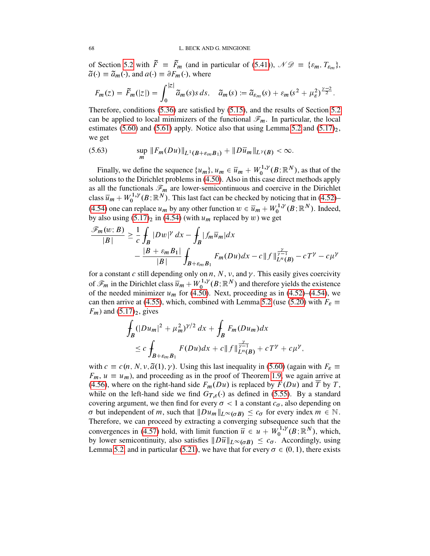of Section [5.2](#page-57-3) with  $\tilde{F} = \tilde{F}_m$  (and in particular of [\(5.41\)](#page-58-4)),  $\mathcal{N} \mathcal{D} = \{\varepsilon_m, T_{\varepsilon_m}\},$  $\tilde{a}(\cdot) \equiv \tilde{a}_m(\cdot)$ , and  $a(\cdot) \equiv \partial F_m(\cdot)$ , where

$$
F_m(z) = \widetilde{F}_m(|z|) = \int_0^{|z|} \widetilde{a}_m(s)s\,ds, \quad \widetilde{a}_m(s) := \widetilde{a}_{\varepsilon_m}(s) + \varepsilon_m(s^2 + \mu_{\varepsilon}^2)^{\frac{\gamma - 2}{2}}.
$$

Therefore, conditions [\(5.36\)](#page-57-1) are satisfied by [\(5.15\)](#page-51-0), and the results of Section [5.2](#page-57-3) can be applied to local minimizers of the functional  $\mathcal{F}_m$ . In particular, the local estimates [\(5.60\)](#page-65-0) and [\(5.61\)](#page-66-1) apply. Notice also that using Lemma [5.2](#page-52-3) and  $(5.17)<sub>2</sub>$  $(5.17)<sub>2</sub>$ , we get

<span id="page-67-0"></span>(5.63) 
$$
\sup_m \|F_m(Du)\|_{L^1(B+\varepsilon_m B_1)} + \|D\overline{u}_m\|_{L^{\gamma}(B)} < \infty.
$$

Finally, we define the sequence  $\{u_m\}$ ,  $u_m \in \bar{u}_m + W_0^{1, \gamma}$  $\binom{1}{0}^1 (B; \mathbb{R}^N)$ , as that of the solutions to the Dirichlet problems in [\(4.50\)](#page-41-4). Also in this case direct methods apply as all the functionals  $\mathcal{F}_m$  are lower-semicontinuous and coercive in the Dirichlet class  $\overline{u}_m + W_0^{1,\gamma}$  $\int_0^{1,\gamma}(B; \mathbb{R}^N)$ . This last fact can be checked by noticing that in [\(4.52\)](#page-42-2)– [\(4.54\)](#page-42-1) one can replace  $u_m$  by any other function  $w \in \overline{u}_m + W_0^{1, \gamma}$  $\binom{1, Y}{0}$   $(B; \mathbb{R}^N)$ . Indeed, by also using  $(5.17)_2$  $(5.17)_2$  in  $(4.54)$  (with  $u_m$  replaced by w) we get

$$
\frac{\mathscr{F}_m(w;B)}{|B|} \ge \frac{1}{c} \int_B |Dw|^\gamma dx - \int_B |f_m \overline{u}_m| dx
$$
  
 
$$
- \frac{|B + \varepsilon_m B_1|}{|B|} \int_{B + \varepsilon_m B_1} F_m(Du) dx - c ||f||_{L^n(B)}^{\frac{\gamma}{\gamma - 1}} - cT^\gamma - c\mu^\gamma
$$

for a constant c still depending only on  $n$ ,  $N$ ,  $\nu$ , and  $\gamma$ . This easily gives coercivity of  $\mathscr{F}_m$  in the Dirichlet class  $\overline{u}_m + W_0^{1,\gamma}$  $\int_0^1$ ,  $\binom{1}{V}$   $(B; \mathbb{R}^N)$  and therefore yields the existence of the needed minimizer  $u_m$  for [\(4.50\)](#page-41-4). Next, proceeding as in [\(4.52\)](#page-42-2)–[\(4.54\)](#page-42-1), we can then arrive at [\(4.55\)](#page-43-0), which, combined with Lemma [5.2](#page-52-3) (use [\(5.20\)](#page-52-1) with  $F<sub>\epsilon</sub> \equiv$  $F_m$ ) and  $(5.17)_2$  $(5.17)_2$ , gives

$$
\int_{B} (|Du_m|^2 + \mu_m^2)^{\gamma/2} dx + \int_{B} F_m(Du_m) dx
$$
\n
$$
\leq c \int_{B + \varepsilon_m B_1} F(Du) dx + c \|f\|_{L^n(B)}^{\frac{\gamma}{\gamma - 1}} + cT^{\gamma} + c\mu^{\gamma},
$$

with  $c \equiv c(n, N, \nu, \tilde{a}(1), \gamma)$ . Using this last inequality in [\(5.60\)](#page-65-0) (again with  $F_{\varepsilon} \equiv$  $F_m$ ,  $u \equiv u_m$ ), and proceeding as in the proof of Theorem [1.9,](#page-9-2) we again arrive at [\(4.56\)](#page-43-1), where on the right-hand side  $F_m(Du)$  is replaced by  $F(Du)$  and T by T, while on the left-hand side we find  $G_{T,\varepsilon}(\cdot)$  as defined in [\(5.55\)](#page-61-4). By a standard covering argument, we then find for every  $\sigma < 1$  a constant  $c_{\sigma}$ , also depending on  $\sigma$  but independent of m, such that  $\|Du_m\|_{L^{\infty}(\sigma B)} \leq c_{\sigma}$  for every index  $m \in \mathbb{N}$ . Therefore, we can proceed by extracting a converging subsequence such that the convergences in [\(4.57\)](#page-43-2) hold, with limit function  $\overline{u} \in u + W_0^{1, \gamma}$  $\int_0^1 Y(B; \mathbb{R}^N)$ , which, by lower semicontinuity, also satisfies  $||D\overline{u}||_{L^{\infty}(\sigma B)} \leq c_{\sigma}$ . Accordingly, using Lemma [5.2,](#page-52-3) and in particular [\(5.21\)](#page-52-2), we have that for every  $\sigma \in (0, 1)$ , there exists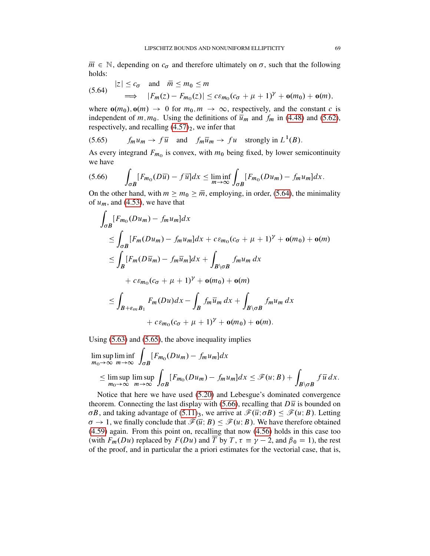$\overline{m} \in \mathbb{N}$ , depending on  $c_{\sigma}$  and therefore ultimately on  $\sigma$ , such that the following holds:

<span id="page-68-0"></span>
$$
(5.64) \quad |z| \leq c_{\sigma} \quad \text{and} \quad \overline{m} \leq m_0 \leq m
$$
\n
$$
\implies \quad |F_m(z) - F_{m_0}(z)| \leq c \varepsilon_{m_0} (c_{\sigma} + \mu + 1)^{\gamma} + \mathbf{o}(m_0) + \mathbf{o}(m),
$$

where  $o(m_0), o(m) \rightarrow 0$  for  $m_0, m \rightarrow \infty$ , respectively, and the constant c is independent of m, m<sub>0</sub>. Using the definitions of  $\overline{u}_m$  and  $f_m$  in [\(4.48\)](#page-41-2) and [\(5.62\)](#page-66-2), respectively, and recalling  $(4.57)_2$  $(4.57)_2$ , we infer that

<span id="page-68-1"></span>(5.65) 
$$
f_m u_m \to f \overline{u}
$$
 and  $f_m \overline{u}_m \to f u$  strongly in  $L^1(B)$ .

As every integrand  $F_{m_0}$  is convex, with  $m_0$  being fixed, by lower semicontinuity we have

<span id="page-68-2"></span>
$$
(5.66) \qquad \int_{\sigma B} [F_{m_0}(D\overline{u}) - f\overline{u}]dx \le \liminf_{m \to \infty} \int_{\sigma B} [F_{m_0}(Du_m) - f_m u_m]dx.
$$

On the other hand, with  $m \ge m_0 \ge \overline{m}$ , employing, in order, [\(5.64\)](#page-68-0), the minimality of  $u_m$ , and [\(4.53\)](#page-42-0), we have that

$$
\int_{\sigma} [F_{m_0}(Du_m) - f_m u_m] dx
$$
\n
$$
\leq \int_{\sigma} [F_m(Du_m) - f_m u_m] dx + c \varepsilon_{m_0}(c_{\sigma} + \mu + 1)^{\gamma} + \mathbf{o}(m_0) + \mathbf{o}(m)
$$
\n
$$
\leq \int_B [F_m(D\bar{u}_m) - f_m \bar{u}_m] dx + \int_{B \setminus \sigma} f_m u_m dx
$$
\n
$$
+ c \varepsilon_{m_0}(c_{\sigma} + \mu + 1)^{\gamma} + \mathbf{o}(m_0) + \mathbf{o}(m)
$$
\n
$$
\leq \int_{B + \varepsilon_m B_1} F_m(Du) dx - \int_B f_m \bar{u}_m dx + \int_{B \setminus \sigma} f_m u_m dx
$$
\n
$$
+ c \varepsilon_{m_0}(c_{\sigma} + \mu + 1)^{\gamma} + \mathbf{o}(m_0) + \mathbf{o}(m).
$$

Using [\(5.63\)](#page-67-0) and [\(5.65\)](#page-68-1), the above inequality implies

$$
\limsup_{m_0 \to \infty} \liminf_{m \to \infty} \int_{\sigma B} [F_{m_0}(Du_m) - f_m u_m] dx
$$
\n
$$
\leq \limsup_{m_0 \to \infty} \limsup_{m \to \infty} \int_{\sigma B} [F_{m_0}(Du_m) - f_m u_m] dx \leq \mathcal{F}(u; B) + \int_{B \setminus \sigma B} f \bar{u} dx.
$$

Notice that here we have used [\(5.20\)](#page-52-1) and Lebesgue's dominated convergence theorem. Connecting the last display with [\(5.66\)](#page-68-2), recalling that  $D\bar{u}$  is bounded on  $\sigma B$ , and taking advantage of  $(5.11)_3$  $(5.11)_3$ , we arrive at  $\mathscr{F}(\overline{u}; \sigma B) \leq \mathscr{F}(u; B)$ . Letting  $\sigma \to 1$ , we finally conclude that  $\mathscr{F}(\overline{u};B) \leq \mathscr{F}(u;B)$ . We have therefore obtained [\(4.59\)](#page-44-1) again. From this point on, recalling that now [\(4.56\)](#page-43-1) holds in this case too (with  $F_m(Du)$  replaced by  $F(Du)$  and  $\overline{T}$  by  $T, \tau \equiv \gamma - 2$ , and  $\beta_0 = 1$ ), the rest of the proof, and in particular the a priori estimates for the vectorial case, that is,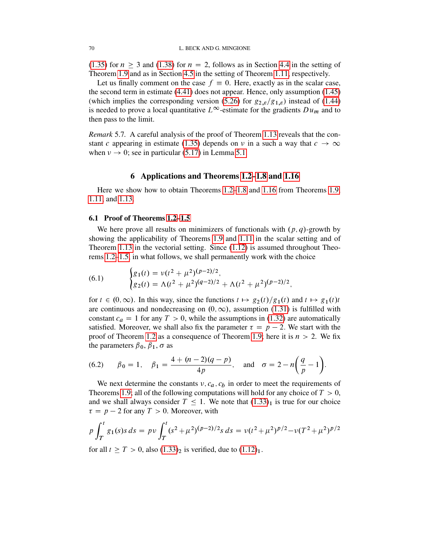[\(1.35\)](#page-9-4) for  $n \ge 3$  and [\(1.38\)](#page-10-2) for  $n = 2$ , follows as in Section [4.4](#page-41-1) in the setting of Theorem [1.9](#page-9-2) and as in Section [4.5](#page-46-2) in the setting of Theorem [1.11,](#page-10-0) respectively.

Let us finally comment on the case  $f \equiv 0$ . Here, exactly as in the scalar case, the second term in estimate [\(4.41\)](#page-37-0) does not appear. Hence, only assumption [\(1.45\)](#page-12-4) (which implies the corresponding version [\(5.26\)](#page-55-3) for  $g_{2,\varepsilon}/g_{1,\varepsilon}$ ) instead of [\(1.44\)](#page-12-3) is needed to prove a local quantitative  $L^{\infty}$ -estimate for the gradients  $Du_m$  and to then pass to the limit.

*Remark* 5.7*.* A careful analysis of the proof of Theorem [1.13](#page-12-0) reveals that the con-stant c appearing in estimate [\(1.35\)](#page-9-4) depends on  $\nu$  in a such a way that  $c \rightarrow \infty$ when  $\nu \rightarrow 0$ ; see in particular [\(5.17\)](#page-51-2) in Lemma [5.1.](#page-50-4)

## 6 Applications and Theorems [1.2–](#page-4-0)[1.8](#page-8-1) and [1.16](#page-14-0)

Here we show how to obtain Theorems [1.2](#page-4-0)[–1.8](#page-8-1) and [1.16](#page-14-0) from Theorems [1.9,](#page-9-2) [1.11,](#page-10-0) and [1.13.](#page-12-0)

## 6.1 Proof of Theorems [1.2–](#page-4-0)[1.5](#page-6-0)

We here prove all results on minimizers of functionals with  $(p, q)$ -growth by showing the applicability of Theorems [1.9](#page-9-2) and [1.11](#page-10-0) in the scalar setting and of Theorem [1.13](#page-12-0) in the vectorial setting. Since  $(1.12)$  is assumed throughout Theorems [1.2–](#page-4-0)[1.5,](#page-6-0) in what follows, we shall permanently work with the choice

(6.1) 
$$
\begin{cases} g_1(t) = v(t^2 + \mu^2)^{(p-2)/2}, \\ g_2(t) = \Lambda(t^2 + \mu^2)^{(q-2)/2} + \Lambda(t^2 + \mu^2)^{(p-2)/2}, \end{cases}
$$

for  $t \in (0,\infty)$ . In this way, since the functions  $t \mapsto g_2(t)/g_1(t)$  and  $t \mapsto g_1(t)t$ are continuous and nondecreasing on  $(0, \infty)$ , assumption [\(1.31\)](#page-8-0) is fulfilled with constant  $c_a = 1$  for any  $T > 0$ , while the assumptions in [\(1.32\)](#page-9-3) are automatically satisfied. Moreover, we shall also fix the parameter  $\tau = p - 2$ . We start with the proof of Theorem [1.2](#page-4-0) as a consequence of Theorem [1.9;](#page-9-2) here it is  $n > 2$ . We fix the parameters  $\beta_0$ ,  $\beta_1$ ,  $\sigma$  as

<span id="page-69-0"></span>(6.2) 
$$
\beta_0 = 1
$$
,  $\beta_1 = \frac{4 + (n-2)(q-p)}{4p}$ , and  $\sigma = 2 - n\left(\frac{q}{p} - 1\right)$ .

We next determine the constants  $v, c_a, c_b$  in order to meet the requirements of Theorems [1.9;](#page-9-2) all of the following computations will hold for any choice of  $T > 0$ , and we shall always consider  $T \leq 1$ . We note that  $(1.33)<sub>1</sub>$  $(1.33)<sub>1</sub>$  is true for our choice  $\tau = p - 2$  for any  $T > 0$ . Moreover, with

$$
p \int_T^t g_1(s) s \, ds = p \nu \int_T^t (s^2 + \mu^2)^{(p-2)/2} s \, ds = \nu (t^2 + \mu^2)^{p/2} - \nu (T^2 + \mu^2)^{p/2}
$$

for all  $t \geq T > 0$ , also  $(1.33)<sub>2</sub>$  $(1.33)<sub>2</sub>$  is verified, due to  $(1.12)<sub>1</sub>$  $(1.12)<sub>1</sub>$ .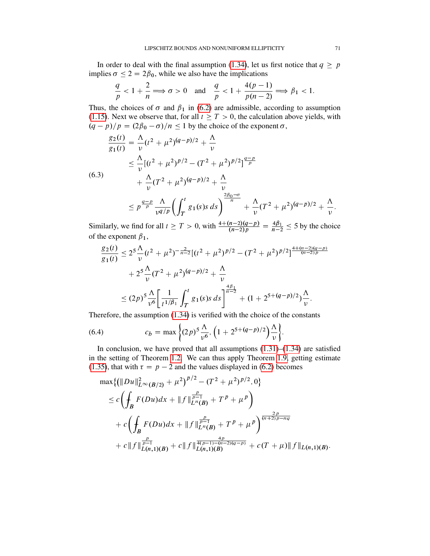In order to deal with the final assumption [\(1.34\)](#page-9-1), let us first notice that  $q \ge p$ implies  $\sigma \leq 2 = 2\beta_0$ , while we also have the implications

$$
\frac{q}{p} < 1 + \frac{2}{n} \implies \sigma > 0 \quad \text{and} \quad \frac{q}{p} < 1 + \frac{4(p-1)}{p(n-2)} \implies \beta_1 < 1.
$$

Thus, the choices of  $\sigma$  and  $\beta_1$  in [\(6.2\)](#page-69-0) are admissible, according to assumption [\(1.15\)](#page-4-2). Next we observe that, for all  $t \geq T > 0$ , the calculation above yields, with  $(q - p)/p = (2\beta_0 - \sigma)/n \le 1$  by the choice of the exponent  $\sigma$ ,

<span id="page-70-1"></span>
$$
\frac{g_2(t)}{g_1(t)} = \frac{\Lambda}{\nu} (t^2 + \mu^2)^{(q-p)/2} + \frac{\Lambda}{\nu}
$$
  
\n
$$
\leq \frac{\Lambda}{\nu} [(t^2 + \mu^2)^{p/2} - (T^2 + \mu^2)^{p/2}]^{\frac{q-p}{p}}
$$
  
\n(6.3)  
\n
$$
+ \frac{\Lambda}{\nu} (T^2 + \mu^2)^{(q-p)/2} + \frac{\Lambda}{\nu}
$$
  
\n
$$
\leq p^{\frac{q-p}{p}} \frac{\Lambda}{\nu^{q/p}} \left( \int_T^t g_1(s) s \, ds \right)^{\frac{2\beta_0 - \sigma}{n}} + \frac{\Lambda}{\nu} (T^2 + \mu^2)^{(q-p)/2} + \frac{\Lambda}{\nu}.
$$

Similarly, we find for all  $t \geq T > 0$ , with  $\frac{4 + (n-2)(q-p)}{(n-2)p} = \frac{4\beta_1}{n-2} \leq 5$  by the choice of the exponent  $\beta_1$ ,

$$
\frac{g_2(t)}{g_1(t)} \le 2^5 \frac{\Lambda}{\nu} (t^2 + \mu^2)^{-\frac{2}{n-2}} [(t^2 + \mu^2)^{p/2} - (T^2 + \mu^2)^{p/2}]^{\frac{4 + (n-2)(q-p)}{(n-2)p}}
$$
  
+  $2^5 \frac{\Lambda}{\nu} (T^2 + \mu^2)^{(q-p)/2} + \frac{\Lambda}{\nu}$   
 $\le (2p)^5 \frac{\Lambda}{\nu^6} \left[ \frac{1}{t^{1/\beta_1}} \int_T^t g_1(s) s \, ds \right]^{\frac{4\beta_1}{n-2}} + (1 + 2^{5 + (q-p)/2}) \frac{\Lambda}{\nu}.$ 

Therefore, the assumption [\(1.34\)](#page-9-1) is verified with the choice of the constants

<span id="page-70-0"></span>(6.4) 
$$
c_b = \max \left\{ (2p)^5 \frac{\Lambda}{v^6}, \left( 1 + 2^{5 + (q-p)/2} \right) \frac{\Lambda}{v} \right\}.
$$

In conclusion, we have proved that all assumptions  $(1.31)$ – $(1.34)$  are satisfied in the setting of Theorem [1.2.](#page-4-0) We can thus apply Theorem [1.9,](#page-9-2) getting estimate [\(1.35\)](#page-9-4), that with  $\tau = p - 2$  and the values displayed in [\(6.2\)](#page-69-0) becomes

$$
\max \{ (\|Du\|_{L^{\infty}(B/2)}^2 + \mu^2)^{p/2} - (T^2 + \mu^2)^{p/2}, 0 \}
$$
  
\n
$$
\leq c \Big( \int_B F(Du) dx + \|f\|_{L^n(B)}^{\frac{p}{p-1}} + T^p + \mu^p \Big)
$$
  
\n
$$
+ c \Big( \int_B F(Du) dx + \|f\|_{L^n(B)}^{\frac{p}{p-1}} + T^p + \mu^p \Big)^{\frac{2p}{(n+2)p - nq}}
$$
  
\n
$$
+ c \|f\|_{L(n,1)(B)}^{\frac{p}{p-1}} + c \|f\|_{L(n,1)(B)}^{\frac{4p}{4(p-1)-(n-2)(q-p)}} + c (T + \mu) \|f\|_{L(n,1)(B)}.
$$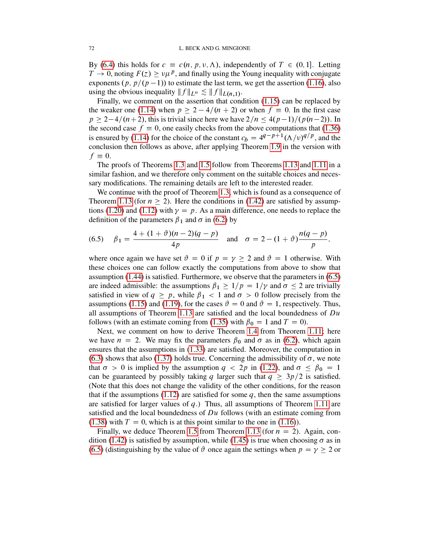By [\(6.4\)](#page-70-0) this holds for  $c \equiv c(n, p, v, \Lambda)$ , independently of  $T \in (0, 1]$ . Letting  $T \to 0$ , noting  $F(z) > v \mu^p$ , and finally using the Young inequality with conjugate exponents  $(p, p/(p-1))$  to estimate the last term, we get the assertion [\(1.16\)](#page-5-0), also using the obvious inequality  $|| f ||_{L^n} \lesssim || f ||_{L(n,1)}$ .

Finally, we comment on the assertion that condition [\(1.15\)](#page-4-2) can be replaced by the weaker one [\(1.14\)](#page-4-3) when  $p \ge 2-4/(n + 2)$  or when  $f \equiv 0$ . In the first case  $p \ge 2-4/(n+2)$ , this is trivial since here we have  $2/n \le 4(p-1)/(p(n-2))$ . In the second case  $f \equiv 0$ , one easily checks from the above computations that [\(1.36\)](#page-9-5) is ensured by [\(1.14\)](#page-4-3) for the choice of the constant  $c_b = 4^{q-p+1} (\Lambda/\nu)^{q/p}$ , and the conclusion then follows as above, after applying Theorem [1.9](#page-9-2) in the version with  $f \equiv 0.$ 

The proofs of Theorems [1.3](#page-5-1) and [1.5](#page-6-0) follow from Theorems [1.13](#page-12-0) and [1.11](#page-10-0) in a similar fashion, and we therefore only comment on the suitable choices and necessary modifications. The remaining details are left to the interested reader.

We continue with the proof of Theorem [1.3,](#page-5-1) which is found as a consequence of Theorem [1.13](#page-12-0) (for  $n > 2$ ). Here the conditions in [\(1.42\)](#page-12-2) are satisfied by assump-tions [\(1.20\)](#page-5-2) and [\(1.12\)](#page-4-1) with  $\gamma = p$ . As a main difference, one needs to replace the definition of the parameters  $\beta_1$  and  $\sigma$  in [\(6.2\)](#page-69-0) by

<span id="page-71-0"></span>(6.5) 
$$
\beta_1 = \frac{4 + (1 + \vartheta)(n - 2)(q - p)}{4p}
$$
 and  $\sigma = 2 - (1 + \vartheta)\frac{n(q - p)}{p}$ ,

where once again we have set  $\vartheta = 0$  if  $p = \gamma \ge 2$  and  $\vartheta = 1$  otherwise. With these choices one can follow exactly the computations from above to show that assumption [\(1.44\)](#page-12-3) is satisfied. Furthermore, we observe that the parameters in [\(6.5\)](#page-71-0) are indeed admissible: the assumptions  $\beta_1 \geq 1/p = 1/\gamma$  and  $\sigma \leq 2$  are trivially satisfied in view of  $q \ge p$ , while  $\beta_1 < 1$  and  $\sigma > 0$  follow precisely from the assumptions [\(1.15\)](#page-4-2) and [\(1.19\)](#page-5-3), for the cases  $\vartheta = 0$  and  $\vartheta = 1$ , respectively. Thus, all assumptions of Theorem [1.13](#page-12-0) are satisfied and the local boundedness of  $Du$ follows (with an estimate coming from [\(1.35\)](#page-9-4) with  $\beta_0 = 1$  and  $T = 0$ ).

Next, we comment on how to derive Theorem [1.4](#page-6-1) from Theorem [1.11;](#page-10-0) here we have  $n = 2$ . We may fix the parameters  $\beta_0$  and  $\sigma$  as in [\(6.2\)](#page-69-0), which again ensures that the assumptions in [\(1.33\)](#page-9-0) are satisfied. Moreover, the computation in [\(6.3\)](#page-70-1) shows that also [\(1.37\)](#page-10-1) holds true. Concerning the admissibility of  $\sigma$ , we note that  $\sigma > 0$  is implied by the assumption  $q < 2p$  in [\(1.22\)](#page-6-2), and  $\sigma \le \beta_0 = 1$ can be guaranteed by possibly taking q larger such that  $q \geq 3p/2$  is satisfied. (Note that this does not change the validity of the other conditions, for the reason that if the assumptions  $(1.12)$  are satisfied for some q, then the same assumptions are satisfied for larger values of  $q$ .) Thus, all assumptions of Theorem [1.11](#page-10-0) are satisfied and the local boundedness of  $Du$  follows (with an estimate coming from [\(1.38\)](#page-10-2) with  $T = 0$ , which is at this point similar to the one in [\(1.16\)](#page-5-0)).

Finally, we deduce Theorem [1.5](#page-6-0) from Theorem [1.13](#page-12-0) (for  $n = 2$ ). Again, con-dition [\(1.42\)](#page-12-2) is satisfied by assumption, while [\(1.45\)](#page-12-4) is true when choosing  $\sigma$  as in [\(6.5\)](#page-71-0) (distinguishing by the value of  $\vartheta$  once again the settings when  $p = \gamma \geq 2$  or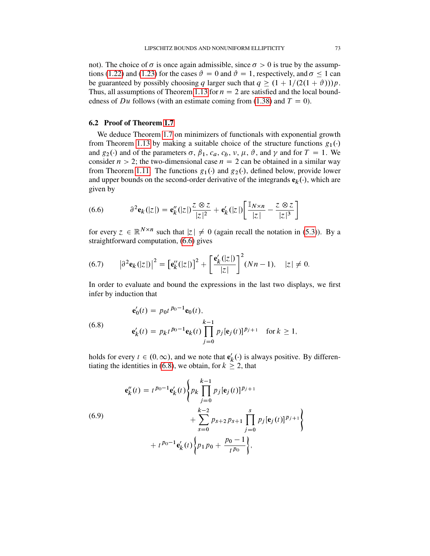not). The choice of  $\sigma$  is once again admissible, since  $\sigma > 0$  is true by the assump-tions [\(1.22\)](#page-6-0) and [\(1.23\)](#page-6-1) for the cases  $\vartheta = 0$  and  $\vartheta = 1$ , respectively, and  $\sigma \le 1$  can be guaranteed by possibly choosing q larger such that  $q \geq (1 + 1/(2(1 + \vartheta))) p$ . Thus, all assumptions of Theorem [1.13](#page-12-0) for  $n = 2$  are satisfied and the local bound-edness of Du follows (with an estimate coming from [\(1.38\)](#page-10-0) and  $T = 0$ ).

## 6.2 Proof of Theorem [1.7](#page-7-0)

We deduce Theorem [1.7](#page-7-0) on minimizers of functionals with exponential growth from Theorem [1.13](#page-12-0) by making a suitable choice of the structure functions  $g_1(\cdot)$ and  $g_2(\cdot)$  and of the parameters  $\sigma$ ,  $\beta_1$ ,  $c_a$ ,  $c_b$ ,  $\nu$ ,  $\mu$ ,  $\vartheta$ , and  $\gamma$  and for  $T = 1$ . We consider  $n > 2$ ; the two-dimensional case  $n = 2$  can be obtained in a similar way from Theorem [1.11.](#page-10-1) The functions  $g_1(\cdot)$  and  $g_2(\cdot)$ , defined below, provide lower and upper bounds on the second-order derivative of the integrands  $e_k(\cdot)$ , which are given by

<span id="page-72-0"></span>(6.6) 
$$
\partial^2 \mathbf{e}_k(|z|) = \mathbf{e}_k''(|z|) \frac{z \otimes z}{|z|^2} + \mathbf{e}_k'(|z|) \left[ \frac{\mathbb{I}_{N \times n}}{|z|} - \frac{z \otimes z}{|z|^3} \right]
$$

for every  $z \in \mathbb{R}^{N \times n}$  such that  $|z| \neq 0$  (again recall the notation in [\(5.3\)](#page-49-0)). By a straightforward computation, [\(6.6\)](#page-72-0) gives

(6.7) 
$$
|\partial^2 \mathbf{e}_k(|z|)|^2 = \left[\mathbf{e}_k''(|z|)\right]^2 + \left[\frac{\mathbf{e}_k'(|z|)}{|z|}\right]^2 (Nn-1), \quad |z| \neq 0.
$$

In order to evaluate and bound the expressions in the last two displays, we first infer by induction that

<span id="page-72-1"></span>(6.8)  
\n
$$
\mathbf{e}'_0(t) = p_0 t^{p_0 - 1} \mathbf{e}_0(t),
$$
\n
$$
\mathbf{e}'_k(t) = p_k t^{p_0 - 1} \mathbf{e}_k(t) \prod_{j=0}^{k-1} p_j [\mathbf{e}_j(t)]^{p_j + 1} \text{ for } k \ge 1,
$$

holds for every  $t \in (0, \infty)$ , and we note that  $e'_t$  $k'$ (·) is always positive. By differen-tiating the identities in [\(6.8\)](#page-72-1), we obtain, for  $k \ge 2$ , that

<span id="page-72-2"></span>
$$
\mathbf{e}_{k}''(t) = t^{p_0-1} \mathbf{e}_{k}'(t) \left\{ p_k \prod_{j=0}^{k-1} p_j [\mathbf{e}_j(t)]^{p_j+1} + \sum_{s=0}^{k-2} p_{s+2} p_{s+1} \prod_{j=0}^{s} p_j [\mathbf{e}_j(t)]^{p_j+1} \right\}
$$

$$
+ t^{p_0-1} \mathbf{e}_{k}'(t) \left\{ p_1 p_0 + \frac{p_0-1}{t^{p_0}} \right\},
$$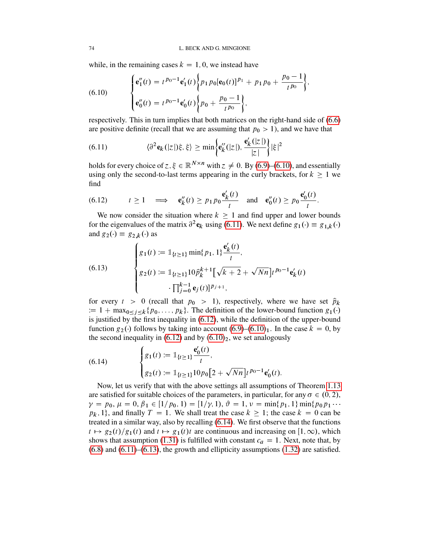;

while, in the remaining cases  $k = 1, 0$ , we instead have

<span id="page-73-0"></span>(6.10) 
$$
\begin{cases} \mathbf{e}_{1}^{"}(t) = t^{p_{0}-1} \mathbf{e}_{1}^{\prime}(t) \bigg\{ p_{1} p_{0} [\mathbf{e}_{0}(t)]^{p_{1}} + p_{1} p_{0} + \frac{p_{0}-1}{t^{p_{0}}} \bigg\} \\ \mathbf{e}_{0}^{"}(t) = t^{p_{0}-1} \mathbf{e}_{0}^{\prime}(t) \bigg\{ p_{0} + \frac{p_{0}-1}{t^{p_{0}}} \bigg\}, \end{cases}
$$

respectively. This in turn implies that both matrices on the right-hand side of [\(6.6\)](#page-72-0) are positive definite (recall that we are assuming that  $p_0 > 1$ ), and we have that

<span id="page-73-1"></span>(6.11) 
$$
\langle \partial^2 \mathbf{e}_k(|z|) \xi, \xi \rangle \geq \min \left\{ \mathbf{e}_k''(|z|), \frac{\mathbf{e}_k'(|z|)}{|z|} \right\} |\xi|^2
$$

holds for every choice of  $z, \xi \in \mathbb{R}^{N \times n}$  with  $z \neq 0$ . By [\(6.9\)](#page-72-2)–[\(6.10\)](#page-73-0), and essentially using only the second-to-last terms appearing in the curly brackets, for  $k \geq 1$  we find

<span id="page-73-2"></span>(6.12) 
$$
t \ge 1 \implies \mathbf{e}_k''(t) \ge p_1 p_0 \frac{\mathbf{e}_k'(t)}{t} \text{ and } \mathbf{e}_0''(t) \ge p_0 \frac{\mathbf{e}_0'(t)}{t}.
$$

We now consider the situation where  $k \geq 1$  and find upper and lower bounds for the eigenvalues of the matrix  $\partial^2 \mathbf{e}_k$  using [\(6.11\)](#page-73-1). We next define  $g_1(\cdot) \equiv g_{1,k}(\cdot)$ and  $g_2(\cdot) \equiv g_{2,k}(\cdot)$  as

<span id="page-73-4"></span>(6.13) 
$$
\begin{cases} g_1(t) := 1_{\{t \geq 1\}} \min\{p_1, 1\} \frac{\mathbf{e}_k'(t)}{t}, \\ g_2(t) := 1_{\{t \geq 1\}} 10 \hat{p}_k^{k+1} \left[\sqrt{k+2} + \sqrt{Nn}\right] t^{p_0 - 1} \mathbf{e}_k'(t) \\ \cdot \prod_{j=0}^{k-1} \mathbf{e}_j(t) \end{cases}
$$

for every  $t > 0$  (recall that  $p_0 > 1$ ), respectively, where we have set  $\hat{p}_k$  $\Omega = 1 + \max_{0 \le i \le k} \{p_0, \ldots, p_k\}.$  The definition of the lower-bound function  $g_1(\cdot)$ is justified by the first inequality in [\(6.12\)](#page-73-2), while the definition of the upper-bound function  $g_2(\cdot)$  follows by taking into account  $(6.9)$ – $(6.10)_1$  $(6.10)_1$ . In the case  $k = 0$ , by the second inequality in  $(6.12)$  and by  $(6.10)_2$  $(6.10)_2$ , we set analogously

<span id="page-73-3"></span>(6.14) 
$$
\begin{cases} g_1(t) := \mathbb{1}_{\{t \geq 1\}} \frac{\mathbf{e}'_0(t)}{t}, \\ g_2(t) := \mathbb{1}_{\{t \geq 1\}} 10p_0 \big[ 2 + \sqrt{Nn} \big] t^{p_0 - 1} \mathbf{e}'_0(t). \end{cases}
$$

Now, let us verify that with the above settings all assumptions of Theorem [1.13](#page-12-0) are satisfied for suitable choices of the parameters, in particular, for any  $\sigma \in (0, 2)$ ,  $\gamma = p_0, \mu = 0, \beta_1 \in [1/p_0, 1) = [1/\gamma, 1), \vartheta = 1, \nu = \min\{p_1, 1\} \min\{p_0 p_1 \cdots$  $p_k$ , 1}, and finally  $T = 1$ . We shall treat the case  $k \ge 1$ ; the case  $k = 0$  can be treated in a similar way, also by recalling [\(6.14\)](#page-73-3). We first observe that the functions  $t \mapsto g_2(t)/g_1(t)$  and  $t \mapsto g_1(t)t$  are continuous and increasing on  $[1,\infty)$ , which shows that assumption [\(1.31\)](#page-8-0) is fulfilled with constant  $c_a = 1$ . Next, note that, by  $(6.8)$  and  $(6.11)$ – $(6.13)$ , the growth and ellipticity assumptions  $(1.32)$  are satisfied.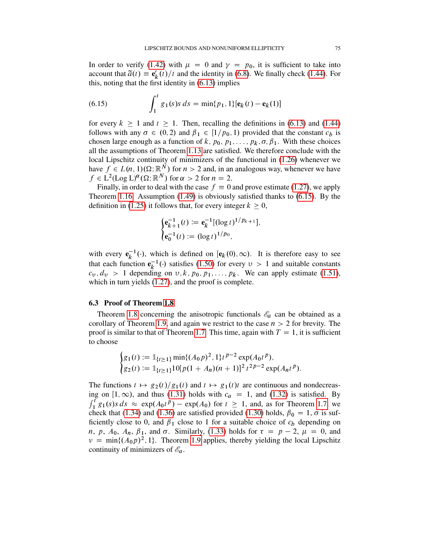In order to verify [\(1.42\)](#page-12-1) with  $\mu = 0$  and  $\gamma = p_0$ , it is sufficient to take into account that  $\tilde{a}(t) \equiv \mathbf{e}_t'$  $k(t)/t$  and the identity in [\(6.8\)](#page-72-1). We finally check [\(1.44\)](#page-12-2). For this, noting that the first identity in [\(6.13\)](#page-73-4) implies

<span id="page-74-0"></span>(6.15) 
$$
\int_1^t g_1(s)s \, ds = \min\{p_1, 1\}[\mathbf{e}_k(t) - \mathbf{e}_k(1)]
$$

for every  $k \ge 1$  and  $t \ge 1$ . Then, recalling the definitions in [\(6.13\)](#page-73-4) and [\(1.44\)](#page-12-2) follows with any  $\sigma \in (0, 2)$  and  $\beta_1 \in [1/p_0, 1)$  provided that the constant  $c_b$  is chosen large enough as a function of k,  $p_0, p_1, \ldots, p_k, \sigma, \beta_1$ . With these choices all the assumptions of Theorem [1.13](#page-12-0) are satisfied. We therefore conclude with the local Lipschitz continuity of minimizers of the functional in [\(1.26\)](#page-7-1) whenever we have  $f \in L(n, 1)(\Omega; \mathbb{R}^N)$  for  $n > 2$  and, in an analogous way, whenever we have  $f \in L^2(\text{Log } L)^\alpha(\Omega; \mathbb{R}^N)$  for  $\alpha > 2$  for  $n = 2$ .

Finally, in order to deal with the case  $f \equiv 0$  and prove estimate [\(1.27\)](#page-7-2), we apply Theorem [1.16.](#page-14-0) Assumption [\(1.49\)](#page-14-1) is obviously satisfied thanks to [\(6.15\)](#page-74-0). By the definition in [\(1.25\)](#page-7-3) it follows that, for every integer  $k \geq 0$ ,

$$
\begin{cases}\n\mathbf{e}_{k+1}^{-1}(t) := \mathbf{e}_k^{-1} [(\log t)^{1/p_{k+1}}], \\
\mathbf{e}_0^{-1}(t) := (\log t)^{1/p_0},\n\end{cases}
$$

with every  $e_k^{-1}$  $\frac{1}{k}$ <sup>1</sup>(), which is defined on [ $e_k(0), \infty$ ). It is therefore easy to see that each function  $e_k^{-1}$  $\frac{1}{k}$ <sup>1</sup>() satisfies [\(1.50\)](#page-14-2) for every  $v > 1$  and suitable constants  $c_v, d_v > 1$  depending on  $v, k, p_0, p_1, \ldots, p_k$ . We can apply estimate [\(1.51\)](#page-14-3), which in turn yields  $(1.27)$ , and the proof is complete.

### 6.3 Proof of Theorem [1.8](#page-8-1)

Theorem [1.8](#page-8-1) concerning the anisotropic functionals  $\mathscr{E}_a$  can be obtained as a corollary of Theorem [1.9,](#page-9-1) and again we restrict to the case  $n > 2$  for brevity. The proof is similar to that of Theorem [1.7.](#page-7-0) This time, again with  $T = 1$ , it is sufficient to choose

$$
\begin{cases}\ng_1(t) := \mathbb{1}_{\{t \ge 1\}} \min\{(A_0 p)^2, 1\} t^{p-2} \exp(A_0 t^p), \\
g_2(t) := \mathbb{1}_{\{t \ge 1\}} 10[p(1 + A_n)(n+1)]^2 t^{2p-2} \exp(A_n t^p).\n\end{cases}
$$

The functions  $t \mapsto g_2(t)/g_1(t)$  and  $t \mapsto g_1(t)t$  are continuous and nondecreasing on  $[1, \infty)$ , and thus [\(1.31\)](#page-8-0) holds with  $c_a = 1$ , and [\(1.32\)](#page-9-0) is satisfied. By  $\int_1^{\tilde{t}} g_1(s) s ds \approx \exp(A_0 t^p) - \exp(A_0)$  for  $t \ge 1$ , and, as for Theorem [1.7,](#page-7-0) we check that [\(1.34\)](#page-9-2) and [\(1.36\)](#page-9-3) are satisfied provided [\(1.30\)](#page-8-2) holds,  $\beta_0 = 1$ ,  $\sigma$  is sufficiently close to 0, and  $\beta_1$  close to 1 for a suitable choice of  $c_b$  depending on *n*, *p*,  $A_0$ ,  $A_n$ ,  $\beta_1$ , and  $\sigma$ . Similarly, [\(1.33\)](#page-9-4) holds for  $\tau = p - 2$ ,  $\mu = 0$ , and  $v = \min\{(A_0 p)^2, 1\}$ . Theorem [1.9](#page-9-1) applies, thereby yielding the local Lipschitz continuity of minimizers of  $\mathscr{E}_a$ .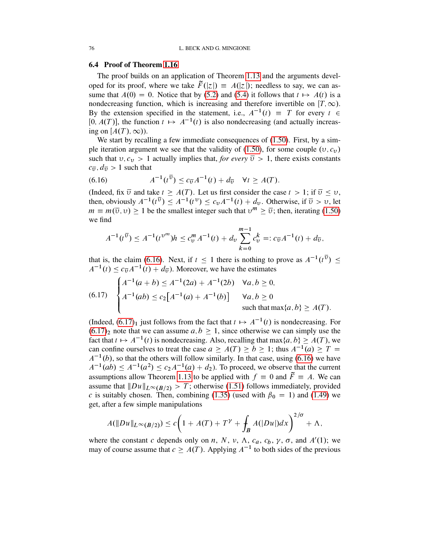# 6.4 Proof of Theorem [1.16](#page-14-0)

The proof builds on an application of Theorem [1.13](#page-12-0) and the arguments developed for its proof, where we take  $\tilde{F}(|z|) \equiv A(|z|)$ ; needless to say, we can assume that  $A(0) = 0$ . Notice that by [\(5.2\)](#page-49-1) and [\(5.4\)](#page-49-2) it follows that  $t \mapsto A(t)$  is a. nondecreasing function, which is increasing and therefore invertible on  $[T,\infty)$ . By the extension specified in the statement, i.e.,  $A^{-1}(t) \equiv T$  for every  $t \in$ [0,  $A(T)$ ], the function  $t \mapsto A^{-1}(t)$  is also nondecreasing (and actually increasing on  $[A(T), \infty)$ ).

We start by recalling a few immediate consequences of  $(1.50)$ . First, by a sim-ple iteration argument we see that the validity of [\(1.50\)](#page-14-2), for some couple  $(v, c_v)$ such that  $v, c_v > 1$  actually implies that, *for every*  $\overline{v} > 1$ , there exists constants  $c_{\overline{v}}$ ,  $d_{\overline{v}} > 1$  such that

<span id="page-75-0"></span>(6.16) 
$$
A^{-1}(t^{\bar{v}}) \leq c_{\bar{v}}A^{-1}(t) + d_{\bar{v}} \quad \forall t \geq A(T).
$$

(Indeed, fix  $\overline{\nu}$  and take  $t \geq A(T)$ ). Let us first consider the case  $t > 1$ ; if  $\overline{\nu} \leq \nu$ , then, obviously  $A^{-1}(t^{\bar{\upsilon}}) \leq A^{-1}(t^{\upsilon}) \leq c_{\upsilon}A^{-1}(t) + d_{\upsilon}$ . Otherwise, if  $\bar{\upsilon} > \upsilon$ , let  $m \equiv m(\overline{v}, v) \ge 1$  be the smallest integer such that  $v^m \ge \overline{v}$ ; then, iterating [\(1.50\)](#page-14-2) we find

$$
A^{-1}(t^{\overline{v}}) \leq A^{-1}(t^{v^m})h \leq c_v^m A^{-1}(t) + d_v \sum_{k=0}^{m-1} c_v^k =: c_{\overline{v}} A^{-1}(t) + d_{\overline{v}},
$$

that is, the claim [\(6.16\)](#page-75-0). Next, if  $t \leq 1$  there is nothing to prove as  $A^{-1}(t^{\bar{\nu}}) \leq$  $A^{-1}(t) \leq c_{\bar{v}}A^{-1}(t) + d_{\bar{v}}$ . Moreover, we have the estimates

<span id="page-75-1"></span>
$$
(6.17) \quad\n\begin{cases}\nA^{-1}(a+b) \le A^{-1}(2a) + A^{-1}(2b) & \forall a, b \ge 0, \\
A^{-1}(ab) \le c_2[A^{-1}(a) + A^{-1}(b)] & \forall a, b \ge 0 \\
\text{such that } \max\{a, b\} \ge A(T).\n\end{cases}
$$

(Indeed,  $(6.17)_1$  $(6.17)_1$  just follows from the fact that  $t \mapsto A^{-1}(t)$  is nondecreasing. For  $(6.17)_2$  $(6.17)_2$  note that we can assume  $a, b \ge 1$ , since otherwise we can simply use the fact that  $t \mapsto A^{-1}(t)$  is nondecreasing. Also, recalling that max $\{a, b\} \ge A(T)$ , we can confine ourselves to treat the case  $a \ge A(T) \ge b \ge 1$ ; thus  $A^{-1}(a) \ge T =$  $A^{-1}(b)$ , so that the others will follow similarly. In that case, using [\(6.16\)](#page-75-0) we have  $A^{-1}(ab) \le A^{-1}(a^2) \le c_2A^{-1}(a) + d_2$ ). To proceed, we observe that the current assumptions allow Theorem [1.13](#page-12-0) to be applied with  $f \equiv 0$  and  $\widetilde{F} \equiv A$ . We can assume that  $\|Du\|_{L^{\infty}(B/2)} > T$ ; otherwise [\(1.51\)](#page-14-3) follows immediately, provided c is suitably chosen. Then, combining [\(1.35\)](#page-9-5) (used with  $\beta_0 = 1$ ) and [\(1.49\)](#page-14-1) we get, after a few simple manipulations

$$
A(\|Du\|_{L^{\infty}(B/2)})\leq c\bigg(1+A(T)+T^{\gamma}+\int_BA(|Du|)dx\bigg)^{2/\sigma}+\Lambda,
$$

where the constant c depends only on n, N, v,  $\Lambda$ ,  $c_a$ ,  $c_b$ ,  $\gamma$ ,  $\sigma$ , and  $A'(1)$ ; we may of course assume that  $c \geq A(T)$ . Applying  $A^{-1}$  to both sides of the previous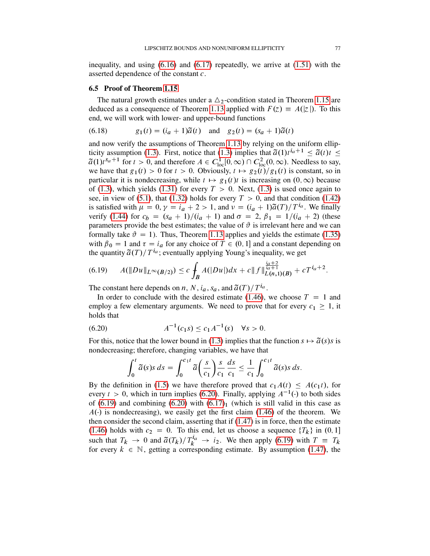inequality, and using [\(6.16\)](#page-75-0) and [\(6.17\)](#page-75-1) repeatedly, we arrive at [\(1.51\)](#page-14-3) with the asserted dependence of the constant c.

#### 6.5 Proof of Theorem [1.15](#page-13-0)

The natural growth estimates under a  $\Delta_2$ -condition stated in Theorem [1.15](#page-13-0) are deduced as a consequence of Theorem [1.13](#page-12-0) applied with  $F(z) \equiv A(|z|)$ . To this end, we will work with lower- and upper-bound functions

(6.18) 
$$
g_1(t) = (i_a + 1)\tilde{a}(t)
$$
 and  $g_2(t) = (s_a + 1)\tilde{a}(t)$ 

and now verify the assumptions of Theorem [1.13](#page-12-0) by relying on the uniform ellip-ticity assumption [\(1.3\)](#page-1-0). First, notice that (1.3) implies that  $\tilde{a}(1)t^{i_a+1} \leq \tilde{a}(t)t \leq$  $\tilde{a}(1)t^{s_a+1}$  for  $t > 0$ , and therefore  $A \in C^1_{loc}[0, \infty) \cap C^2_{loc}(0, \infty)$ . Needless to say, we have that  $g_1(t) > 0$  for  $t > 0$ . Obviously,  $t \mapsto g_2(t)/g_1(t)$  is constant, so in particular it is nondecreasing, while  $t \mapsto g_1(t)t$  is increasing on  $(0, \infty)$  because of [\(1.3\)](#page-1-0), which yields [\(1.31\)](#page-8-0) for every  $T > 0$ . Next, (1.3) is used once again to see, in view of [\(5.1\)](#page-48-0), that [\(1.32\)](#page-9-0) holds for every  $T > 0$ , and that condition [\(1.42\)](#page-12-1) is satisfied with  $\mu = 0$ ,  $\gamma = i_a + 2 > 1$ , and  $\nu = (i_a + 1)\tilde{a}(T)/T^{i_a}$ . We finally verify [\(1.44\)](#page-12-2) for  $c_b = (s_a + 1)/(i_a + 1)$  and  $\sigma = 2$ ,  $\beta_1 = 1/(i_a + 2)$  (these parameters provide the best estimates; the value of  $\vartheta$  is irrelevant here and we can formally take  $\vartheta = 1$ ). Thus, Theorem [1.13](#page-12-0) applies and yields the estimate [\(1.35\)](#page-9-5) with  $\beta_0 = 1$  and  $\tau = i_a$  for any choice of  $T \in (0, 1]$  and a constant depending on the quantity  $\tilde{a}(T)/T^{i_a}$ ; eventually applying Young's inequality, we get

<span id="page-76-1"></span>
$$
(6.19) \qquad A(\|Du\|_{L^{\infty}(B/2)}) \leq c \int_B A(|Du|)dx + c\|f\|_{L(n,1)(B)}^{\frac{ia+2}{ia+1}} + cT^{ia+2}.
$$

The constant here depends on *n*, *N*, *i<sub>a</sub>*, *s<sub>a</sub>*, and  $\tilde{a}(T)/T^{i_a}$ .

In order to conclude with the desired estimate [\(1.46\)](#page-13-1), we choose  $T = 1$  and employ a few elementary arguments. We need to prove that for every  $c_1 \geq 1$ , it holds that

(6.20) 
$$
A^{-1}(c_1s) \le c_1 A^{-1}(s) \quad \forall s > 0.
$$

For this, notice that the lower bound in [\(1.3\)](#page-1-0) implies that the function  $s \mapsto \tilde{a}(s)s$  is nondecreasing; therefore, changing variables, we have that

<span id="page-76-0"></span>
$$
\int_0^t \widetilde{a}(s)s\,ds = \int_0^{c_1t} \widetilde{a}\left(\frac{s}{c_1}\right)\frac{s}{c_1}\,\frac{ds}{c_1} \le \frac{1}{c_1}\int_0^{c_1t} \widetilde{a}(s)s\,ds.
$$

By the definition in [\(1.5\)](#page-2-0) we have therefore proved that  $c_1A(t) \leq A(c_1t)$ , for every  $t > 0$ , which in turn implies [\(6.20\)](#page-76-0). Finally, applying  $A^{-1}(\cdot)$  to both sides of [\(6.19\)](#page-76-1) and combining [\(6.20\)](#page-76-0) with  $(6.17)<sub>1</sub>$  $(6.17)<sub>1</sub>$  (which is still valid in this case as  $A(\cdot)$  is nondecreasing), we easily get the first claim [\(1.46\)](#page-13-1) of the theorem. We then consider the second claim, asserting that if [\(1.47\)](#page-13-2) is in force, then the estimate [\(1.46\)](#page-13-1) holds with  $c_2 = 0$ . To this end, let us choose a sequence  $\{T_k\}$  in  $(0, 1]$ such that  $T_k \to 0$  and  $\tilde{a}(T_k)/T_k^{i_a} \to i_2$ . We then apply [\(6.19\)](#page-76-1) with  $T = T_k$ for every  $k \in \mathbb{N}$ , getting a corresponding estimate. By assumption [\(1.47\)](#page-13-2), the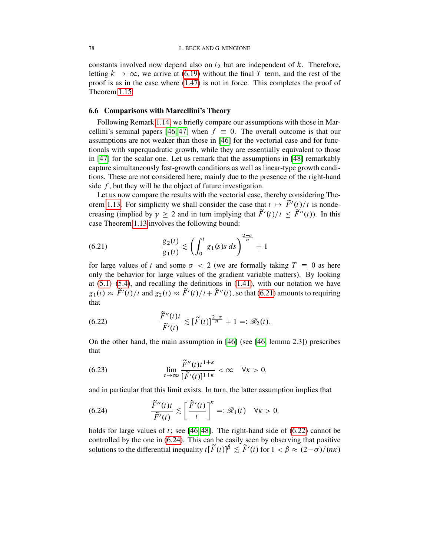constants involved now depend also on  $i_2$  but are independent of  $k$ . Therefore, letting  $k \to \infty$ , we arrive at [\(6.19\)](#page-76-1) without the final T term, and the rest of the proof is as in the case where [\(1.47\)](#page-13-2) is not in force. This completes the proof of Theorem [1.15.](#page-13-0)

### 6.6 Comparisons with Marcellini's Theory

Following Remark [1.14,](#page-13-3) we briefly compare our assumptions with those in Mar-cellini's seminal papers [\[46,](#page-89-0) [47\]](#page-90-0) when  $f \equiv 0$ . The overall outcome is that our assumptions are not weaker than those in [\[46\]](#page-89-0) for the vectorial case and for functionals with superquadratic growth, while they are essentially equivalent to those in [\[47\]](#page-90-0) for the scalar one. Let us remark that the assumptions in [\[48\]](#page-90-1) remarkably capture simultaneously fast-growth conditions as well as linear-type growth conditions. These are not considered here, mainly due to the presence of the right-hand side  $f$ , but they will be the object of future investigation.

Let us now compare the results with the vectorial case, thereby considering The-orem [1.13.](#page-12-0) For simplicity we shall consider the case that  $t \mapsto \tilde{F}'(t)/t$  is nondecreasing (implied by  $\gamma \geq 2$  and in turn implying that  $\tilde{F}'(t)/t \leq \tilde{F}''(t)$ ). In this case Theorem [1.13](#page-12-0) involves the following bound:

<span id="page-77-0"></span>(6.21) 
$$
\frac{g_2(t)}{g_1(t)} \lesssim \left(\int_0^t g_1(s)s\,ds\right)^{\frac{2-\sigma}{n}} + 1
$$

for large values of t and some  $\sigma < 2$  (we are formally taking  $T \equiv 0$  as here only the behavior for large values of the gradient variable matters). By looking at  $(5.1)$ – $(5.4)$ , and recalling the definitions in  $(1.41)$ , with our notation we have  $g_1(t) \approx \tilde{F}'(t)/t$  and  $g_2(t) \approx \tilde{F}'(t)/t + \tilde{F}''(t)$ , so that [\(6.21\)](#page-77-0) amounts to requiring that

<span id="page-77-1"></span>(6.22) 
$$
\frac{\widetilde{F}''(t)t}{\widetilde{F}'(t)} \lesssim [\widetilde{F}(t)]^{\frac{2-\sigma}{n}} + 1 =: \mathscr{R}_2(t).
$$

On the other hand, the main assumption in [\[46\]](#page-89-0) (see [\[46,](#page-89-0) lemma 2.3]) prescribes that

<span id="page-77-3"></span>(6.23) 
$$
\lim_{t \to \infty} \frac{\tilde{F}''(t)t^{1+\kappa}}{[\tilde{F}'(t)]^{1+\kappa}} < \infty \quad \forall \kappa > 0,
$$

and in particular that this limit exists. In turn, the latter assumption implies that

<span id="page-77-2"></span>(6.24) 
$$
\frac{\tilde{F}''(t)t}{\tilde{F}'(t)} \lesssim \left[\frac{\tilde{F}'(t)}{t}\right]^{\kappa} =: \mathscr{R}_1(t) \quad \forall \kappa > 0,
$$

holds for large values of  $t$ ; see [\[46,](#page-89-0) [48\]](#page-90-1). The right-hand side of  $(6.22)$  cannot be controlled by the one in [\(6.24\)](#page-77-2). This can be easily seen by observing that positive solutions to the differential inequality  $t[\widetilde{F}(t)]^{\beta} \lesssim \widetilde{F}'(t)$  for  $1 < \beta \approx (2-\sigma)/(n\kappa)$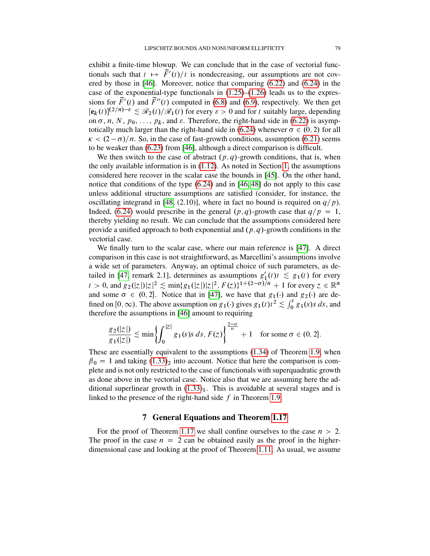exhibit a finite-time blowup. We can conclude that in the case of vectorial functionals such that  $t \mapsto \tilde{F}'(t)/t$  is nondecreasing, our assumptions are not covered by those in [\[46\]](#page-89-0). Moreover, notice that comparing [\(6.22\)](#page-77-1) and [\(6.24\)](#page-77-2) in the case of the exponential-type functionals in  $(1.25)$ – $(1.26)$  leads us to the expressions for  $\tilde{F}'(t)$  and  $\tilde{F}''(t)$  computed in [\(6.8\)](#page-72-1) and [\(6.9\)](#page-72-2), respectively. We then get  $[\mathbf{e}_k(t)]^{(2/n)-\varepsilon} \lesssim \mathcal{R}_2(t)/\mathcal{R}_1(t)$  for every  $\varepsilon > 0$  and for t suitably large, depending on  $\sigma$ , n, N,  $p_0, \ldots, p_k$ , and  $\varepsilon$ . Therefore, the right-hand side in [\(6.22\)](#page-77-1) is asymp-totically much larger than the right-hand side in [\(6.24\)](#page-77-2) whenever  $\sigma \in (0, 2)$  for all  $\kappa < (2-\sigma)/n$ . So, in the case of fast-growth conditions, assumption [\(6.21\)](#page-77-0) seems to be weaker than [\(6.23\)](#page-77-3) from [\[46\]](#page-89-0), although a direct comparison is difficult.

We then switch to the case of abstract  $(p, q)$ -growth conditions, that is, when the only available information is in [\(1.12\)](#page-4-0). As noted in Section [1,](#page-0-0) the assumptions considered here recover in the scalar case the bounds in [\[45\]](#page-89-1). On the other hand, notice that conditions of the type [\(6.24\)](#page-77-2) and in [\[46,](#page-89-0) [48\]](#page-90-1) do not apply to this case unless additional structure assumptions are satisfied (consider, for instance, the oscillating integrand in [\[48,](#page-90-1) (2.10)], where in fact no bound is required on  $q/p$ . Indeed, [\(6.24\)](#page-77-2) would prescribe in the general  $(p, q)$ -growth case that  $q/p = 1$ , thereby yielding no result. We can conclude that the assumptions considered here provide a unified approach to both exponential and  $(p, q)$ -growth conditions in the vectorial case.

We finally turn to the scalar case, where our main reference is [\[47\]](#page-90-0). A direct comparison in this case is not straightforward, as Marcellini's assumptions involve a wide set of parameters. Anyway, an optimal choice of such parameters, as de-tailed in [\[47,](#page-90-0) remark 2.1], determines as assumptions  $g'_1(t)t \leq g_1(t)$  for every  $t > 0$ , and  $g_2(|z|)|z|^2 \lesssim \min\{g_1(|z|)|z|^2, F(z)\}^{1+(2-\sigma)/n} + 1$  for every  $z \in \mathbb{R}^n$ and some  $\sigma \in (0, 2]$ . Notice that in [\[47\]](#page-90-0), we have that  $g_1(.)$  and  $g_2(.)$  are defined on  $[0, \infty)$ . The above assumption on  $g_1(.)$  gives  $g_1(t)t^2 \lesssim \int_0^t g_1(s)s ds$ , and therefore the assumptions in [\[46\]](#page-89-0) amount to requiring

$$
\frac{g_2(|z|)}{g_1(|z|)} \lesssim \min \left\{ \int_0^{|z|} g_1(s)s \, ds, F(z) \right\}^{\frac{2-\sigma}{n}} + 1 \quad \text{for some } \sigma \in (0, 2].
$$

These are essentially equivalent to the assumptions [\(1.34\)](#page-9-2) of Theorem [1.9,](#page-9-1) when  $\beta_0 = 1$  and taking  $(1.33)_2$  $(1.33)_2$  into account. Notice that here the comparison is complete and is not only restricted to the case of functionals with superquadratic growth as done above in the vectorial case. Notice also that we are assuming here the additional superlinear growth in  $(1.33)_1$  $(1.33)_1$ . This is avoidable at several stages and is linked to the presence of the right-hand side  $f$  in Theorem [1.9.](#page-9-1)

# 7 General Equations and Theorem [1.17](#page-15-0)

<span id="page-78-0"></span>For the proof of Theorem [1.17](#page-15-0) we shall confine ourselves to the case  $n > 2$ . The proof in the case  $n = 2$  can be obtained easily as the proof in the higherdimensional case and looking at the proof of Theorem [1.11.](#page-10-1) As usual, we assume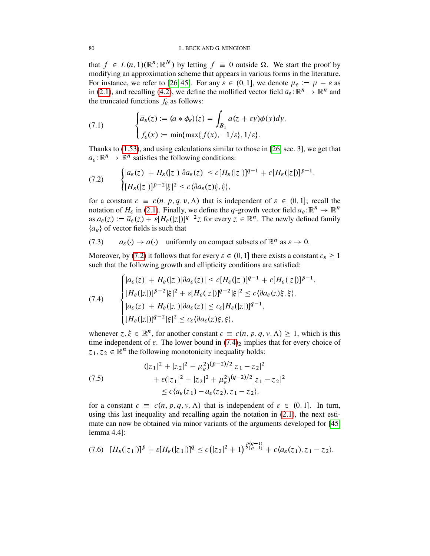that  $f \in L(n, 1)(\mathbb{R}^n; \mathbb{R}^N)$  by letting  $f \equiv 0$  outside  $\Omega$ . We start the proof by modifying an approximation scheme that appears in various forms in the literature. For instance, we refer to [\[26,](#page-89-2) [45\]](#page-89-1). For any  $\varepsilon \in (0, 1]$ , we denote  $\mu_{\varepsilon} := \mu + \varepsilon$  as in [\(2.1\)](#page-17-0), and recalling [\(4.2\)](#page-24-0), we define the mollified vector field  $\bar{a}_{\varepsilon} \colon \mathbb{R}^n \to \mathbb{R}^n$  and the truncated functions  $f_{\varepsilon}$  as follows:

<span id="page-79-3"></span>(7.1) 
$$
\begin{cases} \bar{a}_{\varepsilon}(z) := (a * \phi_{\varepsilon})(z) = \int_{B_1} a(z + \varepsilon y) \phi(y) dy, \\ f_{\varepsilon}(x) := \min\{\max\{f(x), -1/\varepsilon\}, 1/\varepsilon\}. \end{cases}
$$

Thanks to [\(1.53\)](#page-15-1), and using calculations similar to those in [\[26,](#page-89-2) sec. 3], we get that  $\overline{a}_{\varepsilon}$ :  $\mathbb{R}^n \to \mathbb{R}^n$  satisfies the following conditions:

<span id="page-79-0"></span>
$$
(7.2) \qquad \begin{cases} |\overline{a}_{\varepsilon}(z)| + H_{\varepsilon}(|z|) |\partial \overline{a}_{\varepsilon}(z)| \le c [H_{\varepsilon}(|z|)]^{q-1} + c [H_{\varepsilon}(|z|)]^{p-1}, \\ [H_{\varepsilon}(|z|)]^{p-2} |\xi|^2 \le c \langle \partial \overline{a}_{\varepsilon}(z) \xi, \xi \rangle, \end{cases}
$$

for a constant  $c \equiv c(n, p, q, v, \Lambda)$  that is independent of  $\varepsilon \in (0, 1]$ ; recall the notation of  $H_{\varepsilon}$  in [\(2.1\)](#page-17-0). Finally, we define the q-growth vector field  $a_{\varepsilon} : \mathbb{R}^n \to \mathbb{R}^n$ as  $a_{\varepsilon}(z) := \overline{a}_{\varepsilon}(z) + \varepsilon [H_{\varepsilon}(|z|)]^{q-2} z$  for every  $z \in \mathbb{R}^n$ . The newly defined family  ${a_{\varepsilon}}$  of vector fields is such that

(7.3) 
$$
a_{\varepsilon}(\cdot) \to a(\cdot)
$$
 uniformly on compact subsets of  $\mathbb{R}^n$  as  $\varepsilon \to 0$ .

Moreover, by [\(7.2\)](#page-79-0) it follows that for every  $\varepsilon \in (0, 1]$  there exists a constant  $c_{\varepsilon} \geq 1$ such that the following growth and ellipticity conditions are satisfied:

<span id="page-79-1"></span>(7.4)  

$$
\begin{cases}\n|a_{\varepsilon}(z)| + H_{\varepsilon}(|z|) |\partial a_{\varepsilon}(z)| \le c [H_{\varepsilon}(|z|)]^{q-1} + c [H_{\varepsilon}(|z|)]^{p-1}, \\
[H_{\varepsilon}(|z|)]^{p-2} |\xi|^2 + \varepsilon [H_{\varepsilon}(|z|)]^{q-2} |\xi|^2 \le c \langle \partial a_{\varepsilon}(z) \xi, \xi \rangle, \\
|a_{\varepsilon}(z)| + H_{\varepsilon}(|z|) |\partial a_{\varepsilon}(z)| \le c_{\varepsilon} [H_{\varepsilon}(|z|)]^{q-1}, \\
[H_{\varepsilon}(|z|)]^{q-2} |\xi|^2 \le c_{\varepsilon} \langle \partial a_{\varepsilon}(z) \xi, \xi \rangle,\n\end{cases}
$$

whenever  $z, \xi \in \mathbb{R}^n$ , for another constant  $c \equiv c(n, p, q, \nu, \Lambda) \geq 1$ , which is this time independent of  $\varepsilon$ . The lower bound in [\(7.4\)](#page-79-1)<sub>2</sub> implies that for every choice of  $z_1, z_2 \in \mathbb{R}^n$  the following monotonicity inequality holds:

(7.5)  
\n
$$
(|z_1|^2 + |z_2|^2 + \mu_\varepsilon^2)^{(p-2)/2} |z_1 - z_2|^2
$$
\n
$$
+ \varepsilon (|z_1|^2 + |z_2|^2 + \mu_\varepsilon^2)^{(q-2)/2} |z_1 - z_2|^2
$$
\n
$$
\leq c \langle a_\varepsilon(z_1) - a_\varepsilon(z_2), z_1 - z_2 \rangle,
$$

for a constant  $c \equiv c(n, p, q, v, \Lambda)$  that is independent of  $\varepsilon \in (0, 1]$ . In turn, using this last inequality and recalling again the notation in [\(2.1\)](#page-17-0), the next estimate can now be obtained via minor variants of the arguments developed for [\[45,](#page-89-1) lemma 4.4]:

<span id="page-79-2"></span>
$$
(7.6)\ \ [H_{\varepsilon}(|z_1|)]^p+\varepsilon[H_{\varepsilon}(|z_1|)]^q\leq c\big(|z_2|^2+1\big)^{\frac{p(q-1)}{2(p-1)}}+c\langle a_{\varepsilon}(z_1),z_1-z_2\rangle.
$$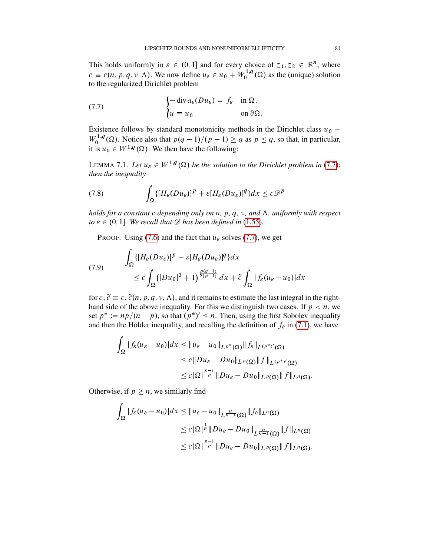This holds uniformly in  $\varepsilon \in (0, 1]$  and for every choice of  $z_1, z_2 \in \mathbb{R}^n$ , where  $c \equiv c(n, p, q, v, \Lambda)$ . We now define  $u_{\varepsilon} \in u_0 + W_0^{1,q}$  $\chi_0^{1,q}(\Omega)$  as the (unique) solution to the regularized Dirichlet problem

<span id="page-80-0"></span>(7.7) 
$$
\begin{cases}\n-\operatorname{div} a_{\varepsilon}(Du_{\varepsilon}) = f_{\varepsilon} & \text{in } \Omega, \\
u \equiv u_0 & \text{on } \partial \Omega.\n\end{cases}
$$

Existence follows by standard monotonicity methods in the Dirichlet class  $u_0$  +  $W_0^{1,q}$  $p_0^{1,q}(\Omega)$ . Notice also that  $p(q-1)/(p-1) \ge q$  as  $p \le q$ , so that, in particular, it is  $u_0 \in W^{1,q}(\Omega)$ . We then have the following:

LEMMA 7.1. Let  $u_{\varepsilon} \in W^{1,q}(\Omega)$  be the solution to the Dirichlet problem in [\(7.7\)](#page-80-0); *then the inequality*

<span id="page-80-2"></span>(7.8) 
$$
\int_{\Omega} \{ [H_{\varepsilon}(Du_{\varepsilon})]^p + \varepsilon [H_{\varepsilon}(Du_{\varepsilon})]^q \} dx \leq c \mathcal{D}^p
$$

*holds for a constant c depending only on n, p, q, v, and*  $\Lambda$ *, uniformly with respect to*  $\varepsilon \in (0, 1]$ *. We recall that*  $\mathscr{D}$  *has been defined in* [\(1.55\)](#page-15-2)*.* 

PROOF. Using [\(7.6\)](#page-79-2) and the fact that  $u_{\varepsilon}$  solves [\(7.7\)](#page-80-0), we get

<span id="page-80-1"></span>(7.9) 
$$
\int_{\Omega} \{ [H_{\varepsilon}(Du_{\varepsilon})]^p + \varepsilon [H_{\varepsilon}(Du_{\varepsilon})]^q \} dx
$$

$$
\leq c \int_{\Omega} (|Du_0|^2 + 1)^{\frac{p(q-1)}{2(p-1)}} dx + \tilde{c} \int_{\Omega} |f_{\varepsilon}(u_{\varepsilon} - u_0)| dx
$$

for c,  $\tilde{c} \equiv c, \tilde{c}(n, p, q, v, \Lambda)$ , and it remains to estimate the last integral in the righthand side of the above inequality. For this we distinguish two cases. If  $p < n$ , we set  $p^* := np/(n - p)$ , so that  $(p^*)' \leq n$ . Then, using the first Sobolev inequality and then the Hölder inequality, and recalling the definition of  $f_{\varepsilon}$  in [\(7.1\)](#page-79-3), we have

$$
\int_{\Omega} |f_{\varepsilon}(u_{\varepsilon} - u_0)| dx \leq \|u_{\varepsilon} - u_0\|_{L^{p^*}(\Omega)} \|f_{\varepsilon}\|_{L^{(p^*)'}(\Omega)}
$$
\n
$$
\leq c \|Du_{\varepsilon} - Du_0\|_{L^p(\Omega)} \|f\|_{L^{(p^*)'}(\Omega)}
$$
\n
$$
\leq c |\Omega|^{\frac{p-1}{p}} \|Du_{\varepsilon} - Du_0\|_{L^p(\Omega)} \|f\|_{L^n(\Omega)}.
$$

Otherwise, if  $p \geq n$ , we similarly find

$$
\int_{\Omega} |f_{\varepsilon}(u_{\varepsilon}-u_0)| dx \leq \|u_{\varepsilon}-u_0\|_{L^{\frac{n}{n-1}}(\Omega)} \|f_{\varepsilon}\|_{L^{n}(\Omega)}
$$
\n
$$
\leq c |\Omega|^{\frac{1}{n}} \|Du_{\varepsilon}-Du_0\|_{L^{\frac{n}{n-1}}(\Omega)} \|f\|_{L^{n}(\Omega)}
$$
\n
$$
\leq c |\Omega|^{\frac{p-1}{p}} \|Du_{\varepsilon}-Du_0\|_{L^{p}(\Omega)} \|f\|_{L^{n}(\Omega)}.
$$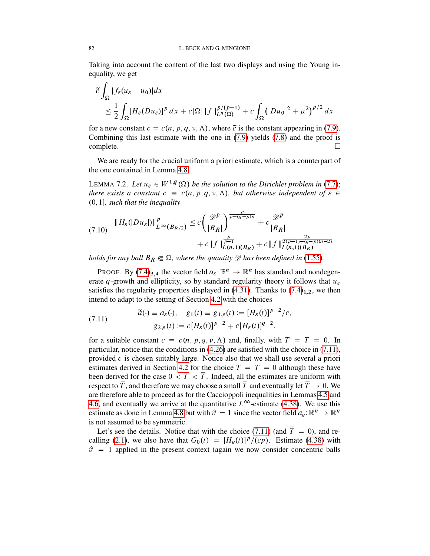Taking into account the content of the last two displays and using the Young inequality, we get

$$
\tilde{c} \int_{\Omega} |f_{\varepsilon}(u_{\varepsilon} - u_0)| dx
$$
  
\n
$$
\leq \frac{1}{2} \int_{\Omega} [H_{\varepsilon}(Du_{\varepsilon})]^p dx + c |\Omega| \|f\|_{L^p(\Omega)}^{p/(p-1)} + c \int_{\Omega} (|Du_0|^2 + \mu^2)^{p/2} dx
$$

for a new constant  $c = c(n, p, q, v, \Lambda)$ , where  $\tilde{c}$  is the constant appearing in [\(7.9\)](#page-80-1). Combining this last estimate with the one in [\(7.9\)](#page-80-1) yields [\(7.8\)](#page-80-2) and the proof is complete.

We are ready for the crucial uniform a priori estimate, which is a counterpart of the one contained in Lemma [4.8.](#page-36-0)

<span id="page-81-2"></span>LEMMA 7.2. Let  $u_{\varepsilon} \in W^{1,q}(\Omega)$  be the solution to the Dirichlet problem in [\(7.7\)](#page-80-0); *there exists a constant*  $c \equiv c(n, p, q, v, \Lambda)$ *, but otherwise independent of*  $\varepsilon \in$ .0; 1*, such that the inequality*

<span id="page-81-1"></span>
$$
(7.10) \quad \|H_{\varepsilon}(|Du_{\varepsilon}|)\|_{L^{\infty}(B_{R/2})}^p \leq c \left(\frac{\mathcal{D}^p}{|B_R|}\right)^{\frac{p}{p-(q-p)n}} + c \frac{\mathcal{D}^p}{|B_R|} + c \frac{2p}{|B_R|} + c \|f\|_{L(n,1)(B_R)}^{\frac{p}{p-1}} + c \|f\|_{L(n,1)(B_R)}^{\frac{2p}{2(p-1)-(q-p)(n-2)}}
$$

*holds for any ball*  $B_R \in \Omega$ *, where the quantity*  $\mathscr D$  *has been defined in* [\(1.55\)](#page-15-2)*.* 

PROOF. By [\(7.4\)](#page-79-1)<sub>3,4</sub> the vector field  $a_{\varepsilon} : \mathbb{R}^n \to \mathbb{R}^n$  has standard and nondegenerate q-growth and ellipticity, so by standard regularity theory it follows that  $u_{\varepsilon}$ satisfies the regularity properties displayed in  $(4.31)$ . Thanks to  $(7.4)$ <sub>1,2</sub>, we then intend to adapt to the setting of Section [4.2](#page-30-0) with the choices

<span id="page-81-0"></span>(7.11) 
$$
\begin{aligned} \tilde{a}(\cdot) &\equiv a_{\varepsilon}(\cdot), \quad g_1(t) \equiv g_{1,\varepsilon}(t) := [H_{\varepsilon}(t)]^{p-2}/c, \\ g_{2,\varepsilon}(t) &\coloneqq c [H_{\varepsilon}(t)]^{p-2} + c [H_{\varepsilon}(t)]^{q-2}, \end{aligned}
$$

for a suitable constant  $c \equiv c(n, p, q, v, \Lambda)$  and, finally, with  $\overline{T} = T = 0$ . In particular, notice that the conditions in [\(4.26\)](#page-30-1) are satisfied with the choice in [\(7.11\)](#page-81-0), provided  $c$  is chosen suitably large. Notice also that we shall use several a priori estimates derived in Section [4.2](#page-30-0) for the choice  $\overline{T} = T = 0$  although these have been derived for the case  $0 < T < \overline{T}$ . Indeed, all the estimates are uniform with respect to  $\overline{T}$ , and therefore we may choose a small  $\overline{T}$  and eventually let  $\overline{T} \to 0$ . We are therefore able to proceed as for the Caccioppoli inequalities in Lemmas [4.5](#page-30-2) and [4.6,](#page-34-0) and eventually we arrive at the quantitative  $L^{\infty}$ -estimate [\(4.38\)](#page-35-0). We use this estimate as done in Lemma [4.8](#page-36-0) but with  $\vartheta = 1$  since the vector field  $a_{\varepsilon} : \mathbb{R}^n \to \mathbb{R}^n$ is not assumed to be symmetric.

Let's see the details. Notice that with the choice [\(7.11\)](#page-81-0) (and  $\overline{T} = 0$ ), and re-calling [\(2.1\)](#page-17-0), we also have that  $G_0(t) = [H_\varepsilon(t)]^p/(cp)$ . Estimate [\(4.38\)](#page-35-0) with  $\vartheta = 1$  applied in the present context (again we now consider concentric balls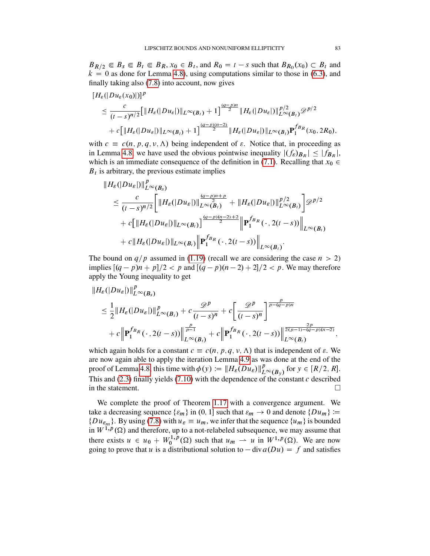$B_{R/2} \in B_s \in B_t \in B_R$ ,  $x_0 \in B_t$ , and  $R_0 = t - s$  such that  $B_{R_0}(x_0) \subset B_t$  and  $k = 0$  as done for Lemma [4.8\)](#page-36-0), using computations similar to those in [\(6.3\)](#page-70-0), and finally taking also [\(7.8\)](#page-80-2) into account, now gives

$$
[H_{\varepsilon}(|Du_{\varepsilon}(x_{0})|)]^{p}
$$
  
\n
$$
\leq \frac{c}{(t-s)^{n/2}} [\|H_{\varepsilon}(|Du_{\varepsilon}|)\|_{L^{\infty}(B_{t})} + 1]^{\frac{(q-p)n}{2}} \|H_{\varepsilon}(|Du_{\varepsilon}|)\|_{L^{\infty}(B_{t})}^{p/2} \mathscr{D}^{p/2}
$$
  
\n
$$
+ c [\|H_{\varepsilon}(|Du_{\varepsilon}|)\|_{L^{\infty}(B_{t})} + 1]^{\frac{(q-p)(n-2)}{2}} \|H_{\varepsilon}(|Du_{\varepsilon}|)\|_{L^{\infty}(B_{t})} \mathbf{P}_{1}^{f_{B_{R}}}(x_{0}, 2R_{0}),
$$

with  $c \equiv c(n, p, q, v, \Lambda)$  being independent of  $\varepsilon$ . Notice that, in proceeding as in Lemma [4.8,](#page-36-0) we have used the obvious pointwise inequality  $|(f_{\varepsilon})_{B_R}| \leq |f_{B_R}|$ , which is an immediate consequence of the definition in [\(7.1\)](#page-79-3). Recalling that  $x_0 \in$  $B_t$  is arbitrary, the previous estimate implies

$$
\|H_{\varepsilon}(|Du_{\varepsilon}|)\|_{L^{\infty}(B_{s})}^{p}
$$
\n
$$
\leq \frac{c}{(t-s)^{n/2}} \Biggl[ \|H_{\varepsilon}(|Du_{\varepsilon}|)\|_{L^{\infty}(B_{t})}^{\frac{(q-p)n+p}{2}} + \|H_{\varepsilon}(|Du_{\varepsilon}|)\|_{L^{\infty}(B_{t})}^{p/2} \Biggr] \mathscr{D}^{p/2}
$$
\n
$$
+ c \Bigl[ \|H_{\varepsilon}(|Du_{\varepsilon}|)\|_{L^{\infty}(B_{t})} \Bigr] \frac{(q-p)(n-2)+2}{2} \Bigl\| \mathbf{P}_{1}^{f_{B_{R}}}(\cdot, 2(t-s)) \Bigr\|_{L^{\infty}(B_{t})}
$$
\n
$$
+ c \|H_{\varepsilon}(|Du_{\varepsilon}|)\|_{L^{\infty}(B_{t})} \Bigl\| \mathbf{P}_{1}^{f_{B_{R}}}(\cdot, 2(t-s)) \Bigr\|_{L^{\infty}(B_{t})}.
$$

The bound on  $q/p$  assumed in [\(1.19\)](#page-5-0) (recall we are considering the case  $n > 2$ ) implies  $\left[\frac{q-p}{n} + \frac{p}{2} < p \text{ and } \frac{q-p}{n-2} + \frac{2}{2} < p$ . We may therefore apply the Young inequality to get

$$
\|H_{\varepsilon}(|Du_{\varepsilon}|)\|_{L^{\infty}(B_{s})}^{p}
$$
\n
$$
\leq \frac{1}{2} \|H_{\varepsilon}(|Du_{\varepsilon}|)\|_{L^{\infty}(B_{t})}^{p} + c \frac{\mathcal{D}^{p}}{(t-s)^{n}} + c \left[\frac{\mathcal{D}^{p}}{(t-s)^{n}}\right]^{\frac{p}{p-(q-p)n}}
$$
\n
$$
+ c \left\| \mathbf{P}_{1}^{f_{B_{R}}}(\cdot, 2(t-s)) \right\|_{L^{\infty}(B_{t})}^{\frac{p}{p-1}} + c \left\| \mathbf{P}_{1}^{f_{B_{R}}}(\cdot, 2(t-s)) \right\|_{L^{\infty}(B_{t})}^{\frac{2p}{2(p-1)-(q-p)(n-2)}},
$$

which again holds for a constant  $c \equiv c(n, p, q, v, \Lambda)$  that is independent of  $\varepsilon$ . We are now again able to apply the iteration Lemma [4.9](#page-39-0) as was done at the end of the proof of Lemma [4.8,](#page-36-0) this time with  $\phi(y) := ||H_{\varepsilon}(Du_{\varepsilon})||_{L}^{p}$ .  $L^p(\mathcal{B}_y)$  for  $y \in [R/2, R]$ . This and  $(2.3)$  finally yields  $(7.10)$  with the dependence of the constant c described in the statement.  $\Box$ 

We complete the proof of Theorem [1.17](#page-15-0) with a convergence argument. We take a decreasing sequence  $\{\varepsilon_m\}$  in  $(0, 1]$  such that  $\varepsilon_m \to 0$  and denote  $\{Du_m\} :=$  $\{Du_{\varepsilon_m}\}\$ . By using [\(7.8\)](#page-80-2) with  $u_{\varepsilon} \equiv u_m$ , we infer that the sequence  $\{u_m\}$  is bounded in  $W^{1,p}(\Omega)$  and therefore, up to a not-relabeled subsequence, we may assume that there exists  $u \in u_0 + W_0^{1, p}$  $v_0^{1,p}(\Omega)$  such that  $u_m \rightharpoonup u$  in  $W^{1,p}(\Omega)$ . We are now going to prove that u is a distributional solution to  $-\text{div } a(Du) = f$  and satisfies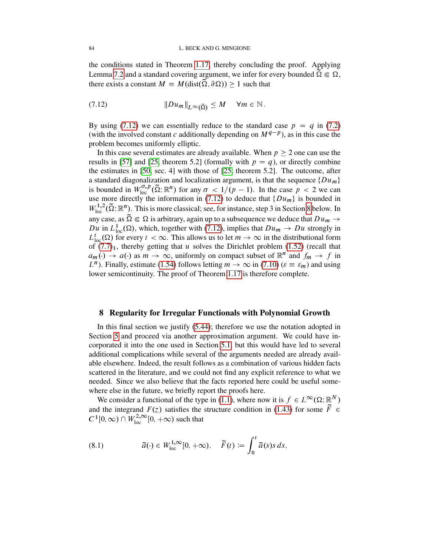the conditions stated in Theorem [1.17,](#page-15-0) thereby concluding the proof. Applying Lemma [7.2](#page-81-2) and a standard covering argument, we infer for every bounded  $\Omega \in \Omega$ , there exists a constant  $M \equiv M(\text{dist}(\tilde{\Omega}, \partial \Omega)) > 1$  such that

<span id="page-83-0"></span>(7.12) kDumkL1./ <sup>z</sup> <sup>M</sup> 8m <sup>2</sup> N:

By using [\(7.12\)](#page-83-0) we can essentially reduce to the standard case  $p = q$  in [\(7.2\)](#page-79-0) (with the involved constant c additionally depending on  $M^{q-p}$ ), as in this case the problem becomes uniformly elliptic.

In this case several estimates are already available. When  $p \geq 2$  one can use the results in [\[57\]](#page-90-2) and [\[25,](#page-89-3) theorem 5.2] (formally with  $p = q$ ), or directly combine the estimates in [\[50,](#page-90-3) sec. 4] with those of [\[25,](#page-89-3) theorem 5.2]. The outcome, after a standard diagonalization and localization argument, is that the sequence  $\{Du_m\}$ is bounded in  $W_{\text{loc}}^{\sigma,p}(\tilde{\Omega};\mathbb{R}^n)$  for any  $\sigma < 1/(p-1)$ . In the case  $p < 2$  we can use more directly the information in [\(7.12\)](#page-83-0) to deduce that  $\{Du_m\}$  is bounded in  $W^{1,2}_{loc}(\tilde{\Omega};\mathbb{R}^n)$ . This is more classical; see, for instance, step 3 in Section [8](#page-83-1) below. In any case, as  $\tilde{\Omega} \in \Omega$  is arbitrary, again up to a subsequence we deduce that  $Du_m \to$ Du in  $L^1_{loc}(\Omega)$ , which, together with [\(7.12\)](#page-83-0), implies that  $Du_m \to Du$  strongly in  $L_{loc}^t(\Omega)$  for every  $t < \infty$ . This allows us to let  $m \to \infty$  in the distributional form of  $(7.7)_1$  $(7.7)_1$ , thereby getting that u solves the Dirichlet problem [\(1.52\)](#page-15-3) (recall that  $a_m(\cdot) \to a(\cdot)$  as  $m \to \infty$ , uniformly on compact subset of  $\mathbb{R}^n$  and  $f_m \to f$  in  $L^n$ ). Finally, estimate [\(1.54\)](#page-15-4) follows letting  $m \to \infty$  in [\(7.10\)](#page-81-1) ( $\varepsilon \equiv \varepsilon_m$ ) and using lower semicontinuity. The proof of Theorem [1.17](#page-15-0) is therefore complete.

### <span id="page-83-1"></span>8 Regularity for Irregular Functionals with Polynomial Growth

In this final section we justify [\(5.44\)](#page-58-0); therefore we use the notation adopted in Section [5](#page-48-1) and proceed via another approximation argument. We could have incorporated it into the one used in Section [5.1,](#page-48-2) but this would have led to several additional complications while several of the arguments needed are already available elsewhere. Indeed, the result follows as a combination of various hidden facts scattered in the literature, and we could not find any explicit reference to what we needed. Since we also believe that the facts reported here could be useful somewhere else in the future, we briefly report the proofs here.

We consider a functional of the type in [\(1.1\)](#page-1-1), where now it is  $f \in L^{\infty}(\Omega;\mathbb{R}^N)$ and the integrand  $F(z)$  satisfies the structure condition in [\(1.43\)](#page-12-3) for some  $\tilde{F} \in$  $C^1[0, \infty) \cap W^{2,\infty}_{loc}[0, +\infty)$  such that

<span id="page-83-2"></span>(8.1) 
$$
\widetilde{a}(\cdot) \in W^{1,\infty}_{loc}[0,+\infty), \quad \widetilde{F}(t) := \int_0^t \widetilde{a}(s)s \, ds,
$$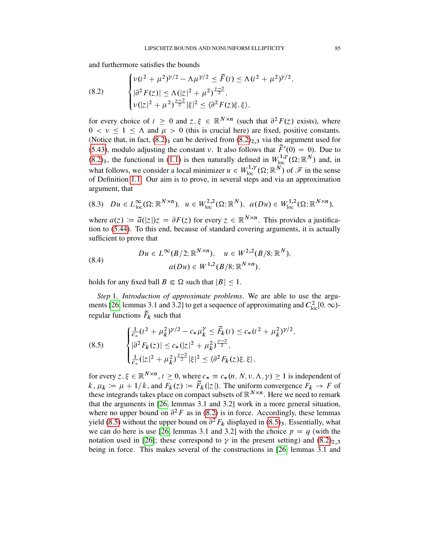and furthermore satisfies the bounds

<span id="page-84-0"></span>(8.2) 
$$
\begin{cases} v(t^2 + \mu^2)^{\gamma/2} - \Lambda \mu^{\gamma/2} \le \tilde{F}(t) \le \Lambda (t^2 + \mu^2)^{\gamma/2} \\ |\partial^2 F(z)| \le \Lambda (|z|^2 + \mu^2)^{\frac{\gamma - 2}{2}}, \\ v(|z|^2 + \mu^2)^{\frac{\gamma - 2}{2}} |\xi|^2 \le \langle \partial^2 F(z) \xi, \xi \rangle, \end{cases}
$$

for every choice of  $t \geq 0$  and  $z, \xi \in \mathbb{R}^{N \times n}$  (such that  $\partial^2 F(z)$  exists), where  $0 < \nu \le 1 \le \Lambda$  and  $\mu > 0$  (this is crucial here) are fixed, positive constants. (Notice that, in fact,  $(8.2)_1$  $(8.2)_1$  can be derived from  $(8.2)_{2,3}$  via the argument used for [\(5.43\)](#page-58-1), modulo adjusting the constant v. It also follows that  $\tilde{F}'(0) = 0$ ). Due to [\(8.2\)](#page-84-0)<sub>1</sub>, the functional in [\(1.1\)](#page-1-1) is then naturally defined in  $W^{1, \gamma}_{loc}(\Omega; \mathbb{R}^N)$  and, in what follows, we consider a local minimizer  $u \in W^{1,\gamma}_{loc}(\Omega; \mathbb{R}^N)$  of  $\mathscr{F}$  in the sense of Definition [1.1.](#page-3-0) Our aim is to prove, in several steps and via an approximation argument, that

$$
(8.3) \quad Du \in L^{\infty}_{loc}(\Omega;\mathbb{R}^{N \times n}), \ \ u \in W^{2,2}_{loc}(\Omega;\mathbb{R}^N), \ \ a(Du) \in W^{1,2}_{loc}(\Omega;\mathbb{R}^{N \times n}),
$$

where  $a(z) := \tilde{a}(|z|)z = \partial F(z)$  for every  $z \in \mathbb{R}^{N \times n}$ . This provides a justification to [\(5.44\)](#page-58-0). To this end, because of standard covering arguments, it is actually sufficient to prove that

<span id="page-84-2"></span>(8.4) 
$$
Du \in L^{\infty}(B/2; \mathbb{R}^{N \times n}), \quad u \in W^{2,2}(B/8; \mathbb{R}^{N}),
$$

$$
a(Du) \in W^{1,2}(B/8; \mathbb{R}^{N \times n}),
$$

holds for any fixed ball  $B \in \Omega$  such that  $|B| \le 1$ .

*Step* 1. *Introduction of approximate problems*. We are able to use the argu-ments [\[26,](#page-89-2) lemmas 3.1 and 3.2] to get a sequence of approximating and  $C_{\text{loc}}^2[0,\infty)$ regular functions  $\tilde{F}_k$  such that

<span id="page-84-1"></span>(8.5) 
$$
\begin{cases} \frac{1}{c_*}(t^2 + \mu_k^2)^{\gamma/2} - c_*\mu_k^{\gamma} \le \tilde{F}_k(t) \le c_*(t^2 + \mu_k^2)^{\gamma/2}, \\ |\partial^2 F_k(z)| \le c_*(|z|^2 + \mu_k^2)^{\frac{\gamma-2}{2}}, \\ \frac{1}{c_*}(|z|^2 + \mu_k^2)^{\frac{\gamma-2}{2}} |\xi|^2 \le \langle \partial^2 F_k(z) \xi, \xi \rangle, \end{cases}
$$

for every  $z, \xi \in \mathbb{R}^{N \times n}$ ,  $t \ge 0$ , where  $c_* \equiv c_*(n, N, \nu, \Lambda, \gamma) \ge 1$  is independent of  $k, \mu_k := \mu + 1/k$ , and  $F_k(z) := \tilde{F}_k(|z|)$ . The uniform convergence  $F_k \to F$  of these integrands takes place on compact subsets of  $\mathbb{R}^{N \times n}$ . Here we need to remark that the arguments in [\[26,](#page-89-2) lemmas 3.1 and 3.2] work in a more general situation, where no upper bound on  $\partial^2 F$  as in [\(8.2\)](#page-84-0) is in force. Accordingly, these lemmas yield [\(8.5\)](#page-84-1) without the upper bound on  $\partial^2 F_k$  displayed in (8.5)<sub>3</sub>. Essentially, what we can do here is use [\[26,](#page-89-2) lemmas 3.1 and 3.2] with the choice  $p = q$  (with the notation used in [\[26\]](#page-89-2); these correspond to  $\gamma$  in the present setting) and  $(8.2)_{2,3}$  $(8.2)_{2,3}$ being in force. This makes several of the constructions in [\[26,](#page-89-2) lemmas 3.1 and

;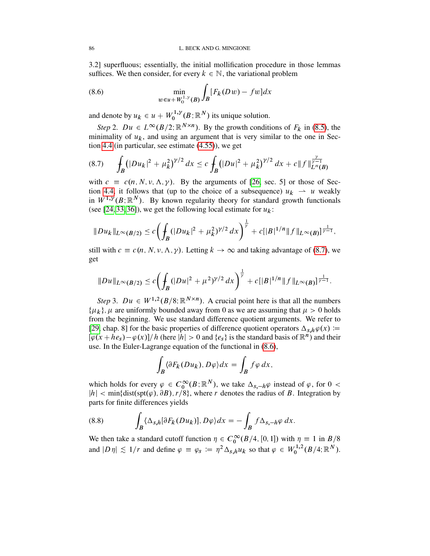3.2] superfluous; essentially, the initial mollification procedure in those lemmas suffices. We then consider, for every  $k \in \mathbb{N}$ , the variational problem

<span id="page-85-1"></span>(8.6) 
$$
\min_{w \in u + W_0^{1,\nu}(B)} \int_B [F_k(Dw) - fw] dx
$$

and denote by  $u_k \in u + W_0^{1,\gamma}$  $\chi_0^{1,\gamma}(B;\mathbb{R}^N)$  its unique solution.

*Step* 2.  $Du \in L^{\infty}(B/2; \mathbb{R}^{N \times n})$ . By the growth conditions of  $F_k$  in [\(8.5\)](#page-84-1), the minimality of  $u_k$ , and using an argument that is very similar to the one in Section [4.4](#page-41-0) (in particular, see estimate [\(4.55\)](#page-43-0)), we get

<span id="page-85-0"></span>
$$
(8.7) \qquad \int_B (|Du_k|^2 + \mu_k^2)^{\gamma/2} \, dx \le c \int_B (|Du|^2 + \mu_k^2)^{\gamma/2} \, dx + c \|f\|_{L^n(B)}^{\frac{\gamma}{\gamma - 1}}
$$

with  $c \equiv c(n, N, \nu, \Lambda, \gamma)$ . By the arguments of [\[26,](#page-89-2) sec. 5] or those of Sec-tion [4.4,](#page-41-0) it follows that (up to the choice of a subsequence)  $u_k \rightharpoonup u$  weakly in  $W^{1,\gamma}(B;\mathbb{R}^N)$ . By known regularity theory for standard growth functionals (see [\[24,](#page-88-0) [33,](#page-89-4) [36\]](#page-89-5)), we get the following local estimate for  $u_k$ :

$$
||Du_k||_{L^{\infty}(B/2)} \leq c \bigg(\int_B (|Du_k|^2 + \mu_k^2)^{\gamma/2} dx\bigg)^{\frac{1}{\gamma}} + c[|B|^{1/n} ||f||_{L^{\infty}(B)}]^{\frac{1}{\gamma-1}},
$$

still with  $c \equiv c(n, N, \nu, \Lambda, \gamma)$ . Letting  $k \to \infty$  and taking advantage of [\(8.7\)](#page-85-0), we get

$$
||Du||_{L^{\infty}(B/2)} \leq c \left( \int_B (|Du|^2 + \mu^2)^{\gamma/2} dx \right)^{\frac{1}{\gamma}} + c||B|^{1/n} ||f||_{L^{\infty}(B)}]^{\frac{1}{\gamma-1}}.
$$

*Step* 3.  $Du \in W^{1,2}(B/8; \mathbb{R}^{N \times n})$ . A crucial point here is that all the numbers  $\{\mu_k\}, \mu$  are uniformly bounded away from 0 as we are assuming that  $\mu > 0$  holds from the beginning. We use standard difference quotient arguments. We refer to [\[29,](#page-89-6) chap. 8] for the basic properties of difference quotient operators  $\Delta_{s,h}\varphi(x)$  :=  $[\varphi(x + h e_s) - \varphi(x)]/h$  (here  $|h| > 0$  and  $\{e_s\}$  is the standard basis of  $\mathbb{R}^n$ ) and their use. In the Euler-Lagrange equation of the functional in [\(8.6\)](#page-85-1),

$$
\int_B \langle \partial F_k (Du_k), D\varphi \rangle dx = \int_B f\varphi dx,
$$

which holds for every  $\varphi \in C_0^{\infty}(B; \mathbb{R}^N)$ , we take  $\Delta_{s,-h}\varphi$  instead of  $\varphi$ , for  $0 <$  $|h| < min\{dist(spt(\varphi), \partial B), r/8\}$ , where r denotes the radius of B. Integration by parts for finite differences yields

<span id="page-85-2"></span>(8.8) 
$$
\int_{B} \langle \Delta_{s,h} [\partial F_k(Du_k)], D\varphi \rangle dx = - \int_{B} f \Delta_{s,-h} \varphi dx.
$$

We then take a standard cutoff function  $\eta \in C_0^{\infty}(B/4, [0, 1])$  with  $\eta \equiv 1$  in  $B/8$ and  $|D\eta| \lesssim 1/r$  and define  $\varphi = \varphi_s := \eta^2 \Delta_{s,h} u_k$  so that  $\varphi \in W_0^{1,2}$  $\int_0^{1,2} (B/4; \mathbb{R}^N).$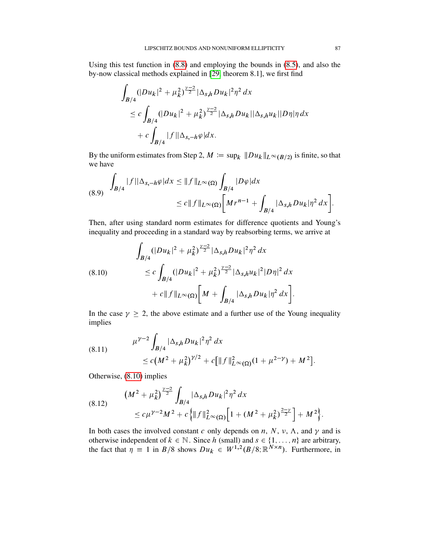Using this test function in [\(8.8\)](#page-85-2) and employing the bounds in [\(8.5\)](#page-84-1), and also the by-now classical methods explained in [\[29,](#page-89-6) theorem 8.1], we first find

$$
\int_{B/4} (|Du_k|^2 + \mu_k^2)^{\frac{\gamma-2}{2}} |\Delta_{s,h} Du_k|^2 \eta^2 dx
$$
\n
$$
\leq c \int_{B/4} (|Du_k|^2 + \mu_k^2)^{\frac{\gamma-2}{2}} |\Delta_{s,h} Du_k||\Delta_{s,h} u_k||D\eta|\eta dx
$$
\n
$$
+ c \int_{B/4} |f||\Delta_{s,-h}\varphi| dx.
$$

By the uniform estimates from Step 2,  $M := \sup_k \|Du_k\|_{L^{\infty}(B/2)}$  is finite, so that we have

$$
(8.9) \int_{B/4} |f||\Delta_{s,-h}\varphi|dx \leq \|f\|_{L^{\infty}(\Omega)} \int_{B/4} |D\varphi|dx
$$
  

$$
\leq c \|f\|_{L^{\infty}(\Omega)} \bigg[M r^{n-1} + \int_{B/4} |\Delta_{s,h} Du_k| \eta^2 dx\bigg].
$$

Then, after using standard norm estimates for difference quotients and Young's inequality and proceeding in a standard way by reabsorbing terms, we arrive at

<span id="page-86-0"></span>
$$
\int_{B/4} (|Du_k|^2 + \mu_k^2)^{\frac{\nu-2}{2}} |\Delta_{s,h} Du_k|^2 \eta^2 dx
$$
\n
$$
\leq c \int_{B/4} (|Du_k|^2 + \mu_k^2)^{\frac{\nu-2}{2}} |\Delta_{s,h} u_k|^2 |D\eta|^2 dx
$$
\n
$$
+ c \|f\|_{L^{\infty}(\Omega)} \bigg[ M + \int_{B/4} |\Delta_{s,h} Du_k| \eta^2 dx \bigg].
$$

In the case  $\gamma \geq 2$ , the above estimate and a further use of the Young inequality implies

<span id="page-86-1"></span>(8.11) 
$$
\mu^{\gamma-2} \int_{B/4} |\Delta_{s,h} Du_k|^2 \eta^2 dx
$$
  
 
$$
\leq c \left(M^2 + \mu_k^2\right)^{\gamma/2} + c \left[\|f\|_{L^\infty(\Omega)}^2 (1 + \mu^{2-\gamma}) + M^2\right].
$$

Otherwise, [\(8.10\)](#page-86-0) implies

<span id="page-86-2"></span>
$$
(8.12) \qquad (M^2 + \mu_k^2)^{\frac{\gamma - 2}{2}} \int_{B/4} |\Delta_{s,h} Du_k|^2 \eta^2 dx
$$
  

$$
\leq c \mu^{\gamma - 2} M^2 + c \left\{ \|f\|_{L^\infty(\Omega)}^2 \Big[1 + (M^2 + \mu_k^2)^{\frac{2 - \gamma}{2}} \Big] + M^2 \right\}.
$$

In both cases the involved constant c only depends on n, N, v,  $\Lambda$ , and  $\gamma$  and is otherwise independent of  $k \in \mathbb{N}$ . Since h (small) and  $s \in \{1, \ldots, n\}$  are arbitrary, the fact that  $\eta = 1$  in  $B/8$  shows  $Du_k \in W^{1,2}(B/8; \mathbb{R}^{N \times n})$ . Furthermore, in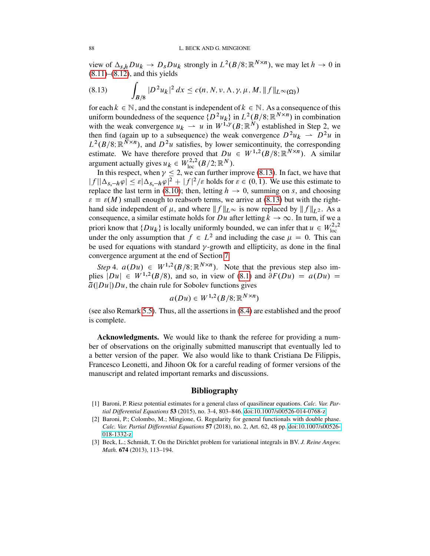view of  $\Delta_{s,h}Du_k \to D_sDu_k$  strongly in  $L^2(B/8; \mathbb{R}^{N \times n})$ , we may let  $h \to 0$  in  $(8.11)$ – $(8.12)$ , and this yields

<span id="page-87-0"></span>
$$
(8.13) \qquad \int_{B/8} |D^2 u_k|^2 \, dx \le c(n, N, \nu, \Lambda, \gamma, \mu, M, \|f\|_{L^{\infty}(\Omega)})
$$

for each  $k \in \mathbb{N}$ , and the constant is independent of  $k \in \mathbb{N}$ . As a consequence of this uniform boundedness of the sequence  $\{D^2u_k\}$  in  $L^2(B/8; \mathbb{R}^{N \times n})$  in combination with the weak convergence  $u_k \rightharpoonup u$  in  $W^{1,\gamma}(B; \mathbb{R}^N)$  established in Step 2, we then find (again up to a subsequence) the weak convergence  $D^2u_k \rightharpoonup D^2u$  in  $L^2(B/8; \mathbb{R}^{N \times n})$ , and  $D^2u$  satisfies, by lower semicontinuity, the corresponding estimate. We have therefore proved that  $Du \in W^{1,2}(B/8; \mathbb{R}^{N \times n})$ . A similar argument actually gives  $u_k \in W^{2,2}_{loc}(B/2;\mathbb{R}^N)$ .

In this respect, when  $\gamma \leq 2$ , we can further improve [\(8.13\)](#page-87-0). In fact, we have that  $|f||\Delta_{s,-h}\varphi| \leq \varepsilon |\Delta_{s,-h}\varphi|^2 + |f|^2/\varepsilon$  holds for  $\varepsilon \in (0,1)$ . We use this estimate to replace the last term in [\(8.10\)](#page-86-0); then, letting  $h \rightarrow 0$ , summing on s, and choosing  $\varepsilon \equiv \varepsilon(M)$  small enough to reabsorb terms, we arrive at [\(8.13\)](#page-87-0) but with the righthand side independent of  $\mu$ , and where  $|| f ||_{L^{\infty}}$  is now replaced by  $|| f ||_{L^2}$ . As a consequence, a similar estimate holds for  $Du$  after letting  $k \to \infty$ . In turn, if we a priori know that  $\{Du_k\}$  is locally uniformly bounded, we can infer that  $u \in W^{2,2}_{loc}$ loc under the only assumption that  $f \in L^2$  and including the case  $\mu = 0$ . This can be used for equations with standard  $\gamma$ -growth and ellipticity, as done in the final convergence argument at the end of Section [7.](#page-78-0)

*Step* 4.  $a(Du) \in W^{1,2}(B/8; \mathbb{R}^{N \times n})$ . Note that the previous step also implies  $|Du| \in W^{1,2}(B/8)$ , and so, in view of [\(8.1\)](#page-83-2) and  $\partial F(Du) = a(Du)$ .  $\tilde{a}$ ( $|Du|$ ) $Du$ , the chain rule for Sobolev functions gives

$$
a(Du) \in W^{1,2}(B/8; \mathbb{R}^{N \times n})
$$

(see also Remark [5.5\)](#page-61-0). Thus, all the assertions in [\(8.4\)](#page-84-2) are established and the proof is complete.

Acknowledgments. We would like to thank the referee for providing a number of observations on the originally submitted manuscript that eventually led to a better version of the paper. We also would like to thank Cristiana De Filippis, Francesco Leonetti, and Jihoon Ok for a careful reading of former versions of the manuscript and related important remarks and discussions.

# Bibliography

- [1] Baroni, P. Riesz potential estimates for a general class of quasilinear equations. *Calc. Var. Partial Differential Equations* 53 (2015), no. 3-4, 803–846. [doi:10.1007/s00526-014-0768-z](http://dx.doi.org/doi:10.1007/s00526-014-0768-z)
- [2] Baroni, P.; Colombo, M.; Mingione, G. Regularity for general functionals with double phase. *Calc. Var. Partial Differential Equations* 57 (2018), no. 2, Art. 62, 48 pp. [doi:10.1007/s00526-](http://dx.doi.org/doi:10.1007/s00526-018-1332-z) [018-1332-z](http://dx.doi.org/doi:10.1007/s00526-018-1332-z)
- [3] Beck, L.; Schmidt, T. On the Dirichlet problem for variational integrals in BV. *J. Reine Angew. Math.* 674 (2013), 113–194.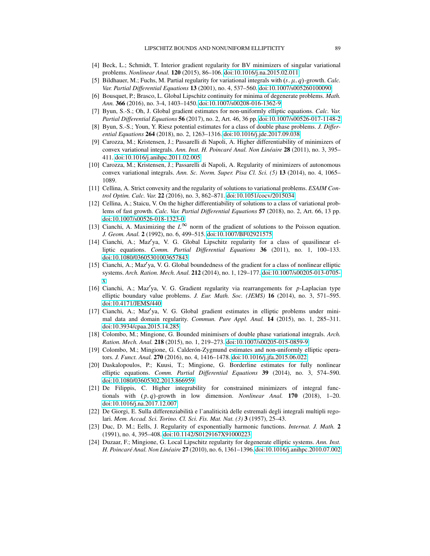- [4] Beck, L.; Schmidt, T. Interior gradient regularity for BV minimizers of singular variational problems. *Nonlinear Anal.* 120 (2015), 86–106. [doi:10.1016/j.na.2015.02.011](http://dx.doi.org/doi:10.1016/j.na.2015.02.011)
- [5] Bildhauer, M.; Fuchs, M. Partial regularity for variational integrals with  $(s, \mu, q)$ -growth. *Calc. Var. Partial Differential Equations* 13 (2001), no. 4, 537–560. [doi:10.1007/s005260100090](http://dx.doi.org/doi:10.1007/s005260100090)
- [6] Bousquet, P.; Brasco, L. Global Lipschitz continuity for minima of degenerate problems. *Math. Ann.* 366 (2016), no. 3-4, 1403–1450. [doi:10.1007/s00208-016-1362-9](http://dx.doi.org/doi:10.1007/s00208-016-1362-9)
- [7] Byun, S.-S.; Oh, J. Global gradient estimates for non-uniformly elliptic equations. *Calc. Var. Partial Differential Equations* 56 (2017), no. 2, Art. 46, 36 pp. [doi:10.1007/s00526-017-1148-2](http://dx.doi.org/doi:10.1007/s00526-017-1148-2)
- [8] Byun, S.-S.; Youn, Y. Riesz potential estimates for a class of double phase problems. *J. Differential Equations* 264 (2018), no. 2, 1263–1316. [doi:10.1016/j.jde.2017.09.038](http://dx.doi.org/doi:10.1016/j.jde.2017.09.038)
- [9] Carozza, M.; Kristensen, J.; Passarelli di Napoli, A. Higher differentiability of minimizers of convex variational integrals. *Ann. Inst. H. Poincaré Anal. Non Linéaire* 28 (2011), no. 3, 395– 411. [doi:10.1016/j.anihpc.2011.02.005](http://dx.doi.org/doi:10.1016/j.anihpc.2011.02.005)
- [10] Carozza, M.; Kristensen, J.; Passarelli di Napoli, A. Regularity of minimizers of autonomous convex variational integrals. *Ann. Sc. Norm. Super. Pisa Cl. Sci. (5)* 13 (2014), no. 4, 1065– 1089.
- [11] Cellina, A. Strict convexity and the regularity of solutions to variational problems. *ESAIM Control Optim. Calc. Var.* 22 (2016), no. 3, 862–871. [doi:10.1051/cocv/2015034](http://dx.doi.org/doi:10.1051/cocv/2015034)
- [12] Cellina, A.; Staicu, V. On the higher differentiability of solutions to a class of variational problems of fast growth. *Calc. Var. Partial Differential Equations* 57 (2018), no. 2, Art. 66, 13 pp. [doi:10.1007/s00526-018-1323-0](http://dx.doi.org/doi:10.1007/s00526-018-1323-0)
- [13] Cianchi, A. Maximizing the  $L^{\infty}$  norm of the gradient of solutions to the Poisson equation. *J. Geom. Anal.* 2 (1992), no. 6, 499–515. [doi:10.1007/BF02921575](http://dx.doi.org/doi:10.1007/BF02921575)
- [14] Cianchi, A.; Maz'ya, V. G. Global Lipschitz regularity for a class of quasilinear elliptic equations. *Comm. Partial Differential Equations* 36 (2011), no. 1, 100–133. [doi:10.1080/03605301003657843](http://dx.doi.org/doi:10.1080/03605301003657843)
- $[15]$  Cianchi, A.; Maz'ya, V. G. Global boundedness of the gradient for a class of nonlinear elliptic systems. *Arch. Ration. Mech. Anal.* 212 (2014), no. 1, 129–177. [doi:10.1007/s00205-013-0705](http://dx.doi.org/doi:10.1007/s00205-013-0705-x) [x](http://dx.doi.org/doi:10.1007/s00205-013-0705-x)
- [16] Cianchi, A.; Maz'ya, V. G. Gradient regularity via rearrangements for  $p$ -Laplacian type elliptic boundary value problems. *J. Eur. Math. Soc. (JEMS)* 16 (2014), no. 3, 571–595. [doi:10.4171/JEMS/440](http://dx.doi.org/doi:10.4171/JEMS/440)
- [17] Cianchi, A.; Maz'ya, V. G. Global gradient estimates in elliptic problems under minimal data and domain regularity. *Commun. Pure Appl. Anal.* 14 (2015), no. 1, 285–311. [doi:10.3934/cpaa.2015.14.285](http://dx.doi.org/doi:10.3934/cpaa.2015.14.285)
- [18] Colombo, M.; Mingione, G. Bounded minimisers of double phase variational integrals. *Arch. Ration. Mech. Anal.* 218 (2015), no. 1, 219–273. [doi:10.1007/s00205-015-0859-9](http://dx.doi.org/doi:10.1007/s00205-015-0859-9)
- [19] Colombo, M.; Mingione, G. Calderón-Zygmund estimates and non-uniformly elliptic operators. *J. Funct. Anal.* 270 (2016), no. 4, 1416–1478. [doi:10.1016/j.jfa.2015.06.022](http://dx.doi.org/doi:10.1016/j.jfa.2015.06.022)
- [20] Daskalopoulos, P.; Kuusi, T.; Mingione, G. Borderline estimates for fully nonlinear elliptic equations. *Comm. Partial Differential Equations* 39 (2014), no. 3, 574–590. [doi:10.1080/03605302.2013.866959](http://dx.doi.org/doi:10.1080/03605302.2013.866959)
- [21] De Filippis, C. Higher integrability for constrained minimizers of integral functionals with  $(p, q)$ -growth in low dimension. *Nonlinear Anal.* **170** (2018), 1–20. [doi:10.1016/j.na.2017.12.007](http://dx.doi.org/doi:10.1016/j.na.2017.12.007)
- [22] De Giorgi, E. Sulla differenziabilità e l'analiticità delle estremali degli integrali multipli regolari. *Mem. Accad. Sci. Torino. Cl. Sci. Fis. Mat. Nat. (3)* 3 (1957), 25–43.
- [23] Duc, D. M.; Eells, J. Regularity of exponentially harmonic functions. *Internat. J. Math.* 2 (1991), no. 4, 395–408. [doi:10.1142/S0129167X91000223](http://dx.doi.org/doi:10.1142/S0129167X91000223)
- <span id="page-88-0"></span>[24] Duzaar, F.; Mingione, G. Local Lipschitz regularity for degenerate elliptic systems. *Ann. Inst. H. Poincaré Anal. Non Linéaire* 27 (2010), no. 6, 1361–1396. [doi:10.1016/j.anihpc.2010.07.002](http://dx.doi.org/doi:10.1016/j.anihpc.2010.07.002)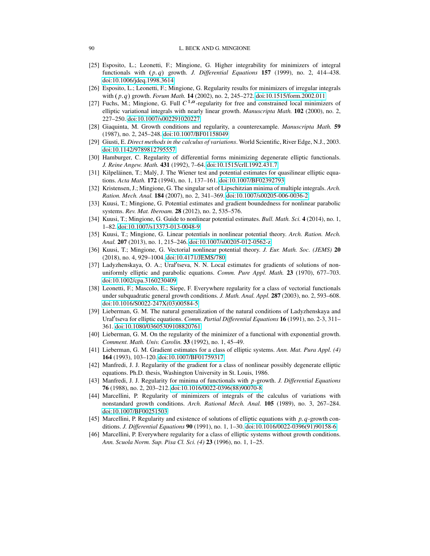#### 90 L. BECK AND G. MINGIONE

- <span id="page-89-3"></span>[25] Esposito, L.; Leonetti, F.; Mingione, G. Higher integrability for minimizers of integral functionals with  $(p, q)$  growth. *J. Differential Equations* 157 (1999), no. 2, 414–438. [doi:10.1006/jdeq.1998.3614](http://dx.doi.org/doi:10.1006/jdeq.1998.3614)
- <span id="page-89-2"></span>[26] Esposito, L.; Leonetti, F.; Mingione, G. Regularity results for minimizers of irregular integrals with  $(p, q)$  growth. *Forum Math.* **14** (2002), no. 2, 245–272. [doi:10.1515/form.2002.011](http://dx.doi.org/doi:10.1515/form.2002.011)
- [27] Fuchs, M.; Mingione, G. Full  $C^{1,\alpha}$ -regularity for free and constrained local minimizers of elliptic variational integrals with nearly linear growth. *Manuscripta Math.* 102 (2000), no. 2, 227–250. [doi:10.1007/s002291020227](http://dx.doi.org/doi:10.1007/s002291020227)
- [28] Giaquinta, M. Growth conditions and regularity, a counterexample. *Manuscripta Math.* 59 (1987), no. 2, 245–248. [doi:10.1007/BF01158049](http://dx.doi.org/doi:10.1007/BF01158049)
- <span id="page-89-6"></span>[29] Giusti, E. *Direct methods in the calculus of variations*. World Scientific, River Edge, N.J., 2003. [doi:10.1142/9789812795557](http://dx.doi.org/doi:10.1142/9789812795557)
- [30] Hamburger, C. Regularity of differential forms minimizing degenerate elliptic functionals. *J. Reine Angew. Math.* 431 (1992), 7–64. [doi:10.1515/crll.1992.431.7](http://dx.doi.org/doi:10.1515/crll.1992.431.7)
- [31] Kilpeläinen, T.; Malý, J. The Wiener test and potential estimates for quasilinear elliptic equations. *Acta Math.* 172 (1994), no. 1, 137–161. [doi:10.1007/BF02392793](http://dx.doi.org/doi:10.1007/BF02392793)
- [32] Kristensen, J.; Mingione, G. The singular set of Lipschitzian minima of multiple integrals. *Arch. Ration. Mech. Anal.* 184 (2007), no. 2, 341–369. [doi:10.1007/s00205-006-0036-2](http://dx.doi.org/doi:10.1007/s00205-006-0036-2)
- <span id="page-89-4"></span>[33] Kuusi, T.; Mingione, G. Potential estimates and gradient boundedness for nonlinear parabolic systems. *Rev. Mat. Iberoam.* 28 (2012), no. 2, 535–576.
- [34] Kuusi, T.; Mingione, G. Guide to nonlinear potential estimates. *Bull. Math. Sci.* 4 (2014), no. 1, 1–82. [doi:10.1007/s13373-013-0048-9](http://dx.doi.org/doi:10.1007/s13373-013-0048-9)
- [35] Kuusi, T.; Mingione, G. Linear potentials in nonlinear potential theory. *Arch. Ration. Mech. Anal.* 207 (2013), no. 1, 215–246. [doi:10.1007/s00205-012-0562-z](http://dx.doi.org/doi:10.1007/s00205-012-0562-z)
- <span id="page-89-5"></span>[36] Kuusi, T.; Mingione, G. Vectorial nonlinear potential theory. *J. Eur. Math. Soc. (JEMS)* 20 (2018), no. 4, 929–1004. [doi:10.4171/JEMS/780](http://dx.doi.org/doi:10.4171/JEMS/780)
- [37] Ladyzhenskaya, O. A.; Ural'tseva, N. N. Local estimates for gradients of solutions of nonuniformly elliptic and parabolic equations. *Comm. Pure Appl. Math.* 23 (1970), 677–703. [doi:10.1002/cpa.3160230409](http://dx.doi.org/doi:10.1002/cpa.3160230409)
- [38] Leonetti, F.; Mascolo, E.; Siepe, F. Everywhere regularity for a class of vectorial functionals under subquadratic general growth conditions. *J. Math. Anal. Appl.* 287 (2003), no. 2, 593–608. [doi:10.1016/S0022-247X\(03\)00584-5](http://dx.doi.org/doi:10.1016/S0022-247X(03)00584-5)
- [39] Lieberman, G. M. The natural generalization of the natural conditions of Ladyzhenskaya and Ural'tseva for elliptic equations. *Comm. Partial Differential Equations* 16 (1991), no. 2-3, 311– 361. [doi:10.1080/03605309108820761](http://dx.doi.org/doi:10.1080/03605309108820761)
- [40] Lieberman, G. M. On the regularity of the minimizer of a functional with exponential growth. *Comment. Math. Univ. Carolin.* 33 (1992), no. 1, 45–49.
- [41] Lieberman, G. M. Gradient estimates for a class of elliptic systems. *Ann. Mat. Pura Appl. (4)* 164 (1993), 103–120. [doi:10.1007/BF01759317](http://dx.doi.org/doi:10.1007/BF01759317)
- [42] Manfredi, J. J. Regularity of the gradient for a class of nonlinear possibly degenerate elliptic equations. Ph.D. thesis, Washington University in St. Louis, 1986.
- [43] Manfredi, J. J. Regularity for minima of functionals with p-growth. *J. Differential Equations* 76 (1988), no. 2, 203–212. [doi:10.1016/0022-0396\(88\)90070-8](http://dx.doi.org/doi:10.1016/0022-0396(88)90070-8)
- [44] Marcellini, P. Regularity of minimizers of integrals of the calculus of variations with nonstandard growth conditions. *Arch. Rational Mech. Anal.* 105 (1989), no. 3, 267–284. [doi:10.1007/BF00251503](http://dx.doi.org/doi:10.1007/BF00251503)
- <span id="page-89-1"></span>[45] Marcellini, P. Regularity and existence of solutions of elliptic equations with  $p$ ,  $q$ -growth conditions. *J. Differential Equations* 90 (1991), no. 1, 1–30. [doi:10.1016/0022-0396\(91\)90158-6](http://dx.doi.org/doi:10.1016/0022-0396(91)90158-6)
- <span id="page-89-0"></span>[46] Marcellini, P. Everywhere regularity for a class of elliptic systems without growth conditions. *Ann. Scuola Norm. Sup. Pisa Cl. Sci. (4)* 23 (1996), no. 1, 1–25.